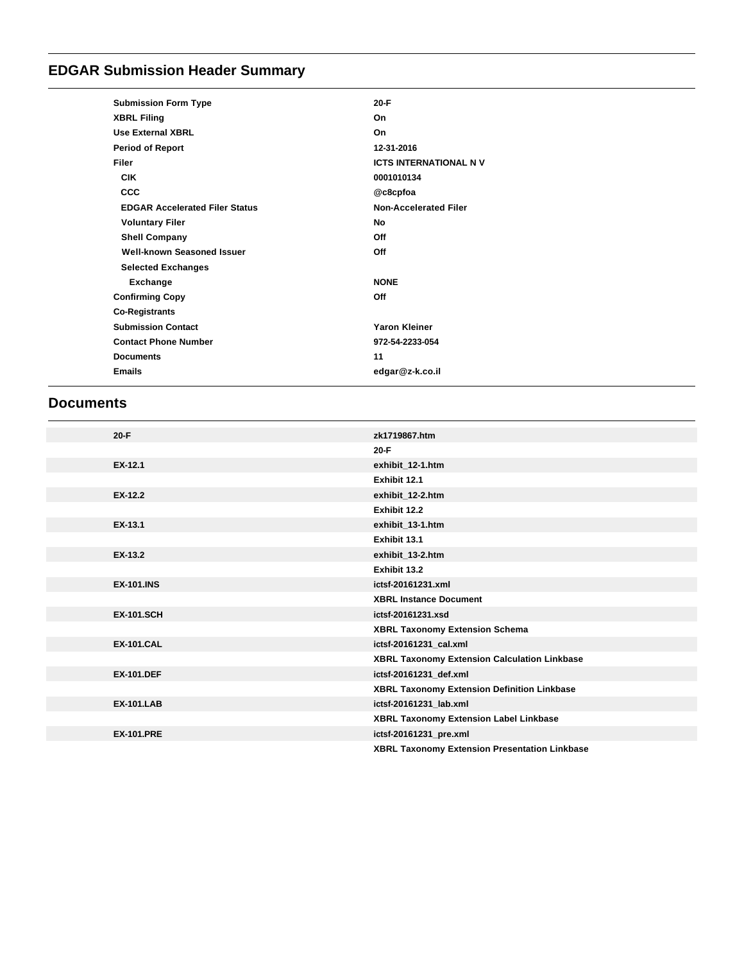# **EDGAR Submission Header Summary**

| <b>Submission Form Type</b>           | $20-F$                       |
|---------------------------------------|------------------------------|
| <b>XBRL Filing</b>                    | On                           |
| <b>Use External XBRL</b>              | On                           |
| <b>Period of Report</b>               | 12-31-2016                   |
| Filer                                 | <b>ICTS INTERNATIONAL NV</b> |
| <b>CIK</b>                            | 0001010134                   |
| <b>CCC</b>                            | @c8cpfoa                     |
| <b>EDGAR Accelerated Filer Status</b> | <b>Non-Accelerated Filer</b> |
| <b>Voluntary Filer</b>                | <b>No</b>                    |
| <b>Shell Company</b>                  | Off                          |
| <b>Well-known Seasoned Issuer</b>     | Off                          |
| <b>Selected Exchanges</b>             |                              |
| Exchange                              | <b>NONE</b>                  |
| <b>Confirming Copy</b>                | Off                          |
| <b>Co-Registrants</b>                 |                              |
| <b>Submission Contact</b>             | <b>Yaron Kleiner</b>         |
| <b>Contact Phone Number</b>           | 972-54-2233-054              |
| <b>Documents</b>                      | 11                           |
| <b>Emails</b>                         | edgar@z-k.co.il              |
|                                       |                              |

# **Documents**

| $20-F$            | zk1719867.htm                                 |
|-------------------|-----------------------------------------------|
|                   | $20-F$                                        |
| EX-12.1           | exhibit_12-1.htm                              |
|                   | Exhibit 12.1                                  |
| EX-12.2           | exhibit_12-2.htm                              |
|                   | Exhibit 12.2                                  |
| EX-13.1           | exhibit 13-1.htm                              |
|                   | Exhibit 13.1                                  |
| EX-13.2           | exhibit_13-2.htm                              |
|                   | Exhibit 13.2                                  |
| <b>EX-101.INS</b> | ictsf-20161231.xml                            |
|                   | <b>XBRL Instance Document</b>                 |
| <b>EX-101.SCH</b> | ictsf-20161231.xsd                            |
|                   | <b>XBRL Taxonomy Extension Schema</b>         |
| <b>EX-101.CAL</b> | ictsf-20161231 cal.xml                        |
|                   | XBRL Taxonomy Extension Calculation Linkbase  |
| <b>EX-101.DEF</b> | ictsf-20161231_def.xml                        |
|                   | XBRL Taxonomy Extension Definition Linkbase   |
| <b>EX-101.LAB</b> | ictsf-20161231_lab.xml                        |
|                   | XBRL Taxonomy Extension Label Linkbase        |
| <b>EX-101.PRE</b> | ictsf-20161231_pre.xml                        |
|                   | XBRL Taxonomy Extension Presentation Linkbase |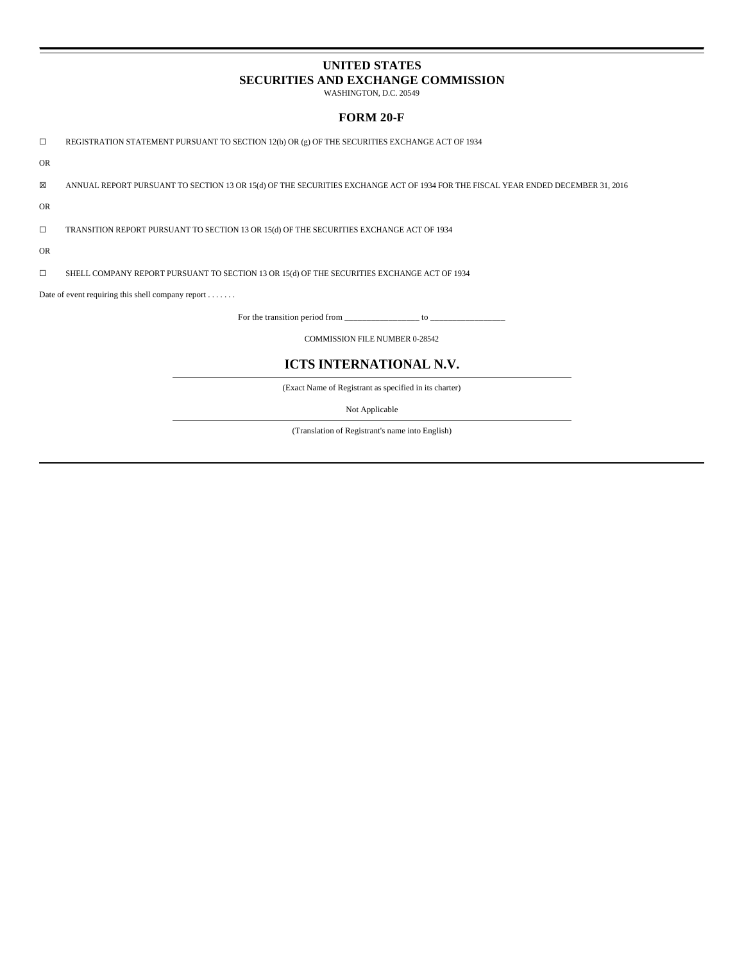# **UNITED STATES SECURITIES AND EXCHANGE COMMISSION**

WASHINGTON, D.C. 20549

# **FORM 20-F**

 $\Box$  REGISTRATION STATEMENT PURSUANT TO SECTION 12(b) OR (g) OF THE SECURITIES EXCHANGE ACT OF 1934 OR ☒ ANNUAL REPORT PURSUANT TO SECTION 13 OR 15(d) OF THE SECURITIES EXCHANGE ACT OF 1934 FOR THE FISCAL YEAR ENDED DECEMBER 31, 2016 OR ☐ TRANSITION REPORT PURSUANT TO SECTION 13 OR 15(d) OF THE SECURITIES EXCHANGE ACT OF 1934 OR ☐ SHELL COMPANY REPORT PURSUANT TO SECTION 13 OR 15(d) OF THE SECURITIES EXCHANGE ACT OF 1934 Date of event requiring this shell company report . . . . . . .

For the transition period from  $\frac{1}{\sqrt{2}}$  =

COMMISSION FILE NUMBER 0-28542

# **ICTS INTERNATIONAL N.V.**

(Exact Name of Registrant as specified in its charter)

Not Applicable

(Translation of Registrant's name into English)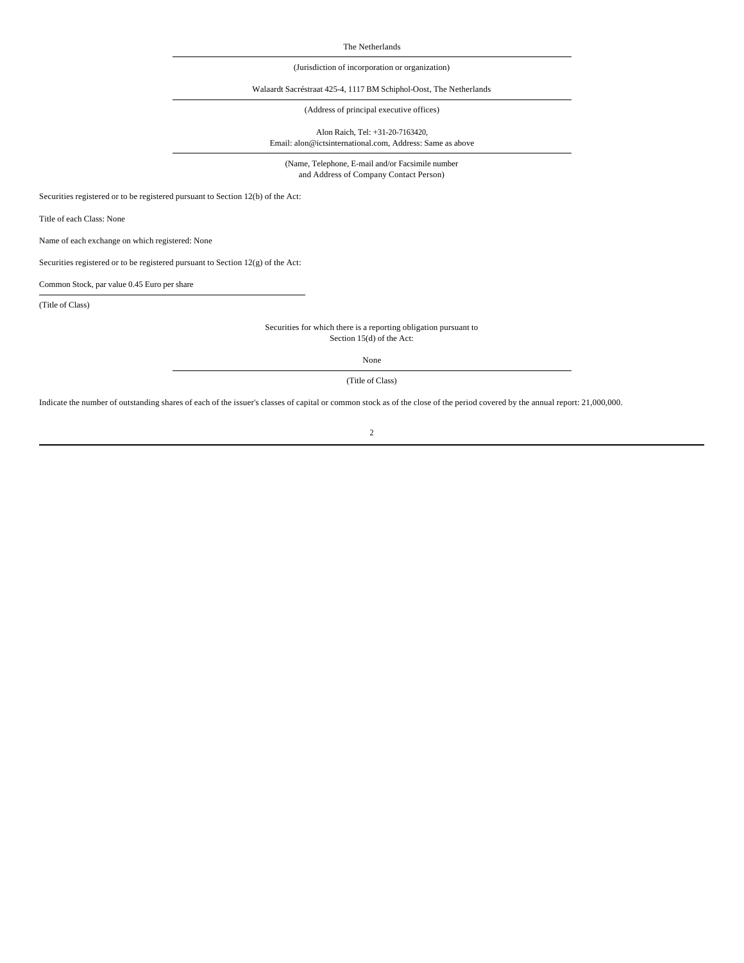The Netherlands

# (Jurisdiction of incorporation or organization)

# Walaardt Sacréstraat 425-4, 1117 BM Schiphol-Oost, The Netherlands

(Address of principal executive offices)

Alon Raich, Tel: +31-20-7163420, Email: alon@ictsinternational.com, Address: Same as above

(Name, Telephone, E-mail and/or Facsimile number and Address of Company Contact Person)

Securities registered or to be registered pursuant to Section 12(b) of the Act:

Title of each Class: None

Name of each exchange on which registered: None

Securities registered or to be registered pursuant to Section 12(g) of the Act:

Common Stock, par value 0.45 Euro per share

(Title of Class)

Securities for which there is a reporting obligation pursuant to Section 15(d) of the Act:

None

(Title of Class)

Indicate the number of outstanding shares of each of the issuer's classes of capital or common stock as of the close of the period covered by the annual report: 21,000,000.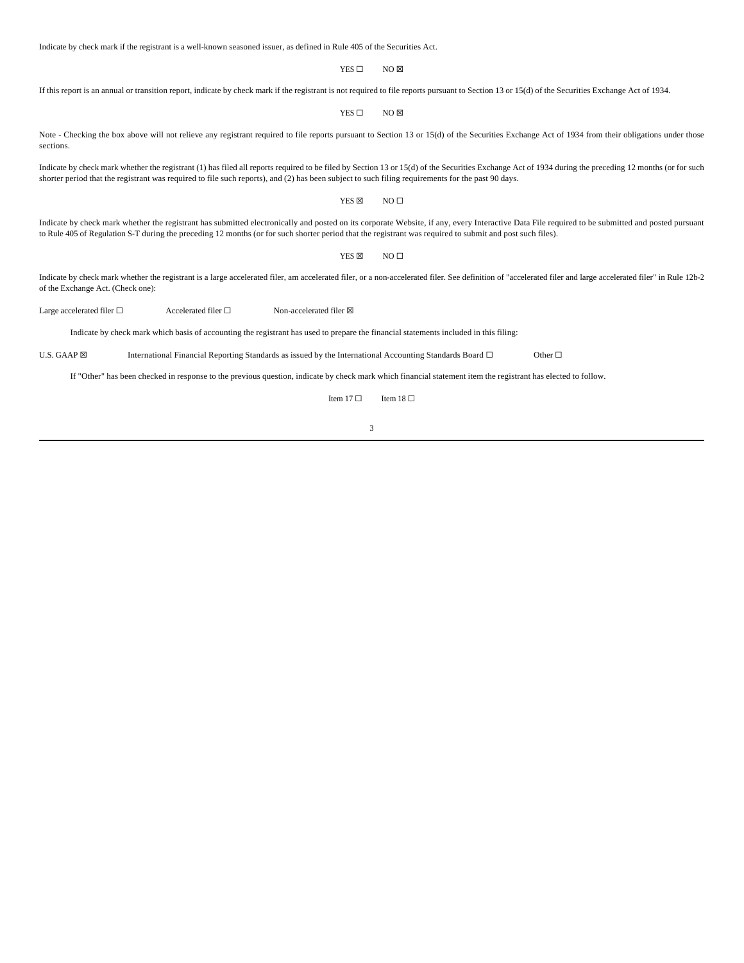YES □ NO ⊠ If this report is an annual or transition report, indicate by check mark if the registrant is not required to file reports pursuant to Section 13 or 15(d) of the Securities Exchange Act of 1934. YES □ NO ⊠ Note - Checking the box above will not relieve any registrant required to file reports pursuant to Section 13 or 15(d) of the Securities Exchange Act of 1934 from their obligations under those sections. Indicate by check mark whether the registrant (1) has filed all reports required to be filed by Section 13 or 15(d) of the Securities Exchange Act of 1934 during the preceding 12 months (or for such shorter period that the registrant was required to file such reports), and (2) has been subject to such filing requirements for the past 90 days. YES  $\boxtimes$  NO  $\Box$ Indicate by check mark whether the registrant has submitted electronically and posted on its corporate Website, if any, every Interactive Data File required to be submitted and posted pursuant to Rule 405 of Regulation S-T during the preceding 12 months (or for such shorter period that the registrant was required to submit and post such files). YES  $\boxtimes$  NO  $\Box$ Indicate by check mark whether the registrant is a large accelerated filer, am accelerated filer, or a non-accelerated filer. See definition of "accelerated filer and large accelerated filer" in Rule 12b-2 of the Exchange Act. (Check one): Large accelerated filer □ Accelerated filer □ Non-accelerated filer ⊠ Indicate by check mark which basis of accounting the registrant has used to prepare the financial statements included in this filing: U.S. GAAP ⊠ International Financial Reporting Standards as issued by the International Accounting Standards Board □ Other □

If "Other" has been checked in response to the previous question, indicate by check mark which financial statement item the registrant has elected to follow.

Indicate by check mark if the registrant is a well-known seasoned issuer, as defined in Rule 405 of the Securities Act.

Item  $17 \Box$  Item  $18 \Box$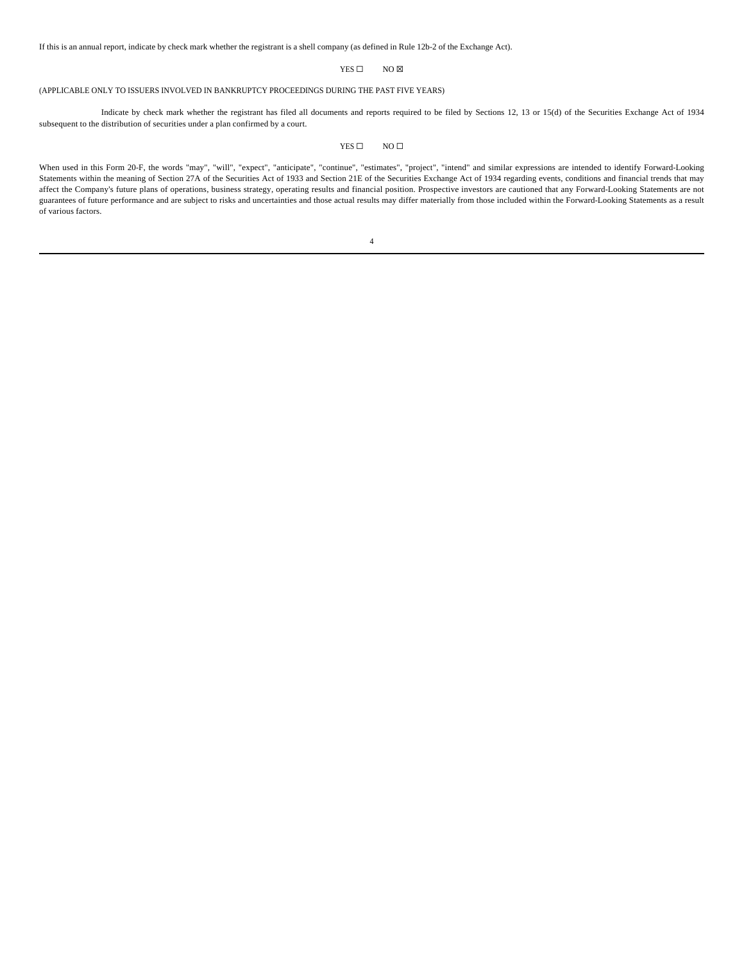If this is an annual report, indicate by check mark whether the registrant is a shell company (as defined in Rule 12b-2 of the Exchange Act).

# YES □ NO ⊠

# (APPLICABLE ONLY TO ISSUERS INVOLVED IN BANKRUPTCY PROCEEDINGS DURING THE PAST FIVE YEARS)

Indicate by check mark whether the registrant has filed all documents and reports required to be filed by Sections 12, 13 or 15(d) of the Securities Exchange Act of 1934 subsequent to the distribution of securities under a plan confirmed by a court.

# YES  $\Box$  NO  $\Box$

When used in this Form 20-F, the words "may", "will", "expect", "anticipate", "continue", "estimates", "project", "intend" and similar expressions are intended to identify Forward-Looking Statements within the meaning of Section 27A of the Securities Act of 1933 and Section 21E of the Securities Exchange Act of 1934 regarding events, conditions and financial trends that may affect the Company's future plans of operations, business strategy, operating results and financial position. Prospective investors are cautioned that any Forward-Looking Statements are not guarantees of future performance and are subject to risks and uncertainties and those actual results may differ materially from those included within the Forward-Looking Statements as a result of various factors.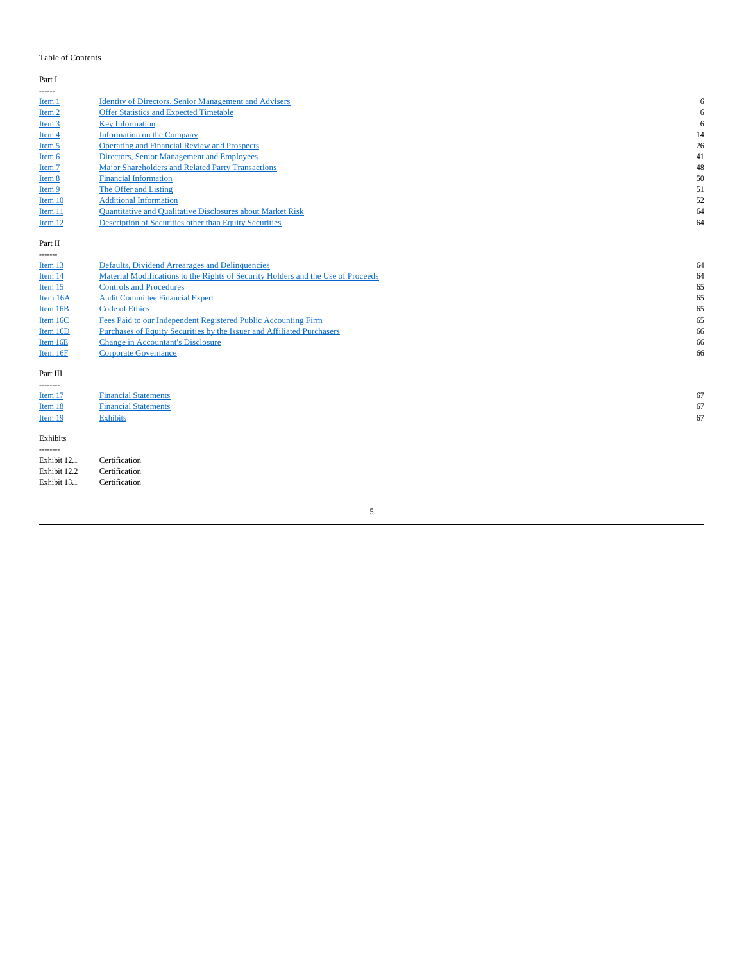# Table of Contents

| ------<br><b>Identity of Directors, Senior Management and Advisers</b><br>6<br><u>Item 1</u><br><b>Offer Statistics and Expected Timetable</b><br>6<br>Item 2<br><b>Key Information</b><br>6<br>Item 3<br><b>Information on the Company</b><br>14<br>Item 4<br><b>Operating and Financial Review and Prospects</b><br>26<br>Item <sub>5</sub><br>41<br>Directors, Senior Management and Employees<br>Item 6<br>Major Shareholders and Related Party Transactions<br>48<br>Item 7<br>50<br><b>Financial Information</b><br>Item 8<br>The Offer and Listing<br>51<br>Item 9<br>52<br><b>Additional Information</b><br>Item 10<br>Quantitative and Qualitative Disclosures about Market Risk<br>64<br>Item 11<br>Description of Securities other than Equity Securities<br>64<br>Item 12<br>Part II<br>------<br>Defaults, Dividend Arrearages and Delinquencies<br>Item $13$<br>64<br>Material Modifications to the Rights of Security Holders and the Use of Proceeds<br>64<br>Item 14<br><b>Controls and Procedures</b><br>65<br>Item 15<br>65<br><b>Audit Committee Financial Expert</b><br>Item 16A<br>65<br>Item 16B<br><b>Code of Ethics</b><br>65<br>Fees Paid to our Independent Registered Public Accounting Firm<br>Item 16C<br>Purchases of Equity Securities by the Issuer and Affiliated Purchasers<br>66<br>Item 16D<br>Item 16E<br><b>Change in Accountant's Disclosure</b><br>66<br>Item 16F<br><b>Corporate Governance</b><br>66<br>Part III<br>--------<br>67<br><b>Financial Statements</b><br>Item 17<br>Item 18<br><b>Financial Statements</b><br>67<br>67<br>Item $19$<br><b>Exhibits</b><br>Exhibits<br>--------<br>Exhibit 12.1<br>Certification<br>Exhibit 12.2<br>Certification<br>Exhibit 13.1<br>Certification | Part I |  |
|------------------------------------------------------------------------------------------------------------------------------------------------------------------------------------------------------------------------------------------------------------------------------------------------------------------------------------------------------------------------------------------------------------------------------------------------------------------------------------------------------------------------------------------------------------------------------------------------------------------------------------------------------------------------------------------------------------------------------------------------------------------------------------------------------------------------------------------------------------------------------------------------------------------------------------------------------------------------------------------------------------------------------------------------------------------------------------------------------------------------------------------------------------------------------------------------------------------------------------------------------------------------------------------------------------------------------------------------------------------------------------------------------------------------------------------------------------------------------------------------------------------------------------------------------------------------------------------------------------------------------------------------------------------------------------------------------------------------------------------|--------|--|
|                                                                                                                                                                                                                                                                                                                                                                                                                                                                                                                                                                                                                                                                                                                                                                                                                                                                                                                                                                                                                                                                                                                                                                                                                                                                                                                                                                                                                                                                                                                                                                                                                                                                                                                                          |        |  |
|                                                                                                                                                                                                                                                                                                                                                                                                                                                                                                                                                                                                                                                                                                                                                                                                                                                                                                                                                                                                                                                                                                                                                                                                                                                                                                                                                                                                                                                                                                                                                                                                                                                                                                                                          |        |  |
|                                                                                                                                                                                                                                                                                                                                                                                                                                                                                                                                                                                                                                                                                                                                                                                                                                                                                                                                                                                                                                                                                                                                                                                                                                                                                                                                                                                                                                                                                                                                                                                                                                                                                                                                          |        |  |
|                                                                                                                                                                                                                                                                                                                                                                                                                                                                                                                                                                                                                                                                                                                                                                                                                                                                                                                                                                                                                                                                                                                                                                                                                                                                                                                                                                                                                                                                                                                                                                                                                                                                                                                                          |        |  |
|                                                                                                                                                                                                                                                                                                                                                                                                                                                                                                                                                                                                                                                                                                                                                                                                                                                                                                                                                                                                                                                                                                                                                                                                                                                                                                                                                                                                                                                                                                                                                                                                                                                                                                                                          |        |  |
|                                                                                                                                                                                                                                                                                                                                                                                                                                                                                                                                                                                                                                                                                                                                                                                                                                                                                                                                                                                                                                                                                                                                                                                                                                                                                                                                                                                                                                                                                                                                                                                                                                                                                                                                          |        |  |
|                                                                                                                                                                                                                                                                                                                                                                                                                                                                                                                                                                                                                                                                                                                                                                                                                                                                                                                                                                                                                                                                                                                                                                                                                                                                                                                                                                                                                                                                                                                                                                                                                                                                                                                                          |        |  |
|                                                                                                                                                                                                                                                                                                                                                                                                                                                                                                                                                                                                                                                                                                                                                                                                                                                                                                                                                                                                                                                                                                                                                                                                                                                                                                                                                                                                                                                                                                                                                                                                                                                                                                                                          |        |  |
|                                                                                                                                                                                                                                                                                                                                                                                                                                                                                                                                                                                                                                                                                                                                                                                                                                                                                                                                                                                                                                                                                                                                                                                                                                                                                                                                                                                                                                                                                                                                                                                                                                                                                                                                          |        |  |
|                                                                                                                                                                                                                                                                                                                                                                                                                                                                                                                                                                                                                                                                                                                                                                                                                                                                                                                                                                                                                                                                                                                                                                                                                                                                                                                                                                                                                                                                                                                                                                                                                                                                                                                                          |        |  |
|                                                                                                                                                                                                                                                                                                                                                                                                                                                                                                                                                                                                                                                                                                                                                                                                                                                                                                                                                                                                                                                                                                                                                                                                                                                                                                                                                                                                                                                                                                                                                                                                                                                                                                                                          |        |  |
|                                                                                                                                                                                                                                                                                                                                                                                                                                                                                                                                                                                                                                                                                                                                                                                                                                                                                                                                                                                                                                                                                                                                                                                                                                                                                                                                                                                                                                                                                                                                                                                                                                                                                                                                          |        |  |
|                                                                                                                                                                                                                                                                                                                                                                                                                                                                                                                                                                                                                                                                                                                                                                                                                                                                                                                                                                                                                                                                                                                                                                                                                                                                                                                                                                                                                                                                                                                                                                                                                                                                                                                                          |        |  |
|                                                                                                                                                                                                                                                                                                                                                                                                                                                                                                                                                                                                                                                                                                                                                                                                                                                                                                                                                                                                                                                                                                                                                                                                                                                                                                                                                                                                                                                                                                                                                                                                                                                                                                                                          |        |  |
|                                                                                                                                                                                                                                                                                                                                                                                                                                                                                                                                                                                                                                                                                                                                                                                                                                                                                                                                                                                                                                                                                                                                                                                                                                                                                                                                                                                                                                                                                                                                                                                                                                                                                                                                          |        |  |
|                                                                                                                                                                                                                                                                                                                                                                                                                                                                                                                                                                                                                                                                                                                                                                                                                                                                                                                                                                                                                                                                                                                                                                                                                                                                                                                                                                                                                                                                                                                                                                                                                                                                                                                                          |        |  |
|                                                                                                                                                                                                                                                                                                                                                                                                                                                                                                                                                                                                                                                                                                                                                                                                                                                                                                                                                                                                                                                                                                                                                                                                                                                                                                                                                                                                                                                                                                                                                                                                                                                                                                                                          |        |  |
|                                                                                                                                                                                                                                                                                                                                                                                                                                                                                                                                                                                                                                                                                                                                                                                                                                                                                                                                                                                                                                                                                                                                                                                                                                                                                                                                                                                                                                                                                                                                                                                                                                                                                                                                          |        |  |
|                                                                                                                                                                                                                                                                                                                                                                                                                                                                                                                                                                                                                                                                                                                                                                                                                                                                                                                                                                                                                                                                                                                                                                                                                                                                                                                                                                                                                                                                                                                                                                                                                                                                                                                                          |        |  |
|                                                                                                                                                                                                                                                                                                                                                                                                                                                                                                                                                                                                                                                                                                                                                                                                                                                                                                                                                                                                                                                                                                                                                                                                                                                                                                                                                                                                                                                                                                                                                                                                                                                                                                                                          |        |  |
|                                                                                                                                                                                                                                                                                                                                                                                                                                                                                                                                                                                                                                                                                                                                                                                                                                                                                                                                                                                                                                                                                                                                                                                                                                                                                                                                                                                                                                                                                                                                                                                                                                                                                                                                          |        |  |
|                                                                                                                                                                                                                                                                                                                                                                                                                                                                                                                                                                                                                                                                                                                                                                                                                                                                                                                                                                                                                                                                                                                                                                                                                                                                                                                                                                                                                                                                                                                                                                                                                                                                                                                                          |        |  |
|                                                                                                                                                                                                                                                                                                                                                                                                                                                                                                                                                                                                                                                                                                                                                                                                                                                                                                                                                                                                                                                                                                                                                                                                                                                                                                                                                                                                                                                                                                                                                                                                                                                                                                                                          |        |  |
|                                                                                                                                                                                                                                                                                                                                                                                                                                                                                                                                                                                                                                                                                                                                                                                                                                                                                                                                                                                                                                                                                                                                                                                                                                                                                                                                                                                                                                                                                                                                                                                                                                                                                                                                          |        |  |
|                                                                                                                                                                                                                                                                                                                                                                                                                                                                                                                                                                                                                                                                                                                                                                                                                                                                                                                                                                                                                                                                                                                                                                                                                                                                                                                                                                                                                                                                                                                                                                                                                                                                                                                                          |        |  |
|                                                                                                                                                                                                                                                                                                                                                                                                                                                                                                                                                                                                                                                                                                                                                                                                                                                                                                                                                                                                                                                                                                                                                                                                                                                                                                                                                                                                                                                                                                                                                                                                                                                                                                                                          |        |  |
|                                                                                                                                                                                                                                                                                                                                                                                                                                                                                                                                                                                                                                                                                                                                                                                                                                                                                                                                                                                                                                                                                                                                                                                                                                                                                                                                                                                                                                                                                                                                                                                                                                                                                                                                          |        |  |
|                                                                                                                                                                                                                                                                                                                                                                                                                                                                                                                                                                                                                                                                                                                                                                                                                                                                                                                                                                                                                                                                                                                                                                                                                                                                                                                                                                                                                                                                                                                                                                                                                                                                                                                                          |        |  |
|                                                                                                                                                                                                                                                                                                                                                                                                                                                                                                                                                                                                                                                                                                                                                                                                                                                                                                                                                                                                                                                                                                                                                                                                                                                                                                                                                                                                                                                                                                                                                                                                                                                                                                                                          |        |  |
|                                                                                                                                                                                                                                                                                                                                                                                                                                                                                                                                                                                                                                                                                                                                                                                                                                                                                                                                                                                                                                                                                                                                                                                                                                                                                                                                                                                                                                                                                                                                                                                                                                                                                                                                          |        |  |
|                                                                                                                                                                                                                                                                                                                                                                                                                                                                                                                                                                                                                                                                                                                                                                                                                                                                                                                                                                                                                                                                                                                                                                                                                                                                                                                                                                                                                                                                                                                                                                                                                                                                                                                                          |        |  |
|                                                                                                                                                                                                                                                                                                                                                                                                                                                                                                                                                                                                                                                                                                                                                                                                                                                                                                                                                                                                                                                                                                                                                                                                                                                                                                                                                                                                                                                                                                                                                                                                                                                                                                                                          |        |  |
|                                                                                                                                                                                                                                                                                                                                                                                                                                                                                                                                                                                                                                                                                                                                                                                                                                                                                                                                                                                                                                                                                                                                                                                                                                                                                                                                                                                                                                                                                                                                                                                                                                                                                                                                          |        |  |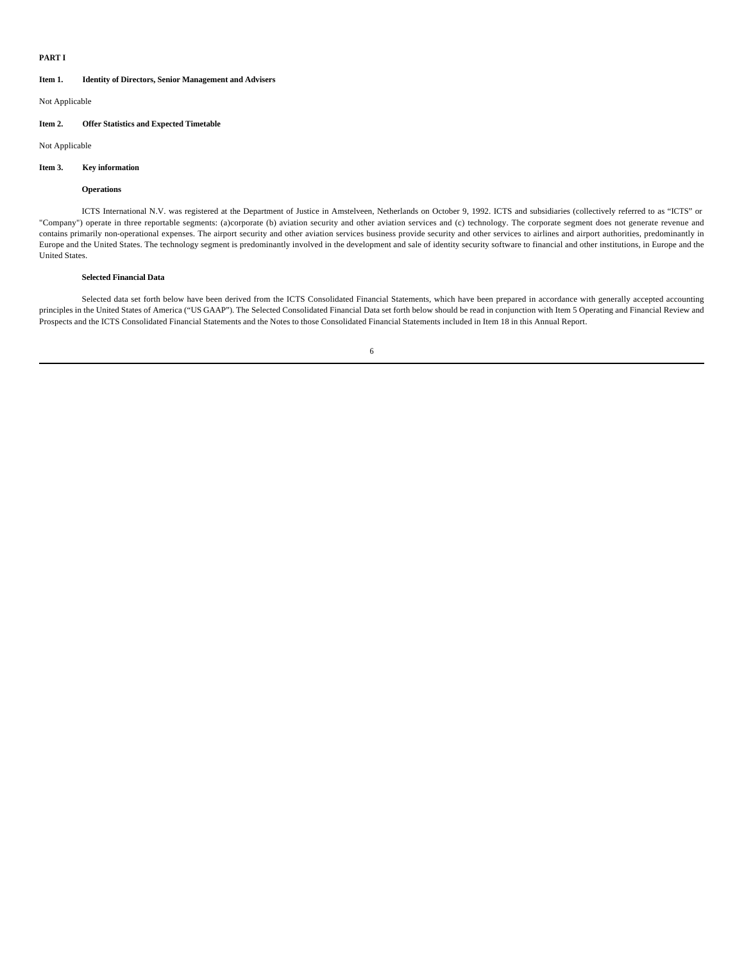## **PART I**

# **Item 1. Identity of Directors, Senior Management and Advisers**

Not Applicable

# **Item 2. Offer Statistics and Expected Timetable**

Not Applicable

# **Item 3. Key information**

# **Operations**

ICTS International N.V. was registered at the Department of Justice in Amstelveen, Netherlands on October 9, 1992. ICTS and subsidiaries (collectively referred to as "ICTS" or "Company") operate in three reportable segments: (a)corporate (b) aviation security and other aviation services and (c) technology. The corporate segment does not generate revenue and contains primarily non-operational expenses. The airport security and other aviation services business provide security and other services to airlines and airport authorities, predominantly in Europe and the United States. The technology segment is predominantly involved in the development and sale of identity security software to financial and other institutions, in Europe and the United States.

# **Selected Financial Data**

Selected data set forth below have been derived from the ICTS Consolidated Financial Statements, which have been prepared in accordance with generally accepted accounting principles in the United States of America ("US GAAP"). The Selected Consolidated Financial Data set forth below should be read in conjunction with Item 5 Operating and Financial Review and Prospects and the ICTS Consolidated Financial Statements and the Notes to those Consolidated Financial Statements included in Item 18 in this Annual Report.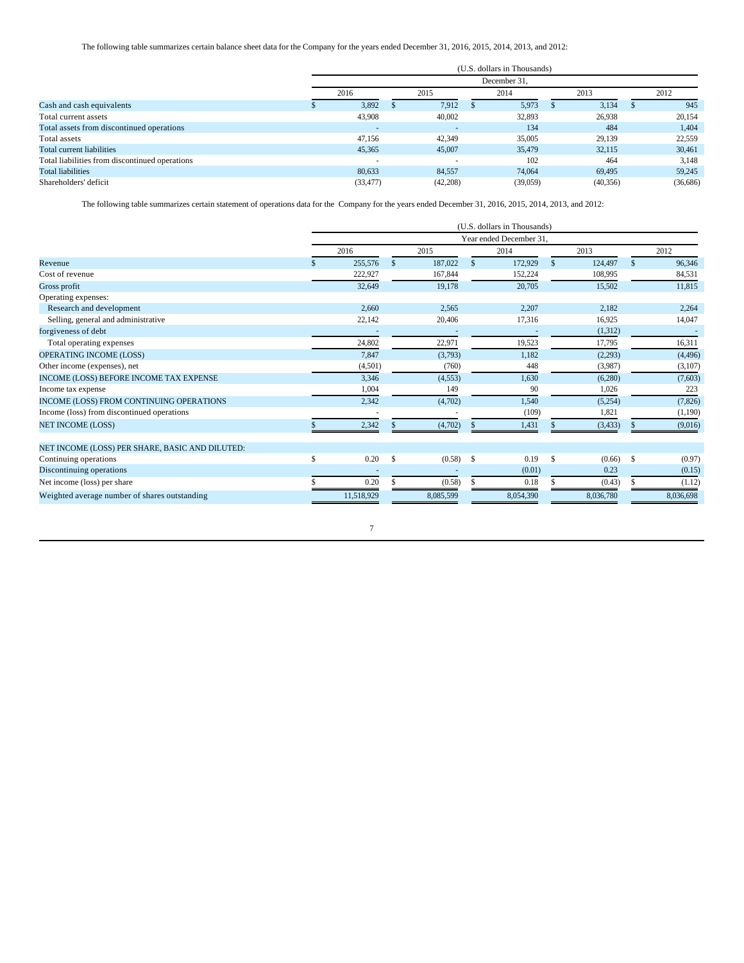The following table summarizes certain balance sheet data for the Company for the years ended December 31, 2016, 2015, 2014, 2013, and 2012:

|                                                | (U.S. dollars in Thousands) |                          |  |          |  |              |  |           |  |          |
|------------------------------------------------|-----------------------------|--------------------------|--|----------|--|--------------|--|-----------|--|----------|
|                                                |                             |                          |  |          |  | December 31. |  |           |  |          |
|                                                |                             | 2016                     |  | 2015     |  | 2014         |  | 2013      |  | 2012     |
| Cash and cash equivalents                      |                             | 3,892                    |  | 7.912    |  | 5.973        |  | 3,134     |  | 945      |
| Total current assets                           |                             | 43,908                   |  | 40,002   |  | 32,893       |  | 26,938    |  | 20,154   |
| Total assets from discontinued operations      |                             |                          |  |          |  | 134          |  | 484       |  | 1,404    |
| Total assets                                   |                             | 47,156                   |  | 42.349   |  | 35,005       |  | 29.139    |  | 22,559   |
| Total current liabilities                      |                             | 45,365                   |  | 45,007   |  | 35,479       |  | 32,115    |  | 30,461   |
| Total liabilities from discontinued operations |                             | $\overline{\phantom{a}}$ |  |          |  | 102          |  | 464       |  | 3,148    |
| <b>Total liabilities</b>                       |                             | 80,633                   |  | 84.557   |  | 74.064       |  | 69,495    |  | 59,245   |
| Shareholders' deficit                          |                             | (33, 477)                |  | (42,208) |  | (39,059)     |  | (40, 356) |  | (36,686) |

The following table summarizes certain statement of operations data for the Company for the years ended December 31, 2016, 2015, 2014, 2013, and 2012:

|                                                 | (U.S. dollars in Thousands) |            |    |           |               |           |              |           |    |           |
|-------------------------------------------------|-----------------------------|------------|----|-----------|---------------|-----------|--------------|-----------|----|-----------|
|                                                 | Year ended December 31,     |            |    |           |               |           |              |           |    |           |
|                                                 |                             | 2016       |    | 2015      |               | 2014      |              | 2013      |    | 2012      |
| Revenue                                         |                             | 255,576    | \$ | 187,022   | \$            | 172,929   | $\mathbb{S}$ | 124,497   | \$ | 96,346    |
| Cost of revenue                                 |                             | 222,927    |    | 167,844   |               | 152,224   |              | 108,995   |    | 84,531    |
| Gross profit                                    |                             | 32,649     |    | 19,178    |               | 20,705    |              | 15,502    |    | 11,815    |
| Operating expenses:                             |                             |            |    |           |               |           |              |           |    |           |
| Research and development                        |                             | 2.660      |    | 2.565     |               | 2,207     |              | 2,182     |    | 2.264     |
| Selling, general and administrative             |                             | 22,142     |    | 20,406    |               | 17,316    |              | 16,925    |    | 14,047    |
| forgiveness of debt                             |                             |            |    |           |               |           |              | (1,312)   |    |           |
| Total operating expenses                        |                             | 24,802     |    | 22,971    |               | 19,523    |              | 17,795    |    | 16,311    |
| <b>OPERATING INCOME (LOSS)</b>                  |                             | 7,847      |    | (3,793)   |               | 1,182     |              | (2,293)   |    | (4, 496)  |
| Other income (expenses), net                    |                             | (4,501)    |    | (760)     |               | 448       |              | (3,987)   |    | (3,107)   |
| INCOME (LOSS) BEFORE INCOME TAX EXPENSE         |                             | 3,346      |    | (4, 553)  |               | 1,630     |              | (6,280)   |    | (7,603)   |
| Income tax expense                              |                             | 1,004      |    | 149       |               | 90        |              | 1,026     |    | 223       |
| INCOME (LOSS) FROM CONTINUING OPERATIONS        |                             | 2,342      |    | (4,702)   |               | 1,540     |              | (5,254)   |    | (7, 826)  |
| Income (loss) from discontinued operations      |                             |            |    |           |               | (109)     |              | 1,821     |    | (1,190)   |
| <b>NET INCOME (LOSS)</b>                        |                             | 2,342      |    | (4,702)   | S             | 1,431     |              | (3, 433)  |    | (9,016)   |
| NET INCOME (LOSS) PER SHARE, BASIC AND DILUTED: |                             |            |    |           |               |           |              |           |    |           |
| Continuing operations                           | \$                          | 0.20       | \$ | (0.58)    | <sup>\$</sup> | 0.19      | \$           | (0.66)    | \$ | (0.97)    |
| Discontinuing operations                        |                             |            |    |           |               | (0.01)    |              | 0.23      |    | (0.15)    |
| Net income (loss) per share                     |                             | 0.20       |    | (0.58)    | S             | 0.18      | S            | (0.43)    | S  | (1.12)    |
| Weighted average number of shares outstanding   |                             | 11.518.929 |    | 8,085,599 |               | 8,054,390 |              | 8,036,780 |    | 8,036,698 |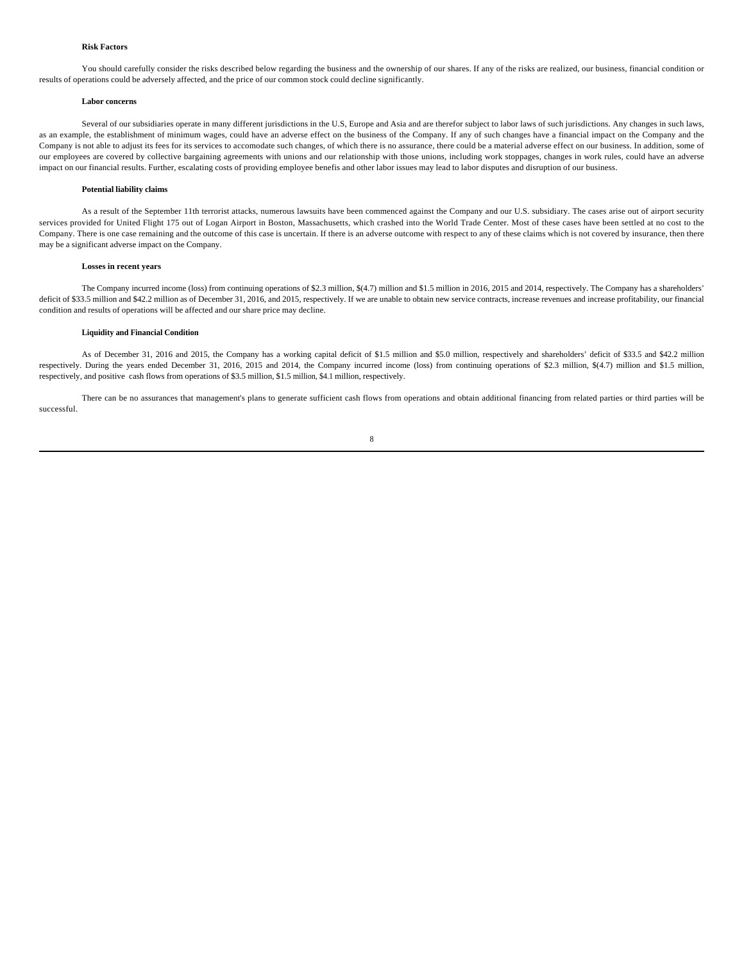# **Risk Factors**

You should carefully consider the risks described below regarding the business and the ownership of our shares. If any of the risks are realized, our business, financial condition or results of operations could be adversely affected, and the price of our common stock could decline significantly.

#### **Labor concerns**

Several of our subsidiaries operate in many different jurisdictions in the U.S, Europe and Asia and are therefor subject to labor laws of such jurisdictions. Any changes in such laws, as an example, the establishment of minimum wages, could have an adverse effect on the business of the Company. If any of such changes have a financial impact on the Company and the Company is not able to adjust its fees for its services to accomodate such changes, of which there is no assurance, there could be a material adverse effect on our business. In addition, some of our employees are covered by collective bargaining agreements with unions and our relationship with those unions, including work stoppages, changes in work rules, could have an adverse impact on our financial results. Further, escalating costs of providing employee benefis and other labor issues may lead to labor disputes and disruption of our business.

## **Potential liability claims**

As a result of the September 11th terrorist attacks, numerous lawsuits have been commenced against the Company and our U.S. subsidiary. The cases arise out of airport security services provided for United Flight 175 out of Logan Airport in Boston, Massachusetts, which crashed into the World Trade Center. Most of these cases have been settled at no cost to the Company. There is one case remaining and the outcome of this case is uncertain. If there is an adverse outcome with respect to any of these claims which is not covered by insurance, then there may be a significant adverse impact on the Company.

# **Losses in recent years**

The Company incurred income (loss) from continuing operations of \$2.3 million, \$(4.7) million and \$1.5 million in 2016, 2015 and 2014, respectively. The Company has a shareholders' deficit of \$33.5 million and \$42.2 million as of December 31, 2016, and 2015, respectively. If we are unable to obtain new service contracts, increase revenues and increase profitability, our financial condition and results of operations will be affected and our share price may decline.

#### **Liquidity and Financial Condition**

As of December 31, 2016 and 2015, the Company has a working capital deficit of \$1.5 million and \$5.0 million, respectively and shareholders' deficit of \$33.5 and \$42.2 million respectively. During the years ended December 31, 2016, 2015 and 2014, the Company incurred income (loss) from continuing operations of \$2.3 million, \$(4.7) million and \$1.5 million, respectively, and positive cash flows from operations of \$3.5 million, \$1.5 million, \$4.1 million, respectively.

There can be no assurances that management's plans to generate sufficient cash flows from operations and obtain additional financing from related parties or third parties will be successful.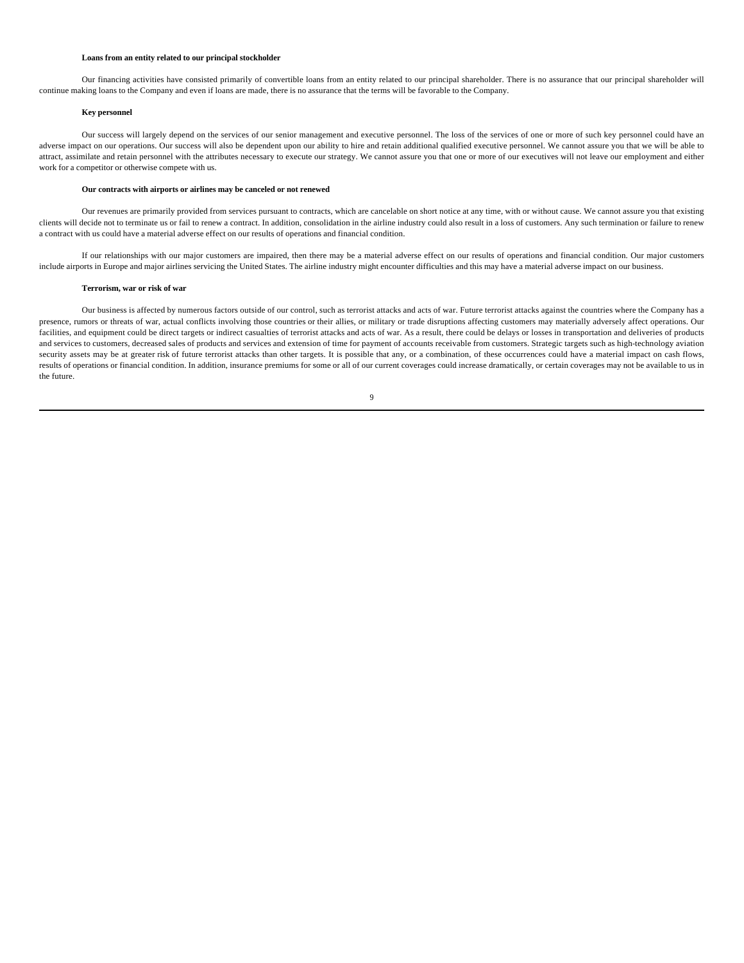#### **Loans from an entity related to our principal stockholder**

Our financing activities have consisted primarily of convertible loans from an entity related to our principal shareholder. There is no assurance that our principal shareholder will continue making loans to the Company and even if loans are made, there is no assurance that the terms will be favorable to the Company.

# **Key personnel**

Our success will largely depend on the services of our senior management and executive personnel. The loss of the services of one or more of such key personnel could have an adverse impact on our operations. Our success will also be dependent upon our ability to hire and retain additional qualified executive personnel. We cannot assure you that we will be able to attract, assimilate and retain personnel with the attributes necessary to execute our strategy. We cannot assure you that one or more of our executives will not leave our employment and either work for a competitor or otherwise compete with us.

#### **Our contracts with airports or airlines may be canceled or not renewed**

Our revenues are primarily provided from services pursuant to contracts, which are cancelable on short notice at any time, with or without cause. We cannot assure you that existing clients will decide not to terminate us or fail to renew a contract. In addition, consolidation in the airline industry could also result in a loss of customers. Any such termination or failure to renew a contract with us could have a material adverse effect on our results of operations and financial condition.

If our relationships with our major customers are impaired, then there may be a material adverse effect on our results of operations and financial condition. Our major customers include airports in Europe and major airlines servicing the United States. The airline industry might encounter difficulties and this may have a material adverse impact on our business.

#### **Terrorism, war or risk of war**

Our business is affected by numerous factors outside of our control, such as terrorist attacks and acts of war. Future terrorist attacks against the countries where the Company has a presence, rumors or threats of war, actual conflicts involving those countries or their allies, or military or trade disruptions affecting customers may materially adversely affect operations. Our facilities, and equipment could be direct targets or indirect casualties of terrorist attacks and acts of war. As a result, there could be delays or losses in transportation and deliveries of products and services to customers, decreased sales of products and services and extension of time for payment of accounts receivable from customers. Strategic targets such as high-technology aviation security assets may be at greater risk of future terrorist attacks than other targets. It is possible that any, or a combination, of these occurrences could have a material impact on cash flows, results of operations or financial condition. In addition, insurance premiums for some or all of our current coverages could increase dramatically, or certain coverages may not be available to us in the future.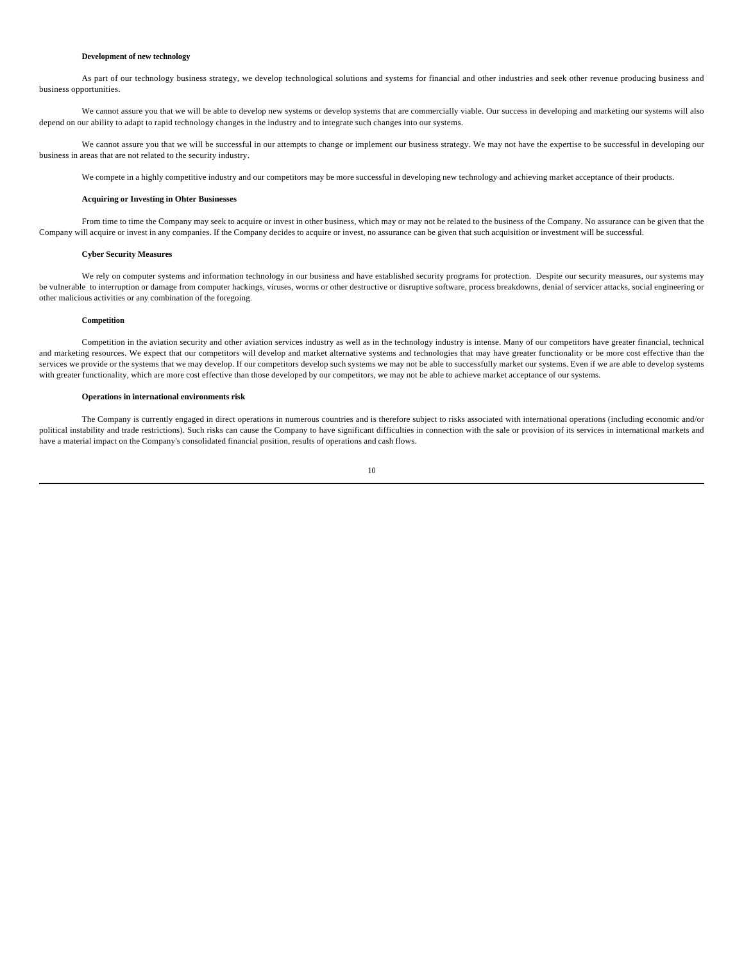#### **Development of new technology**

As part of our technology business strategy, we develop technological solutions and systems for financial and other industries and seek other revenue producing business and business opportunities.

We cannot assure you that we will be able to develop new systems or develop systems that are commercially viable. Our success in developing and marketing our systems will also depend on our ability to adapt to rapid technology changes in the industry and to integrate such changes into our systems.

We cannot assure you that we will be successful in our attempts to change or implement our business strategy. We may not have the expertise to be successful in developing our business in areas that are not related to the security industry.

We compete in a highly competitive industry and our competitors may be more successful in developing new technology and achieving market acceptance of their products.

# **Acquiring or Investing in Ohter Businesses**

From time to time the Company may seek to acquire or invest in other business, which may or may not be related to the business of the Company. No assurance can be given that the Company will acquire or invest in any companies. If the Company decides to acquire or invest, no assurance can be given that such acquisition or investment will be successful.

## **Cyber Security Measures**

We rely on computer systems and information technology in our business and have established security programs for protection. Despite our security measures, our systems may be vulnerable to interruption or damage from computer hackings, viruses, worms or other destructive or disruptive software, process breakdowns, denial of servicer attacks, social engineering or other malicious activities or any combination of the foregoing.

# **Competition**

Competition in the aviation security and other aviation services industry as well as in the technology industry is intense. Many of our competitors have greater financial, technical and marketing resources. We expect that our competitors will develop and market alternative systems and technologies that may have greater functionality or be more cost effective than the services we provide or the systems that we may develop. If our competitors develop such systems we may not be able to successfully market our systems. Even if we are able to develop systems with greater functionality, which are more cost effective than those developed by our competitors, we may not be able to achieve market acceptance of our systems.

#### **Operations in international environments risk**

The Company is currently engaged in direct operations in numerous countries and is therefore subject to risks associated with international operations (including economic and/or political instability and trade restrictions). Such risks can cause the Company to have significant difficulties in connection with the sale or provision of its services in international markets and have a material impact on the Company's consolidated financial position, results of operations and cash flows.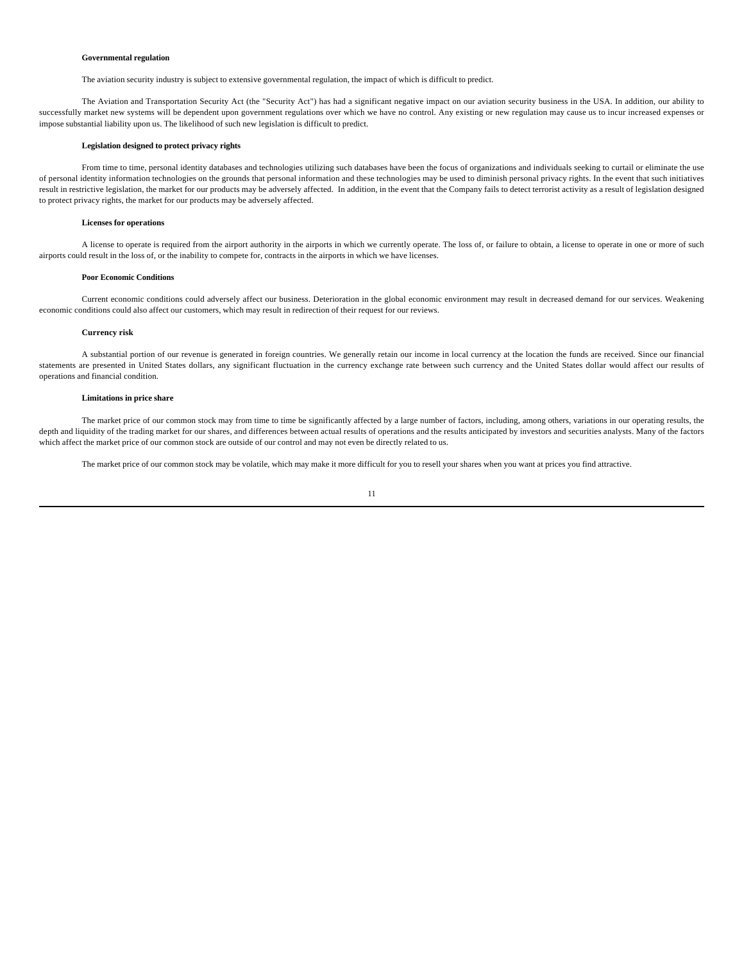#### **Governmental regulation**

The aviation security industry is subject to extensive governmental regulation, the impact of which is difficult to predict.

The Aviation and Transportation Security Act (the "Security Act") has had a significant negative impact on our aviation security business in the USA. In addition, our ability to successfully market new systems will be dependent upon government regulations over which we have no control. Any existing or new regulation may cause us to incur increased expenses or impose substantial liability upon us. The likelihood of such new legislation is difficult to predict.

# **Legislation designed to protect privacy rights**

From time to time, personal identity databases and technologies utilizing such databases have been the focus of organizations and individuals seeking to curtail or eliminate the use of personal identity information technologies on the grounds that personal information and these technologies may be used to diminish personal privacy rights. In the event that such initiatives result in restrictive legislation, the market for our products may be adversely affected. In addition, in the event that the Company fails to detect terrorist activity as a result of legislation designed to protect privacy rights, the market for our products may be adversely affected.

#### **Licenses for operations**

A license to operate is required from the airport authority in the airports in which we currently operate. The loss of, or failure to obtain, a license to operate in one or more of such airports could result in the loss of, or the inability to compete for, contracts in the airports in which we have licenses.

#### **Poor Economic Conditions**

Current economic conditions could adversely affect our business. Deterioration in the global economic environment may result in decreased demand for our services. Weakening economic conditions could also affect our customers, which may result in redirection of their request for our reviews.

#### **Currency risk**

A substantial portion of our revenue is generated in foreign countries. We generally retain our income in local currency at the location the funds are received. Since our financial statements are presented in United States dollars, any significant fluctuation in the currency exchange rate between such currency and the United States dollar would affect our results of operations and financial condition.

#### **Limitations in price share**

The market price of our common stock may from time to time be significantly affected by a large number of factors, including, among others, variations in our operating results, the depth and liquidity of the trading market for our shares, and differences between actual results of operations and the results anticipated by investors and securities analysts. Many of the factors which affect the market price of our common stock are outside of our control and may not even be directly related to us.

The market price of our common stock may be volatile, which may make it more difficult for you to resell your shares when you want at prices you find attractive.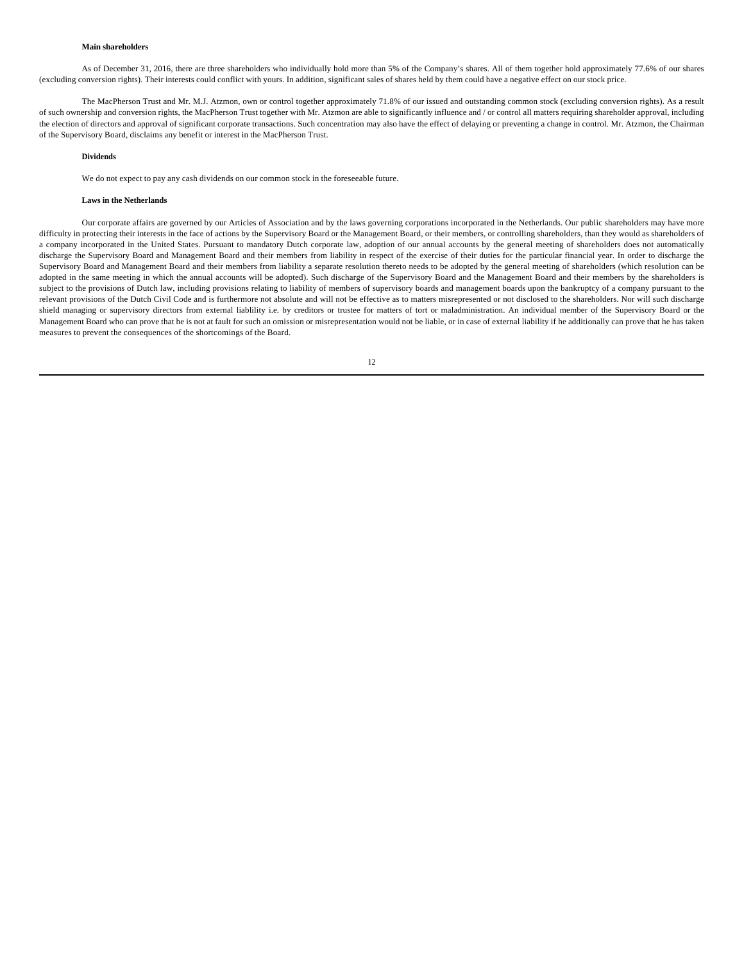## **Main shareholders**

As of December 31, 2016, there are three shareholders who individually hold more than 5% of the Company's shares. All of them together hold approximately 77.6% of our shares (excluding conversion rights). Their interests could conflict with yours. In addition, significant sales of shares held by them could have a negative effect on our stock price.

The MacPherson Trust and Mr. M.J. Atzmon, own or control together approximately 71.8% of our issued and outstanding common stock (excluding conversion rights). As a result of such ownership and conversion rights, the MacPherson Trust together with Mr. Atzmon are able to significantly influence and / or control all matters requiring shareholder approval, including the election of directors and approval of significant corporate transactions. Such concentration may also have the effect of delaying or preventing a change in control. Mr. Atzmon, the Chairman of the Supervisory Board, disclaims any benefit or interest in the MacPherson Trust.

#### **Dividends**

We do not expect to pay any cash dividends on our common stock in the foreseeable future.

#### **Laws in the Netherlands**

Our corporate affairs are governed by our Articles of Association and by the laws governing corporations incorporated in the Netherlands. Our public shareholders may have more difficulty in protecting their interests in the face of actions by the Supervisory Board or the Management Board, or their members, or controlling shareholders, than they would as shareholders of a company incorporated in the United States. Pursuant to mandatory Dutch corporate law, adoption of our annual accounts by the general meeting of shareholders does not automatically discharge the Supervisory Board and Management Board and their members from liability in respect of the exercise of their duties for the particular financial year. In order to discharge the Supervisory Board and Management Board and their members from liability a separate resolution thereto needs to be adopted by the general meeting of shareholders (which resolution can be adopted in the same meeting in which the annual accounts will be adopted). Such discharge of the Supervisory Board and the Management Board and their members by the shareholders is subject to the provisions of Dutch law, including provisions relating to liability of members of supervisory boards and management boards upon the bankruptcy of a company pursuant to the relevant provisions of the Dutch Civil Code and is furthermore not absolute and will not be effective as to matters misrepresented or not disclosed to the shareholders. Nor will such discharge shield managing or supervisory directors from external liablility i.e. by creditors or trustee for matters of tort or maladministration. An individual member of the Supervisory Board or the Management Board who can prove that he is not at fault for such an omission or misrepresentation would not be liable, or in case of external liability if he additionally can prove that he has taken measures to prevent the consequences of the shortcomings of the Board.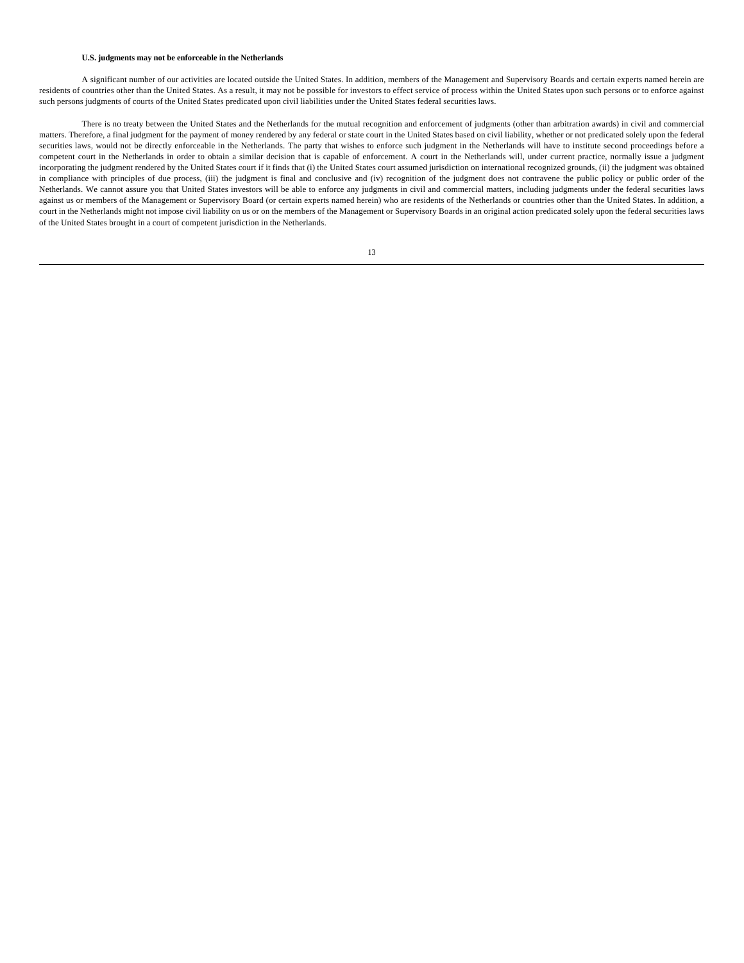#### **U.S. judgments may not be enforceable in the Netherlands**

A significant number of our activities are located outside the United States. In addition, members of the Management and Supervisory Boards and certain experts named herein are residents of countries other than the United States. As a result, it may not be possible for investors to effect service of process within the United States upon such persons or to enforce against such persons judgments of courts of the United States predicated upon civil liabilities under the United States federal securities laws.

There is no treaty between the United States and the Netherlands for the mutual recognition and enforcement of judgments (other than arbitration awards) in civil and commercial matters. Therefore, a final judgment for the payment of money rendered by any federal or state court in the United States based on civil liability, whether or not predicated solely upon the federal securities laws, would not be directly enforceable in the Netherlands. The party that wishes to enforce such judgment in the Netherlands will have to institute second proceedings before a competent court in the Netherlands in order to obtain a similar decision that is capable of enforcement. A court in the Netherlands will, under current practice, normally issue a judgment incorporating the judgment rendered by the United States court if it finds that (i) the United States court assumed jurisdiction on international recognized grounds, (ii) the judgment was obtained in compliance with principles of due process, (iii) the judgment is final and conclusive and (iv) recognition of the judgment does not contravene the public policy or public order of the Netherlands. We cannot assure you that United States investors will be able to enforce any judgments in civil and commercial matters, including judgments under the federal securities laws against us or members of the Management or Supervisory Board (or certain experts named herein) who are residents of the Netherlands or countries other than the United States. In addition, a court in the Netherlands might not impose civil liability on us or on the members of the Management or Supervisory Boards in an original action predicated solely upon the federal securities laws of the United States brought in a court of competent jurisdiction in the Netherlands.

| I<br>$\sim$ |
|-------------|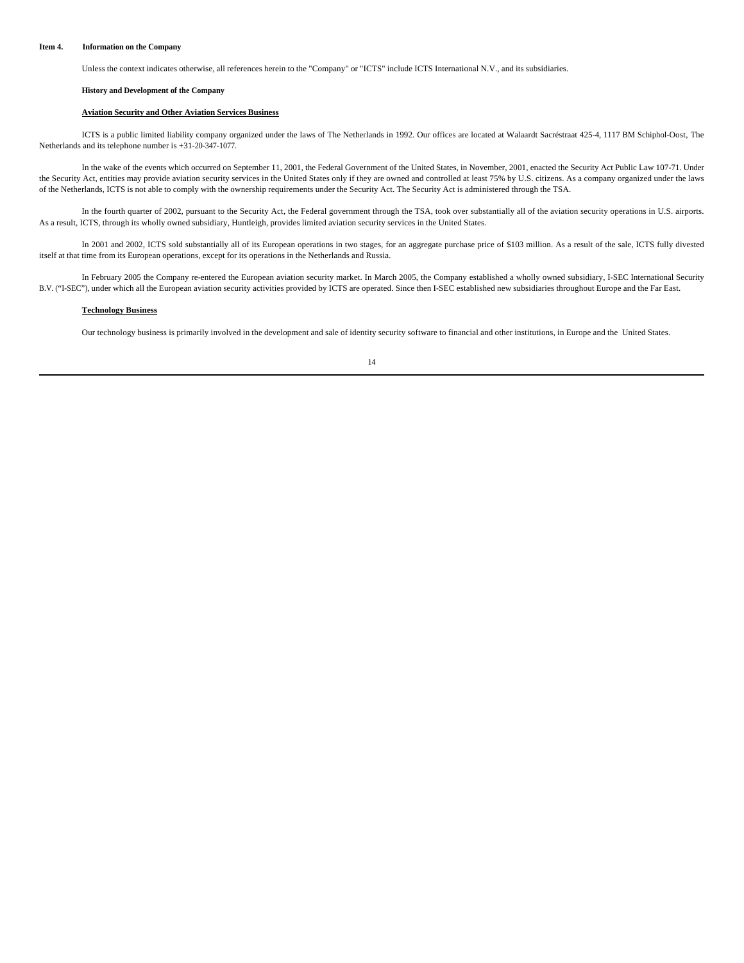#### **Item 4. Information on the Company**

Unless the context indicates otherwise, all references herein to the "Company" or "ICTS" include ICTS International N.V., and its subsidiaries.

#### **History and Development of the Company**

## **Aviation Security and Other Aviation Services Business**

ICTS is a public limited liability company organized under the laws of The Netherlands in 1992. Our offices are located at Walaardt Sacréstraat 425-4, 1117 BM Schiphol-Oost, The Netherlands and its telephone number is +31-20-347-1077.

In the wake of the events which occurred on September 11, 2001, the Federal Government of the United States, in November, 2001, enacted the Security Act Public Law 107-71. Under the Security Act, entities may provide aviation security services in the United States only if they are owned and controlled at least 75% by U.S. citizens. As a company organized under the laws of the Netherlands, ICTS is not able to comply with the ownership requirements under the Security Act. The Security Act is administered through the TSA.

In the fourth quarter of 2002, pursuant to the Security Act, the Federal government through the TSA, took over substantially all of the aviation security operations in U.S. airports. As a result, ICTS, through its wholly owned subsidiary, Huntleigh, provides limited aviation security services in the United States.

In 2001 and 2002, ICTS sold substantially all of its European operations in two stages, for an aggregate purchase price of \$103 million. As a result of the sale, ICTS fully divested itself at that time from its European operations, except for its operations in the Netherlands and Russia.

In February 2005 the Company re-entered the European aviation security market. In March 2005, the Company established a wholly owned subsidiary, I-SEC International Security B.V. ("I-SEC"), under which all the European aviation security activities provided by ICTS are operated. Since then I-SEC established new subsidiaries throughout Europe and the Far East.

#### **Technology Business**

Our technology business is primarily involved in the development and sale of identity security software to financial and other institutions, in Europe and the United States.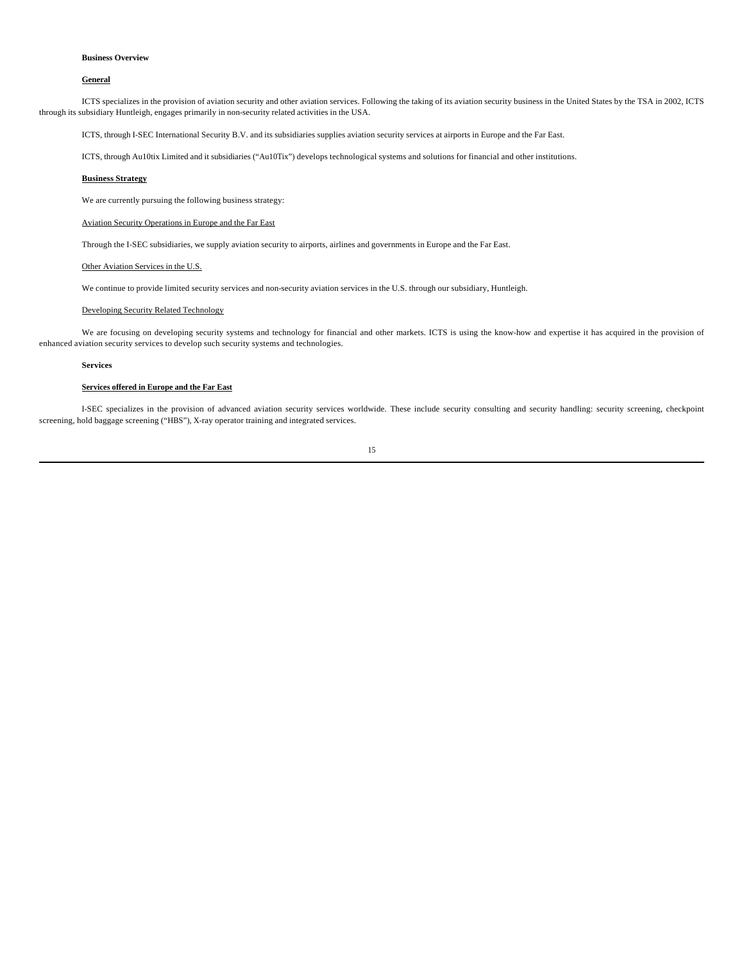#### **Business Overview**

# **General**

ICTS specializes in the provision of aviation security and other aviation services. Following the taking of its aviation security business in the United States by the TSA in 2002, ICTS through its subsidiary Huntleigh, engages primarily in non-security related activities in the USA.

ICTS, through I-SEC International Security B.V. and its subsidiaries supplies aviation security services at airports in Europe and the Far East.

ICTS, through Au10tix Limited and it subsidiaries ("Au10Tix") develops technological systems and solutions for financial and other institutions.

# **Business Strategy**

We are currently pursuing the following business strategy:

# Aviation Security Operations in Europe and the Far East

Through the I-SEC subsidiaries, we supply aviation security to airports, airlines and governments in Europe and the Far East.

# Other Aviation Services in the U.S.

We continue to provide limited security services and non-security aviation services in the U.S. through our subsidiary, Huntleigh.

#### Developing Security Related Technology

We are focusing on developing security systems and technology for financial and other markets. ICTS is using the know-how and expertise it has acquired in the provision of enhanced aviation security services to develop such security systems and technologies.

#### **Services**

# **Services offered in Europe and the Far East**

I-SEC specializes in the provision of advanced aviation security services worldwide. These include security consulting and security handling: security screening, checkpoint screening, hold baggage screening ("HBS"), X-ray operator training and integrated services.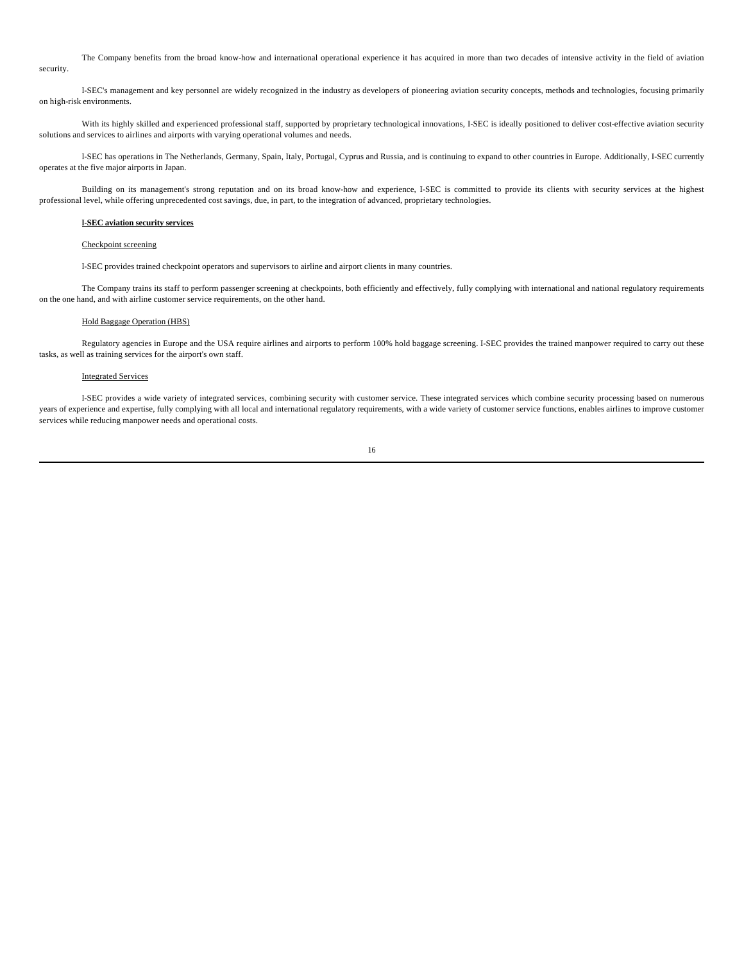The Company benefits from the broad know-how and international operational experience it has acquired in more than two decades of intensive activity in the field of aviation security.

I-SEC's management and key personnel are widely recognized in the industry as developers of pioneering aviation security concepts, methods and technologies, focusing primarily on high-risk environments.

With its highly skilled and experienced professional staff, supported by proprietary technological innovations, I-SEC is ideally positioned to deliver cost-effective aviation security solutions and services to airlines and airports with varying operational volumes and needs.

I-SEC has operations in The Netherlands, Germany, Spain, Italy, Portugal, Cyprus and Russia, and is continuing to expand to other countries in Europe. Additionally, I-SEC currently operates at the five major airports in Japan.

Building on its management's strong reputation and on its broad know-how and experience, I-SEC is committed to provide its clients with security services at the highest professional level, while offering unprecedented cost savings, due, in part, to the integration of advanced, proprietary technologies.

## **I-SEC aviation security services**

## Checkpoint screening

I-SEC provides trained checkpoint operators and supervisors to airline and airport clients in many countries.

The Company trains its staff to perform passenger screening at checkpoints, both efficiently and effectively, fully complying with international and national regulatory requirements on the one hand, and with airline customer service requirements, on the other hand.

# Hold Baggage Operation (HBS)

Regulatory agencies in Europe and the USA require airlines and airports to perform 100% hold baggage screening. I-SEC provides the trained manpower required to carry out these tasks, as well as training services for the airport's own staff.

## Integrated Services

I-SEC provides a wide variety of integrated services, combining security with customer service. These integrated services which combine security processing based on numerous years of experience and expertise, fully complying with all local and international regulatory requirements, with a wide variety of customer service functions, enables airlines to improve customer services while reducing manpower needs and operational costs.

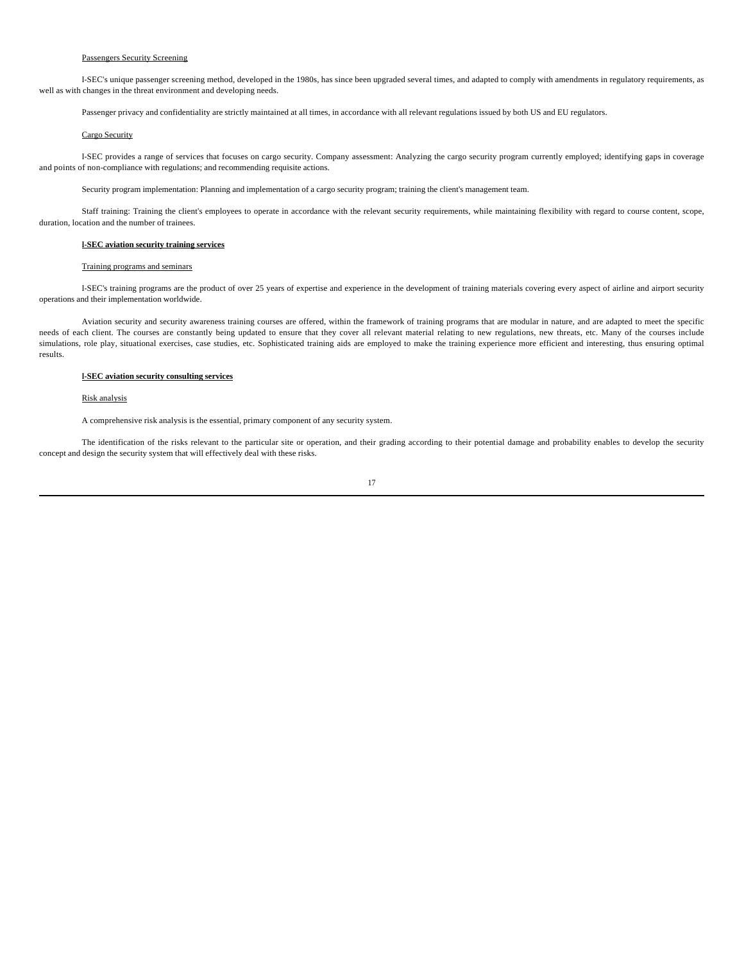## Passengers Security Screening

I-SEC's unique passenger screening method, developed in the 1980s, has since been upgraded several times, and adapted to comply with amendments in regulatory requirements, as well as with changes in the threat environment and developing needs.

Passenger privacy and confidentiality are strictly maintained at all times, in accordance with all relevant regulations issued by both US and EU regulators.

# Cargo Security

I-SEC provides a range of services that focuses on cargo security. Company assessment: Analyzing the cargo security program currently employed; identifying gaps in coverage and points of non-compliance with regulations; and recommending requisite actions.

Security program implementation: Planning and implementation of a cargo security program; training the client's management team.

Staff training: Training the client's employees to operate in accordance with the relevant security requirements, while maintaining flexibility with regard to course content, scope, duration, location and the number of trainees.

#### **I-SEC aviation security training services**

# Training programs and seminars

I-SEC's training programs are the product of over 25 years of expertise and experience in the development of training materials covering every aspect of airline and airport security operations and their implementation worldwide.

Aviation security and security awareness training courses are offered, within the framework of training programs that are modular in nature, and are adapted to meet the specific needs of each client. The courses are constantly being updated to ensure that they cover all relevant material relating to new regulations, new threats, etc. Many of the courses include simulations, role play, situational exercises, case studies, etc. Sophisticated training aids are employed to make the training experience more efficient and interesting, thus ensuring optimal results.

# **I-SEC aviation security consulting services**

#### Risk analysis

A comprehensive risk analysis is the essential, primary component of any security system.

The identification of the risks relevant to the particular site or operation, and their grading according to their potential damage and probability enables to develop the security concept and design the security system that will effectively deal with these risks.

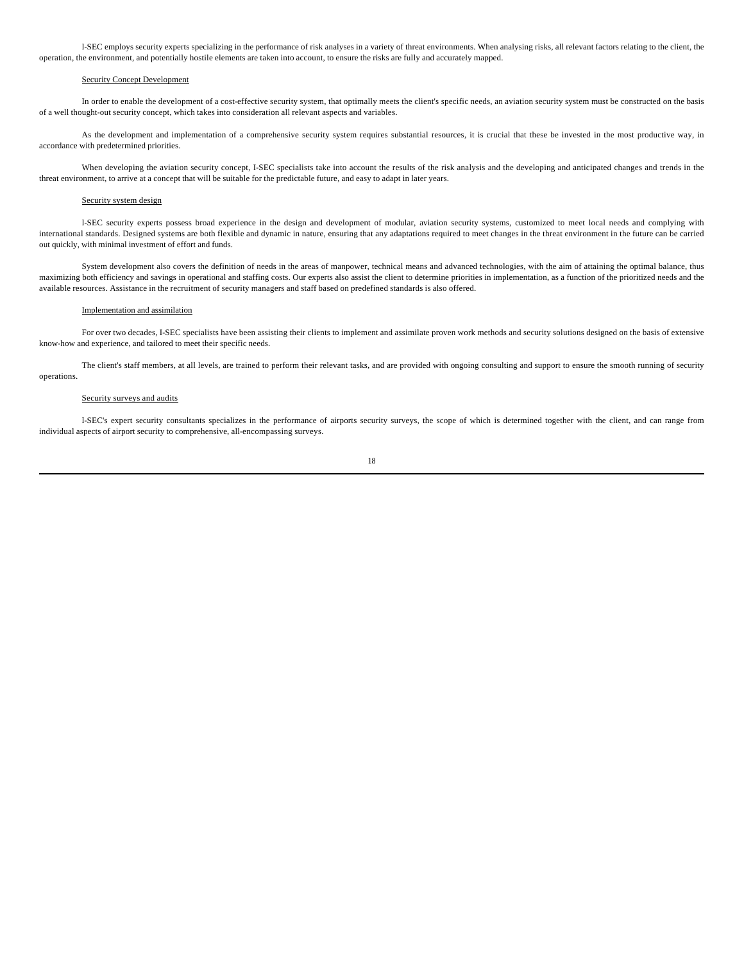I-SEC employs security experts specializing in the performance of risk analyses in a variety of threat environments. When analysing risks, all relevant factors relating to the client, the operation, the environment, and potentially hostile elements are taken into account, to ensure the risks are fully and accurately mapped.

# Security Concept Development

In order to enable the development of a cost-effective security system, that optimally meets the client's specific needs, an aviation security system must be constructed on the basis of a well thought-out security concept, which takes into consideration all relevant aspects and variables.

As the development and implementation of a comprehensive security system requires substantial resources, it is crucial that these be invested in the most productive way, in accordance with predetermined priorities.

When developing the aviation security concept, I-SEC specialists take into account the results of the risk analysis and the developing and anticipated changes and trends in the threat environment, to arrive at a concept that will be suitable for the predictable future, and easy to adapt in later years.

#### Security system design

I-SEC security experts possess broad experience in the design and development of modular, aviation security systems, customized to meet local needs and complying with international standards. Designed systems are both flexible and dynamic in nature, ensuring that any adaptations required to meet changes in the threat environment in the future can be carried out quickly, with minimal investment of effort and funds.

System development also covers the definition of needs in the areas of manpower, technical means and advanced technologies, with the aim of attaining the optimal balance, thus maximizing both efficiency and savings in operational and staffing costs. Our experts also assist the client to determine priorities in implementation, as a function of the prioritized needs and the available resources. Assistance in the recruitment of security managers and staff based on predefined standards is also offered.

#### Implementation and assimilation

For over two decades, I-SEC specialists have been assisting their clients to implement and assimilate proven work methods and security solutions designed on the basis of extensive know-how and experience, and tailored to meet their specific needs.

The client's staff members, at all levels, are trained to perform their relevant tasks, and are provided with ongoing consulting and support to ensure the smooth running of security operations.

## Security surveys and audits

I-SEC's expert security consultants specializes in the performance of airports security surveys, the scope of which is determined together with the client, and can range from individual aspects of airport security to comprehensive, all-encompassing surveys.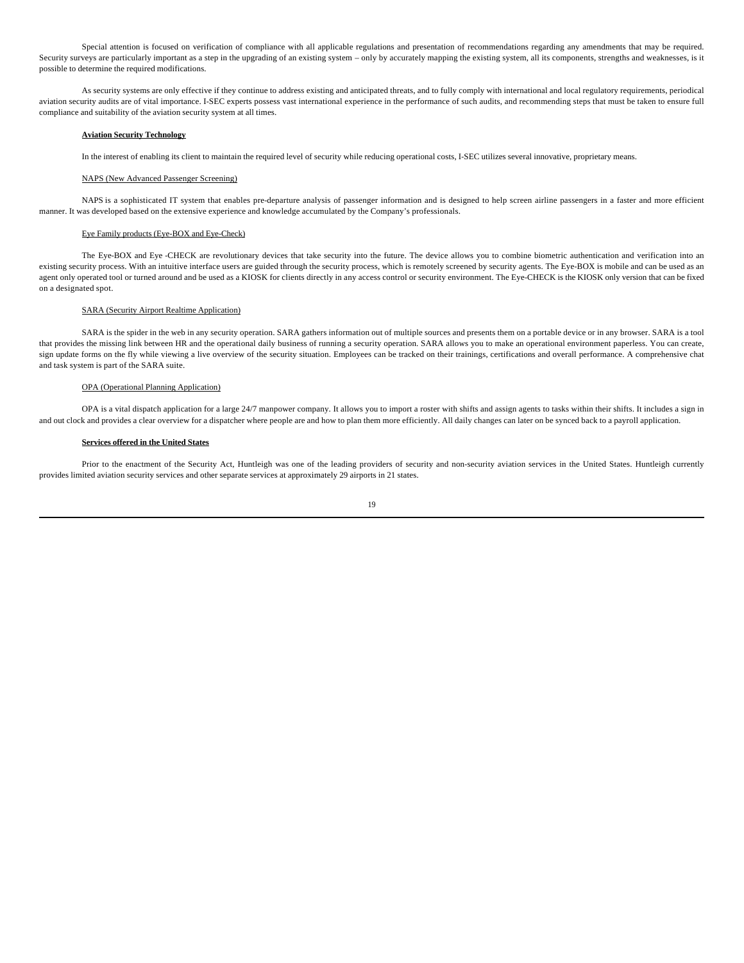Special attention is focused on verification of compliance with all applicable regulations and presentation of recommendations regarding any amendments that may be required. Security surveys are particularly important as a step in the upgrading of an existing system – only by accurately mapping the existing system, all its components, strengths and weaknesses, is it possible to determine the required modifications.

As security systems are only effective if they continue to address existing and anticipated threats, and to fully comply with international and local regulatory requirements, periodical aviation security audits are of vital importance. I-SEC experts possess vast international experience in the performance of such audits, and recommending steps that must be taken to ensure full compliance and suitability of the aviation security system at all times.

# **Aviation Security Technology**

In the interest of enabling its client to maintain the required level of security while reducing operational costs, I-SEC utilizes several innovative, proprietary means.

# NAPS (New Advanced Passenger Screening)

NAPS is a sophisticated IT system that enables pre-departure analysis of passenger information and is designed to help screen airline passengers in a faster and more efficient manner. It was developed based on the extensive experience and knowledge accumulated by the Company's professionals.

## Eye Family products (Eye-BOX and Eye-Check)

The Eye-BOX and Eye -CHECK are revolutionary devices that take security into the future. The device allows you to combine biometric authentication and verification into an existing security process. With an intuitive interface users are guided through the security process, which is remotely screened by security agents. The Eye-BOX is mobile and can be used as an agent only operated tool or turned around and be used as a KIOSK for clients directly in any access control or security environment. The Eye-CHECK is the KIOSK only version that can be fixed on a designated spot.

#### SARA (Security Airport Realtime Application)

SARA is the spider in the web in any security operation. SARA gathers information out of multiple sources and presents them on a portable device or in any browser. SARA is a tool that provides the missing link between HR and the operational daily business of running a security operation. SARA allows you to make an operational environment paperless. You can create, sign update forms on the fly while viewing a live overview of the security situation. Employees can be tracked on their trainings, certifications and overall performance. A comprehensive chat and task system is part of the SARA suite.

## OPA (Operational Planning Application)

OPA is a vital dispatch application for a large 24/7 manpower company. It allows you to import a roster with shifts and assign agents to tasks within their shifts. It includes a sign in and out clock and provides a clear overview for a dispatcher where people are and how to plan them more efficiently. All daily changes can later on be synced back to a payroll application.

## **Services offered in the United States**

Prior to the enactment of the Security Act, Huntleigh was one of the leading providers of security and non-security aviation services in the United States. Huntleigh currently provides limited aviation security services and other separate services at approximately 29 airports in 21 states.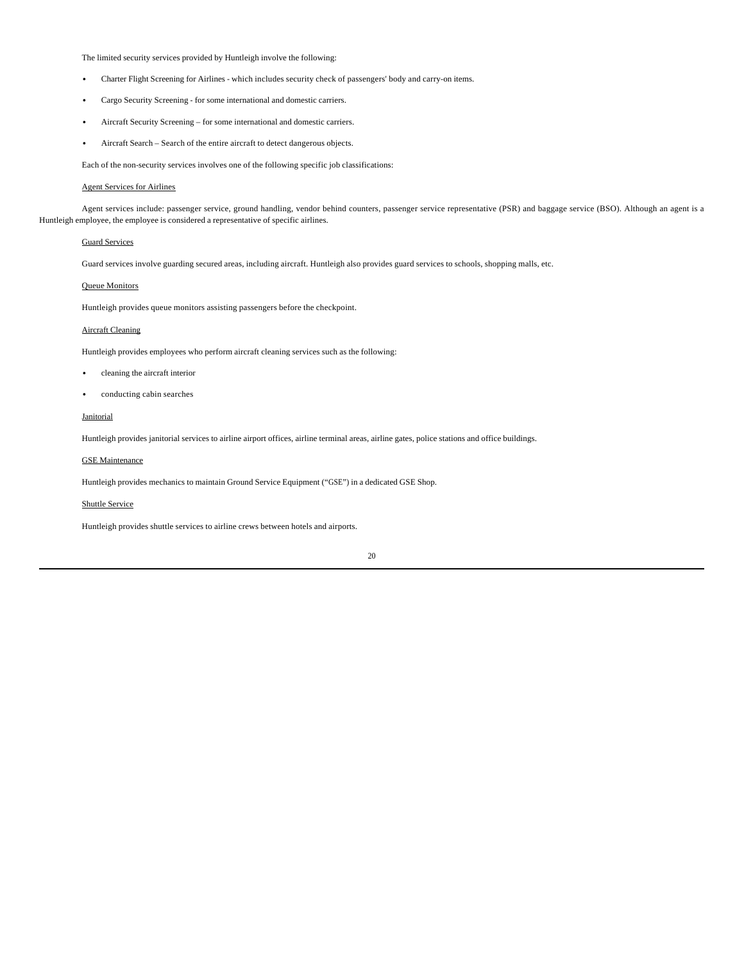#### The limited security services provided by Huntleigh involve the following:

Charter Flight Screening for Airlines - which includes security check of passengers' body and carry-on items.

Cargo Security Screening - for some international and domestic carriers.

Aircraft Security Screening – for some international and domestic carriers.

Aircraft Search – Search of the entire aircraft to detect dangerous objects.

Each of the non-security services involves one of the following specific job classifications:

# Agent Services for Airlines

Agent services include: passenger service, ground handling, vendor behind counters, passenger service representative (PSR) and baggage service (BSO). Although an agent is a Huntleigh employee, the employee is considered a representative of specific airlines.

# Guard Services

Guard services involve guarding secured areas, including aircraft. Huntleigh also provides guard services to schools, shopping malls, etc.

# Queue Monitors

Huntleigh provides queue monitors assisting passengers before the checkpoint.

#### Aircraft Cleaning

Huntleigh provides employees who perform aircraft cleaning services such as the following:

cleaning the aircraft interior

conducting cabin searches

# **Janitorial**

Huntleigh provides janitorial services to airline airport offices, airline terminal areas, airline gates, police stations and office buildings.

# GSE Maintenance

Huntleigh provides mechanics to maintain Ground Service Equipment ("GSE") in a dedicated GSE Shop.

#### Shuttle Service

Huntleigh provides shuttle services to airline crews between hotels and airports.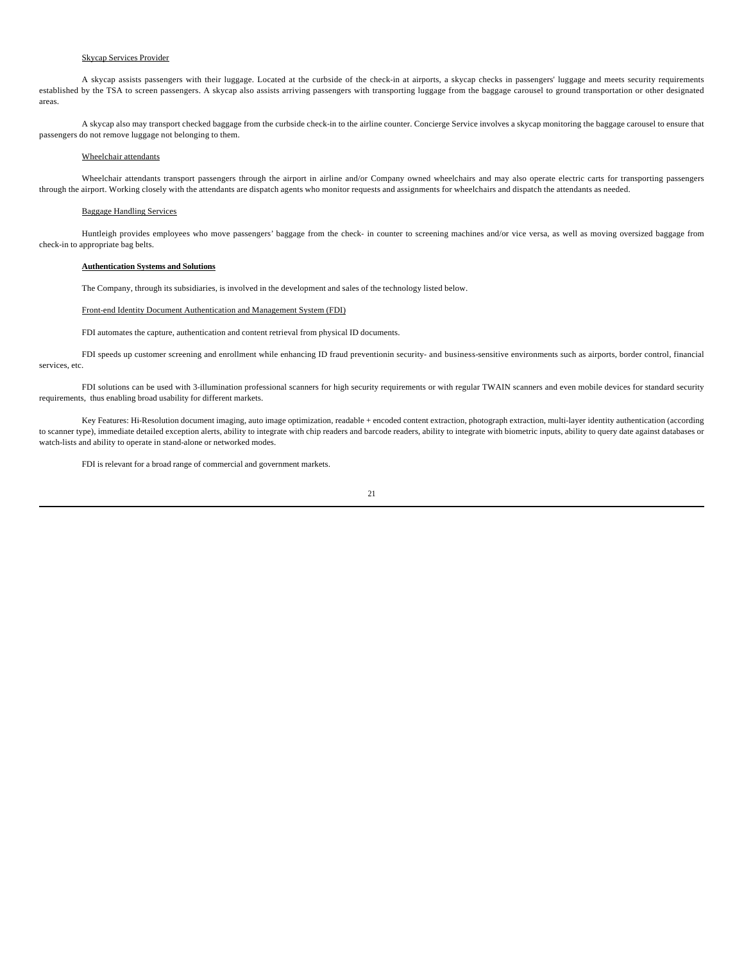## Skycap Services Provider

A skycap assists passengers with their luggage. Located at the curbside of the check-in at airports, a skycap checks in passengers' luggage and meets security requirements established by the TSA to screen passengers. A skycap also assists arriving passengers with transporting luggage from the baggage carousel to ground transportation or other designated areas.

A skycap also may transport checked baggage from the curbside check-in to the airline counter. Concierge Service involves a skycap monitoring the baggage carousel to ensure that passengers do not remove luggage not belonging to them.

#### Wheelchair attendants

Wheelchair attendants transport passengers through the airport in airline and/or Company owned wheelchairs and may also operate electric carts for transporting passengers through the airport. Working closely with the attendants are dispatch agents who monitor requests and assignments for wheelchairs and dispatch the attendants as needed.

#### Baggage Handling Services

Huntleigh provides employees who move passengers' baggage from the check- in counter to screening machines and/or vice versa, as well as moving oversized baggage from check-in to appropriate bag belts.

# **Authentication Systems and Solutions**

The Company, through its subsidiaries, is involved in the development and sales of the technology listed below.

#### Front-end Identity Document Authentication and Management System (FDI)

FDI automates the capture, authentication and content retrieval from physical ID documents.

FDI speeds up customer screening and enrollment while enhancing ID fraud preventionin security- and business-sensitive environments such as airports, border control, financial services, etc.

FDI solutions can be used with 3-illumination professional scanners for high security requirements or with regular TWAIN scanners and even mobile devices for standard security requirements, thus enabling broad usability for different markets.

Key Features: Hi-Resolution document imaging, auto image optimization, readable + encoded content extraction, photograph extraction, multi-layer identity authentication (according to scanner type), immediate detailed exception alerts, ability to integrate with chip readers and barcode readers, ability to integrate with biometric inputs, ability to query date against databases or watch-lists and ability to operate in stand-alone or networked modes.

FDI is relevant for a broad range of commercial and government markets.

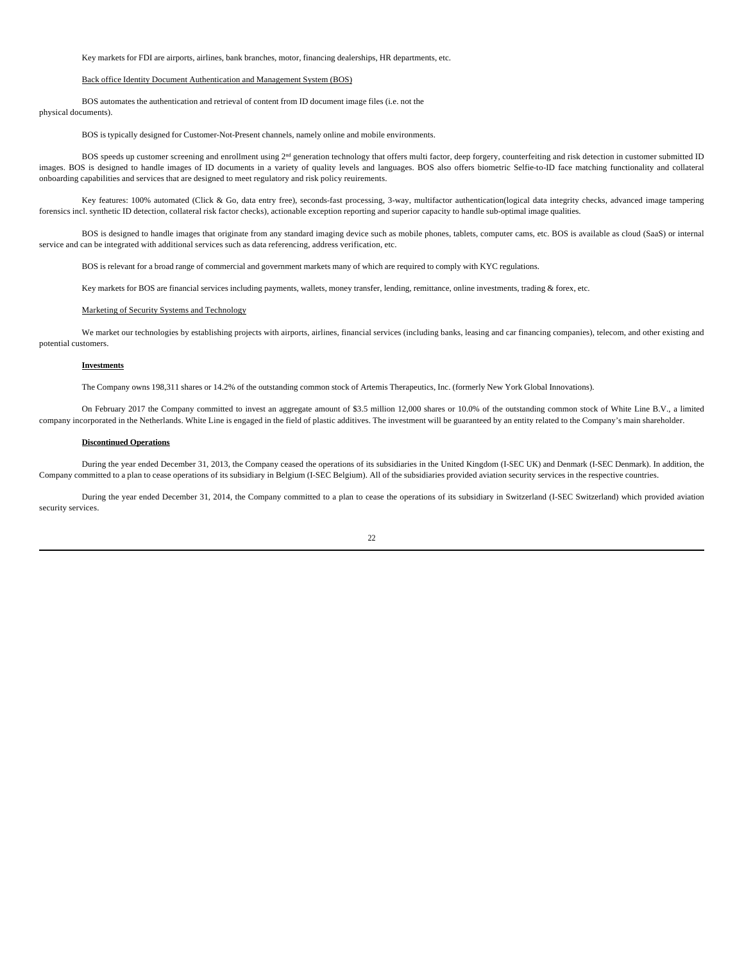#### Key markets for FDI are airports, airlines, bank branches, motor, financing dealerships, HR departments, etc.

# Back office Identity Document Authentication and Management System (BOS)

BOS automates the authentication and retrieval of content from ID document image files (i.e. not the physical documents).

BOS is typically designed for Customer-Not-Present channels, namely online and mobile environments.

BOS speeds up customer screening and enrollment using 2<sup>nd</sup> generation technology that offers multi factor, deep forgery, counterfeiting and risk detection in customer submitted ID images. BOS is designed to handle images of ID documents in a variety of quality levels and languages. BOS also offers biometric Selfie-to-ID face matching functionality and collateral onboarding capabilities and services that are designed to meet regulatory and risk policy reuirements.

Key features: 100% automated (Click & Go, data entry free), seconds-fast processing, 3-way, multifactor authentication(logical data integrity checks, advanced image tampering forensics incl. synthetic ID detection, collateral risk factor checks), actionable exception reporting and superior capacity to handle sub-optimal image qualities.

BOS is designed to handle images that originate from any standard imaging device such as mobile phones, tablets, computer cams, etc. BOS is available as cloud (SaaS) or internal service and can be integrated with additional services such as data referencing, address verification, etc.

BOS is relevant for a broad range of commercial and government markets many of which are required to comply with KYC regulations.

Key markets for BOS are financial services including payments, wallets, money transfer, lending, remittance, online investments, trading & forex, etc.

#### Marketing of Security Systems and Technology

We market our technologies by establishing projects with airports, airlines, financial services (including banks, leasing and car financing companies), telecom, and other existing and potential customers.

#### **Investments**

The Company owns 198,311 shares or 14.2% of the outstanding common stock of Artemis Therapeutics, Inc. (formerly New York Global Innovations).

On February 2017 the Company committed to invest an aggregate amount of \$3.5 million 12,000 shares or 10.0% of the outstanding common stock of White Line B.V., a limited company incorporated in the Netherlands. White Line is engaged in the field of plastic additives. The investment will be guaranteed by an entity related to the Company's main shareholder.

# **Discontinued Operations**

During the year ended December 31, 2013, the Company ceased the operations of its subsidiaries in the United Kingdom (I-SEC UK) and Denmark (I-SEC Denmark). In addition, the Company committed to a plan to cease operations of its subsidiary in Belgium (I-SEC Belgium). All of the subsidiaries provided aviation security services in the respective countries.

During the year ended December 31, 2014, the Company committed to a plan to cease the operations of its subsidiary in Switzerland (I-SEC Switzerland) which provided aviation security services.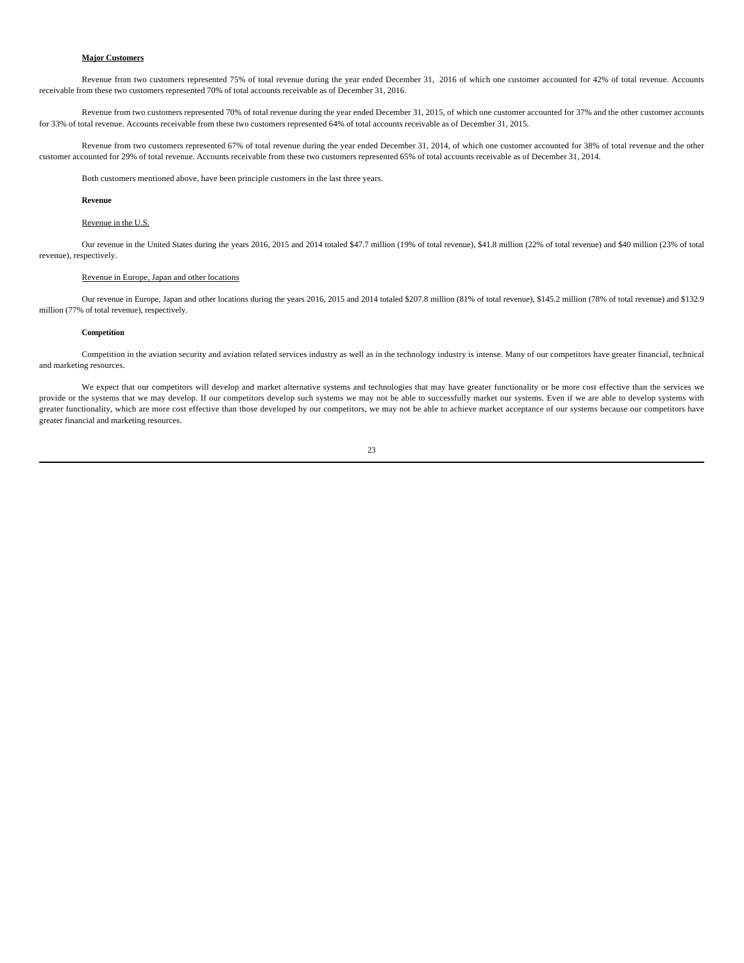### **Major Customers**

Revenue from two customers represented 75% of total revenue during the year ended December 31, 2016 of which one customer accounted for 42% of total revenue. Accounts receivable from these two customers represented 70% of total accounts receivable as of December 31, 2016.

Revenue from two customers represented 70% of total revenue during the year ended December 31, 2015, of which one customer accounted for 37% and the other customer accounts for 33% of total revenue. Accounts receivable from these two customers represented 64% of total accounts receivable as of December 31, 2015.

Revenue from two customers represented 67% of total revenue during the year ended December 31, 2014, of which one customer accounted for 38% of total revenue and the other customer accounted for 29% of total revenue. Accounts receivable from these two customers represented 65% of total accounts receivable as of December 31, 2014.

Both customers mentioned above, have been principle customers in the last three years.

#### **Revenue**

# Revenue in the U.S.

Our revenue in the United States during the years 2016, 2015 and 2014 totaled \$47.7 million (19% of total revenue), \$41.8 million (22% of total revenue) and \$40 million (23% of total revenue), respectively.

# Revenue in Europe, Japan and other locations

Our revenue in Europe, Japan and other locations during the years 2016, 2015 and 2014 totaled \$207.8 million (81% of total revenue), \$145.2 million (78% of total revenue) and \$132.9 million (77% of total revenue), respectively.

# **Competition**

Competition in the aviation security and aviation related services industry as well as in the technology industry is intense. Many of our competitors have greater financial, technical and marketing resources.

We expect that our competitors will develop and market alternative systems and technologies that may have greater functionality or be more cost effective than the services we provide or the systems that we may develop. If our competitors develop such systems we may not be able to successfully market our systems. Even if we are able to develop systems with greater functionality, which are more cost effective than those developed by our competitors, we may not be able to achieve market acceptance of our systems because our competitors have greater financial and marketing resources.

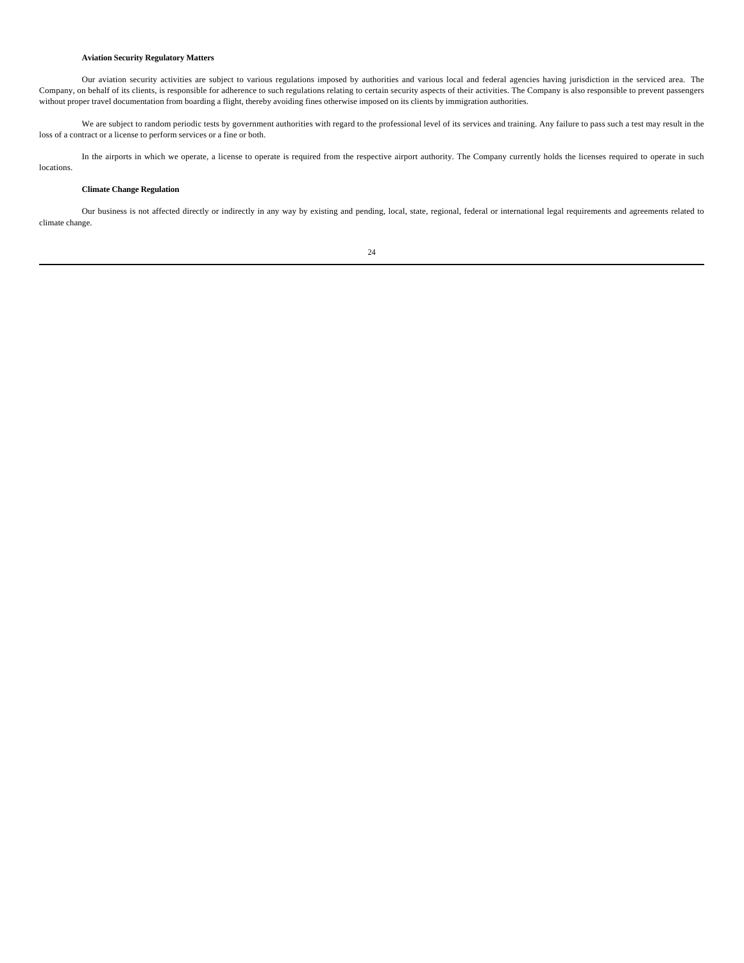#### **Aviation Security Regulatory Matters**

Our aviation security activities are subject to various regulations imposed by authorities and various local and federal agencies having jurisdiction in the serviced area. The Company, on behalf of its clients, is responsible for adherence to such regulations relating to certain security aspects of their activities. The Company is also responsible to prevent passengers without proper travel documentation from boarding a flight, thereby avoiding fines otherwise imposed on its clients by immigration authorities.

We are subject to random periodic tests by government authorities with regard to the professional level of its services and training. Any failure to pass such a test may result in the loss of a contract or a license to perform services or a fine or both.

In the airports in which we operate, a license to operate is required from the respective airport authority. The Company currently holds the licenses required to operate in such locations.

#### **Climate Change Regulation**

Our business is not affected directly or indirectly in any way by existing and pending, local, state, regional, federal or international legal requirements and agreements related to climate change.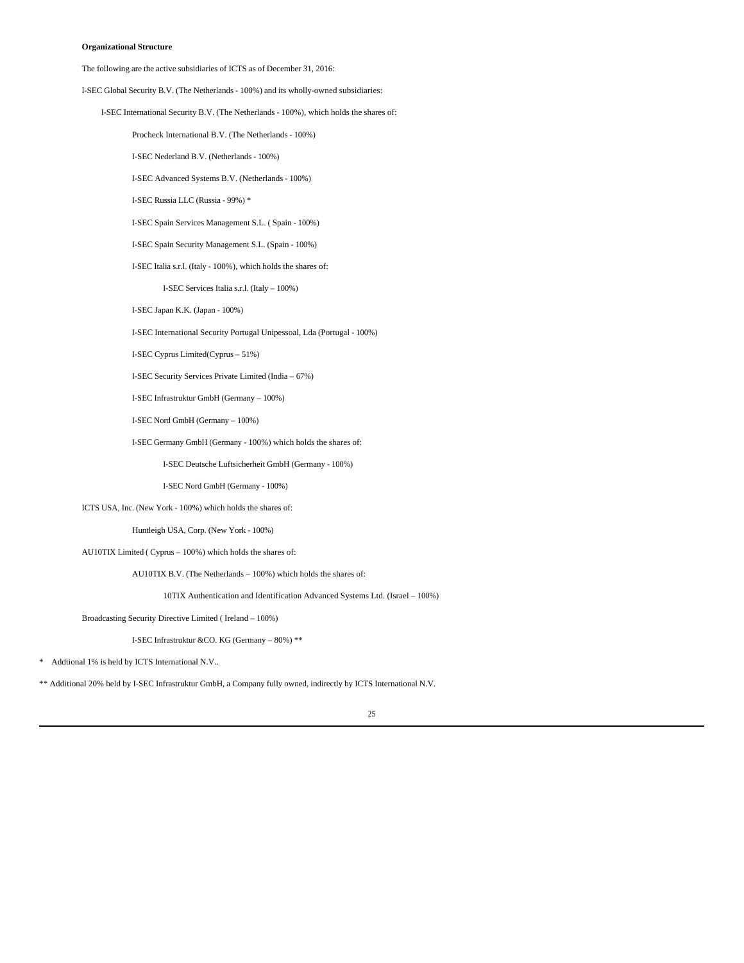# **Organizational Structure**

The following are the active subsidiaries of ICTS as of December 31, 2016:

I-SEC Global Security B.V. (The Netherlands - 100%) and its wholly-owned subsidiaries:

I-SEC International Security B.V. (The Netherlands - 100%), which holds the shares of:

Procheck International B.V. (The Netherlands - 100%)

I-SEC Nederland B.V. (Netherlands - 100%)

I-SEC Advanced Systems B.V. (Netherlands - 100%)

I-SEC Russia LLC (Russia - 99%) \*

I-SEC Spain Services Management S.L. ( Spain - 100%)

I-SEC Spain Security Management S.L. (Spain - 100%)

I-SEC Italia s.r.l. (Italy - 100%), which holds the shares of:

I-SEC Services Italia s.r.l. (Italy – 100%)

I-SEC Japan K.K. (Japan - 100%)

I-SEC International Security Portugal Unipessoal, Lda (Portugal - 100%)

I-SEC Cyprus Limited(Cyprus – 51%)

I-SEC Security Services Private Limited (India – 67%)

I-SEC Infrastruktur GmbH (Germany – 100%)

I-SEC Nord GmbH (Germany – 100%)

I-SEC Germany GmbH (Germany - 100%) which holds the shares of:

I-SEC Deutsche Luftsicherheit GmbH (Germany - 100%)

I-SEC Nord GmbH (Germany - 100%)

ICTS USA, Inc. (New York - 100%) which holds the shares of:

Huntleigh USA, Corp. (New York - 100%)

AU10TIX Limited ( Cyprus – 100%) which holds the shares of:

AU10TIX B.V. (The Netherlands – 100%) which holds the shares of:

10TIX Authentication and Identification Advanced Systems Ltd. (Israel – 100%)

Broadcasting Security Directive Limited ( Ireland – 100%)

I-SEC Infrastruktur &CO. KG (Germany – 80%) \*\*

\* Addtional 1% is held by ICTS International N.V..

\*\* Additional 20% held by I-SEC Infrastruktur GmbH, a Company fully owned, indirectly by ICTS International N.V.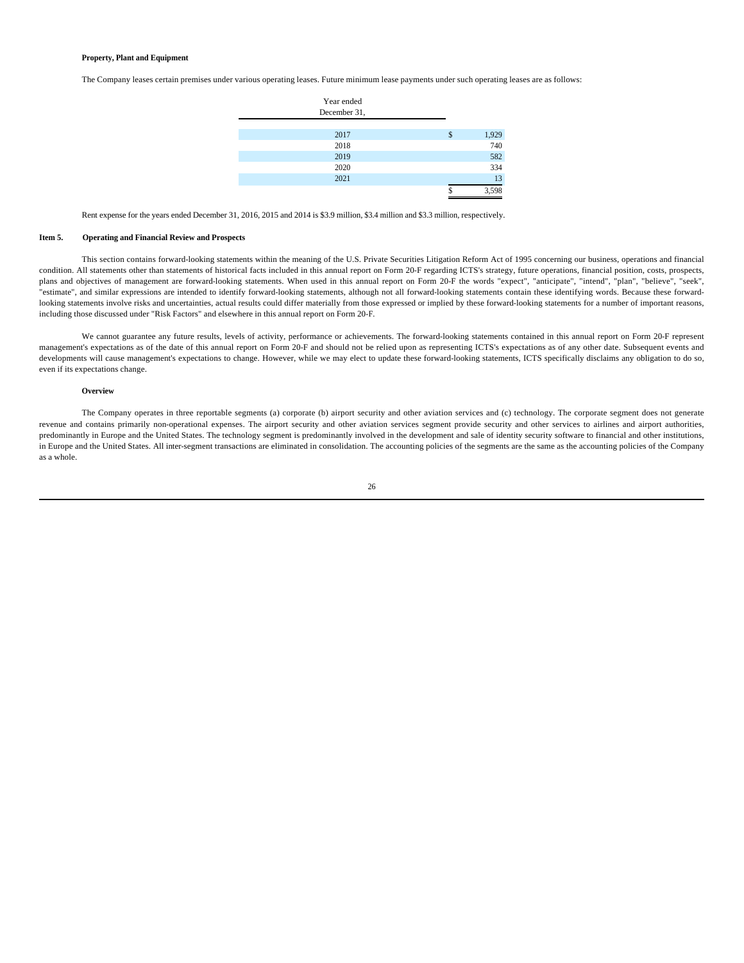#### **Property, Plant and Equipment**

The Company leases certain premises under various operating leases. Future minimum lease payments under such operating leases are as follows:

| Year ended<br>December 31, |             |
|----------------------------|-------------|
| 2017                       | \$<br>1,929 |
| 2018                       | 740         |
| 2019                       | 582         |
| 2020                       | 334         |
| 2021                       | 13          |
|                            | 3.598       |

Rent expense for the years ended December 31, 2016, 2015 and 2014 is \$3.9 million, \$3.4 million and \$3.3 million, respectively.

#### **Item 5. Operating and Financial Review and Prospects**

This section contains forward-looking statements within the meaning of the U.S. Private Securities Litigation Reform Act of 1995 concerning our business, operations and financial condition. All statements other than statements of historical facts included in this annual report on Form 20-F regarding ICTS's strategy, future operations, financial position, costs, prospects, plans and objectives of management are forward-looking statements. When used in this annual report on Form 20-F the words "expect", "anticipate", "intend", "plan", "believe", "seek", "estimate", and similar expressions are intended to identify forward-looking statements, although not all forward-looking statements contain these identifying words. Because these forwardlooking statements involve risks and uncertainties, actual results could differ materially from those expressed or implied by these forward-looking statements for a number of important reasons, including those discussed under "Risk Factors" and elsewhere in this annual report on Form 20-F.

We cannot guarantee any future results, levels of activity, performance or achievements. The forward-looking statements contained in this annual report on Form 20-F represent management's expectations as of the date of this annual report on Form 20-F and should not be relied upon as representing ICTS's expectations as of any other date. Subsequent events and developments will cause management's expectations to change. However, while we may elect to update these forward-looking statements, ICTS specifically disclaims any obligation to do so, even if its expectations change.

#### **Overview**

The Company operates in three reportable segments (a) corporate (b) airport security and other aviation services and (c) technology. The corporate segment does not generate revenue and contains primarily non-operational expenses. The airport security and other aviation services segment provide security and other services to airlines and airport authorities, predominantly in Europe and the United States. The technology segment is predominantly involved in the development and sale of identity security software to financial and other institutions, in Europe and the United States. All inter-segment transactions are eliminated in consolidation. The accounting policies of the segments are the same as the accounting policies of the Company as a whole.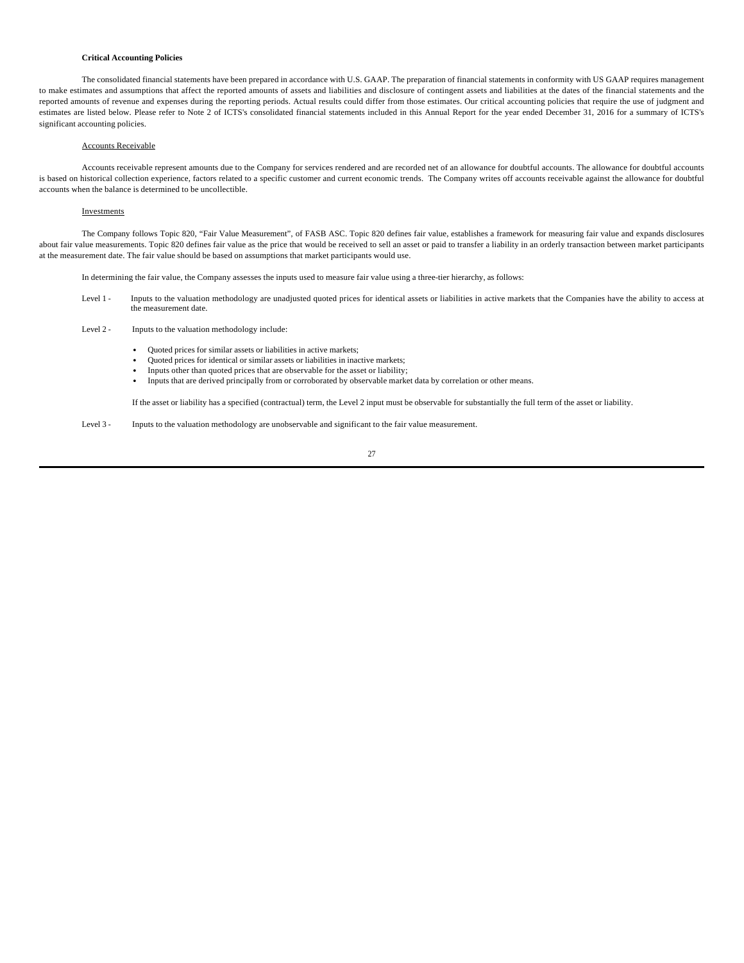#### **Critical Accounting Policies**

The consolidated financial statements have been prepared in accordance with U.S. GAAP. The preparation of financial statements in conformity with US GAAP requires management to make estimates and assumptions that affect the reported amounts of assets and liabilities and disclosure of contingent assets and liabilities at the dates of the financial statements and the reported amounts of revenue and expenses during the reporting periods. Actual results could differ from those estimates. Our critical accounting policies that require the use of judgment and estimates are listed below. Please refer to Note 2 of ICTS's consolidated financial statements included in this Annual Report for the year ended December 31, 2016 for a summary of ICTS's significant accounting policies.

# Accounts Receivable

Accounts receivable represent amounts due to the Company for services rendered and are recorded net of an allowance for doubtful accounts. The allowance for doubtful accounts is based on historical collection experience, factors related to a specific customer and current economic trends. The Company writes off accounts receivable against the allowance for doubtful accounts when the balance is determined to be uncollectible.

# **Investments**

The Company follows Topic 820, "Fair Value Measurement", of FASB ASC. Topic 820 defines fair value, establishes a framework for measuring fair value and expands disclosures about fair value measurements. Topic 820 defines fair value as the price that would be received to sell an asset or paid to transfer a liability in an orderly transaction between market participants at the measurement date. The fair value should be based on assumptions that market participants would use.

In determining the fair value, the Company assesses the inputs used to measure fair value using a three-tier hierarchy, as follows:

Level 1 - Inputs to the valuation methodology are unadjusted quoted prices for identical assets or liabilities in active markets that the Companies have the ability to access at the measurement date.

Level 2 - Inputs to the valuation methodology include:

Quoted prices for similar assets or liabilities in active markets; Quoted prices for identical or similar assets or liabilities in inactive markets; Inputs other than quoted prices that are observable for the asset or liability; Inputs that are derived principally from or corroborated by observable market data by correlation or other means.

If the asset or liability has a specified (contractual) term, the Level 2 input must be observable for substantially the full term of the asset or liability.

Level 3 - Inputs to the valuation methodology are unobservable and significant to the fair value measurement.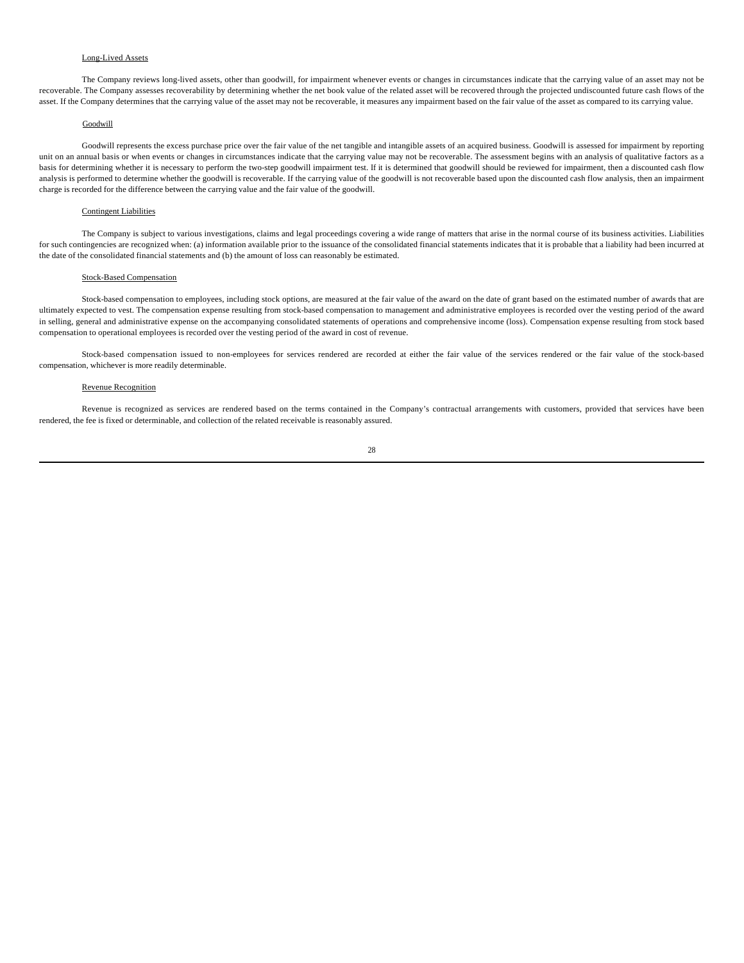## Long-Lived Assets

The Company reviews long-lived assets, other than goodwill, for impairment whenever events or changes in circumstances indicate that the carrying value of an asset may not be recoverable. The Company assesses recoverability by determining whether the net book value of the related asset will be recovered through the projected undiscounted future cash flows of the asset. If the Company determines that the carrying value of the asset may not be recoverable, it measures any impairment based on the fair value of the asset as compared to its carrying value.

#### Goodwill

Goodwill represents the excess purchase price over the fair value of the net tangible and intangible assets of an acquired business. Goodwill is assessed for impairment by reporting unit on an annual basis or when events or changes in circumstances indicate that the carrying value may not be recoverable. The assessment begins with an analysis of qualitative factors as a basis for determining whether it is necessary to perform the two-step goodwill impairment test. If it is determined that goodwill should be reviewed for impairment, then a discounted cash flow analysis is performed to determine whether the goodwill is recoverable. If the carrying value of the goodwill is not recoverable based upon the discounted cash flow analysis, then an impairment charge is recorded for the difference between the carrying value and the fair value of the goodwill.

#### Contingent Liabilities

The Company is subject to various investigations, claims and legal proceedings covering a wide range of matters that arise in the normal course of its business activities. Liabilities for such contingencies are recognized when: (a) information available prior to the issuance of the consolidated financial statements indicates that it is probable that a liability had been incurred at the date of the consolidated financial statements and (b) the amount of loss can reasonably be estimated.

#### Stock-Based Compensation

Stock-based compensation to employees, including stock options, are measured at the fair value of the award on the date of grant based on the estimated number of awards that are ultimately expected to vest. The compensation expense resulting from stock-based compensation to management and administrative employees is recorded over the vesting period of the award in selling, general and administrative expense on the accompanying consolidated statements of operations and comprehensive income (loss). Compensation expense resulting from stock based compensation to operational employees is recorded over the vesting period of the award in cost of revenue.

Stock-based compensation issued to non-employees for services rendered are recorded at either the fair value of the services rendered or the fair value of the stock-based compensation, whichever is more readily determinable.

## Revenue Recognition

Revenue is recognized as services are rendered based on the terms contained in the Company's contractual arrangements with customers, provided that services have been rendered, the fee is fixed or determinable, and collection of the related receivable is reasonably assured.

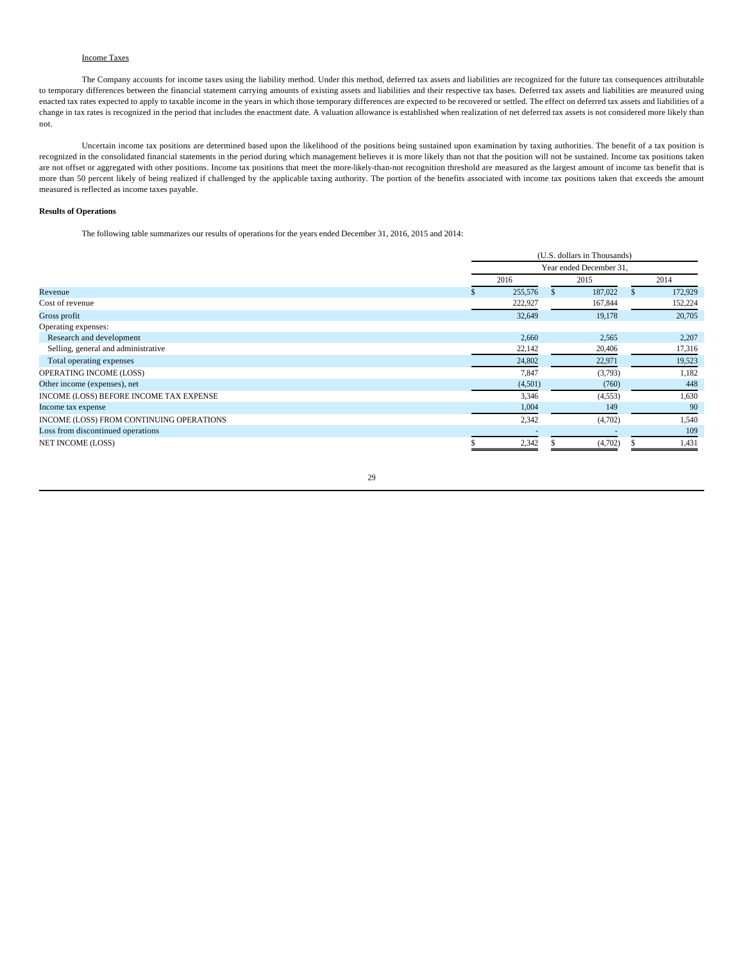## Income Taxes

The Company accounts for income taxes using the liability method. Under this method, deferred tax assets and liabilities are recognized for the future tax consequences attributable to temporary differences between the financial statement carrying amounts of existing assets and liabilities and their respective tax bases. Deferred tax assets and liabilities are measured using enacted tax rates expected to apply to taxable income in the years in which those temporary differences are expected to be recovered or settled. The effect on deferred tax assets and liabilities of a change in tax rates is recognized in the period that includes the enactment date. A valuation allowance is established when realization of net deferred tax assets is not considered more likely than not.

Uncertain income tax positions are determined based upon the likelihood of the positions being sustained upon examination by taxing authorities. The benefit of a tax position is recognized in the consolidated financial statements in the period during which management believes it is more likely than not that the position will not be sustained. Income tax positions taken are not offset or aggregated with other positions. Income tax positions that meet the more-likely-than-not recognition threshold are measured as the largest amount of income tax benefit that is more than 50 percent likely of being realized if challenged by the applicable taxing authority. The portion of the benefits associated with income tax positions taken that exceeds the amount measured is reflected as income taxes payable.

## **Results of Operations**

The following table summarizes our results of operations for the years ended December 31, 2016, 2015 and 2014:

|                                          |         | (U.S. dollars in Thousands) |          |  |         |  |  |  |  |
|------------------------------------------|---------|-----------------------------|----------|--|---------|--|--|--|--|
|                                          |         | Year ended December 31,     |          |  |         |  |  |  |  |
|                                          | 2016    |                             | 2015     |  | 2014    |  |  |  |  |
| Revenue                                  | 255,576 |                             | 187,022  |  | 172,929 |  |  |  |  |
| Cost of revenue                          | 222,927 |                             | 167,844  |  | 152,224 |  |  |  |  |
| Gross profit                             | 32,649  |                             | 19,178   |  | 20,705  |  |  |  |  |
| Operating expenses:                      |         |                             |          |  |         |  |  |  |  |
| Research and development                 | 2,660   |                             | 2,565    |  | 2,207   |  |  |  |  |
| Selling, general and administrative      | 22,142  |                             | 20,406   |  | 17,316  |  |  |  |  |
| Total operating expenses                 | 24,802  |                             | 22,971   |  | 19,523  |  |  |  |  |
| OPERATING INCOME (LOSS)                  | 7,847   |                             | (3,793)  |  | 1,182   |  |  |  |  |
| Other income (expenses), net             | (4,501) |                             | (760)    |  | 448     |  |  |  |  |
| INCOME (LOSS) BEFORE INCOME TAX EXPENSE  | 3,346   |                             | (4, 553) |  | 1,630   |  |  |  |  |
| Income tax expense                       | 1,004   |                             | 149      |  | 90      |  |  |  |  |
| INCOME (LOSS) FROM CONTINUING OPERATIONS | 2,342   |                             | (4,702)  |  | 1,540   |  |  |  |  |
| Loss from discontinued operations        |         |                             |          |  | 109     |  |  |  |  |
| <b>NET INCOME (LOSS)</b>                 | 2,342   |                             | (4,702)  |  | 1,431   |  |  |  |  |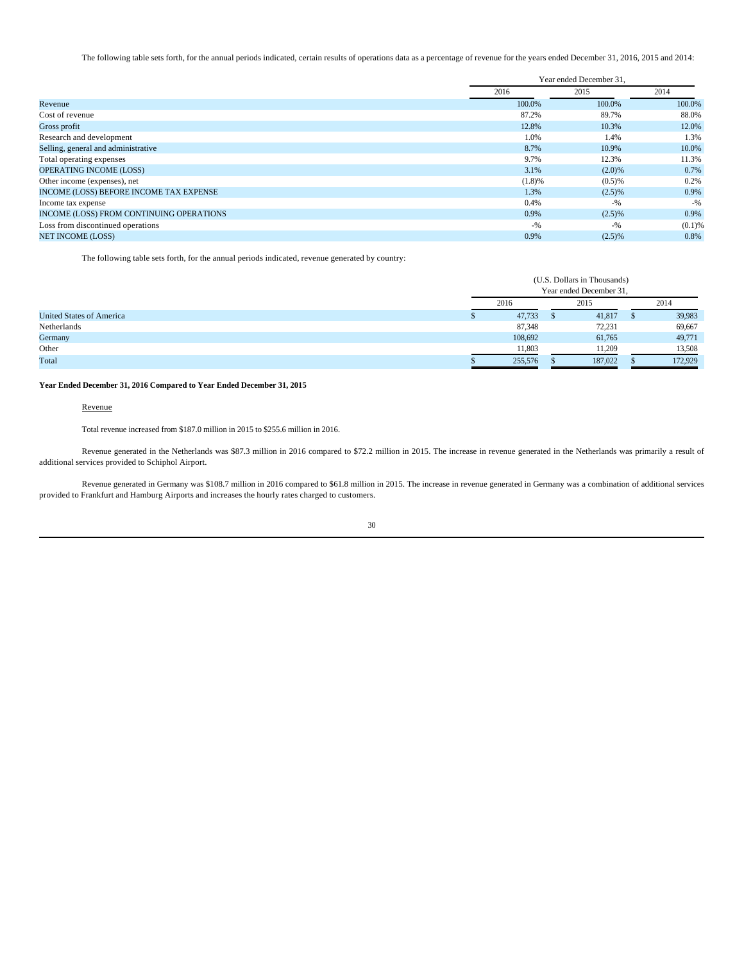The following table sets forth, for the annual periods indicated, certain results of operations data as a percentage of revenue for the years ended December 31, 2016, 2015 and 2014:

|                                          |        | Year ended December 31. |        |  |  |  |
|------------------------------------------|--------|-------------------------|--------|--|--|--|
|                                          | 2016   | 2015                    | 2014   |  |  |  |
| Revenue                                  | 100.0% | 100.0%                  | 100.0% |  |  |  |
| Cost of revenue                          | 87.2%  | 89.7%                   | 88.0%  |  |  |  |
| Gross profit                             | 12.8%  | 10.3%                   | 12.0%  |  |  |  |
| Research and development                 | 1.0%   | 1.4%                    | 1.3%   |  |  |  |
| Selling, general and administrative      | 8.7%   | 10.9%                   | 10.0%  |  |  |  |
| Total operating expenses                 | 9.7%   | 12.3%                   | 11.3%  |  |  |  |
| <b>OPERATING INCOME (LOSS)</b>           | 3.1%   | (2.0)%                  | 0.7%   |  |  |  |
| Other income (expenses), net             | (1.8)% | (0.5)%                  | 0.2%   |  |  |  |
| INCOME (LOSS) BEFORE INCOME TAX EXPENSE  | 1.3%   | (2.5)%                  | 0.9%   |  |  |  |
| Income tax expense                       | 0.4%   | $-9/0$                  | $-9/6$ |  |  |  |
| INCOME (LOSS) FROM CONTINUING OPERATIONS | 0.9%   | (2.5)%                  | 0.9%   |  |  |  |
| Loss from discontinued operations        | $-9/6$ | $-9/0$                  | (0.1)% |  |  |  |
| <b>NET INCOME (LOSS)</b>                 | 0.9%   | (2.5)%                  | 0.8%   |  |  |  |

The following table sets forth, for the annual periods indicated, revenue generated by country:

|                          | (U.S. Dollars in Thousands) |  |         |  |         |  |  |
|--------------------------|-----------------------------|--|---------|--|---------|--|--|
|                          | Year ended December 31,     |  |         |  |         |  |  |
|                          | 2016                        |  | 2015    |  | 2014    |  |  |
| United States of America | 47.733                      |  | 41,817  |  | 39,983  |  |  |
| Netherlands              | 87,348                      |  | 72,231  |  | 69,667  |  |  |
| Germany                  | 108,692                     |  | 61,765  |  | 49,771  |  |  |
| Other                    | 11,803                      |  | 11,209  |  | 13,508  |  |  |
| Total                    | 255,576                     |  | 187,022 |  | 172,929 |  |  |

**Year Ended December 31, 2016 Compared to Year Ended December 31, 2015**

# Revenue

Total revenue increased from \$187.0 million in 2015 to \$255.6 million in 2016.

Revenue generated in the Netherlands was \$87.3 million in 2016 compared to \$72.2 million in 2015. The increase in revenue generated in the Netherlands was primarily a result of additional services provided to Schiphol Airport.

Revenue generated in Germany was \$108.7 million in 2016 compared to \$61.8 million in 2015. The increase in revenue generated in Germany was a combination of additional services provided to Frankfurt and Hamburg Airports and increases the hourly rates charged to customers.

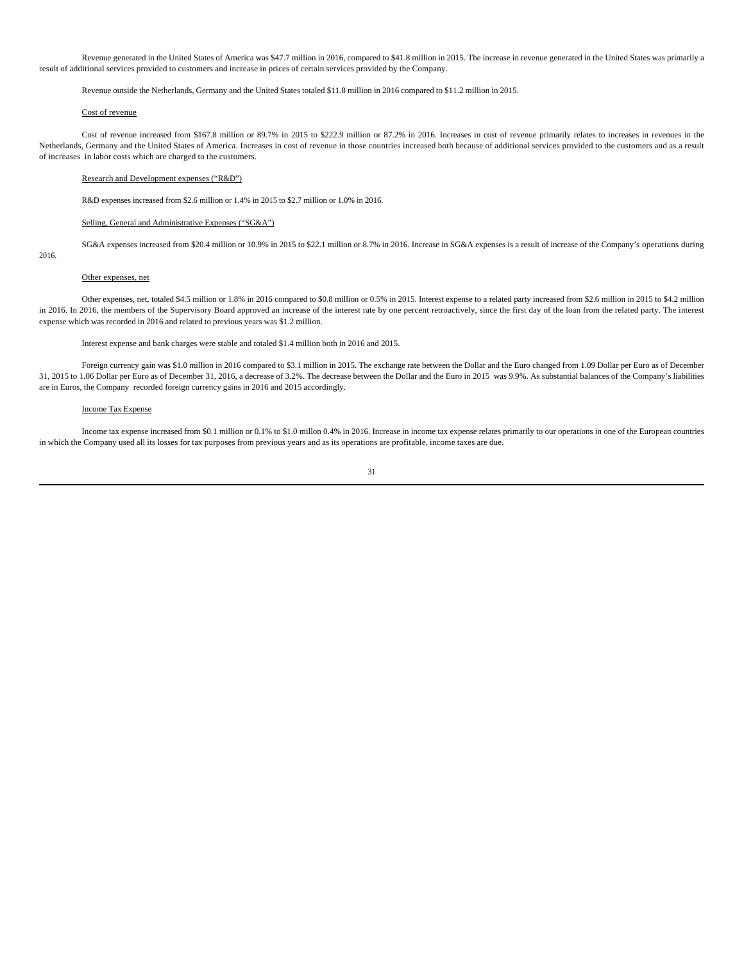Revenue generated in the United States of America was \$47.7 million in 2016, compared to \$41.8 million in 2015. The increase in revenue generated in the United States was primarily a result of additional services provided to customers and increase in prices of certain services provided by the Company.

Revenue outside the Netherlands, Germany and the United States totaled \$11.8 million in 2016 compared to \$11.2 million in 2015.

# Cost of revenue

Cost of revenue increased from \$167.8 million or 89.7% in 2015 to \$222.9 million or 87.2% in 2016. Increases in cost of revenue primarily relates to increases in revenues in the Netherlands, Germany and the United States of America. Increases in cost of revenue in those countries increased both because of additional services provided to the customers and as a result of increases in labor costs which are charged to the customers.

# Research and Development expenses ("R&D")

R&D expenses increased from \$2.6 million or 1.4% in 2015 to \$2.7 million or 1.0% in 2016.

# Selling, General and Administrative Expenses ("SG&A")

SG&A expenses increased from \$20.4 million or 10.9% in 2015 to \$22.1 million or 8.7% in 2016. Increase in SG&A expenses is a result of increase of the Company's operations during

2016.

#### Other expenses, net

Other expenses, net, totaled \$4.5 million or 1.8% in 2016 compared to \$0.8 million or 0.5% in 2015. Interest expense to a related party increased from \$2.6 million in 2015 to \$4.2 million in 2016. In 2016, the members of the Supervisory Board approved an increase of the interest rate by one percent retroactively, since the first day of the loan from the related party. The interest expense which was recorded in 2016 and related to previous years was \$1.2 million.

Interest expense and bank charges were stable and totaled \$1.4 million both in 2016 and 2015.

Foreign currency gain was \$1.0 million in 2016 compared to \$3.1 million in 2015. The exchange rate between the Dollar and the Euro changed from 1.09 Dollar per Euro as of December 31, 2015 to 1.06 Dollar per Euro as of December 31, 2016, a decrease of 3.2%. The decrease between the Dollar and the Euro in 2015 was 9.9%. As substantial balances of the Company's liabilities are in Euros, the Company recorded foreign currency gains in 2016 and 2015 accordingly.

# Income Tax Expense

Income tax expense increased from \$0.1 million or 0.1% to \$1.0 millon 0.4% in 2016. Increase in income tax expense relates primarily to our operations in one of the European countries in which the Company used all its losses for tax purposes from previous years and as its operations are profitable, income taxes are due.

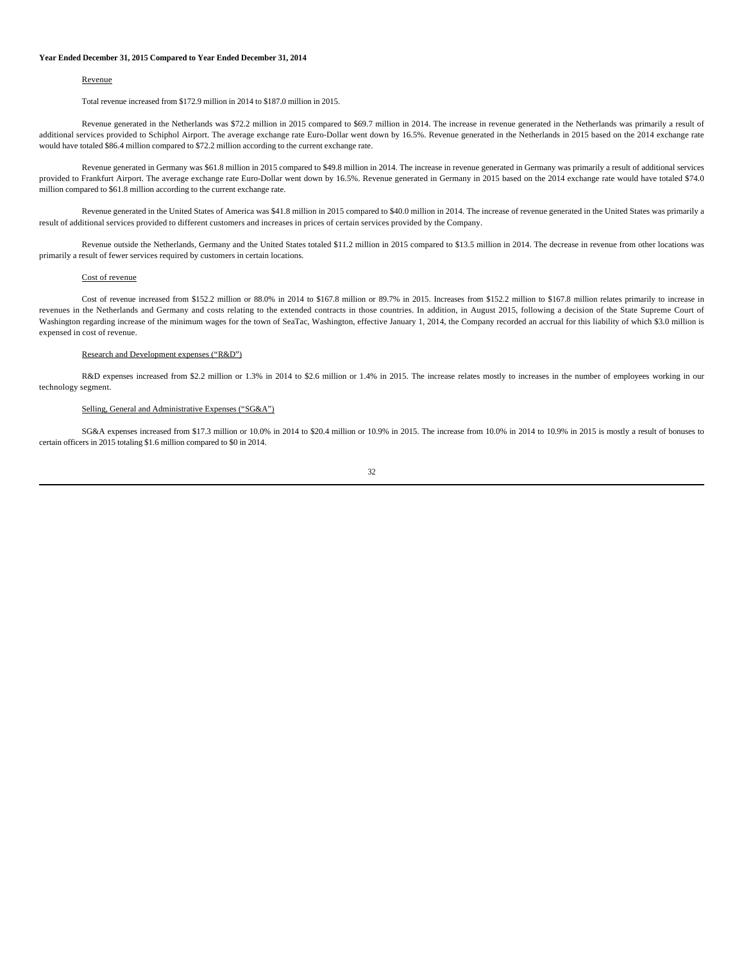#### **Year Ended December 31, 2015 Compared to Year Ended December 31, 2014**

# Revenue

Total revenue increased from \$172.9 million in 2014 to \$187.0 million in 2015.

Revenue generated in the Netherlands was \$72.2 million in 2015 compared to \$69.7 million in 2014. The increase in revenue generated in the Netherlands was primarily a result of additional services provided to Schiphol Airport. The average exchange rate Euro-Dollar went down by 16.5%. Revenue generated in the Netherlands in 2015 based on the 2014 exchange rate would have totaled \$86.4 million compared to \$72.2 million according to the current exchange rate.

Revenue generated in Germany was \$61.8 million in 2015 compared to \$49.8 million in 2014. The increase in revenue generated in Germany was primarily a result of additional services provided to Frankfurt Airport. The average exchange rate Euro-Dollar went down by 16.5%. Revenue generated in Germany in 2015 based on the 2014 exchange rate would have totaled \$74.0 million compared to \$61.8 million according to the current exchange rate.

Revenue generated in the United States of America was \$41.8 million in 2015 compared to \$40.0 million in 2014. The increase of revenue generated in the United States was primarily a result of additional services provided to different customers and increases in prices of certain services provided by the Company.

Revenue outside the Netherlands, Germany and the United States totaled \$11.2 million in 2015 compared to \$13.5 million in 2014. The decrease in revenue from other locations was primarily a result of fewer services required by customers in certain locations.

#### Cost of revenue

Cost of revenue increased from \$152.2 million or 88.0% in 2014 to \$167.8 million or 89.7% in 2015. Increases from \$152.2 million to \$167.8 million relates primarily to increase in revenues in the Netherlands and Germany and costs relating to the extended contracts in those countries. In addition, in August 2015, following a decision of the State Supreme Court of Washington regarding increase of the minimum wages for the town of SeaTac, Washington, effective January 1, 2014, the Company recorded an accrual for this liability of which \$3.0 million is expensed in cost of revenue.

#### Research and Development expenses ("R&D")

R&D expenses increased from \$2.2 million or 1.3% in 2014 to \$2.6 million or 1.4% in 2015. The increase relates mostly to increases in the number of employees working in our technology segment.

## Selling, General and Administrative Expenses ("SG&A")

SG&A expenses increased from \$17.3 million or 10.0% in 2014 to \$20.4 million or 10.9% in 2015. The increase from 10.0% in 2014 to 10.9% in 2015 is mostly a result of bonuses to certain officers in 2015 totaling \$1.6 million compared to \$0 in 2014.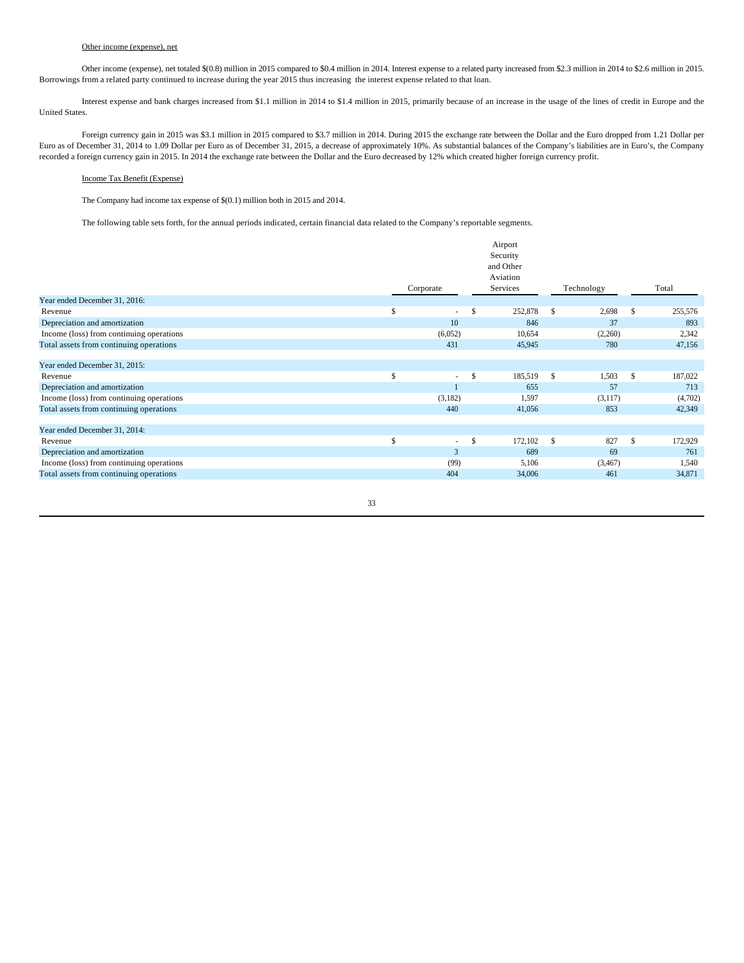# Other income (expense), net

Other income (expense), net totaled \$(0.8) million in 2015 compared to \$0.4 million in 2014. Interest expense to a related party increased from \$2.3 million in 2014 to \$2.6 million in 2015. Borrowings from a related party continued to increase during the year 2015 thus increasing the interest expense related to that loan.

Interest expense and bank charges increased from \$1.1 million in 2014 to \$1.4 million in 2015, primarily because of an increase in the usage of the lines of credit in Europe and the United States.

Foreign currency gain in 2015 was \$3.1 million in 2015 compared to \$3.7 million in 2014. During 2015 the exchange rate between the Dollar and the Euro dropped from 1.21 Dollar per Euro as of December 31, 2014 to 1.09 Dollar per Euro as of December 31, 2015, a decrease of approximately 10%. As substantial balances of the Company's liabilities are in Euro's, the Company recorded a foreign currency gain in 2015. In 2014 the exchange rate between the Dollar and the Euro decreased by 12% which created higher foreign currency profit.

# Income Tax Benefit (Expense)

The Company had income tax expense of \$(0.1) million both in 2015 and 2014.

The following table sets forth, for the annual periods indicated, certain financial data related to the Company's reportable segments.

|                                          |    |                | Airport<br>Security<br>and Other |                    |            |    |         |
|------------------------------------------|----|----------------|----------------------------------|--------------------|------------|----|---------|
|                                          |    | Corporate      | Aviation<br>Services             |                    | Technology |    | Total   |
| Year ended December 31, 2016:            |    |                |                                  |                    |            |    |         |
| Revenue                                  | S  | $\sim$         | \$<br>252,878                    | -S                 | 2,698      | -S | 255,576 |
| Depreciation and amortization            |    | 10             | 846                              |                    | 37         |    | 893     |
| Income (loss) from continuing operations |    | (6,052)        | 10,654                           |                    | (2,260)    |    | 2,342   |
| Total assets from continuing operations  |    | 431            | 45,945                           |                    | 780        |    | 47,156  |
| Year ended December 31, 2015:            |    |                |                                  |                    |            |    |         |
| Revenue                                  | S  | $\sim$         | \$<br>185,519                    | -S                 | 1,503      | -S | 187,022 |
| Depreciation and amortization            |    |                | 655                              |                    | 57         |    | 713     |
| Income (loss) from continuing operations |    | (3,182)        | 1,597                            |                    | (3,117)    |    | (4,702) |
| Total assets from continuing operations  |    | 440            | 41,056                           |                    | 853        |    | 42,349  |
| Year ended December 31, 2014:            |    |                |                                  |                    |            |    |         |
| Revenue                                  | \$ | $\sim$         | \$<br>172,102                    | $\mathbf{\hat{s}}$ | 827        | -S | 172,929 |
| Depreciation and amortization            |    | $\overline{3}$ | 689                              |                    | 69         |    | 761     |
| Income (loss) from continuing operations |    | (99)           | 5,106                            |                    | (3, 467)   |    | 1,540   |
| Total assets from continuing operations  |    | 404            | 34,006                           |                    | 461        |    | 34,871  |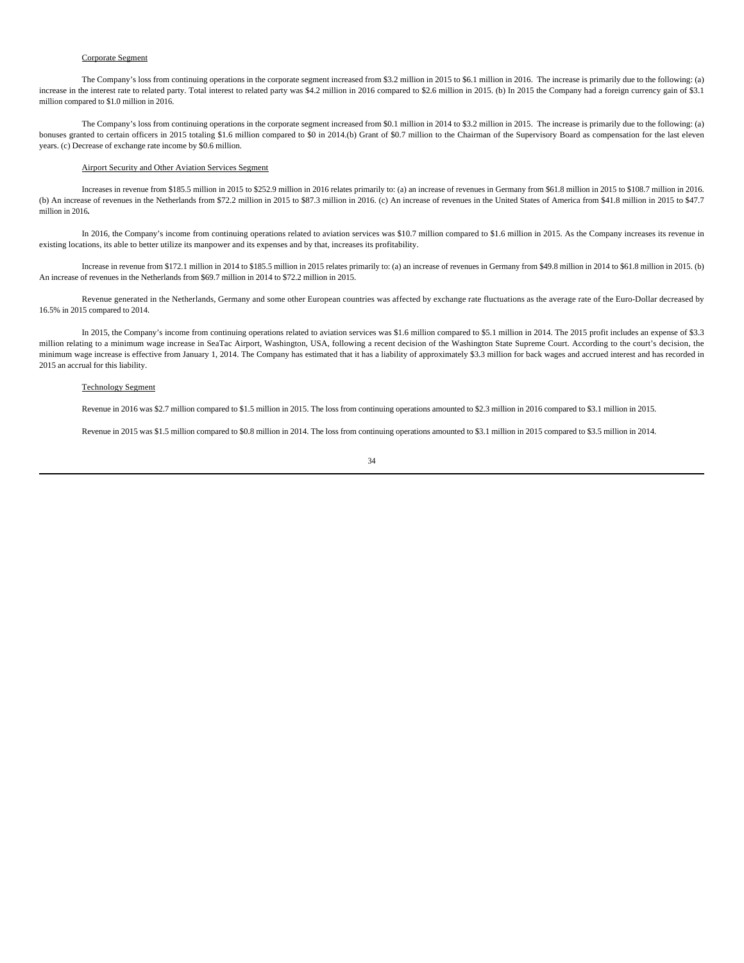### Corporate Segment

The Company's loss from continuing operations in the corporate segment increased from \$3.2 million in 2015 to \$6.1 million in 2016. The increase is primarily due to the following: (a) increase in the interest rate to related party. Total interest to related party was \$4.2 million in 2016 compared to \$2.6 million in 2015. (b) In 2015 the Company had a foreign currency gain of \$3.1 million compared to \$1.0 million in 2016.

The Company's loss from continuing operations in the corporate segment increased from \$0.1 million in 2014 to \$3.2 million in 2015. The increase is primarily due to the following: (a) bonuses granted to certain officers in 2015 totaling \$1.6 million compared to \$0 in 2014.(b) Grant of \$0.7 million to the Chairman of the Supervisory Board as compensation for the last eleven years. (c) Decrease of exchange rate income by \$0.6 million.

# Airport Security and Other Aviation Services Segment

Increases in revenue from \$185.5 million in 2015 to \$252.9 million in 2016 relates primarily to: (a) an increase of revenues in Germany from \$61.8 million in 2015 to \$108.7 million in 2016. (b) An increase of revenues in the Netherlands from \$72.2 million in 2015 to \$87.3 million in 2016. (c) An increase of revenues in the United States of America from \$41.8 million in 2015 to \$47.7 million in 2016**.**

In 2016, the Company's income from continuing operations related to aviation services was \$10.7 million compared to \$1.6 million in 2015. As the Company increases its revenue in existing locations, its able to better utilize its manpower and its expenses and by that, increases its profitability.

Increase in revenue from \$172.1 million in 2014 to \$185.5 million in 2015 relates primarily to: (a) an increase of revenues in Germany from \$49.8 million in 2014 to \$61.8 million in 2015. (b) An increase of revenues in the Netherlands from \$69.7 million in 2014 to \$72.2 million in 2015.

Revenue generated in the Netherlands, Germany and some other European countries was affected by exchange rate fluctuations as the average rate of the Euro-Dollar decreased by 16.5% in 2015 compared to 2014.

In 2015, the Company's income from continuing operations related to aviation services was \$1.6 million compared to \$5.1 million in 2014. The 2015 profit includes an expense of \$3.3 million relating to a minimum wage increase in SeaTac Airport, Washington, USA, following a recent decision of the Washington State Supreme Court. According to the court's decision, the minimum wage increase is effective from January 1, 2014. The Company has estimated that it has a liability of approximately \$3.3 million for back wages and accrued interest and has recorded in 2015 an accrual for this liability.

## Technology Segment

Revenue in 2016 was \$2.7 million compared to \$1.5 million in 2015. The loss from continuing operations amounted to \$2.3 million in 2016 compared to \$3.1 million in 2015.

Revenue in 2015 was \$1.5 million compared to \$0.8 million in 2014. The loss from continuing operations amounted to \$3.1 million in 2015 compared to \$3.5 million in 2014.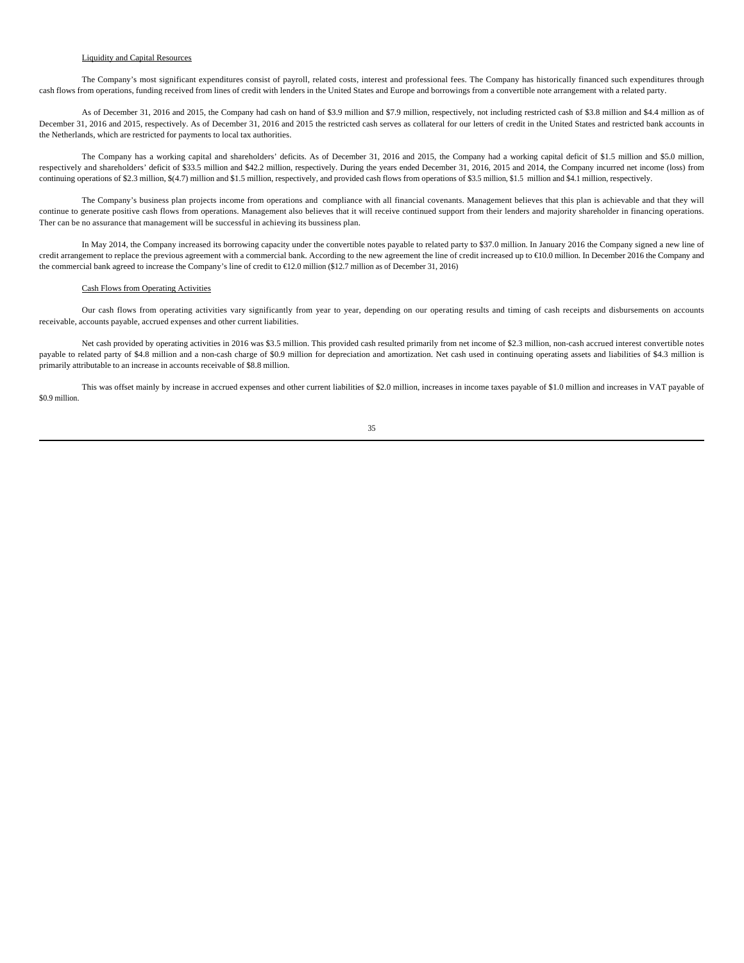## Liquidity and Capital Resources

The Company's most significant expenditures consist of payroll, related costs, interest and professional fees. The Company has historically financed such expenditures through cash flows from operations, funding received from lines of credit with lenders in the United States and Europe and borrowings from a convertible note arrangement with a related party.

As of December 31, 2016 and 2015, the Company had cash on hand of \$3.9 million and \$7.9 million, respectively, not including restricted cash of \$3.8 million and \$4.4 million as of December 31, 2016 and 2015, respectively. As of December 31, 2016 and 2015 the restricted cash serves as collateral for our letters of credit in the United States and restricted bank accounts in the Netherlands, which are restricted for payments to local tax authorities.

The Company has a working capital and shareholders' deficits. As of December 31, 2016 and 2015, the Company had a working capital deficit of \$1.5 million and \$5.0 million, respectively and shareholders' deficit of \$33.5 million and \$42.2 million, respectively. During the years ended December 31, 2016, 2015 and 2014, the Company incurred net income (loss) from continuing operations of \$2.3 million, \$(4.7) million and \$1.5 million, respectively, and provided cash flows from operations of \$3.5 million, \$1.5 million and \$4.1 million, respectively.

The Company's business plan projects income from operations and compliance with all financial covenants. Management believes that this plan is achievable and that they will continue to generate positive cash flows from operations. Management also believes that it will receive continued support from their lenders and majority shareholder in financing operations. Ther can be no assurance that management will be successful in achieving its bussiness plan.

In May 2014, the Company increased its borrowing capacity under the convertible notes payable to related party to \$37.0 million. In January 2016 the Company signed a new line of credit arrangement to replace the previous agreement with a commercial bank. According to the new agreement the line of credit increased up to €10.0 million. In December 2016 the Company and the commercial bank agreed to increase the Company's line of credit to €12.0 million (\$12.7 million as of December 31, 2016)

#### Cash Flows from Operating Activities

Our cash flows from operating activities vary significantly from year to year, depending on our operating results and timing of cash receipts and disbursements on accounts receivable, accounts payable, accrued expenses and other current liabilities.

Net cash provided by operating activities in 2016 was \$3.5 million. This provided cash resulted primarily from net income of \$2.3 million, non-cash accrued interest convertible notes payable to related party of \$4.8 million and a non-cash charge of \$0.9 million for depreciation and amortization. Net cash used in continuing operating assets and liabilities of \$4.3 million is primarily attributable to an increase in accounts receivable of \$8.8 million.

This was offset mainly by increase in accrued expenses and other current liabilities of \$2.0 million, increases in income taxes payable of \$1.0 million and increases in VAT payable of \$0.9 million.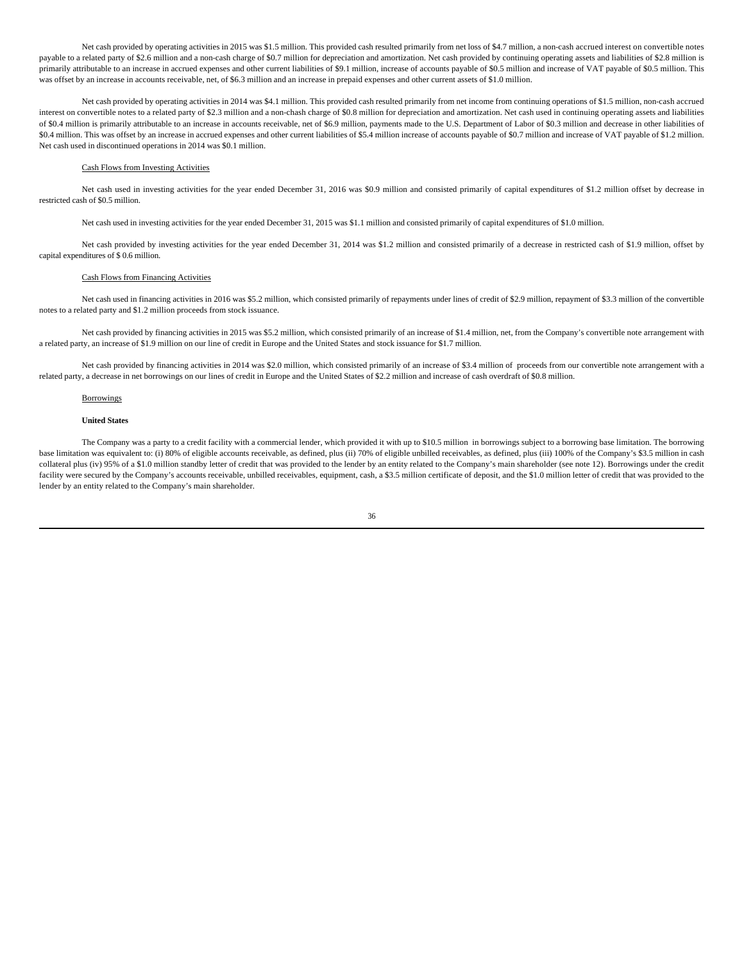Net cash provided by operating activities in 2015 was \$1.5 million. This provided cash resulted primarily from net loss of \$4.7 million, a non-cash accrued interest on convertible notes payable to a related party of \$2.6 million and a non-cash charge of \$0.7 million for depreciation and amortization. Net cash provided by continuing operating assets and liabilities of \$2.8 million is primarily attributable to an increase in accrued expenses and other current liabilities of \$9.1 million, increase of accounts payable of \$0.5 million and increase of VAT payable of \$0.5 million. This was offset by an increase in accounts receivable, net, of \$6.3 million and an increase in prepaid expenses and other current assets of \$1.0 million.

Net cash provided by operating activities in 2014 was \$4.1 million. This provided cash resulted primarily from net income from continuing operations of \$1.5 million, non-cash accrued interest on convertible notes to a related party of \$2.3 million and a non-chash charge of \$0.8 million for depreciation and amortization. Net cash used in continuing operating assets and liabilities of \$0.4 million is primarily attributable to an increase in accounts receivable, net of \$6.9 million, payments made to the U.S. Department of Labor of \$0.3 million and decrease in other liabilities of \$0.4 million. This was offset by an increase in accrued expenses and other current liabilities of \$5.4 million increase of accounts payable of \$0.7 million and increase of VAT payable of \$1.2 million. Net cash used in discontinued operations in 2014 was \$0.1 million.

#### Cash Flows from Investing Activities

Net cash used in investing activities for the year ended December 31, 2016 was \$0.9 million and consisted primarily of capital expenditures of \$1.2 million offset by decrease in restricted cash of \$0.5 million.

Net cash used in investing activities for the year ended December 31, 2015 was \$1.1 million and consisted primarily of capital expenditures of \$1.0 million.

Net cash provided by investing activities for the year ended December 31, 2014 was \$1.2 million and consisted primarily of a decrease in restricted cash of \$1.9 million, offset by capital expenditures of \$ 0.6 million.

#### Cash Flows from Financing Activities

Net cash used in financing activities in 2016 was \$5.2 million, which consisted primarily of repayments under lines of credit of \$2.9 million, repayment of \$3.3 million of the convertible notes to a related party and \$1.2 million proceeds from stock issuance.

Net cash provided by financing activities in 2015 was \$5.2 million, which consisted primarily of an increase of \$1.4 million, net, from the Company's convertible note arrangement with a related party, an increase of \$1.9 million on our line of credit in Europe and the United States and stock issuance for \$1.7 million.

Net cash provided by financing activities in 2014 was \$2.0 million, which consisted primarily of an increase of \$3.4 million of proceeds from our convertible note arrangement with a related party, a decrease in net borrowings on our lines of credit in Europe and the United States of \$2.2 million and increase of cash overdraft of \$0.8 million.

### Borrowings

### **United States**

The Company was a party to a credit facility with a commercial lender, which provided it with up to \$10.5 million in borrowings subject to a borrowing base limitation. The borrowing base limitation was equivalent to: (i) 80% of eligible accounts receivable, as defined, plus (ii) 70% of eligible unbilled receivables, as defined, plus (iii) 100% of the Company's \$3.5 million in cash collateral plus (iv) 95% of a \$1.0 million standby letter of credit that was provided to the lender by an entity related to the Company's main shareholder (see note 12). Borrowings under the credit facility were secured by the Company's accounts receivable, unbilled receivables, equipment, cash, a \$3.5 million certificate of deposit, and the \$1.0 million letter of credit that was provided to the lender by an entity related to the Company's main shareholder.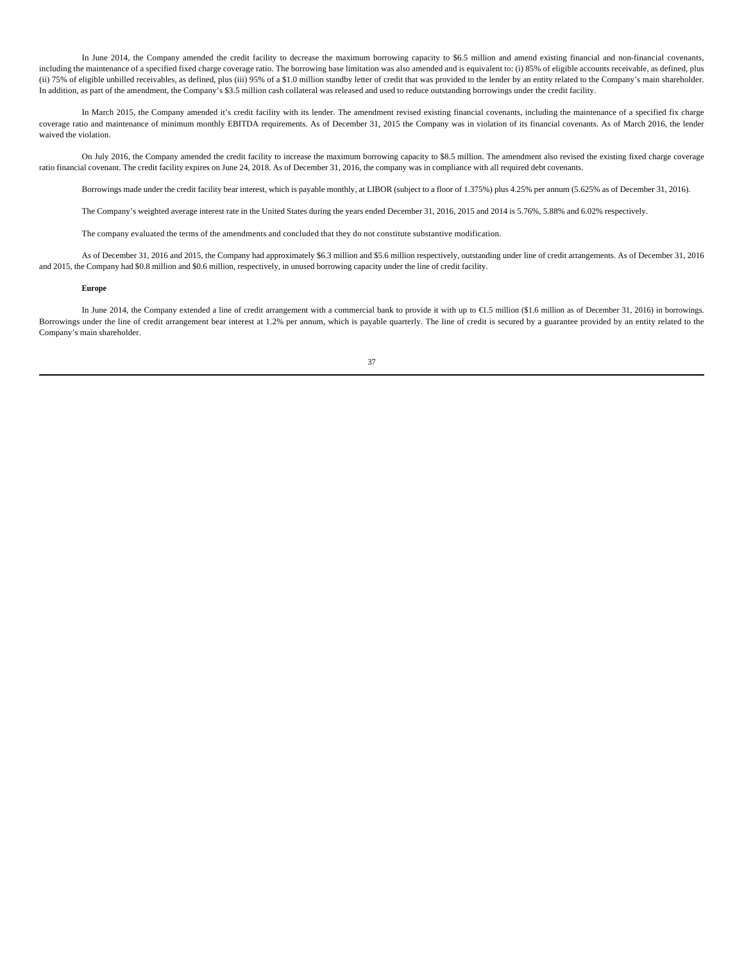In June 2014, the Company amended the credit facility to decrease the maximum borrowing capacity to \$6.5 million and amend existing financial and non-financial covenants, including the maintenance of a specified fixed charge coverage ratio. The borrowing base limitation was also amended and is equivalent to: (i) 85% of eligible accounts receivable, as defined, plus (ii) 75% of eligible unbilled receivables, as defined, plus (iii) 95% of a \$1.0 million standby letter of credit that was provided to the lender by an entity related to the Company's main shareholder. In addition, as part of the amendment, the Company's \$3.5 million cash collateral was released and used to reduce outstanding borrowings under the credit facility.

In March 2015, the Company amended it's credit facility with its lender. The amendment revised existing financial covenants, including the maintenance of a specified fix charge coverage ratio and maintenance of minimum monthly EBITDA requirements. As of December 31, 2015 the Company was in violation of its financial covenants. As of March 2016, the lender waived the violation.

On July 2016, the Company amended the credit facility to increase the maximum borrowing capacity to \$8.5 million. The amendment also revised the existing fixed charge coverage ratio financial covenant. The credit facility expires on June 24, 2018. As of December 31, 2016, the company was in compliance with all required debt covenants.

Borrowings made under the credit facility bear interest, which is payable monthly, at LIBOR (subject to a floor of 1.375%) plus 4.25% per annum (5.625% as of December 31, 2016).

The Company's weighted average interest rate in the United States during the years ended December 31, 2016, 2015 and 2014 is 5.76%, 5.88% and 6.02% respectively.

The company evaluated the terms of the amendments and concluded that they do not constitute substantive modification.

As of December 31, 2016 and 2015, the Company had approximately \$6.3 million and \$5.6 million respectively, outstanding under line of credit arrangements. As of December 31, 2016 and 2015, the Company had \$0.8 million and \$0.6 million, respectively, in unused borrowing capacity under the line of credit facility.

### **Europe**

In June 2014, the Company extended a line of credit arrangement with a commercial bank to provide it with up to €1.5 million (\$1.6 million as of December 31, 2016) in borrowings. Borrowings under the line of credit arrangement bear interest at 1.2% per annum, which is payable quarterly. The line of credit is secured by a guarantee provided by an entity related to the Company's main shareholder.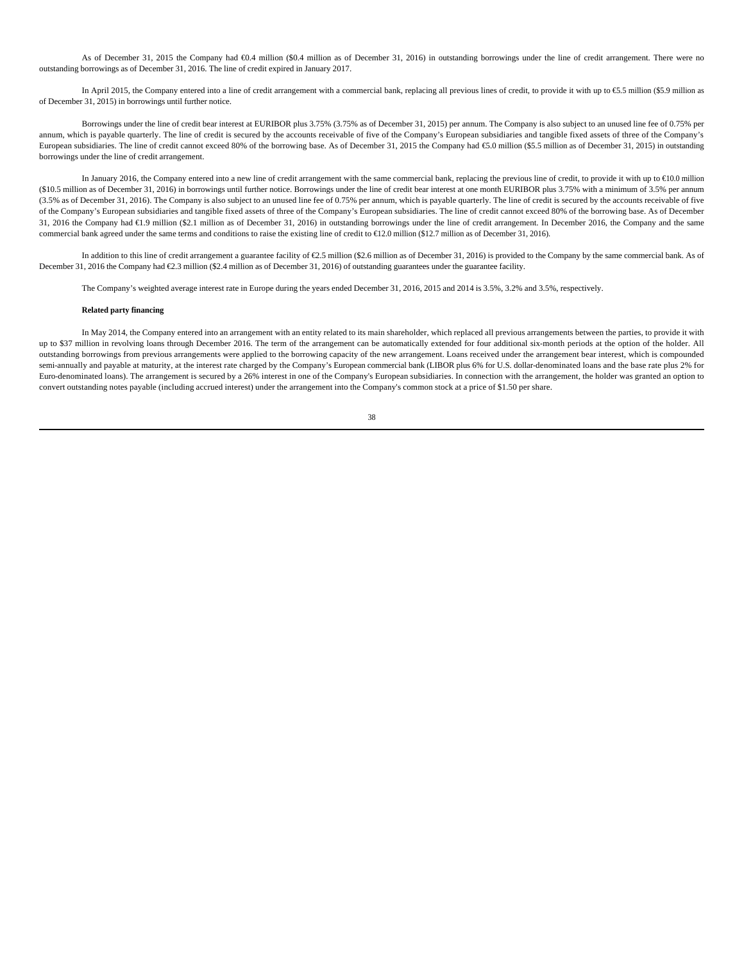As of December 31, 2015 the Company had  $(0.4)$  million (\$0.4 million as of December 31, 2016) in outstanding borrowings under the line of credit arrangement. There were no outstanding borrowings as of December 31, 2016. The line of credit expired in January 2017.

In April 2015, the Company entered into a line of credit arrangement with a commercial bank, replacing all previous lines of credit, to provide it with up to €5.5 million (\$5.9 million as of December 31, 2015) in borrowings until further notice.

Borrowings under the line of credit bear interest at EURIBOR plus 3.75% (3.75% as of December 31, 2015) per annum. The Company is also subject to an unused line fee of 0.75% per annum, which is payable quarterly. The line of credit is secured by the accounts receivable of five of the Company's European subsidiaries and tangible fixed assets of three of the Company's European subsidiaries. The line of credit cannot exceed 80% of the borrowing base. As of December 31, 2015 the Company had €5.0 million (\$5.5 million as of December 31, 2015) in outstanding borrowings under the line of credit arrangement.

In January 2016, the Company entered into a new line of credit arrangement with the same commercial bank, replacing the previous line of credit, to provide it with up to €10.0 million (\$10.5 million as of December 31, 2016) in borrowings until further notice. Borrowings under the line of credit bear interest at one month EURIBOR plus 3.75% with a minimum of 3.5% per annum (3.5% as of December 31, 2016). The Company is also subject to an unused line fee of 0.75% per annum, which is payable quarterly. The line of credit is secured by the accounts receivable of five of the Company's European subsidiaries and tangible fixed assets of three of the Company's European subsidiaries. The line of credit cannot exceed 80% of the borrowing base. As of December 31, 2016 the Company had €1.9 million (\$2.1 million as of December 31, 2016) in outstanding borrowings under the line of credit arrangement. In December 2016, the Company and the same commercial bank agreed under the same terms and conditions to raise the existing line of credit to €12.0 million (\$12.7 million as of December 31, 2016).

In addition to this line of credit arrangement a guarantee facility of  $\mathcal{L}$ .5 million (\$2.6 million as of December 31, 2016) is provided to the Company by the same commercial bank. As of December 31, 2016 the Company had €2.3 million (\$2.4 million as of December 31, 2016) of outstanding guarantees under the guarantee facility.

The Company's weighted average interest rate in Europe during the years ended December 31, 2016, 2015 and 2014 is 3.5%, 3.2% and 3.5%, respectively.

#### **Related party financing**

In May 2014, the Company entered into an arrangement with an entity related to its main shareholder, which replaced all previous arrangements between the parties, to provide it with up to \$37 million in revolving loans through December 2016. The term of the arrangement can be automatically extended for four additional six-month periods at the option of the holder. All outstanding borrowings from previous arrangements were applied to the borrowing capacity of the new arrangement. Loans received under the arrangement bear interest, which is compounded semi-annually and payable at maturity, at the interest rate charged by the Company's European commercial bank (LIBOR plus 6% for U.S. dollar-denominated loans and the base rate plus 2% for Euro-denominated loans). The arrangement is secured by a 26% interest in one of the Company's European subsidiaries. In connection with the arrangement, the holder was granted an option to convert outstanding notes payable (including accrued interest) under the arrangement into the Company's common stock at a price of \$1.50 per share.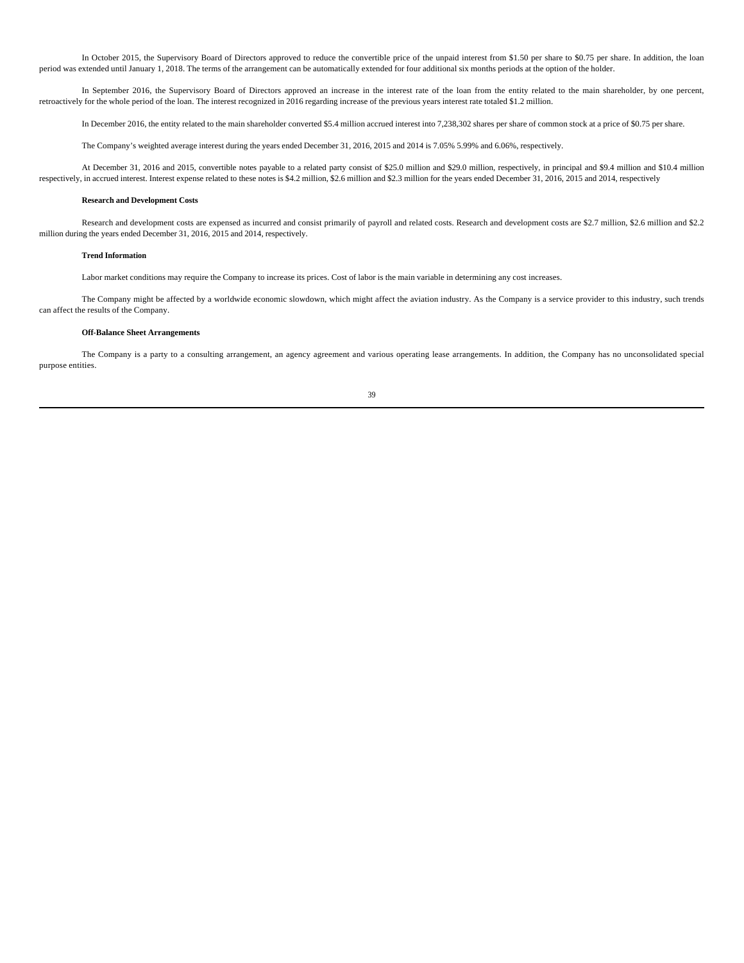In October 2015, the Supervisory Board of Directors approved to reduce the convertible price of the unpaid interest from \$1.50 per share to \$0.75 per share. In addition, the loan period was extended until January 1, 2018. The terms of the arrangement can be automatically extended for four additional six months periods at the option of the holder.

In September 2016, the Supervisory Board of Directors approved an increase in the interest rate of the loan from the entity related to the main shareholder, by one percent, retroactively for the whole period of the loan. The interest recognized in 2016 regarding increase of the previous years interest rate totaled \$1.2 million.

In December 2016, the entity related to the main shareholder converted \$5.4 million accrued interest into 7,238,302 shares per share of common stock at a price of \$0.75 per share.

The Company's weighted average interest during the years ended December 31, 2016, 2015 and 2014 is 7.05% 5.99% and 6.06%, respectively.

At December 31, 2016 and 2015, convertible notes payable to a related party consist of \$25.0 million and \$29.0 million, respectively, in principal and \$9.4 million and \$10.4 million respectively, in accrued interest. Interest expense related to these notes is \$4.2 million, \$2.6 million and \$2.3 million for the years ended December 31, 2016, 2015 and 2014, respectively

### **Research and Development Costs**

Research and development costs are expensed as incurred and consist primarily of payroll and related costs. Research and development costs are \$2.7 million, \$2.6 million and \$2.2 million during the years ended December 31, 2016, 2015 and 2014, respectively.

### **Trend Information**

Labor market conditions may require the Company to increase its prices. Cost of labor is the main variable in determining any cost increases.

The Company might be affected by a worldwide economic slowdown, which might affect the aviation industry. As the Company is a service provider to this industry, such trends can affect the results of the Company.

### **Off-Balance Sheet Arrangements**

The Company is a party to a consulting arrangement, an agency agreement and various operating lease arrangements. In addition, the Company has no unconsolidated special purpose entities.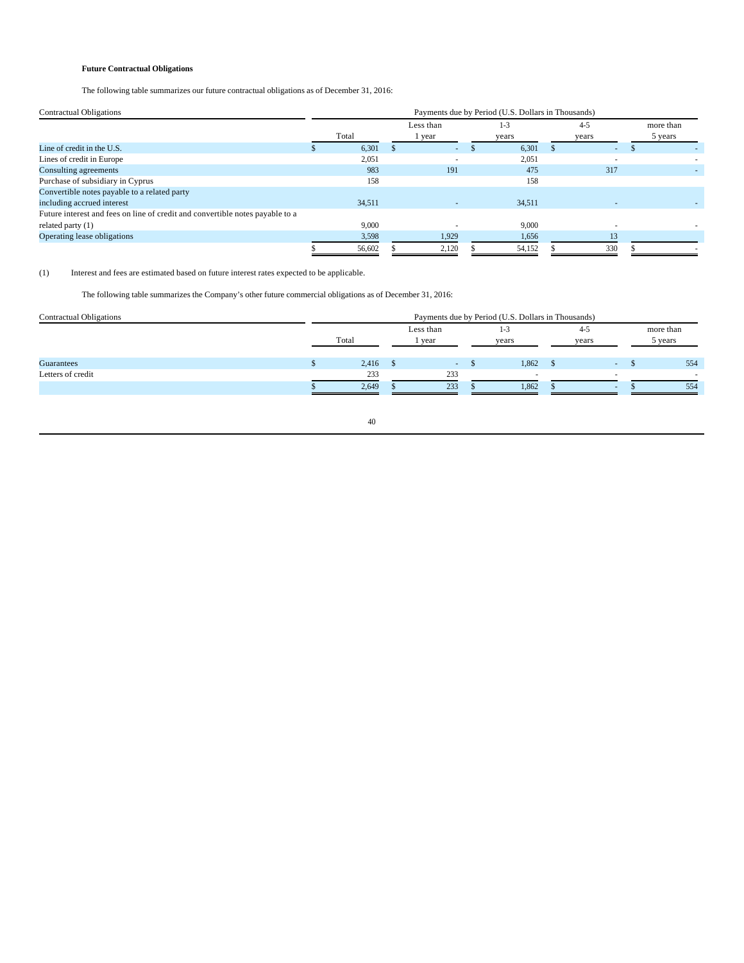## **Future Contractual Obligations**

The following table summarizes our future contractual obligations as of December 31, 2016:

| <b>Contractual Obligations</b>                                                | Payments due by Period (U.S. Dollars in Thousands) |        |  |           |  |         |  |                          |  |           |
|-------------------------------------------------------------------------------|----------------------------------------------------|--------|--|-----------|--|---------|--|--------------------------|--|-----------|
|                                                                               |                                                    |        |  | Less than |  | $1 - 3$ |  | $4 - 5$                  |  | more than |
|                                                                               |                                                    | Total  |  | 1 year    |  | years   |  | years                    |  | 5 years   |
| Line of credit in the U.S.                                                    |                                                    | 6,301  |  | $\sim$    |  | 6,301   |  | $\sim$                   |  |           |
| Lines of credit in Europe                                                     |                                                    | 2,051  |  |           |  | 2,051   |  | $\overline{\phantom{a}}$ |  |           |
| Consulting agreements                                                         |                                                    | 983    |  | 191       |  | 475     |  | 317                      |  |           |
| Purchase of subsidiary in Cyprus                                              |                                                    | 158    |  |           |  | 158     |  |                          |  |           |
| Convertible notes payable to a related party                                  |                                                    |        |  |           |  |         |  |                          |  |           |
| including accrued interest                                                    |                                                    | 34,511 |  |           |  | 34,511  |  |                          |  |           |
| Future interest and fees on line of credit and convertible notes payable to a |                                                    |        |  |           |  |         |  |                          |  |           |
| related party $(1)$                                                           |                                                    | 9,000  |  |           |  | 9,000   |  |                          |  |           |
| Operating lease obligations                                                   |                                                    | 3,598  |  | 1,929     |  | 1,656   |  | 13                       |  |           |
|                                                                               |                                                    | 56,602 |  | 2,120     |  | 54,152  |  | 330                      |  |           |

(1) Interest and fees are estimated based on future interest rates expected to be applicable.

The following table summarizes the Company's other future commercial obligations as of December 31, 2016:

| <b>Contractual Obligations</b> | Payments due by Period (U.S. Dollars in Thousands) |       |  |                   |  |             |  |                  |                      |
|--------------------------------|----------------------------------------------------|-------|--|-------------------|--|-------------|--|------------------|----------------------|
|                                |                                                    | Total |  | Less than<br>year |  | ŀз<br>years |  | $4 - 5$<br>years | more than<br>5 years |
| Guarantees                     |                                                    | 2,416 |  | $\sim$            |  | 1,862       |  | $\sim$           | 554                  |
| Letters of credit              |                                                    | 233   |  | 233               |  |             |  |                  | $\sim$               |
|                                |                                                    | 2.649 |  | 233               |  | 1,862       |  | $\sim$           | 554                  |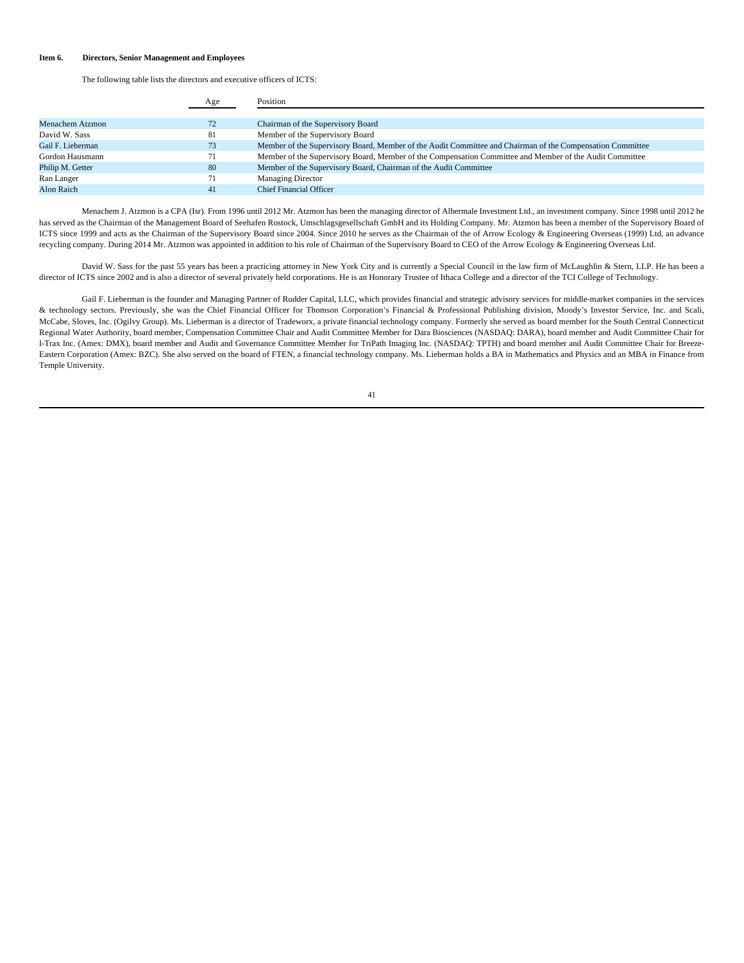### **Item 6. Directors, Senior Management and Employees**

The following table lists the directors and executive officers of ICTS:

|                   | Age | Position                                                                                                  |
|-------------------|-----|-----------------------------------------------------------------------------------------------------------|
|                   |     |                                                                                                           |
| Menachem Atzmon   | 72  | Chairman of the Supervisory Board                                                                         |
| David W. Sass     | 81  | Member of the Supervisory Board                                                                           |
| Gail F. Lieberman | 73  | Member of the Supervisory Board, Member of the Audit Committee and Chairman of the Compensation Committee |
| Gordon Hausmann   | 71  | Member of the Supervisory Board, Member of the Compensation Committee and Member of the Audit Committee   |
| Philip M. Getter  | 80  | Member of the Supervisory Board, Chairman of the Audit Committee                                          |
| Ran Langer        | 71  | <b>Managing Director</b>                                                                                  |
| <b>Alon Raich</b> | 41  | <b>Chief Financial Officer</b>                                                                            |

Menachem J. Atzmon is a CPA (Isr). From 1996 until 2012 Mr. Atzmon has been the managing director of Albermale Investment Ltd., an investment company. Since 1998 until 2012 he has served as the Chairman of the Management Board of Seehafen Rostock, Umschlagsgesellschaft GmbH and its Holding Company. Mr. Atzmon has been a member of the Supervisory Board of ICTS since 1999 and acts as the Chairman of the Supervisory Board since 2004. Since 2010 he serves as the Chairman of the of Arrow Ecology & Engineering Overseas (1999) Ltd, an advance recycling company. During 2014 Mr. Atzmon was appointed in addition to his role of Chairman of the Supervisory Board to CEO of the Arrow Ecology & Engineering Overseas Ltd.

David W. Sass for the past 55 years has been a practicing attorney in New York City and is currently a Special Council in the law firm of McLaughlin & Stern, LLP. He has been a director of ICTS since 2002 and is also a director of several privately held corporations. He is an Honorary Trustee of Ithaca College and a director of the TCI College of Technology.

Gail F. Lieberman is the founder and Managing Partner of Rudder Capital, LLC, which provides financial and strategic advisory services for middle-market companies in the services & technology sectors. Previously, she was the Chief Financial Officer for Thomson Corporation's Financial & Professional Publishing division, Moody's Investor Service, Inc. and Scali, McCabe, Sloves, Inc. (Ogilvy Group). Ms. Lieberman is a director of Tradeworx, a private financial technology company. Formerly she served as board member for the South Central Connecticut Regional Water Authority, board member, Compensation Committee Chair and Audit Committee Member for Dara Biosciences (NASDAQ: DARA), board member and Audit Committee Chair for I-Trax Inc. (Amex: DMX), board member and Audit and Governance Committee Member for TriPath Imaging Inc. (NASDAQ: TPTH) and board member and Audit Committee Chair for Breeze-Eastern Corporation (Amex: BZC). She also served on the board of FTEN, a financial technology company. Ms. Lieberman holds a BA in Mathematics and Physics and an MBA in Finance from Temple University.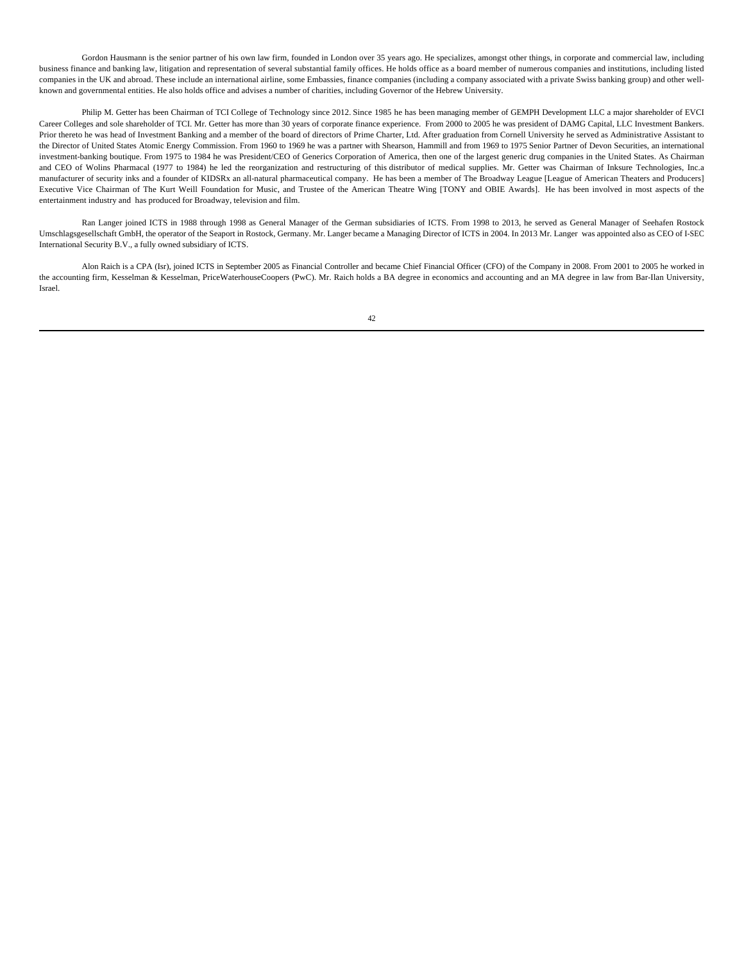Gordon Hausmann is the senior partner of his own law firm, founded in London over 35 years ago. He specializes, amongst other things, in corporate and commercial law, including business finance and banking law, litigation and representation of several substantial family offices. He holds office as a board member of numerous companies and institutions, including listed companies in the UK and abroad. These include an international airline, some Embassies, finance companies (including a company associated with a private Swiss banking group) and other wellknown and governmental entities. He also holds office and advises a number of charities, including Governor of the Hebrew University.

Philip M. Getter has been Chairman of TCI College of Technology since 2012. Since 1985 he has been managing member of GEMPH Development LLC a major shareholder of EVCI Career Colleges and sole shareholder of TCI. Mr. Getter has more than 30 years of corporate finance experience. From 2000 to 2005 he was president of DAMG Capital, LLC Investment Bankers. Prior thereto he was head of Investment Banking and a member of the board of directors of Prime Charter, Ltd. After graduation from Cornell University he served as Administrative Assistant to the Director of United States Atomic Energy Commission. From 1960 to 1969 he was a partner with Shearson, Hammill and from 1969 to 1975 Senior Partner of Devon Securities, an international investment-banking boutique. From 1975 to 1984 he was President/CEO of Generics Corporation of America, then one of the largest generic drug companies in the United States. As Chairman and CEO of Wolins Pharmacal (1977 to 1984) he led the reorganization and restructuring of this distributor of medical supplies. Mr. Getter was Chairman of Inksure Technologies, Inc.a manufacturer of security inks and a founder of KIDSRx an all-natural pharmaceutical company. He has been a member of The Broadway League [League of American Theaters and Producers] Executive Vice Chairman of The Kurt Weill Foundation for Music, and Trustee of the American Theatre Wing [TONY and OBIE Awards]. He has been involved in most aspects of the entertainment industry and has produced for Broadway, television and film.

Ran Langer joined ICTS in 1988 through 1998 as General Manager of the German subsidiaries of ICTS. From 1998 to 2013, he served as General Manager of Seehafen Rostock Umschlagsgesellschaft GmbH, the operator of the Seaport in Rostock, Germany. Mr. Langer became a Managing Director of ICTS in 2004. In 2013 Mr. Langer was appointed also as CEO of I-SEC International Security B.V., a fully owned subsidiary of ICTS.

Alon Raich is a CPA (Isr), joined ICTS in September 2005 as Financial Controller and became Chief Financial Officer (CFO) of the Company in 2008. From 2001 to 2005 he worked in the accounting firm, Kesselman & Kesselman, PriceWaterhouseCoopers (PwC). Mr. Raich holds a BA degree in economics and accounting and an MA degree in law from Bar-Ilan University, Israel.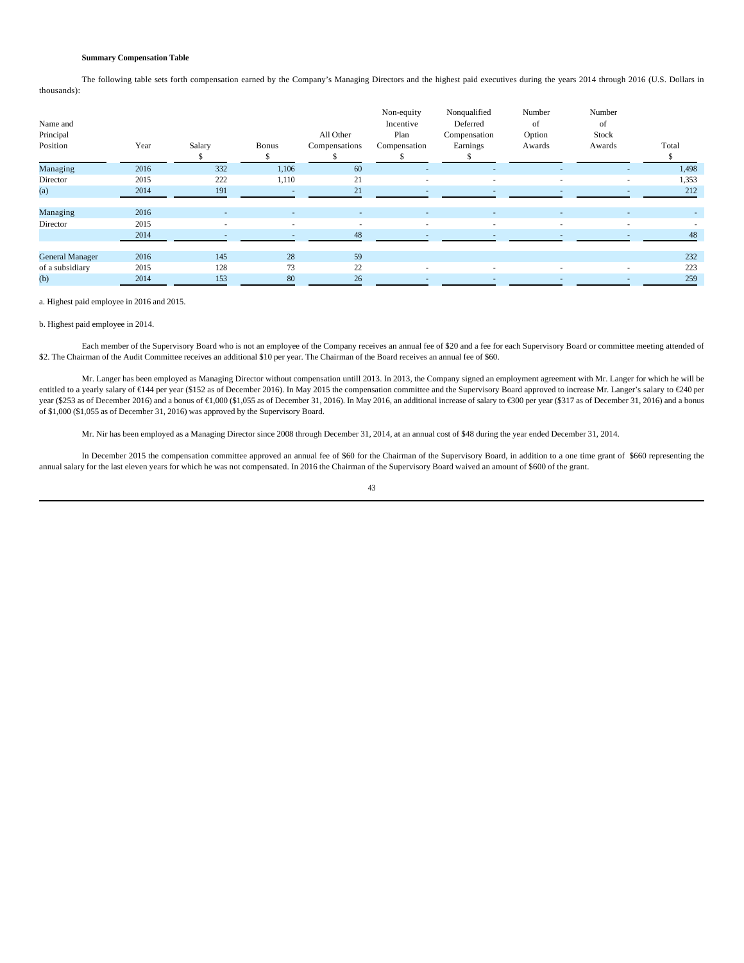### **Summary Compensation Table**

The following table sets forth compensation earned by the Company's Managing Directors and the highest paid executives during the years 2014 through 2016 (U.S. Dollars in thousands):

| Name and<br>Principal<br>Position | Year | Salary | Bonus | All Other<br>Compensations | Non-equity<br>Incentive<br>Plan<br>Compensation | Nonqualified<br>Deferred<br>Compensation<br>Earnings | Number<br>of<br>Option<br>Awards | Number<br>of<br>Stock<br>Awards | Total |
|-----------------------------------|------|--------|-------|----------------------------|-------------------------------------------------|------------------------------------------------------|----------------------------------|---------------------------------|-------|
|                                   |      |        |       |                            |                                                 |                                                      |                                  |                                 |       |
| Managing                          | 2016 | 332    | 1,106 | 60                         | ٠                                               | $\overline{a}$                                       | $\overline{\phantom{a}}$         | ٠                               | 1,498 |
| Director                          | 2015 | 222    | 1,110 | 21                         | $\overline{\phantom{a}}$                        | $\overline{\phantom{a}}$                             | $\sim$                           | $\sim$                          | 1,353 |
| (a)                               | 2014 | 191    |       | 21                         |                                                 |                                                      |                                  |                                 | 212   |
| Managing                          | 2016 |        |       | $\overline{\phantom{a}}$   |                                                 |                                                      |                                  | $\overline{\phantom{a}}$        |       |
| Director                          | 2015 | $\sim$ | ٠     | $\sim$                     | $\overline{\phantom{a}}$                        | $\sim$                                               | $\sim$                           | $\sim$                          |       |
|                                   | 2014 |        |       | 48                         |                                                 |                                                      |                                  | $\overline{\phantom{a}}$        | 48    |
| <b>General Manager</b>            | 2016 | 145    | 28    | 59                         |                                                 |                                                      |                                  |                                 | 232   |
| of a subsidiary                   | 2015 | 128    | 73    | 22                         |                                                 |                                                      |                                  | $\overline{\phantom{a}}$        | 223   |
| (b)                               | 2014 | 153    | 80    | 26                         | $\overline{\phantom{a}}$                        | $\sim$                                               | $\sim$                           | $\overline{\phantom{a}}$        | 259   |

a. Highest paid employee in 2016 and 2015.

#### b. Highest paid employee in 2014.

Each member of the Supervisory Board who is not an employee of the Company receives an annual fee of \$20 and a fee for each Supervisory Board or committee meeting attended of \$2. The Chairman of the Audit Committee receives an additional \$10 per year. The Chairman of the Board receives an annual fee of \$60.

Mr. Langer has been employed as Managing Director without compensation untill 2013. In 2013, the Company signed an employment agreement with Mr. Langer for which he will be entitled to a yearly salary of €144 per year (\$152 as of December 2016). In May 2015 the compensation committee and the Supervisory Board approved to increase Mr. Langer's salary to €240 per year (\$253 as of December 2016) and a bonus of €1,000 (\$1,055 as of December 31, 2016). In May 2016, an additional increase of salary to €300 per year (\$317 as of December 31, 2016) and a bonus of \$1,000 (\$1,055 as of December 31, 2016) was approved by the Supervisory Board.

Mr. Nir has been employed as a Managing Director since 2008 through December 31, 2014, at an annual cost of \$48 during the year ended December 31, 2014.

In December 2015 the compensation committee approved an annual fee of \$60 for the Chairman of the Supervisory Board, in addition to a one time grant of \$660 representing the annual salary for the last eleven years for which he was not compensated. In 2016 the Chairman of the Supervisory Board waived an amount of \$600 of the grant.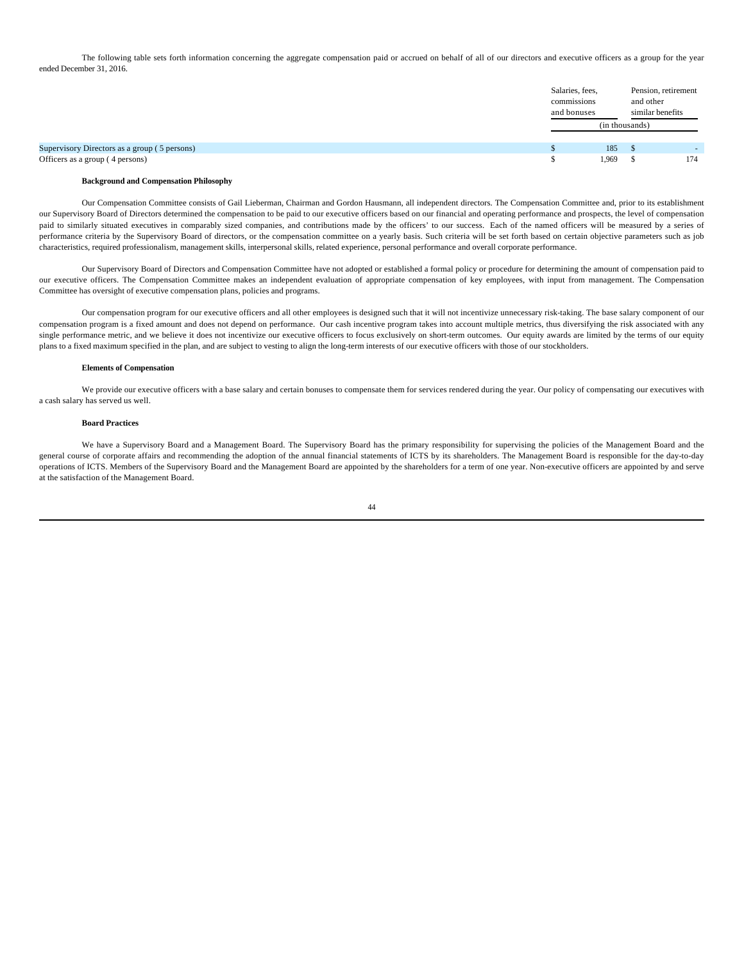The following table sets forth information concerning the aggregate compensation paid or accrued on behalf of all of our directors and executive officers as a group for the year ended December 31, 2016.

|                                              | Salaries, fees,<br>commissions<br>and bonuses |       | and other      | Pension, retirement<br>similar benefits |
|----------------------------------------------|-----------------------------------------------|-------|----------------|-----------------------------------------|
|                                              |                                               |       | (in thousands) |                                         |
| Supervisory Directors as a group (5 persons) |                                               | 185   |                |                                         |
| Officers as a group (4 persons)              |                                               | 1,969 |                | 174                                     |

### **Background and Compensation Philosophy**

Our Compensation Committee consists of Gail Lieberman, Chairman and Gordon Hausmann, all independent directors. The Compensation Committee and, prior to its establishment our Supervisory Board of Directors determined the compensation to be paid to our executive officers based on our financial and operating performance and prospects, the level of compensation paid to similarly situated executives in comparably sized companies, and contributions made by the officers' to our success. Each of the named officers will be measured by a series of performance criteria by the Supervisory Board of directors, or the compensation committee on a yearly basis. Such criteria will be set forth based on certain objective parameters such as job characteristics, required professionalism, management skills, interpersonal skills, related experience, personal performance and overall corporate performance.

Our Supervisory Board of Directors and Compensation Committee have not adopted or established a formal policy or procedure for determining the amount of compensation paid to our executive officers. The Compensation Committee makes an independent evaluation of appropriate compensation of key employees, with input from management. The Compensation Committee has oversight of executive compensation plans, policies and programs.

Our compensation program for our executive officers and all other employees is designed such that it will not incentivize unnecessary risk-taking. The base salary component of our compensation program is a fixed amount and does not depend on performance. Our cash incentive program takes into account multiple metrics, thus diversifying the risk associated with any single performance metric, and we believe it does not incentivize our executive officers to focus exclusively on short-term outcomes. Our equity awards are limited by the terms of our equity plans to a fixed maximum specified in the plan, and are subject to vesting to align the long-term interests of our executive officers with those of our stockholders.

### **Elements of Compensation**

We provide our executive officers with a base salary and certain bonuses to compensate them for services rendered during the year. Our policy of compensating our executives with a cash salary has served us well.

### **Board Practices**

We have a Supervisory Board and a Management Board. The Supervisory Board has the primary responsibility for supervising the policies of the Management Board and the general course of corporate affairs and recommending the adoption of the annual financial statements of ICTS by its shareholders. The Management Board is responsible for the day-to-day operations of ICTS. Members of the Supervisory Board and the Management Board are appointed by the shareholders for a term of one year. Non-executive officers are appointed by and serve at the satisfaction of the Management Board.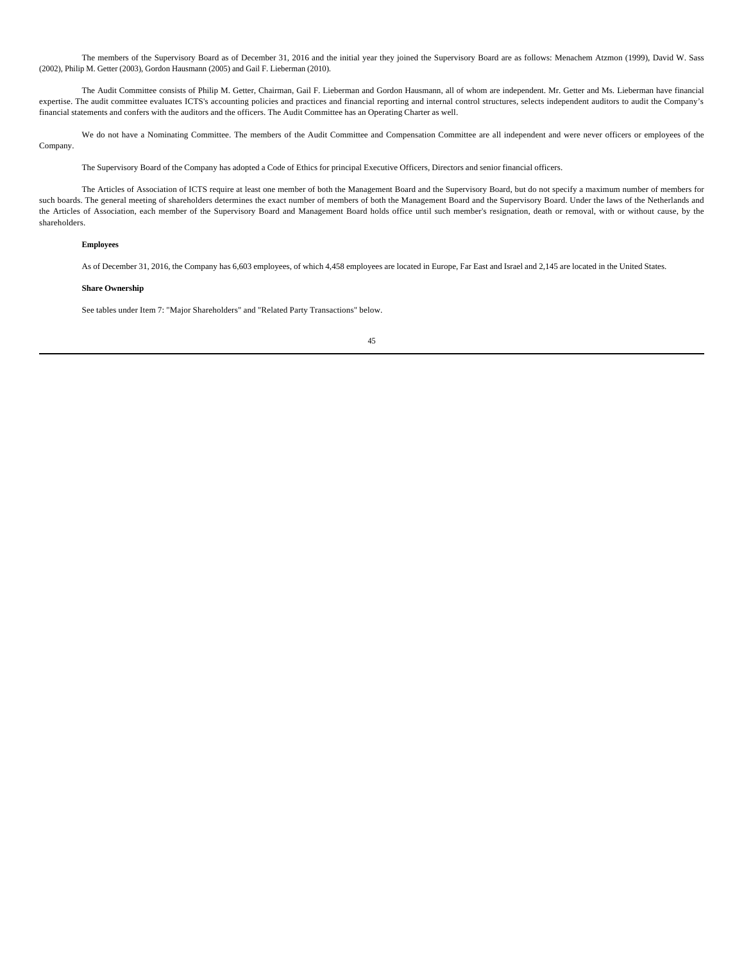The members of the Supervisory Board as of December 31, 2016 and the initial year they joined the Supervisory Board are as follows: Menachem Atzmon (1999), David W. Sass (2002), Philip M. Getter (2003), Gordon Hausmann (2005) and Gail F. Lieberman (2010).

The Audit Committee consists of Philip M. Getter, Chairman, Gail F. Lieberman and Gordon Hausmann, all of whom are independent. Mr. Getter and Ms. Lieberman have financial expertise. The audit committee evaluates ICTS's accounting policies and practices and financial reporting and internal control structures, selects independent auditors to audit the Company's financial statements and confers with the auditors and the officers. The Audit Committee has an Operating Charter as well.

We do not have a Nominating Committee. The members of the Audit Committee and Compensation Committee are all independent and were never officers or employees of the Company.

The Supervisory Board of the Company has adopted a Code of Ethics for principal Executive Officers, Directors and senior financial officers.

The Articles of Association of ICTS require at least one member of both the Management Board and the Supervisory Board, but do not specify a maximum number of members for such boards. The general meeting of shareholders determines the exact number of members of both the Management Board and the Supervisory Board. Under the laws of the Netherlands and the Articles of Association, each member of the Supervisory Board and Management Board holds office until such member's resignation, death or removal, with or without cause, by the shareholders.

### **Employees**

As of December 31, 2016, the Company has 6,603 employees, of which 4,458 employees are located in Europe, Far East and Israel and 2,145 are located in the United States.

### **Share Ownership**

See tables under Item 7: "Major Shareholders" and "Related Party Transactions" below.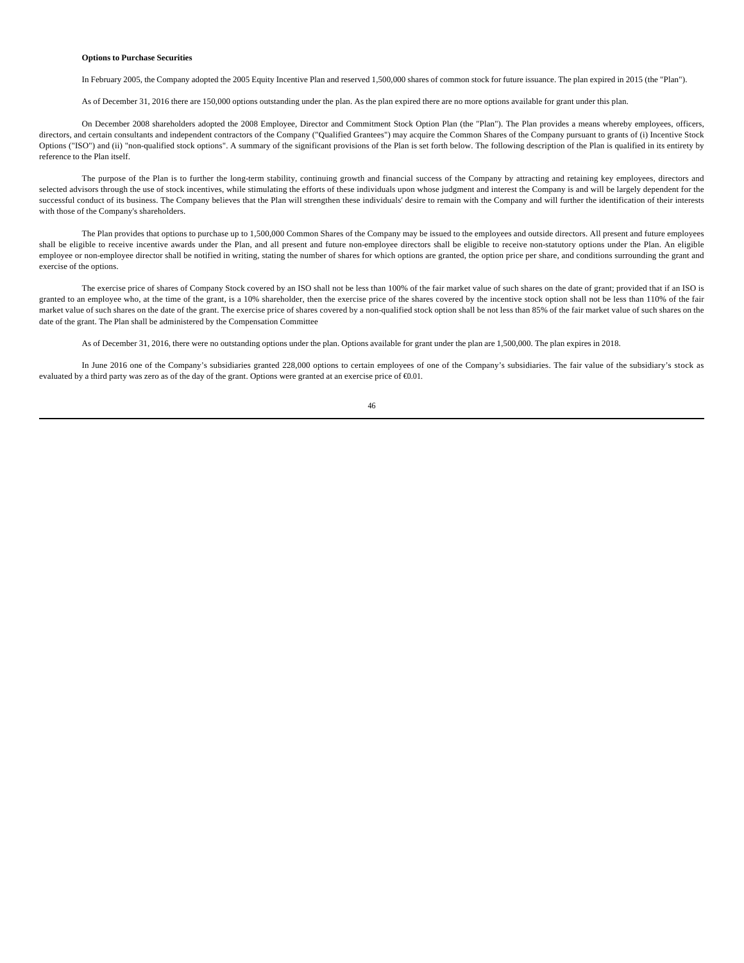#### **Options to Purchase Securities**

In February 2005, the Company adopted the 2005 Equity Incentive Plan and reserved 1,500,000 shares of common stock for future issuance. The plan expired in 2015 (the "Plan").

As of December 31, 2016 there are 150,000 options outstanding under the plan. As the plan expired there are no more options available for grant under this plan.

On December 2008 shareholders adopted the 2008 Employee, Director and Commitment Stock Option Plan (the "Plan"). The Plan provides a means whereby employees, officers, directors, and certain consultants and independent contractors of the Company ("Qualified Grantees") may acquire the Common Shares of the Company pursuant to grants of (i) Incentive Stock Options ("ISO") and (ii) "non-qualified stock options". A summary of the significant provisions of the Plan is set forth below. The following description of the Plan is qualified in its entirety by reference to the Plan itself.

The purpose of the Plan is to further the long-term stability, continuing growth and financial success of the Company by attracting and retaining key employees, directors and selected advisors through the use of stock incentives, while stimulating the efforts of these individuals upon whose judgment and interest the Company is and will be largely dependent for the successful conduct of its business. The Company believes that the Plan will strengthen these individuals' desire to remain with the Company and will further the identification of their interests with those of the Company's shareholders.

The Plan provides that options to purchase up to 1,500,000 Common Shares of the Company may be issued to the employees and outside directors. All present and future employees shall be eligible to receive incentive awards under the Plan, and all present and future non-employee directors shall be eligible to receive non-statutory options under the Plan. An eligible employee or non-employee director shall be notified in writing, stating the number of shares for which options are granted, the option price per share, and conditions surrounding the grant and exercise of the options.

The exercise price of shares of Company Stock covered by an ISO shall not be less than 100% of the fair market value of such shares on the date of grant; provided that if an ISO is granted to an employee who, at the time of the grant, is a 10% shareholder, then the exercise price of the shares covered by the incentive stock option shall not be less than 110% of the fair market value of such shares on the date of the grant. The exercise price of shares covered by a non-qualified stock option shall be not less than 85% of the fair market value of such shares on the date of the grant. The Plan shall be administered by the Compensation Committee

As of December 31, 2016, there were no outstanding options under the plan. Options available for grant under the plan are 1,500,000. The plan expires in 2018.

In June 2016 one of the Company's subsidiaries granted 228,000 options to certain employees of one of the Company's subsidiaries. The fair value of the subsidiary's stock as evaluated by a third party was zero as of the day of the grant. Options were granted at an exercise price of €0.01.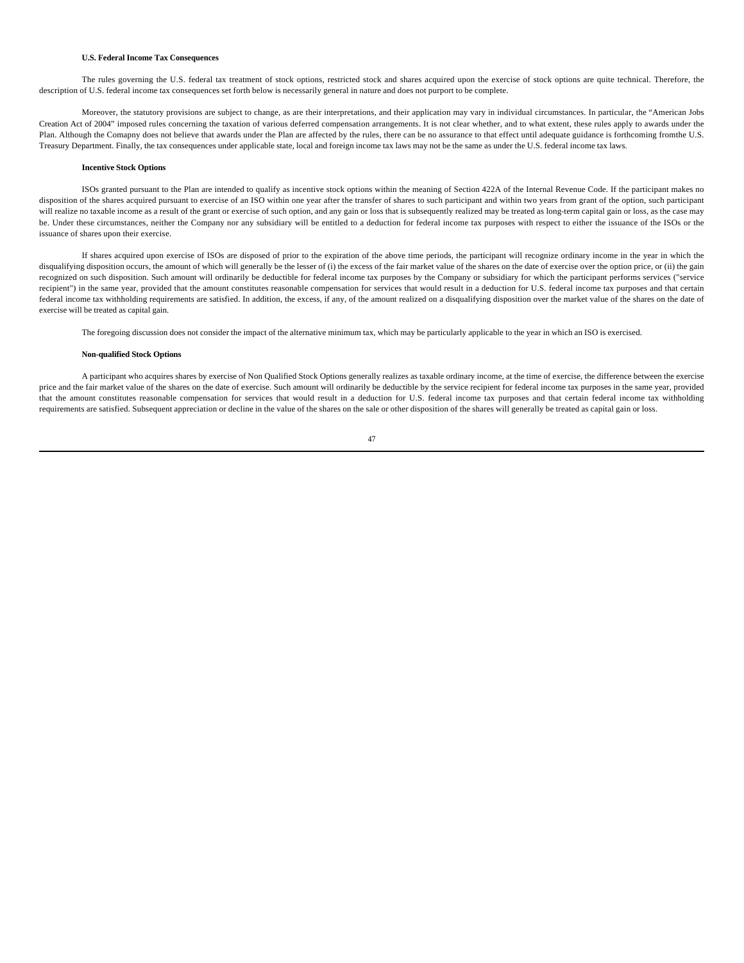### **U.S. Federal Income Tax Consequences**

The rules governing the U.S. federal tax treatment of stock options, restricted stock and shares acquired upon the exercise of stock options are quite technical. Therefore, the description of U.S. federal income tax consequences set forth below is necessarily general in nature and does not purport to be complete.

Moreover, the statutory provisions are subject to change, as are their interpretations, and their application may vary in individual circumstances. In particular, the "American Jobs Creation Act of 2004" imposed rules concerning the taxation of various deferred compensation arrangements. It is not clear whether, and to what extent, these rules apply to awards under the Plan. Although the Comapny does not believe that awards under the Plan are affected by the rules, there can be no assurance to that effect until adequate guidance is forthcoming fromthe U.S. Treasury Department. Finally, the tax consequences under applicable state, local and foreign income tax laws may not be the same as under the U.S. federal income tax laws.

### **Incentive Stock Options**

ISOs granted pursuant to the Plan are intended to qualify as incentive stock options within the meaning of Section 422A of the Internal Revenue Code. If the participant makes no disposition of the shares acquired pursuant to exercise of an ISO within one year after the transfer of shares to such participant and within two years from grant of the option, such participant will realize no taxable income as a result of the grant or exercise of such option, and any gain or loss that is subsequently realized may be treated as long-term capital gain or loss, as the case may be. Under these circumstances, neither the Company nor any subsidiary will be entitled to a deduction for federal income tax purposes with respect to either the issuance of the ISOs or the issuance of shares upon their exercise.

If shares acquired upon exercise of ISOs are disposed of prior to the expiration of the above time periods, the participant will recognize ordinary income in the year in which the disqualifying disposition occurs, the amount of which will generally be the lesser of (i) the excess of the fair market value of the shares on the date of exercise over the option price, or (ii) the gain recognized on such disposition. Such amount will ordinarily be deductible for federal income tax purposes by the Company or subsidiary for which the participant performs services ("service recipient") in the same year, provided that the amount constitutes reasonable compensation for services that would result in a deduction for U.S. federal income tax purposes and that certain federal income tax withholding requirements are satisfied. In addition, the excess, if any, of the amount realized on a disqualifying disposition over the market value of the shares on the date of exercise will be treated as capital gain.

The foregoing discussion does not consider the impact of the alternative minimum tax, which may be particularly applicable to the year in which an ISO is exercised.

#### **Non-qualified Stock Options**

A participant who acquires shares by exercise of Non Qualified Stock Options generally realizes as taxable ordinary income, at the time of exercise, the difference between the exercise price and the fair market value of the shares on the date of exercise. Such amount will ordinarily be deductible by the service recipient for federal income tax purposes in the same year, provided that the amount constitutes reasonable compensation for services that would result in a deduction for U.S. federal income tax purposes and that certain federal income tax withholding requirements are satisfied. Subsequent appreciation or decline in the value of the shares on the sale or other disposition of the shares will generally be treated as capital gain or loss.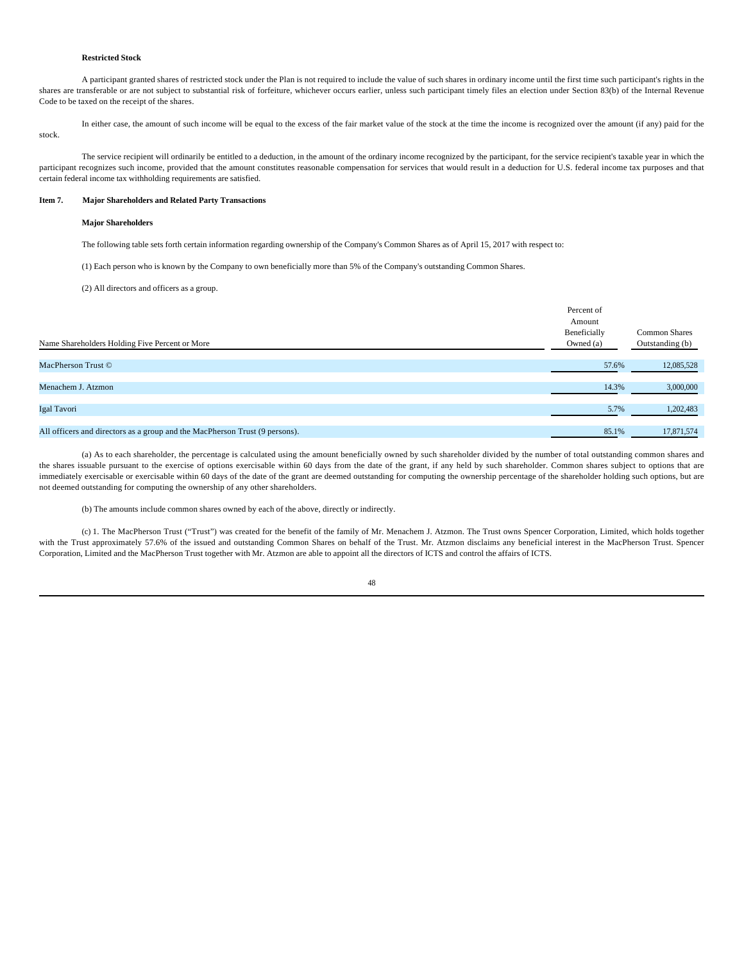#### **Restricted Stock**

A participant granted shares of restricted stock under the Plan is not required to include the value of such shares in ordinary income until the first time such participant's rights in the shares are transferable or are not subject to substantial risk of forfeiture, whichever occurs earlier, unless such participant timely files an election under Section 83(b) of the Internal Revenue Code to be taxed on the receipt of the shares.

In either case, the amount of such income will be equal to the excess of the fair market value of the stock at the time the income is recognized over the amount (if any) paid for the stock.

The service recipient will ordinarily be entitled to a deduction, in the amount of the ordinary income recognized by the participant, for the service recipient's taxable year in which the participant recognizes such income, provided that the amount constitutes reasonable compensation for services that would result in a deduction for U.S. federal income tax purposes and that certain federal income tax withholding requirements are satisfied.

### **Item 7. Major Shareholders and Related Party Transactions**

### **Major Shareholders**

The following table sets forth certain information regarding ownership of the Company's Common Shares as of April 15, 2017 with respect to:

(1) Each person who is known by the Company to own beneficially more than 5% of the Company's outstanding Common Shares.

(2) All directors and officers as a group.

| Percent of<br>Amount |                      |
|----------------------|----------------------|
| Beneficially         | <b>Common Shares</b> |
| Owned (a)            | Outstanding (b)      |
|                      |                      |
| 57.6%                | 12,085,528           |
|                      |                      |
| 14.3%                | 3,000,000            |
|                      |                      |
| 5.7%                 | 1,202,483            |
|                      |                      |
| 85.1%                | 17,871,574           |
|                      |                      |

(a) As to each shareholder, the percentage is calculated using the amount beneficially owned by such shareholder divided by the number of total outstanding common shares and the shares issuable pursuant to the exercise of options exercisable within 60 days from the date of the grant, if any held by such shareholder. Common shares subject to options that are immediately exercisable or exercisable within 60 days of the date of the grant are deemed outstanding for computing the ownership percentage of the shareholder holding such options, but are not deemed outstanding for computing the ownership of any other shareholders.

(b) The amounts include common shares owned by each of the above, directly or indirectly.

(c) 1. The MacPherson Trust ("Trust") was created for the benefit of the family of Mr. Menachem J. Atzmon. The Trust owns Spencer Corporation, Limited, which holds together with the Trust approximately 57.6% of the issued and outstanding Common Shares on behalf of the Trust. Mr. Atzmon disclaims any beneficial interest in the MacPherson Trust. Spencer Corporation, Limited and the MacPherson Trust together with Mr. Atzmon are able to appoint all the directors of ICTS and control the affairs of ICTS.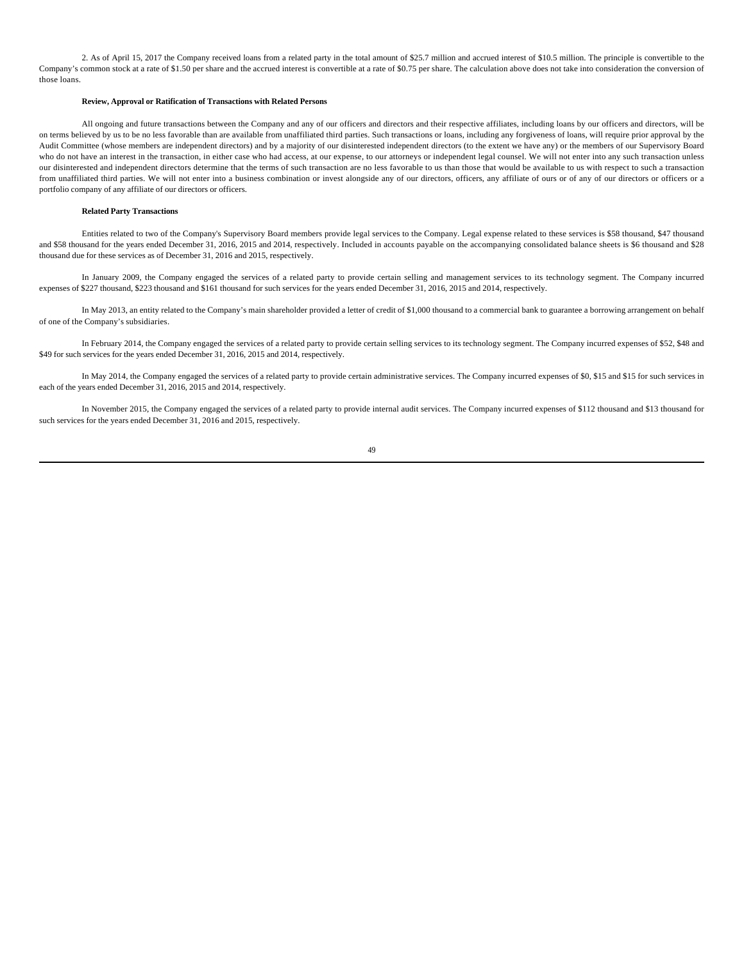2. As of April 15, 2017 the Company received loans from a related party in the total amount of \$25.7 million and accrued interest of \$10.5 million. The principle is convertible to the Company's common stock at a rate of \$1.50 per share and the accrued interest is convertible at a rate of \$0.75 per share. The calculation above does not take into consideration the conversion of those loans.

### **Review, Approval or Ratification of Transactions with Related Persons**

All ongoing and future transactions between the Company and any of our officers and directors and their respective affiliates, including loans by our officers and directors, will be on terms believed by us to be no less favorable than are available from unaffiliated third parties. Such transactions or loans, including any forgiveness of loans, will require prior approval by the Audit Committee (whose members are independent directors) and by a majority of our disinterested independent directors (to the extent we have any) or the members of our Supervisory Board who do not have an interest in the transaction, in either case who had access, at our expense, to our attorneys or independent legal counsel. We will not enter into any such transaction unless our disinterested and independent directors determine that the terms of such transaction are no less favorable to us than those that would be available to us with respect to such a transaction from unaffiliated third parties. We will not enter into a business combination or invest alongside any of our directors, officers, any affiliate of ours or of any of our directors or officers or a portfolio company of any affiliate of our directors or officers.

#### **Related Party Transactions**

Entities related to two of the Company's Supervisory Board members provide legal services to the Company. Legal expense related to these services is \$58 thousand, \$47 thousand and \$58 thousand for the years ended December 31, 2016, 2015 and 2014, respectively. Included in accounts payable on the accompanying consolidated balance sheets is \$6 thousand and \$28 thousand due for these services as of December 31, 2016 and 2015, respectively.

In January 2009, the Company engaged the services of a related party to provide certain selling and management services to its technology segment. The Company incurred expenses of \$227 thousand, \$223 thousand and \$161 thousand for such services for the years ended December 31, 2016, 2015 and 2014, respectively.

In May 2013, an entity related to the Company's main shareholder provided a letter of credit of \$1,000 thousand to a commercial bank to guarantee a borrowing arrangement on behalf of one of the Company's subsidiaries.

In February 2014, the Company engaged the services of a related party to provide certain selling services to its technology segment. The Company incurred expenses of \$52, \$48 and \$49 for such services for the years ended December 31, 2016, 2015 and 2014, respectively.

In May 2014, the Company engaged the services of a related party to provide certain administrative services. The Company incurred expenses of \$0, \$15 and \$15 for such services in each of the years ended December 31, 2016, 2015 and 2014, respectively.

In November 2015, the Company engaged the services of a related party to provide internal audit services. The Company incurred expenses of \$112 thousand and \$13 thousand for such services for the years ended December 31, 2016 and 2015, respectively.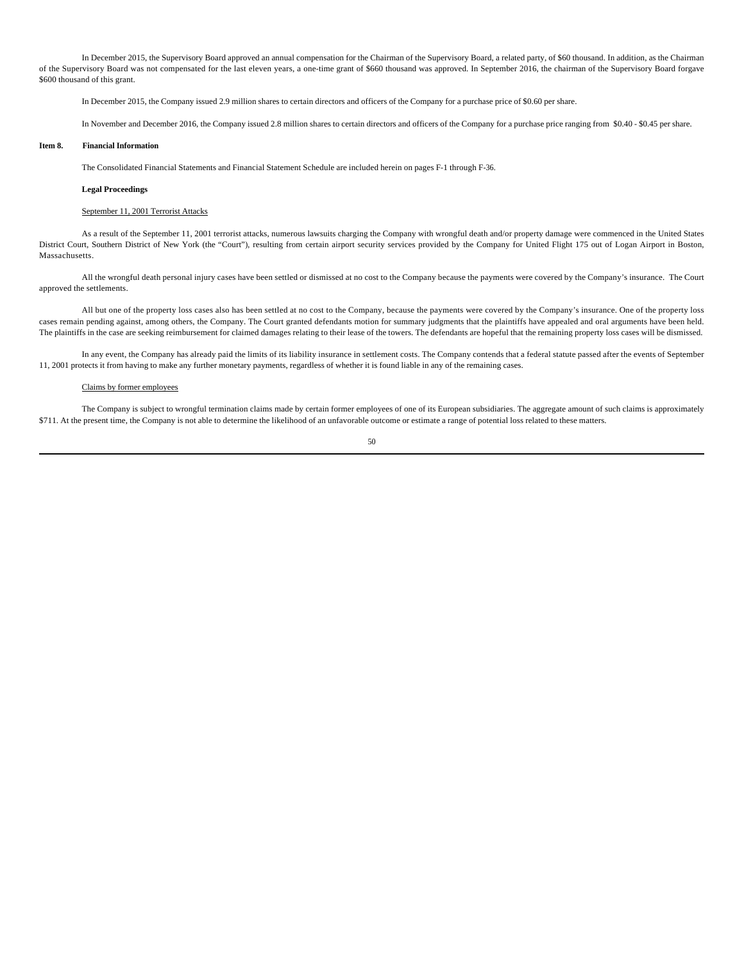In December 2015, the Supervisory Board approved an annual compensation for the Chairman of the Supervisory Board, a related party, of \$60 thousand. In addition, as the Chairman of the Supervisory Board was not compensated for the last eleven years, a one-time grant of \$660 thousand was approved. In September 2016, the chairman of the Supervisory Board forgave \$600 thousand of this grant.

In December 2015, the Company issued 2.9 million shares to certain directors and officers of the Company for a purchase price of \$0.60 per share.

In November and December 2016, the Company issued 2.8 million shares to certain directors and officers of the Company for a purchase price ranging from \$0.40 - \$0.45 per share.

### **Item 8. Financial Information**

The Consolidated Financial Statements and Financial Statement Schedule are included herein on pages F-1 through F-36.

#### **Legal Proceedings**

### September 11, 2001 Terrorist Attacks

As a result of the September 11, 2001 terrorist attacks, numerous lawsuits charging the Company with wrongful death and/or property damage were commenced in the United States District Court, Southern District of New York (the "Court"), resulting from certain airport security services provided by the Company for United Flight 175 out of Logan Airport in Boston, Massachusetts.

All the wrongful death personal injury cases have been settled or dismissed at no cost to the Company because the payments were covered by the Company's insurance. The Court approved the settlements.

All but one of the property loss cases also has been settled at no cost to the Company, because the payments were covered by the Company's insurance. One of the property loss cases remain pending against, among others, the Company. The Court granted defendants motion for summary judgments that the plaintiffs have appealed and oral arguments have been held. The plaintiffs in the case are seeking reimbursement for claimed damages relating to their lease of the towers. The defendants are hopeful that the remaining property loss cases will be dismissed.

In any event, the Company has already paid the limits of its liability insurance in settlement costs. The Company contends that a federal statute passed after the events of September 11, 2001 protects it from having to make any further monetary payments, regardless of whether it is found liable in any of the remaining cases.

### Claims by former employees

The Company is subject to wrongful termination claims made by certain former employees of one of its European subsidiaries. The aggregate amount of such claims is approximately \$711. At the present time, the Company is not able to determine the likelihood of an unfavorable outcome or estimate a range of potential loss related to these matters.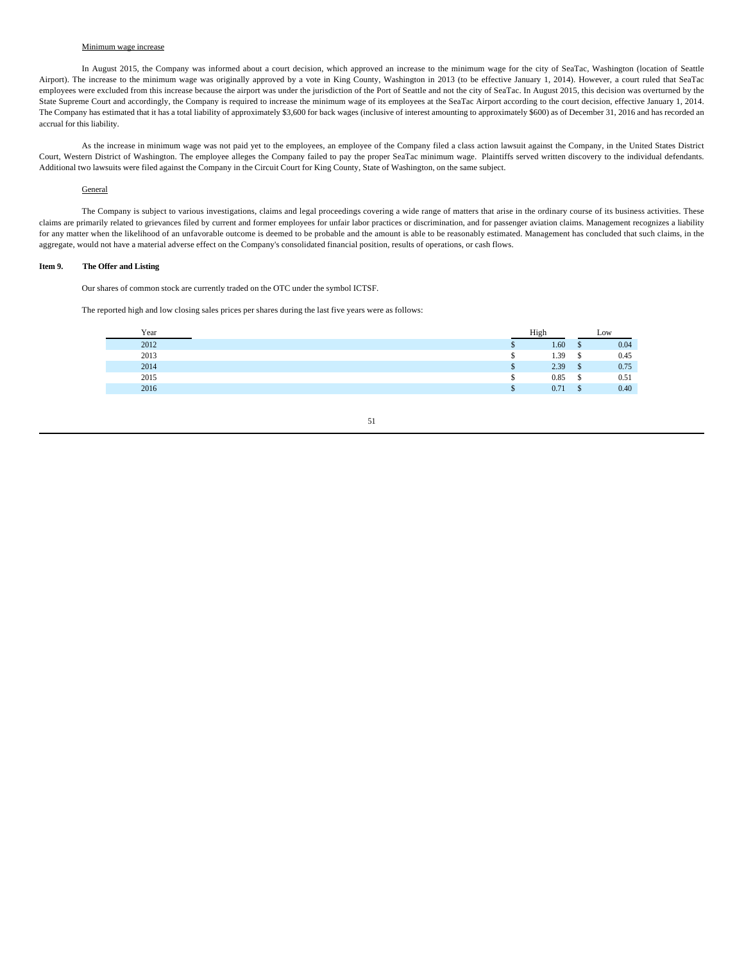### Minimum wage increase

In August 2015, the Company was informed about a court decision, which approved an increase to the minimum wage for the city of SeaTac, Washington (location of Seattle Airport). The increase to the minimum wage was originally approved by a vote in King County, Washington in 2013 (to be effective January 1, 2014). However, a court ruled that SeaTac employees were excluded from this increase because the airport was under the jurisdiction of the Port of Seattle and not the city of SeaTac. In August 2015, this decision was overturned by the State Supreme Court and accordingly, the Company is required to increase the minimum wage of its employees at the SeaTac Airport according to the court decision, effective January 1, 2014. The Company has estimated that it has a total liability of approximately \$3,600 for back wages (inclusive of interest amounting to approximately \$600) as of December 31, 2016 and has recorded an accrual for this liability.

As the increase in minimum wage was not paid yet to the employees, an employee of the Company filed a class action lawsuit against the Company, in the United States District Court, Western District of Washington. The employee alleges the Company failed to pay the proper SeaTac minimum wage. Plaintiffs served written discovery to the individual defendants. Additional two lawsuits were filed against the Company in the Circuit Court for King County, State of Washington, on the same subject.

### **General**

The Company is subject to various investigations, claims and legal proceedings covering a wide range of matters that arise in the ordinary course of its business activities. These claims are primarily related to grievances filed by current and former employees for unfair labor practices or discrimination, and for passenger aviation claims. Management recognizes a liability for any matter when the likelihood of an unfavorable outcome is deemed to be probable and the amount is able to be reasonably estimated. Management has concluded that such claims, in the aggregate, would not have a material adverse effect on the Company's consolidated financial position, results of operations, or cash flows.

### **Item 9. The Offer and Listing**

Our shares of common stock are currently traded on the OTC under the symbol ICTSF.

The reported high and low closing sales prices per shares during the last five years were as follows:

| Year | High |    | Low  |
|------|------|----|------|
| 2012 | 1.60 |    | 0.04 |
| 2013 | 1.39 |    | 0.45 |
| 2014 | 2.39 | ۰D | 0.75 |
| 2015 | 0.85 |    | 0.51 |
| 2016 | 0.71 |    | 0.40 |
|      |      |    |      |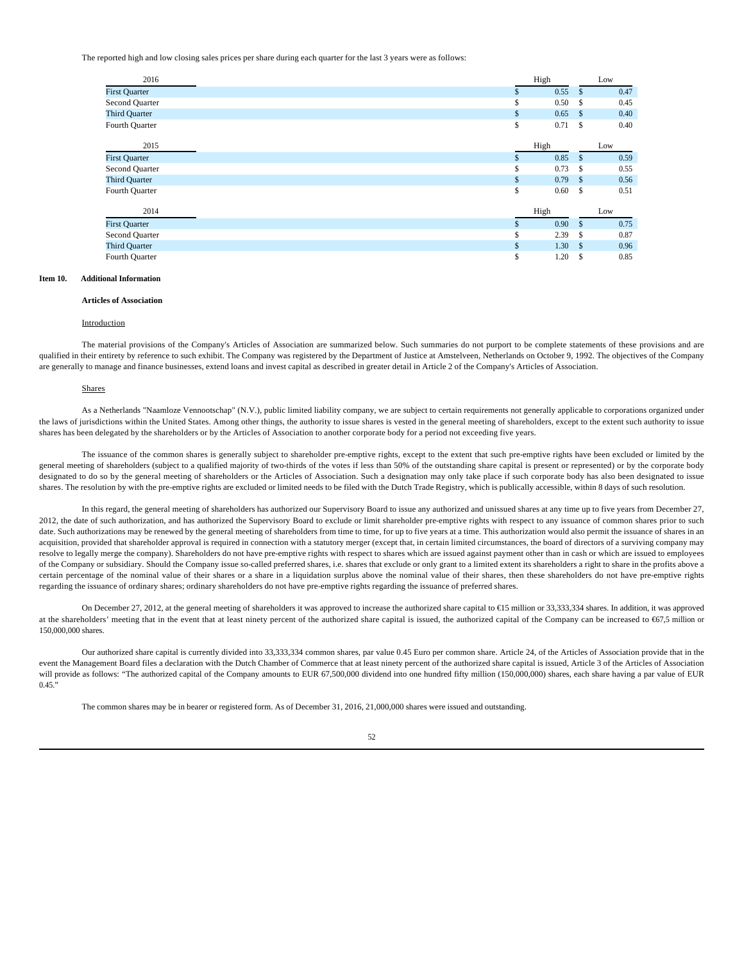The reported high and low closing sales prices per share during each quarter for the last 3 years were as follows:

| 2016                 |              | High |              | Low  |
|----------------------|--------------|------|--------------|------|
| <b>First Quarter</b> | $\mathbb{S}$ | 0.55 | \$           | 0.47 |
| Second Quarter       | \$           | 0.50 | S            | 0.45 |
| <b>Third Quarter</b> | \$           | 0.65 | \$           | 0.40 |
| Fourth Quarter       | \$           | 0.71 | S            | 0.40 |
| 2015                 |              | High |              | Low  |
| <b>First Quarter</b> | S            | 0.85 | S            | 0.59 |
| Second Quarter       | \$           | 0.73 | \$           | 0.55 |
| <b>Third Quarter</b> | \$           | 0.79 | $\mathbf{s}$ | 0.56 |
| Fourth Quarter       | \$           | 0.60 | \$           | 0.51 |
| 2014                 |              | High |              | Low  |
| <b>First Quarter</b> | \$           | 0.90 | \$           | 0.75 |
| Second Quarter       | \$           | 2.39 | S            | 0.87 |
| <b>Third Quarter</b> | \$           | 1.30 | $\mathbf{s}$ | 0.96 |
| Fourth Quarter       | \$           | 1.20 | \$           | 0.85 |

### **Item 10. Additional Information**

### **Articles of Association**

#### Introduction

The material provisions of the Company's Articles of Association are summarized below. Such summaries do not purport to be complete statements of these provisions and are qualified in their entirety by reference to such exhibit. The Company was registered by the Department of Justice at Amstelveen, Netherlands on October 9, 1992. The objectives of the Company are generally to manage and finance businesses, extend loans and invest capital as described in greater detail in Article 2 of the Company's Articles of Association.

### Shares

As a Netherlands "Naamloze Vennootschap" (N.V.), public limited liability company, we are subject to certain requirements not generally applicable to corporations organized under the laws of jurisdictions within the United States. Among other things, the authority to issue shares is vested in the general meeting of shareholders, except to the extent such authority to issue shares has been delegated by the shareholders or by the Articles of Association to another corporate body for a period not exceeding five years.

The issuance of the common shares is generally subject to shareholder pre-emptive rights, except to the extent that such pre-emptive rights have been excluded or limited by the general meeting of shareholders (subject to a qualified majority of two-thirds of the votes if less than 50% of the outstanding share capital is present or represented) or by the corporate body designated to do so by the general meeting of shareholders or the Articles of Association. Such a designation may only take place if such corporate body has also been designated to issue shares. The resolution by with the pre-emptive rights are excluded or limited needs to be filed with the Dutch Trade Registry, which is publically accessible, within 8 days of such resolution.

In this regard, the general meeting of shareholders has authorized our Supervisory Board to issue any authorized and unissued shares at any time up to five years from December 27, 2012, the date of such authorization, and has authorized the Supervisory Board to exclude or limit shareholder pre-emptive rights with respect to any issuance of common shares prior to such date. Such authorizations may be renewed by the general meeting of shareholders from time to time, for up to five years at a time. This authorization would also permit the issuance of shares in an acquisition, provided that shareholder approval is required in connection with a statutory merger (except that, in certain limited circumstances, the board of directors of a surviving company may resolve to legally merge the company). Shareholders do not have pre-emptive rights with respect to shares which are issued against payment other than in cash or which are issued to employees of the Company or subsidiary. Should the Company issue so-called preferred shares, i.e. shares that exclude or only grant to a limited extent its shareholders a right to share in the profits above a certain percentage of the nominal value of their shares or a share in a liquidation surplus above the nominal value of their shares, then these shareholders do not have pre-emptive rights regarding the issuance of ordinary shares; ordinary shareholders do not have pre-emptive rights regarding the issuance of preferred shares.

On December 27, 2012, at the general meeting of shareholders it was approved to increase the authorized share capital to €15 million or 33,333,334 shares. In addition, it was approved at the shareholders' meeting that in the event that at least ninety percent of the authorized share capital is issued, the authorized capital of the Company can be increased to €67,5 million or 150,000,000 shares.

Our authorized share capital is currently divided into 33,333,334 common shares, par value 0.45 Euro per common share. Article 24, of the Articles of Association provide that in the event the Management Board files a declaration with the Dutch Chamber of Commerce that at least ninety percent of the authorized share capital is issued, Article 3 of the Articles of Association will provide as follows: "The authorized capital of the Company amounts to EUR 67,500,000 dividend into one hundred fifty million (150,000,000) shares, each share having a par value of EUR 0.45."

The common shares may be in bearer or registered form. As of December 31, 2016, 21,000,000 shares were issued and outstanding.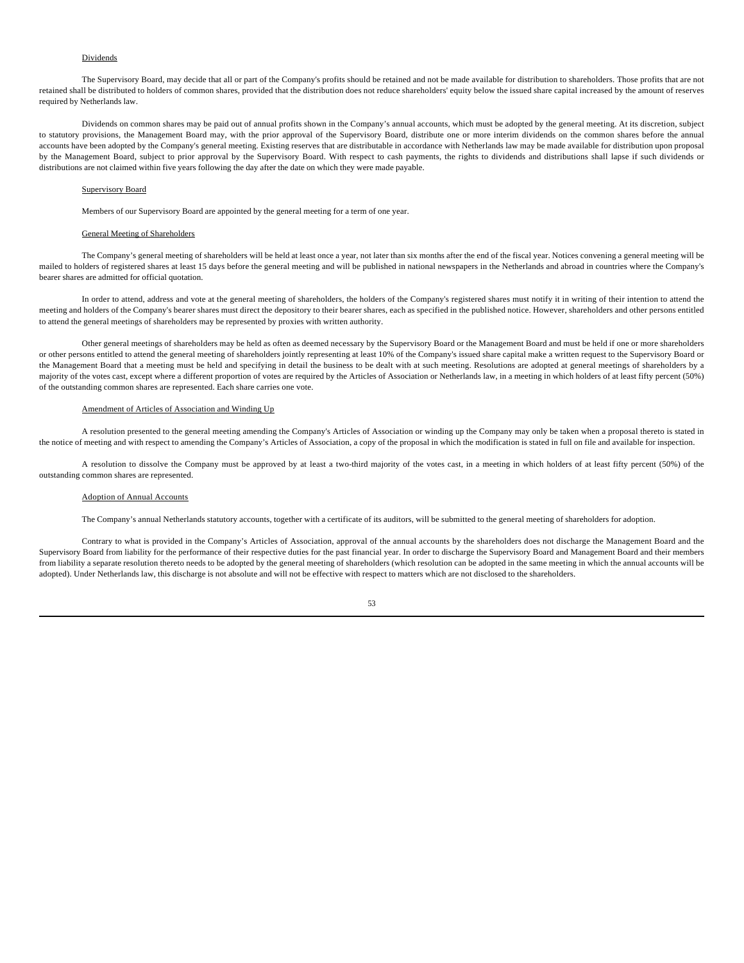### Dividends

The Supervisory Board, may decide that all or part of the Company's profits should be retained and not be made available for distribution to shareholders. Those profits that are not retained shall be distributed to holders of common shares, provided that the distribution does not reduce shareholders' equity below the issued share capital increased by the amount of reserves required by Netherlands law.

Dividends on common shares may be paid out of annual profits shown in the Company's annual accounts, which must be adopted by the general meeting. At its discretion, subject to statutory provisions, the Management Board may, with the prior approval of the Supervisory Board, distribute one or more interim dividends on the common shares before the annual accounts have been adopted by the Company's general meeting. Existing reserves that are distributable in accordance with Netherlands law may be made available for distribution upon proposal by the Management Board, subject to prior approval by the Supervisory Board. With respect to cash payments, the rights to dividends and distributions shall lapse if such dividends or distributions are not claimed within five years following the day after the date on which they were made payable.

#### Supervisory Board

Members of our Supervisory Board are appointed by the general meeting for a term of one year.

### General Meeting of Shareholders

The Company's general meeting of shareholders will be held at least once a year, not later than six months after the end of the fiscal year. Notices convening a general meeting will be mailed to holders of registered shares at least 15 days before the general meeting and will be published in national newspapers in the Netherlands and abroad in countries where the Company's bearer shares are admitted for official quotation.

In order to attend, address and vote at the general meeting of shareholders, the holders of the Company's registered shares must notify it in writing of their intention to attend the meeting and holders of the Company's bearer shares must direct the depository to their bearer shares, each as specified in the published notice. However, shareholders and other persons entitled to attend the general meetings of shareholders may be represented by proxies with written authority.

Other general meetings of shareholders may be held as often as deemed necessary by the Supervisory Board or the Management Board and must be held if one or more shareholders or other persons entitled to attend the general meeting of shareholders jointly representing at least 10% of the Company's issued share capital make a written request to the Supervisory Board or the Management Board that a meeting must be held and specifying in detail the business to be dealt with at such meeting. Resolutions are adopted at general meetings of shareholders by a majority of the votes cast, except where a different proportion of votes are required by the Articles of Association or Netherlands law, in a meeting in which holders of at least fifty percent (50%) of the outstanding common shares are represented. Each share carries one vote.

### Amendment of Articles of Association and Winding Up

A resolution presented to the general meeting amending the Company's Articles of Association or winding up the Company may only be taken when a proposal thereto is stated in the notice of meeting and with respect to amending the Company's Articles of Association, a copy of the proposal in which the modification is stated in full on file and available for inspection.

A resolution to dissolve the Company must be approved by at least a two-third majority of the votes cast, in a meeting in which holders of at least fifty percent (50%) of the outstanding common shares are represented.

### Adoption of Annual Accounts

The Company's annual Netherlands statutory accounts, together with a certificate of its auditors, will be submitted to the general meeting of shareholders for adoption.

Contrary to what is provided in the Company's Articles of Association, approval of the annual accounts by the shareholders does not discharge the Management Board and the Supervisory Board from liability for the performance of their respective duties for the past financial year. In order to discharge the Supervisory Board and Management Board and their members from liability a separate resolution thereto needs to be adopted by the general meeting of shareholders (which resolution can be adopted in the same meeting in which the annual accounts will be adopted). Under Netherlands law, this discharge is not absolute and will not be effective with respect to matters which are not disclosed to the shareholders.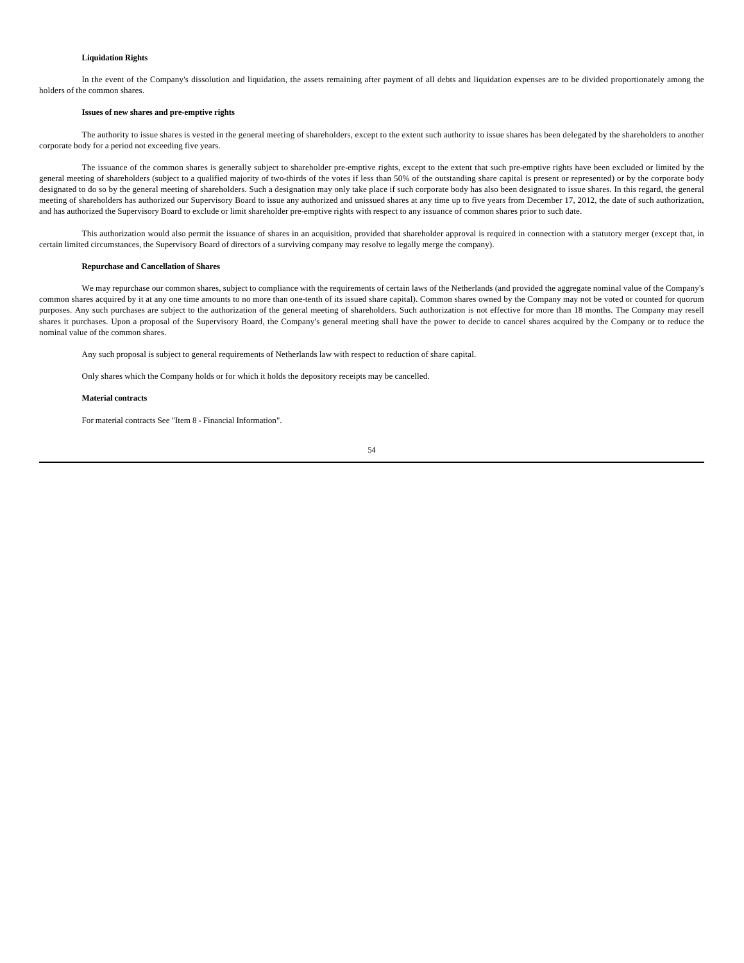### **Liquidation Rights**

In the event of the Company's dissolution and liquidation, the assets remaining after payment of all debts and liquidation expenses are to be divided proportionately among the holders of the common shares.

### **Issues of new shares and pre-emptive rights**

The authority to issue shares is vested in the general meeting of shareholders, except to the extent such authority to issue shares has been delegated by the shareholders to another corporate body for a period not exceeding five years.

The issuance of the common shares is generally subject to shareholder pre-emptive rights, except to the extent that such pre-emptive rights have been excluded or limited by the general meeting of shareholders (subject to a qualified majority of two-thirds of the votes if less than 50% of the outstanding share capital is present or represented) or by the corporate body designated to do so by the general meeting of shareholders. Such a designation may only take place if such corporate body has also been designated to issue shares. In this regard, the general meeting of shareholders has authorized our Supervisory Board to issue any authorized and unissued shares at any time up to five years from December 17, 2012, the date of such authorization, and has authorized the Supervisory Board to exclude or limit shareholder pre-emptive rights with respect to any issuance of common shares prior to such date.

This authorization would also permit the issuance of shares in an acquisition, provided that shareholder approval is required in connection with a statutory merger (except that, in certain limited circumstances, the Supervisory Board of directors of a surviving company may resolve to legally merge the company).

### **Repurchase and Cancellation of Shares**

We may repurchase our common shares, subject to compliance with the requirements of certain laws of the Netherlands (and provided the aggregate nominal value of the Company's common shares acquired by it at any one time amounts to no more than one-tenth of its issued share capital). Common shares owned by the Company may not be voted or counted for quorum purposes. Any such purchases are subject to the authorization of the general meeting of shareholders. Such authorization is not effective for more than 18 months. The Company may resell shares it purchases. Upon a proposal of the Supervisory Board, the Company's general meeting shall have the power to decide to cancel shares acquired by the Company or to reduce the nominal value of the common shares.

Any such proposal is subject to general requirements of Netherlands law with respect to reduction of share capital.

Only shares which the Company holds or for which it holds the depository receipts may be cancelled.

### **Material contracts**

For material contracts See "Item 8 - Financial Information".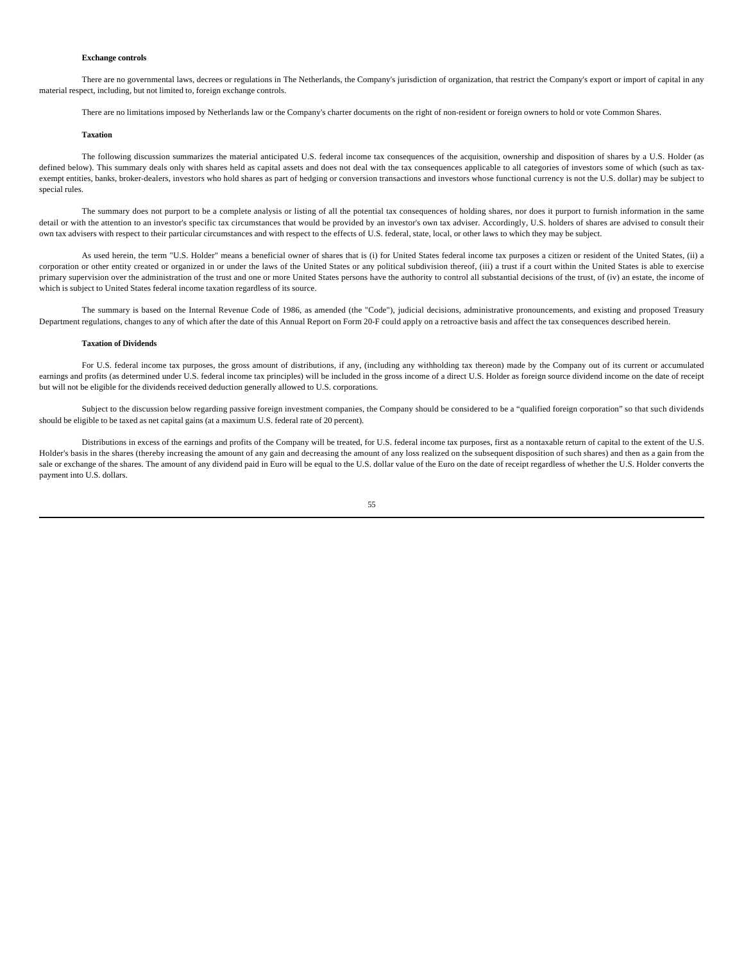#### **Exchange controls**

There are no governmental laws, decrees or regulations in The Netherlands, the Company's jurisdiction of organization, that restrict the Company's export or import of capital in any material respect, including, but not limited to, foreign exchange controls.

There are no limitations imposed by Netherlands law or the Company's charter documents on the right of non-resident or foreign owners to hold or vote Common Shares.

#### **Taxation**

The following discussion summarizes the material anticipated U.S. federal income tax consequences of the acquisition, ownership and disposition of shares by a U.S. Holder (as defined below). This summary deals only with shares held as capital assets and does not deal with the tax consequences applicable to all categories of investors some of which (such as taxexempt entities, banks, broker-dealers, investors who hold shares as part of hedging or conversion transactions and investors whose functional currency is not the U.S. dollar) may be subject to special rules.

The summary does not purport to be a complete analysis or listing of all the potential tax consequences of holding shares, nor does it purport to furnish information in the same detail or with the attention to an investor's specific tax circumstances that would be provided by an investor's own tax adviser. Accordingly, U.S. holders of shares are advised to consult their own tax advisers with respect to their particular circumstances and with respect to the effects of U.S. federal, state, local, or other laws to which they may be subject.

As used herein, the term "U.S. Holder" means a beneficial owner of shares that is (i) for United States federal income tax purposes a citizen or resident of the United States, (ii) a corporation or other entity created or organized in or under the laws of the United States or any political subdivision thereof, (iii) a trust if a court within the United States is able to exercise primary supervision over the administration of the trust and one or more United States persons have the authority to control all substantial decisions of the trust, of (iv) an estate, the income of which is subject to United States federal income taxation regardless of its source.

The summary is based on the Internal Revenue Code of 1986, as amended (the "Code"), judicial decisions, administrative pronouncements, and existing and proposed Treasury Department regulations, changes to any of which after the date of this Annual Report on Form 20-F could apply on a retroactive basis and affect the tax consequences described herein.

### **Taxation of Dividends**

For U.S. federal income tax purposes, the gross amount of distributions, if any, (including any withholding tax thereon) made by the Company out of its current or accumulated earnings and profits (as determined under U.S. federal income tax principles) will be included in the gross income of a direct U.S. Holder as foreign source dividend income on the date of receipt but will not be eligible for the dividends received deduction generally allowed to U.S. corporations.

Subject to the discussion below regarding passive foreign investment companies, the Company should be considered to be a "qualified foreign corporation" so that such dividends should be eligible to be taxed as net capital gains (at a maximum U.S. federal rate of 20 percent).

Distributions in excess of the earnings and profits of the Company will be treated, for U.S. federal income tax purposes, first as a nontaxable return of capital to the extent of the U.S. Holder's basis in the shares (thereby increasing the amount of any gain and decreasing the amount of any loss realized on the subsequent disposition of such shares) and then as a gain from the sale or exchange of the shares. The amount of any dividend paid in Euro will be equal to the U.S. dollar value of the Euro on the date of receipt regardless of whether the U.S. Holder converts the payment into U.S. dollars.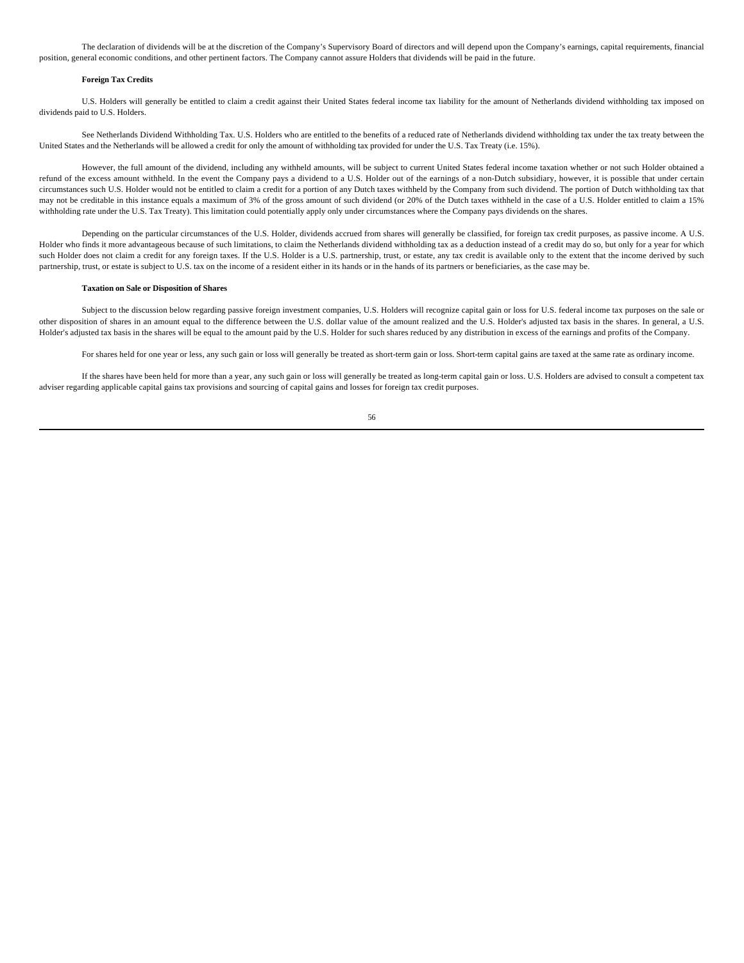The declaration of dividends will be at the discretion of the Company's Supervisory Board of directors and will depend upon the Company's earnings, capital requirements, financial position, general economic conditions, and other pertinent factors. The Company cannot assure Holders that dividends will be paid in the future.

#### **Foreign Tax Credits**

U.S. Holders will generally be entitled to claim a credit against their United States federal income tax liability for the amount of Netherlands dividend withholding tax imposed on dividends paid to U.S. Holders.

See Netherlands Dividend Withholding Tax. U.S. Holders who are entitled to the benefits of a reduced rate of Netherlands dividend withholding tax under the tax treaty between the United States and the Netherlands will be allowed a credit for only the amount of withholding tax provided for under the U.S. Tax Treaty (i.e. 15%).

However, the full amount of the dividend, including any withheld amounts, will be subject to current United States federal income taxation whether or not such Holder obtained a refund of the excess amount withheld. In the event the Company pays a dividend to a U.S. Holder out of the earnings of a non-Dutch subsidiary, however, it is possible that under certain circumstances such U.S. Holder would not be entitled to claim a credit for a portion of any Dutch taxes withheld by the Company from such dividend. The portion of Dutch withholding tax that may not be creditable in this instance equals a maximum of 3% of the gross amount of such dividend (or 20% of the Dutch taxes withheld in the case of a U.S. Holder entitled to claim a 15% withholding rate under the U.S. Tax Treaty). This limitation could potentially apply only under circumstances where the Company pays dividends on the shares.

Depending on the particular circumstances of the U.S. Holder, dividends accrued from shares will generally be classified, for foreign tax credit purposes, as passive income. A U.S. Holder who finds it more advantageous because of such limitations, to claim the Netherlands dividend withholding tax as a deduction instead of a credit may do so, but only for a year for which such Holder does not claim a credit for any foreign taxes. If the U.S. Holder is a U.S. partnership, trust, or estate, any tax credit is available only to the extent that the income derived by such partnership, trust, or estate is subject to U.S. tax on the income of a resident either in its hands or in the hands of its partners or beneficiaries, as the case may be.

#### **Taxation on Sale or Disposition of Shares**

Subject to the discussion below regarding passive foreign investment companies, U.S. Holders will recognize capital gain or loss for U.S. federal income tax purposes on the sale or other disposition of shares in an amount equal to the difference between the U.S. dollar value of the amount realized and the U.S. Holder's adjusted tax basis in the shares. In general, a U.S. Holder's adjusted tax basis in the shares will be equal to the amount paid by the U.S. Holder for such shares reduced by any distribution in excess of the earnings and profits of the Company.

For shares held for one year or less, any such gain or loss will generally be treated as short-term gain or loss. Short-term capital gains are taxed at the same rate as ordinary income.

If the shares have been held for more than a year, any such gain or loss will generally be treated as long-term capital gain or loss. U.S. Holders are advised to consult a competent tax adviser regarding applicable capital gains tax provisions and sourcing of capital gains and losses for foreign tax credit purposes.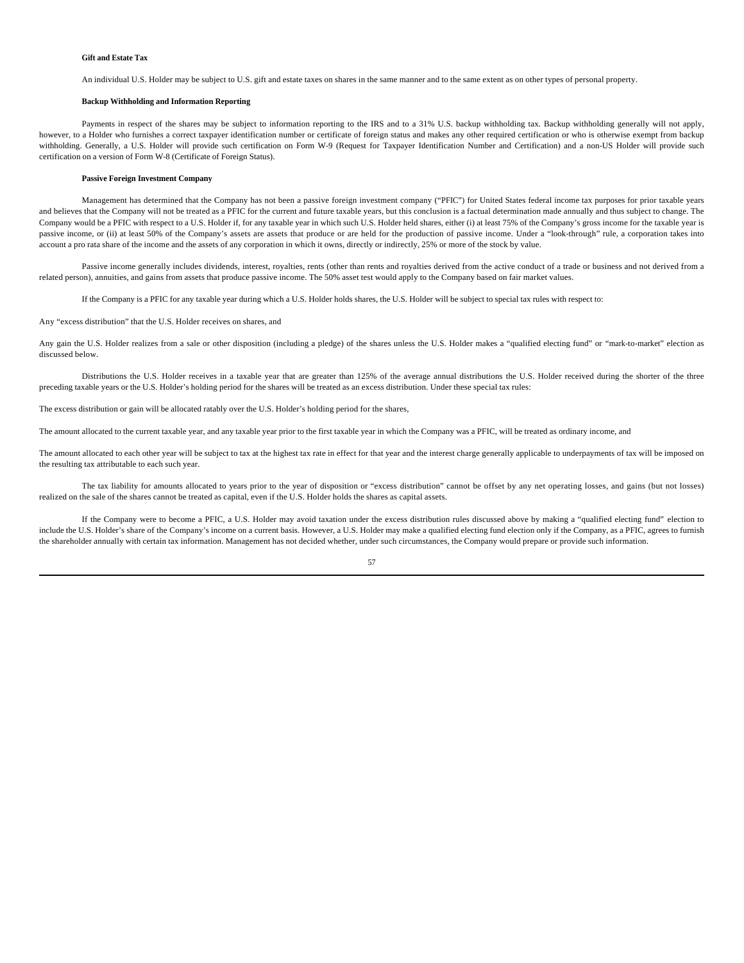#### **Gift and Estate Tax**

An individual U.S. Holder may be subject to U.S. gift and estate taxes on shares in the same manner and to the same extent as on other types of personal property.

### **Backup Withholding and Information Reporting**

Payments in respect of the shares may be subject to information reporting to the IRS and to a 31% U.S. backup withholding tax. Backup withholding generally will not apply, however, to a Holder who furnishes a correct taxpayer identification number or certificate of foreign status and makes any other required certification or who is otherwise exempt from backup withholding. Generally, a U.S. Holder will provide such certification on Form W-9 (Request for Taxpayer Identification Number and Certification) and a non-US Holder will provide such certification on a version of Form W-8 (Certificate of Foreign Status).

#### **Passive Foreign Investment Company**

Management has determined that the Company has not been a passive foreign investment company ("PFIC") for United States federal income tax purposes for prior taxable years and believes that the Company will not be treated as a PFIC for the current and future taxable years, but this conclusion is a factual determination made annually and thus subject to change. The Company would be a PFIC with respect to a U.S. Holder if, for any taxable year in which such U.S. Holder held shares, either (i) at least 75% of the Company's gross income for the taxable year is passive income, or (ii) at least 50% of the Company's assets are assets that produce or are held for the production of passive income. Under a "look-through" rule, a corporation takes into account a pro rata share of the income and the assets of any corporation in which it owns, directly or indirectly, 25% or more of the stock by value.

Passive income generally includes dividends, interest, royalties, rents (other than rents and royalties derived from the active conduct of a trade or business and not derived from a related person), annuities, and gains from assets that produce passive income. The 50% asset test would apply to the Company based on fair market values.

If the Company is a PFIC for any taxable year during which a U.S. Holder holds shares, the U.S. Holder will be subject to special tax rules with respect to:

Any "excess distribution" that the U.S. Holder receives on shares, and

Any gain the U.S. Holder realizes from a sale or other disposition (including a pledge) of the shares unless the U.S. Holder makes a "qualified electing fund" or "mark-to-market" election as discussed below.

Distributions the U.S. Holder receives in a taxable year that are greater than 125% of the average annual distributions the U.S. Holder received during the shorter of the three preceding taxable years or the U.S. Holder's holding period for the shares will be treated as an excess distribution. Under these special tax rules:

The excess distribution or gain will be allocated ratably over the U.S. Holder's holding period for the shares,

The amount allocated to the current taxable year, and any taxable year prior to the first taxable year in which the Company was a PFIC, will be treated as ordinary income, and

The amount allocated to each other year will be subject to tax at the highest tax rate in effect for that year and the interest charge generally applicable to underpayments of tax will be imposed on the resulting tax attributable to each such year.

The tax liability for amounts allocated to years prior to the year of disposition or "excess distribution" cannot be offset by any net operating losses, and gains (but not losses) realized on the sale of the shares cannot be treated as capital, even if the U.S. Holder holds the shares as capital assets.

If the Company were to become a PFIC, a U.S. Holder may avoid taxation under the excess distribution rules discussed above by making a "qualified electing fund" election to include the U.S. Holder's share of the Company's income on a current basis. However, a U.S. Holder may make a qualified electing fund election only if the Company, as a PFIC, agrees to furnish the shareholder annually with certain tax information. Management has not decided whether, under such circumstances, the Company would prepare or provide such information.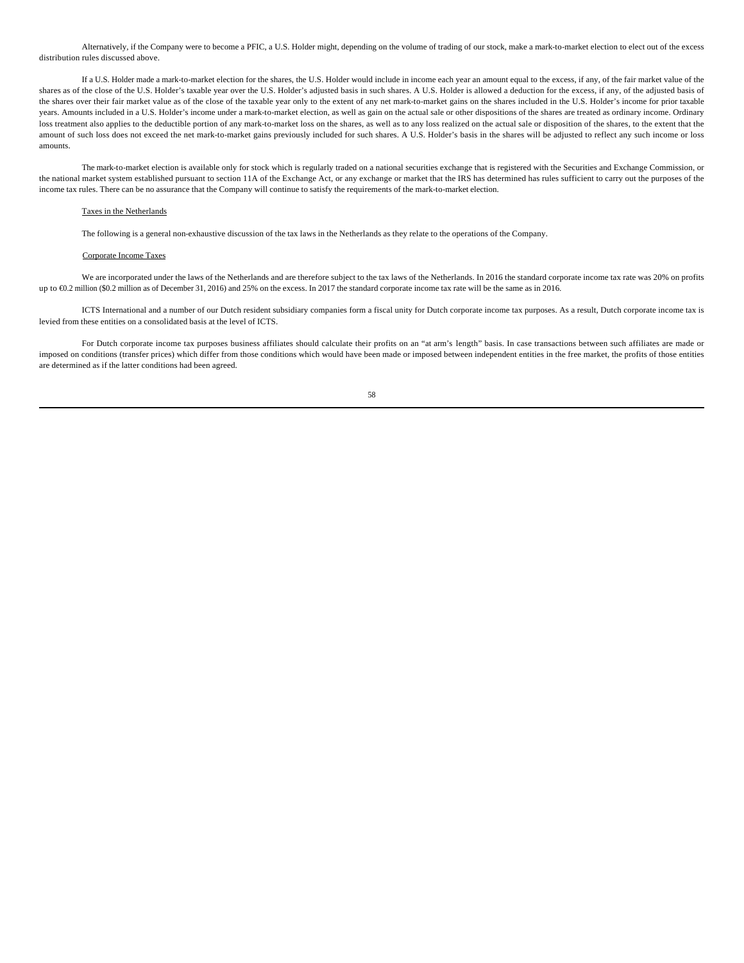Alternatively, if the Company were to become a PFIC, a U.S. Holder might, depending on the volume of trading of our stock, make a mark-to-market election to elect out of the excess distribution rules discussed above.

If a U.S. Holder made a mark-to-market election for the shares, the U.S. Holder would include in income each year an amount equal to the excess, if any, of the fair market value of the shares as of the close of the U.S. Holder's taxable year over the U.S. Holder's adjusted basis in such shares. A U.S. Holder is allowed a deduction for the excess, if any, of the adjusted basis of the shares over their fair market value as of the close of the taxable year only to the extent of any net mark-to-market gains on the shares included in the U.S. Holder's income for prior taxable years. Amounts included in a U.S. Holder's income under a mark-to-market election, as well as gain on the actual sale or other dispositions of the shares are treated as ordinary income. Ordinary loss treatment also applies to the deductible portion of any mark-to-market loss on the shares, as well as to any loss realized on the actual sale or disposition of the shares, to the extent that the amount of such loss does not exceed the net mark-to-market gains previously included for such shares. A U.S. Holder's basis in the shares will be adjusted to reflect any such income or loss amounts.

The mark-to-market election is available only for stock which is regularly traded on a national securities exchange that is registered with the Securities and Exchange Commission, or the national market system established pursuant to section 11A of the Exchange Act, or any exchange or market that the IRS has determined has rules sufficient to carry out the purposes of the income tax rules. There can be no assurance that the Company will continue to satisfy the requirements of the mark-to-market election.

### Taxes in the Netherlands

The following is a general non-exhaustive discussion of the tax laws in the Netherlands as they relate to the operations of the Company.

### Corporate Income Taxes

We are incorporated under the laws of the Netherlands and are therefore subject to the tax laws of the Netherlands. In 2016 the standard corporate income tax rate was 20% on profits up to  $60.2$  million (\$0.2 million as of December 31, 2016) and 25% on the excess. In 2017 the standard corporate income tax rate will be the same as in 2016.

ICTS International and a number of our Dutch resident subsidiary companies form a fiscal unity for Dutch corporate income tax purposes. As a result, Dutch corporate income tax is levied from these entities on a consolidated basis at the level of ICTS.

For Dutch corporate income tax purposes business affiliates should calculate their profits on an "at arm's length" basis. In case transactions between such affiliates are made or imposed on conditions (transfer prices) which differ from those conditions which would have been made or imposed between independent entities in the free market, the profits of those entities are determined as if the latter conditions had been agreed.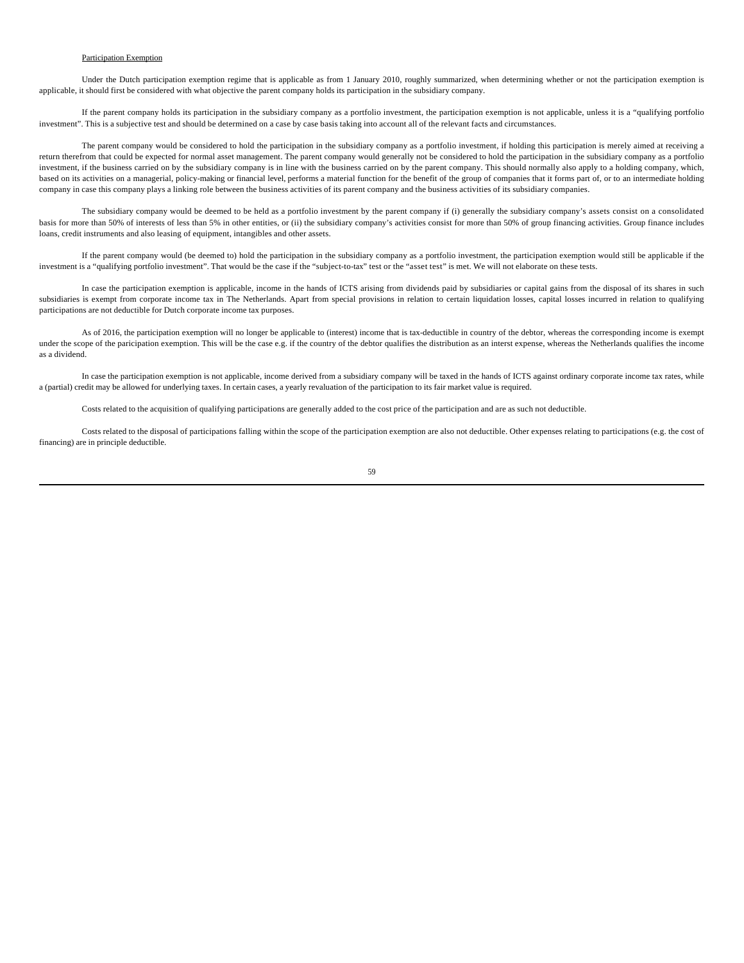### Participation Exemption

Under the Dutch participation exemption regime that is applicable as from 1 January 2010, roughly summarized, when determining whether or not the participation exemption is applicable, it should first be considered with what objective the parent company holds its participation in the subsidiary company.

If the parent company holds its participation in the subsidiary company as a portfolio investment, the participation exemption is not applicable, unless it is a "qualifying portfolio investment". This is a subjective test and should be determined on a case by case basis taking into account all of the relevant facts and circumstances.

The parent company would be considered to hold the participation in the subsidiary company as a portfolio investment, if holding this participation is merely aimed at receiving a return therefrom that could be expected for normal asset management. The parent company would generally not be considered to hold the participation in the subsidiary company as a portfolio investment, if the business carried on by the subsidiary company is in line with the business carried on by the parent company. This should normally also apply to a holding company, which, based on its activities on a managerial, policy-making or financial level, performs a material function for the benefit of the group of companies that it forms part of, or to an intermediate holding company in case this company plays a linking role between the business activities of its parent company and the business activities of its subsidiary companies.

The subsidiary company would be deemed to be held as a portfolio investment by the parent company if (i) generally the subsidiary company's assets consist on a consolidated basis for more than 50% of interests of less than 5% in other entities, or (ii) the subsidiary company's activities consist for more than 50% of group financing activities. Group finance includes loans, credit instruments and also leasing of equipment, intangibles and other assets.

If the parent company would (be deemed to) hold the participation in the subsidiary company as a portfolio investment, the participation exemption would still be applicable if the investment is a "qualifying portfolio investment". That would be the case if the "subject-to-tax" test or the "asset test" is met. We will not elaborate on these tests.

In case the participation exemption is applicable, income in the hands of ICTS arising from dividends paid by subsidiaries or capital gains from the disposal of its shares in such subsidiaries is exempt from corporate income tax in The Netherlands. Apart from special provisions in relation to certain liquidation losses, capital losses incurred in relation to qualifying participations are not deductible for Dutch corporate income tax purposes.

As of 2016, the participation exemption will no longer be applicable to (interest) income that is tax-deductible in country of the debtor, whereas the corresponding income is exempt under the scope of the paricipation exemption. This will be the case e.g. if the country of the debtor qualifies the distribution as an interst expense, whereas the Netherlands qualifies the income as a dividend.

In case the participation exemption is not applicable, income derived from a subsidiary company will be taxed in the hands of ICTS against ordinary corporate income tax rates, while a (partial) credit may be allowed for underlying taxes. In certain cases, a yearly revaluation of the participation to its fair market value is required.

Costs related to the acquisition of qualifying participations are generally added to the cost price of the participation and are as such not deductible.

Costs related to the disposal of participations falling within the scope of the participation exemption are also not deductible. Other expenses relating to participations (e.g. the cost of financing) are in principle deductible.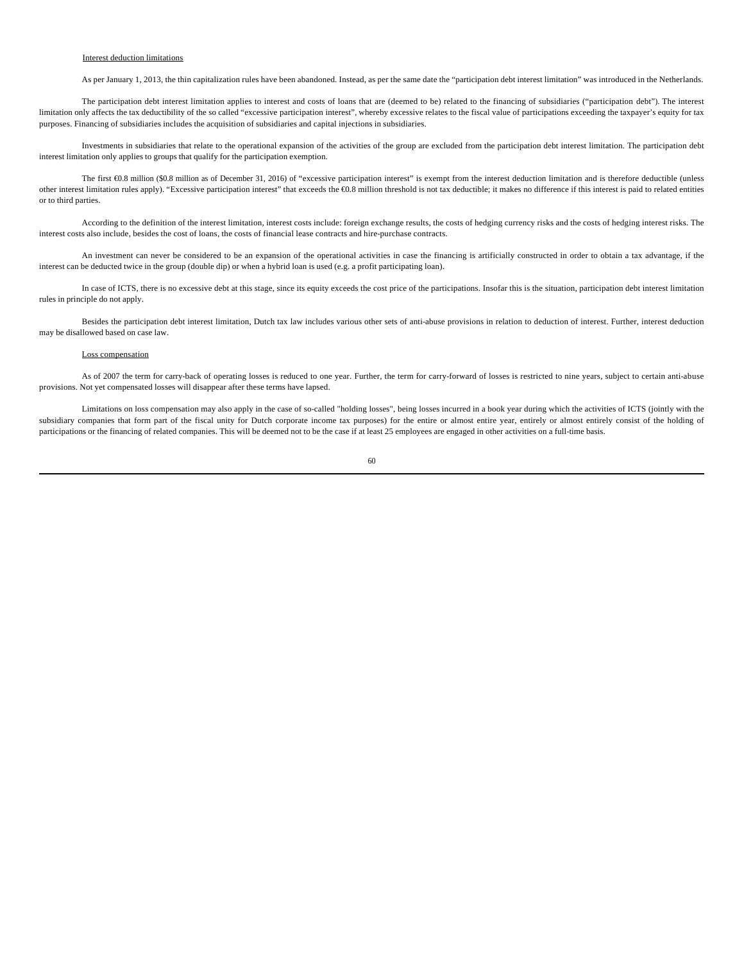### Interest deduction limitations

As per January 1, 2013, the thin capitalization rules have been abandoned. Instead, as per the same date the "participation debt interest limitation" was introduced in the Netherlands.

The participation debt interest limitation applies to interest and costs of loans that are (deemed to be) related to the financing of subsidiaries ("participation debt"). The interest limitation only affects the tax deductibility of the so called "excessive participation interest", whereby excessive relates to the fiscal value of participations exceeding the taxpayer's equity for tax purposes. Financing of subsidiaries includes the acquisition of subsidiaries and capital injections in subsidiaries.

Investments in subsidiaries that relate to the operational expansion of the activities of the group are excluded from the participation debt interest limitation. The participation debt interest limitation only applies to groups that qualify for the participation exemption.

The first  $60.8$  million (\$0.8 million as of December 31, 2016) of "excessive participation interest" is exempt from the interest deduction limitation and is therefore deductible (unless other interest limitation rules apply). "Excessive participation interest" that exceeds the €0.8 million threshold is not tax deductible; it makes no difference if this interest is paid to related entities or to third parties.

According to the definition of the interest limitation, interest costs include: foreign exchange results, the costs of hedging currency risks and the costs of hedging interest risks. The interest costs also include, besides the cost of loans, the costs of financial lease contracts and hire-purchase contracts.

An investment can never be considered to be an expansion of the operational activities in case the financing is artificially constructed in order to obtain a tax advantage, if the interest can be deducted twice in the group (double dip) or when a hybrid loan is used (e.g. a profit participating loan).

In case of ICTS, there is no excessive debt at this stage, since its equity exceeds the cost price of the participations. Insofar this is the situation, participation debt interest limitation rules in principle do not apply.

Besides the participation debt interest limitation, Dutch tax law includes various other sets of anti-abuse provisions in relation to deduction of interest. Further, interest deduction may be disallowed based on case law.

#### Loss compensation

As of 2007 the term for carry-back of operating losses is reduced to one year. Further, the term for carry-forward of losses is restricted to nine years, subject to certain anti-abuse provisions. Not yet compensated losses will disappear after these terms have lapsed.

Limitations on loss compensation may also apply in the case of so-called "holding losses", being losses incurred in a book year during which the activities of ICTS (jointly with the subsidiary companies that form part of the fiscal unity for Dutch corporate income tax purposes) for the entire or almost entire year, entirely or almost entirely consist of the holding of participations or the financing of related companies. This will be deemed not to be the case if at least 25 employees are engaged in other activities on a full-time basis.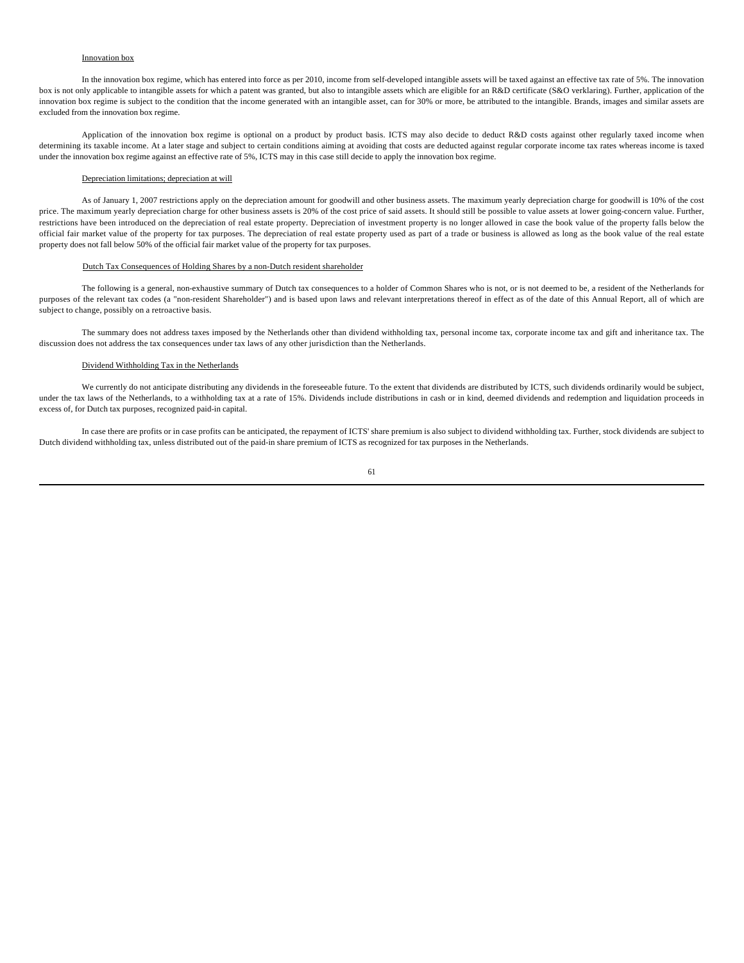### Innovation box

In the innovation box regime, which has entered into force as per 2010, income from self-developed intangible assets will be taxed against an effective tax rate of 5%. The innovation box is not only applicable to intangible assets for which a patent was granted, but also to intangible assets which are eligible for an R&D certificate (S&O verklaring). Further, application of the innovation box regime is subject to the condition that the income generated with an intangible asset, can for 30% or more, be attributed to the intangible. Brands, images and similar assets are excluded from the innovation box regime.

Application of the innovation box regime is optional on a product by product basis. ICTS may also decide to deduct R&D costs against other regularly taxed income when determining its taxable income. At a later stage and subject to certain conditions aiming at avoiding that costs are deducted against regular corporate income tax rates whereas income is taxed under the innovation box regime against an effective rate of 5%, ICTS may in this case still decide to apply the innovation box regime.

### Depreciation limitations; depreciation at will

As of January 1, 2007 restrictions apply on the depreciation amount for goodwill and other business assets. The maximum yearly depreciation charge for goodwill is 10% of the cost price. The maximum yearly depreciation charge for other business assets is 20% of the cost price of said assets. It should still be possible to value assets at lower going-concern value. Further, restrictions have been introduced on the depreciation of real estate property. Depreciation of investment property is no longer allowed in case the book value of the property falls below the official fair market value of the property for tax purposes. The depreciation of real estate property used as part of a trade or business is allowed as long as the book value of the real estate property does not fall below 50% of the official fair market value of the property for tax purposes.

### Dutch Tax Consequences of Holding Shares by a non-Dutch resident shareholder

The following is a general, non-exhaustive summary of Dutch tax consequences to a holder of Common Shares who is not, or is not deemed to be, a resident of the Netherlands for purposes of the relevant tax codes (a "non-resident Shareholder") and is based upon laws and relevant interpretations thereof in effect as of the date of this Annual Report, all of which are subject to change, possibly on a retroactive basis.

The summary does not address taxes imposed by the Netherlands other than dividend withholding tax, personal income tax, corporate income tax and gift and inheritance tax. The discussion does not address the tax consequences under tax laws of any other jurisdiction than the Netherlands.

### Dividend Withholding Tax in the Netherlands

We currently do not anticipate distributing any dividends in the foreseeable future. To the extent that dividends are distributed by ICTS, such dividends ordinarily would be subject, under the tax laws of the Netherlands, to a withholding tax at a rate of 15%. Dividends include distributions in cash or in kind, deemed dividends and redemption and liquidation proceeds in excess of, for Dutch tax purposes, recognized paid-in capital.

In case there are profits or in case profits can be anticipated, the repayment of ICTS' share premium is also subject to dividend withholding tax. Further, stock dividends are subject to Dutch dividend withholding tax, unless distributed out of the paid-in share premium of ICTS as recognized for tax purposes in the Netherlands.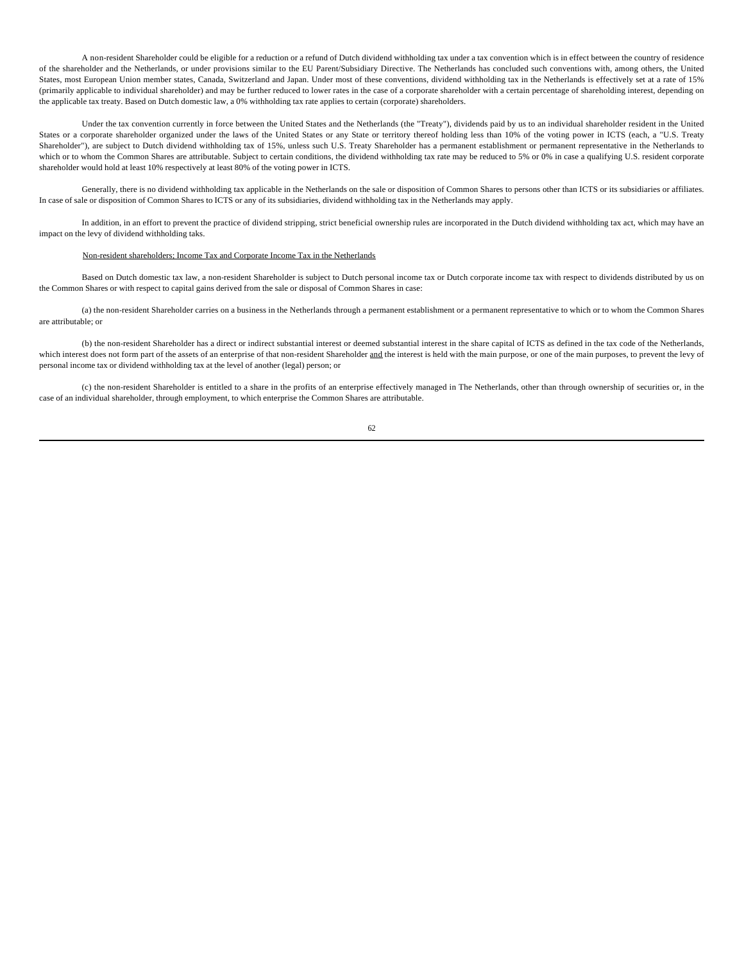A non-resident Shareholder could be eligible for a reduction or a refund of Dutch dividend withholding tax under a tax convention which is in effect between the country of residence of the shareholder and the Netherlands, or under provisions similar to the EU Parent/Subsidiary Directive. The Netherlands has concluded such conventions with, among others, the United States, most European Union member states, Canada, Switzerland and Japan. Under most of these conventions, dividend withholding tax in the Netherlands is effectively set at a rate of 15% (primarily applicable to individual shareholder) and may be further reduced to lower rates in the case of a corporate shareholder with a certain percentage of shareholding interest, depending on the applicable tax treaty. Based on Dutch domestic law, a 0% withholding tax rate applies to certain (corporate) shareholders.

Under the tax convention currently in force between the United States and the Netherlands (the "Treaty"), dividends paid by us to an individual shareholder resident in the United States or a corporate shareholder organized under the laws of the United States or any State or territory thereof holding less than 10% of the voting power in ICTS (each, a "U.S. Treaty Shareholder"), are subject to Dutch dividend withholding tax of 15%, unless such U.S. Treaty Shareholder has a permanent establishment or permanent representative in the Netherlands to which or to whom the Common Shares are attributable. Subject to certain conditions, the dividend withholding tax rate may be reduced to 5% or 0% in case a qualifying U.S. resident corporate shareholder would hold at least 10% respectively at least 80% of the voting power in ICTS.

Generally, there is no dividend withholding tax applicable in the Netherlands on the sale or disposition of Common Shares to persons other than ICTS or its subsidiaries or affiliates. In case of sale or disposition of Common Shares to ICTS or any of its subsidiaries, dividend withholding tax in the Netherlands may apply.

In addition, in an effort to prevent the practice of dividend stripping, strict beneficial ownership rules are incorporated in the Dutch dividend withholding tax act, which may have an impact on the levy of dividend withholding taks.

### Non-resident shareholders; Income Tax and Corporate Income Tax in the Netherlands

Based on Dutch domestic tax law, a non-resident Shareholder is subject to Dutch personal income tax or Dutch corporate income tax with respect to dividends distributed by us on the Common Shares or with respect to capital gains derived from the sale or disposal of Common Shares in case:

(a) the non-resident Shareholder carries on a business in the Netherlands through a permanent establishment or a permanent representative to which or to whom the Common Shares are attributable; or

(b) the non-resident Shareholder has a direct or indirect substantial interest or deemed substantial interest in the share capital of ICTS as defined in the tax code of the Netherlands, which interest does not form part of the assets of an enterprise of that non-resident Shareholder and the interest is held with the main purpose, or one of the main purposes, to prevent the levy of personal income tax or dividend withholding tax at the level of another (legal) person; or

(c) the non-resident Shareholder is entitled to a share in the profits of an enterprise effectively managed in The Netherlands, other than through ownership of securities or, in the case of an individual shareholder, through employment, to which enterprise the Common Shares are attributable.

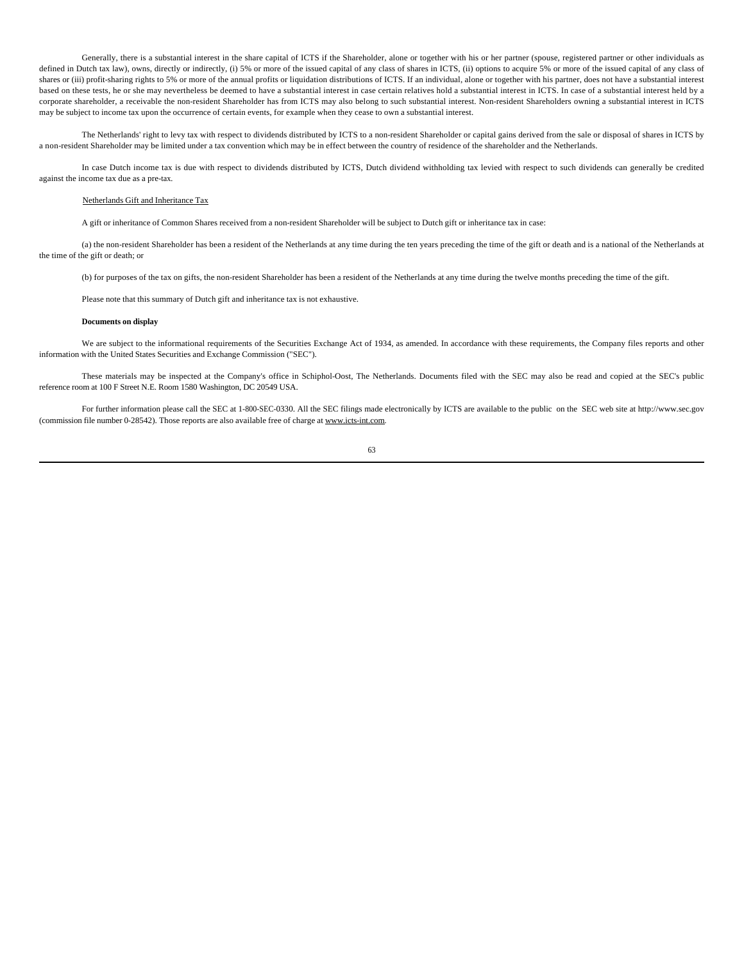Generally, there is a substantial interest in the share capital of ICTS if the Shareholder, alone or together with his or her partner (spouse, registered partner or other individuals as defined in Dutch tax law), owns, directly or indirectly, (i) 5% or more of the issued capital of any class of shares in ICTS, (ii) options to acquire 5% or more of the issued capital of any class of shares or (iii) profit-sharing rights to 5% or more of the annual profits or liquidation distributions of ICTS. If an individual, alone or together with his partner, does not have a substantial interest based on these tests, he or she may nevertheless be deemed to have a substantial interest in case certain relatives hold a substantial interest in ICTS. In case of a substantial interest held by a corporate shareholder, a receivable the non-resident Shareholder has from ICTS may also belong to such substantial interest. Non-resident Shareholders owning a substantial interest in ICTS may be subject to income tax upon the occurrence of certain events, for example when they cease to own a substantial interest.

The Netherlands' right to levy tax with respect to dividends distributed by ICTS to a non-resident Shareholder or capital gains derived from the sale or disposal of shares in ICTS by a non-resident Shareholder may be limited under a tax convention which may be in effect between the country of residence of the shareholder and the Netherlands.

In case Dutch income tax is due with respect to dividends distributed by ICTS, Dutch dividend withholding tax levied with respect to such dividends can generally be credited against the income tax due as a pre-tax.

### Netherlands Gift and Inheritance Tax

A gift or inheritance of Common Shares received from a non-resident Shareholder will be subject to Dutch gift or inheritance tax in case:

(a) the non-resident Shareholder has been a resident of the Netherlands at any time during the ten years preceding the time of the gift or death and is a national of the Netherlands at the time of the gift or death; or

(b) for purposes of the tax on gifts, the non-resident Shareholder has been a resident of the Netherlands at any time during the twelve months preceding the time of the gift.

Please note that this summary of Dutch gift and inheritance tax is not exhaustive.

#### **Documents on display**

We are subject to the informational requirements of the Securities Exchange Act of 1934, as amended. In accordance with these requirements, the Company files reports and other information with the United States Securities and Exchange Commission ("SEC").

These materials may be inspected at the Company's office in Schiphol-Oost, The Netherlands. Documents filed with the SEC may also be read and copied at the SEC's public reference room at 100 F Street N.E. Room 1580 Washington, DC 20549 USA.

For further information please call the SEC at 1-800-SEC-0330. All the SEC filings made electronically by ICTS are available to the public on the SEC web site at http://www.sec.gov (commission file number 0-28542). Those reports are also available free of charge at www.icts-int.com.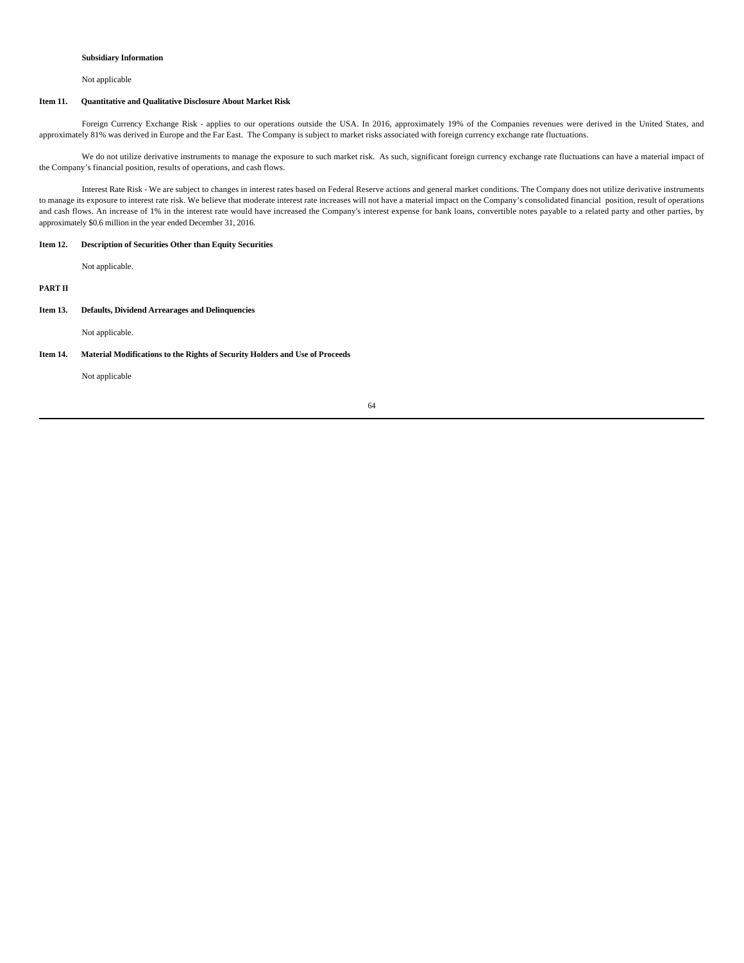#### **Subsidiary Information**

Not applicable

### **Item 11. Quantitative and Qualitative Disclosure About Market Risk**

Foreign Currency Exchange Risk - applies to our operations outside the USA. In 2016, approximately 19% of the Companies revenues were derived in the United States, and approximately 81% was derived in Europe and the Far East. The Company is subject to market risks associated with foreign currency exchange rate fluctuations.

We do not utilize derivative instruments to manage the exposure to such market risk. As such, significant foreign currency exchange rate fluctuations can have a material impact of the Company's financial position, results of operations, and cash flows.

Interest Rate Risk - We are subject to changes in interest rates based on Federal Reserve actions and general market conditions. The Company does not utilize derivative instruments to manage its exposure to interest rate risk. We believe that moderate interest rate increases will not have a material impact on the Company's consolidated financial position, result of operations and cash flows. An increase of 1% in the interest rate would have increased the Company's interest expense for bank loans, convertible notes payable to a related party and other parties, by approximately \$0.6 million in the year ended December 31, 2016.

### **Item 12. Description of Securities Other than Equity Securities**

Not applicable.

## **PART II**

#### **Item 13. Defaults, Dividend Arrearages and Delinquencies**

Not applicable.

### **Item 14. Material Modifications to the Rights of Security Holders and Use of Proceeds**

Not applicable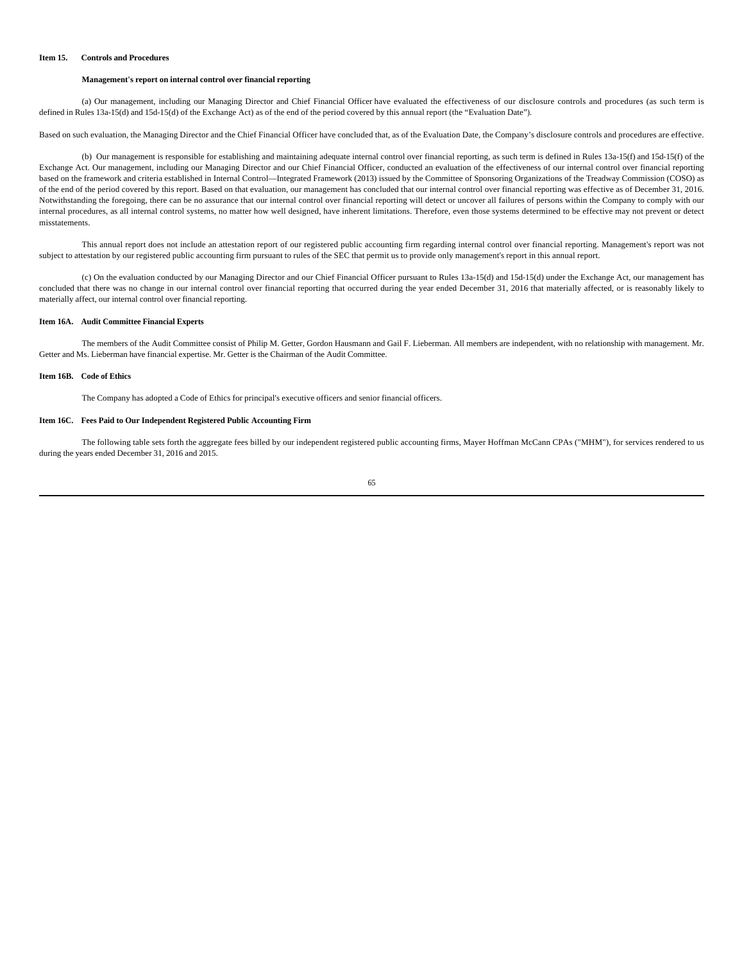#### **Item 15. Controls and Procedures**

### **Management's report on internal control over financial reporting**

(a) Our management, including our Managing Director and Chief Financial Officer have evaluated the effectiveness of our disclosure controls and procedures (as such term is defined in Rules 13a-15(d) and 15d-15(d) of the Exchange Act) as of the end of the period covered by this annual report (the "Evaluation Date").

Based on such evaluation, the Managing Director and the Chief Financial Officer have concluded that, as of the Evaluation Date, the Company's disclosure controls and procedures are effective.

(b) Our management is responsible for establishing and maintaining adequate internal control over financial reporting, as such term is defined in Rules 13a-15(f) and 15d-15(f) of the Exchange Act. Our management, including our Managing Director and our Chief Financial Officer, conducted an evaluation of the effectiveness of our internal control over financial reporting based on the framework and criteria established in Internal Control—Integrated Framework (2013) issued by the Committee of Sponsoring Organizations of the Treadway Commission (COSO) as of the end of the period covered by this report. Based on that evaluation, our management has concluded that our internal control over financial reporting was effective as of December 31, 2016. Notwithstanding the foregoing, there can be no assurance that our internal control over financial reporting will detect or uncover all failures of persons within the Company to comply with our internal procedures, as all internal control systems, no matter how well designed, have inherent limitations. Therefore, even those systems determined to be effective may not prevent or detect misstatements.

This annual report does not include an attestation report of our registered public accounting firm regarding internal control over financial reporting. Management's report was not subject to attestation by our registered public accounting firm pursuant to rules of the SEC that permit us to provide only management's report in this annual report.

(c) On the evaluation conducted by our Managing Director and our Chief Financial Officer pursuant to Rules 13a-15(d) and 15d-15(d) under the Exchange Act, our management has concluded that there was no change in our internal control over financial reporting that occurred during the year ended December 31, 2016 that materially affected, or is reasonably likely to materially affect, our internal control over financial reporting.

### **Item 16A. Audit Committee Financial Experts**

The members of the Audit Committee consist of Philip M. Getter, Gordon Hausmann and Gail F. Lieberman. All members are independent, with no relationship with management. Mr. Getter and Ms. Lieberman have financial expertise. Mr. Getter is the Chairman of the Audit Committee.

### **Item 16B. Code of Ethics**

The Company has adopted a Code of Ethics for principal's executive officers and senior financial officers.

### **Item 16C. Fees Paid to Our Independent Registered Public Accounting Firm**

The following table sets forth the aggregate fees billed by our independent registered public accounting firms, Mayer Hoffman McCann CPAs ("MHM"), for services rendered to us during the years ended December 31, 2016 and 2015.

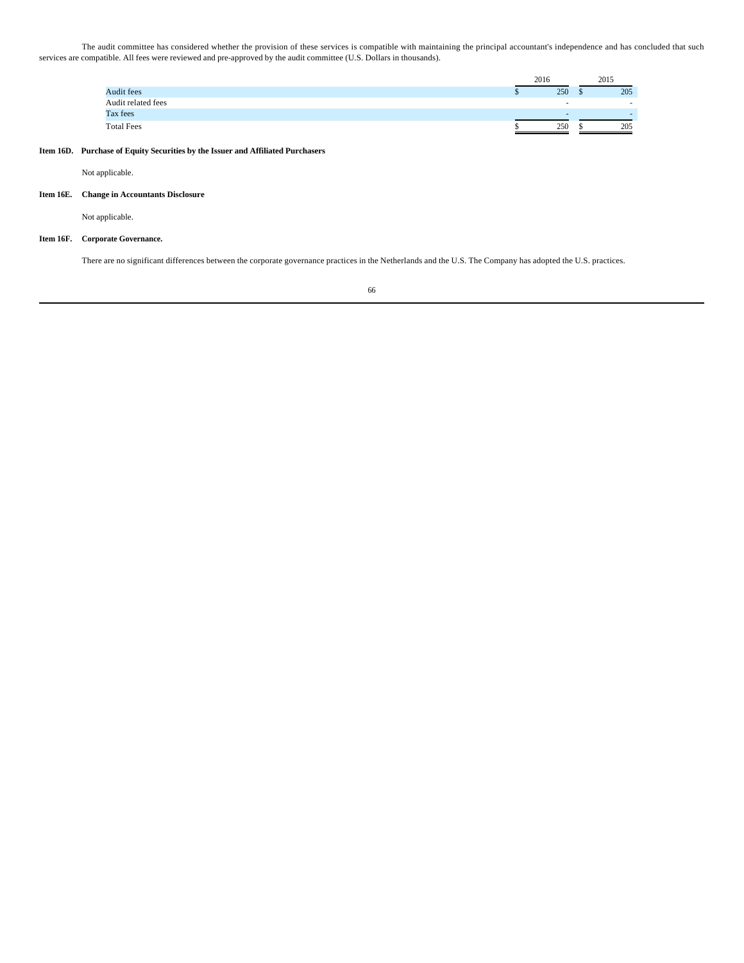The audit committee has considered whether the provision of these services is compatible with maintaining the principal accountant's independence and has concluded that such services are compatible. All fees were reviewed and pre-approved by the audit committee (U.S. Dollars in thousands).

|                    | 2016 |     | 2015 |
|--------------------|------|-----|------|
| <b>Audit fees</b>  | 250  |     | 205  |
| Audit related fees |      | . . |      |
| Tax fees           |      |     |      |
| <b>Total Fees</b>  | 250  |     | 205  |

### **Item 16D. Purchase of Equity Securities by the Issuer and Affiliated Purchasers**

Not applicable.

### **Item 16E. Change in Accountants Disclosure**

Not applicable.

## **Item 16F. Corporate Governance.**

There are no significant differences between the corporate governance practices in the Netherlands and the U.S. The Company has adopted the U.S. practices.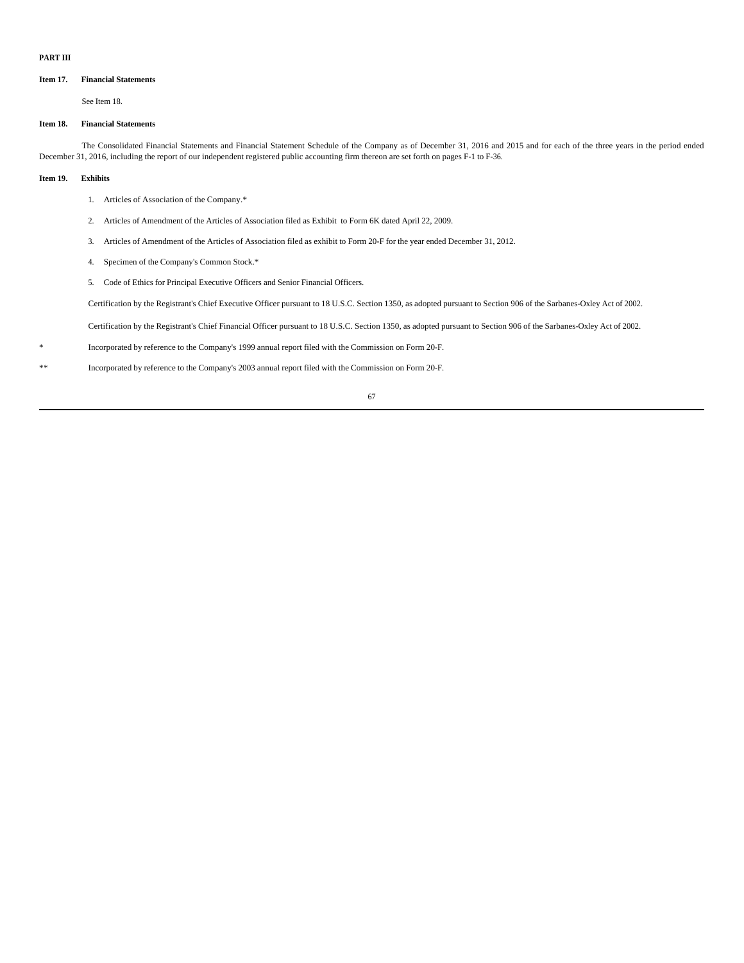### **PART III**

### **Item 17. Financial Statements**

See Item 18.

### **Item 18. Financial Statements**

The Consolidated Financial Statements and Financial Statement Schedule of the Company as of December 31, 2016 and 2015 and for each of the three years in the period ended December 31, 2016, including the report of our independent registered public accounting firm thereon are set forth on pages F-1 to F-36.

### **Item 19. Exhibits**

- 1. Articles of Association of the Company.\*
- 2. Articles of Amendment of the Articles of Association filed as Exhibit to Form 6K dated April 22, 2009.
- 3. Articles of Amendment of the Articles of Association filed as exhibit to Form 20-F for the year ended December 31, 2012.
- 4. Specimen of the Company's Common Stock.\*
- 5. Code of Ethics for Principal Executive Officers and Senior Financial Officers.

Certification by the Registrant's Chief Executive Officer pursuant to 18 U.S.C. Section 1350, as adopted pursuant to Section 906 of the Sarbanes-Oxley Act of 2002.

Certification by the Registrant's Chief Financial Officer pursuant to 18 U.S.C. Section 1350, as adopted pursuant to Section 906 of the Sarbanes-Oxley Act of 2002.

\* Incorporated by reference to the Company's 1999 annual report filed with the Commission on Form 20-F.

### \*\* Incorporated by reference to the Company's 2003 annual report filed with the Commission on Form 20-F.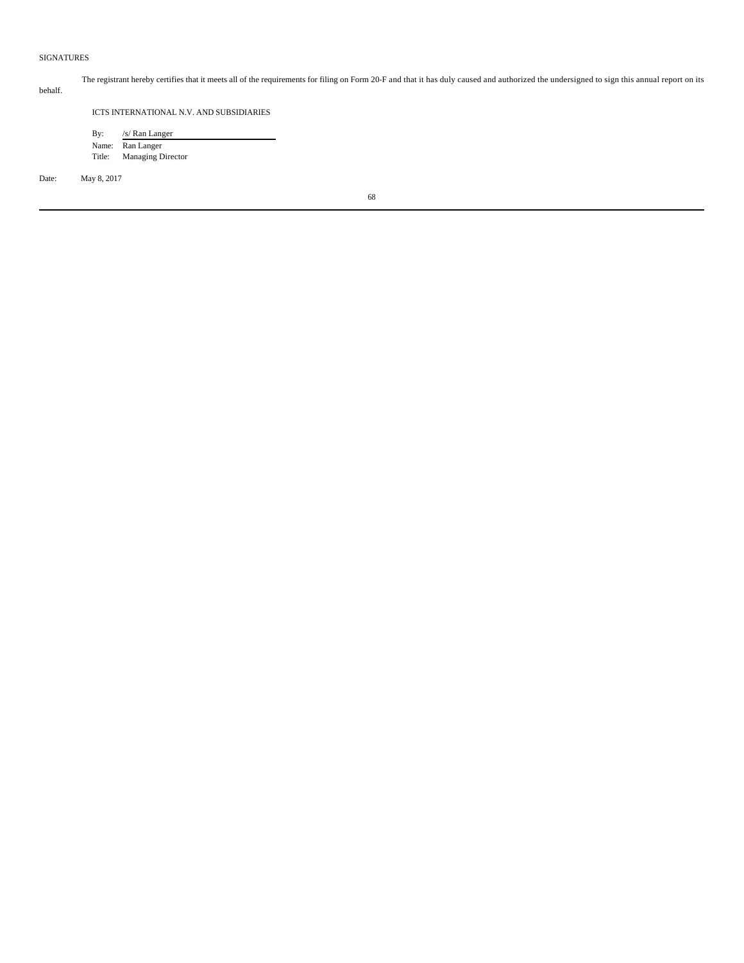### SIGNATURES

The registrant hereby certifies that it meets all of the requirements for filing on Form 20-F and that it has duly caused and authorized the undersigned to sign this annual report on its

behalf.

ICTS INTERNATIONAL N.V. AND SUBSIDIARIES

By: /s/ Ran Langer Name: Ran Langer Title: Managing Director

Date: May 8, 2017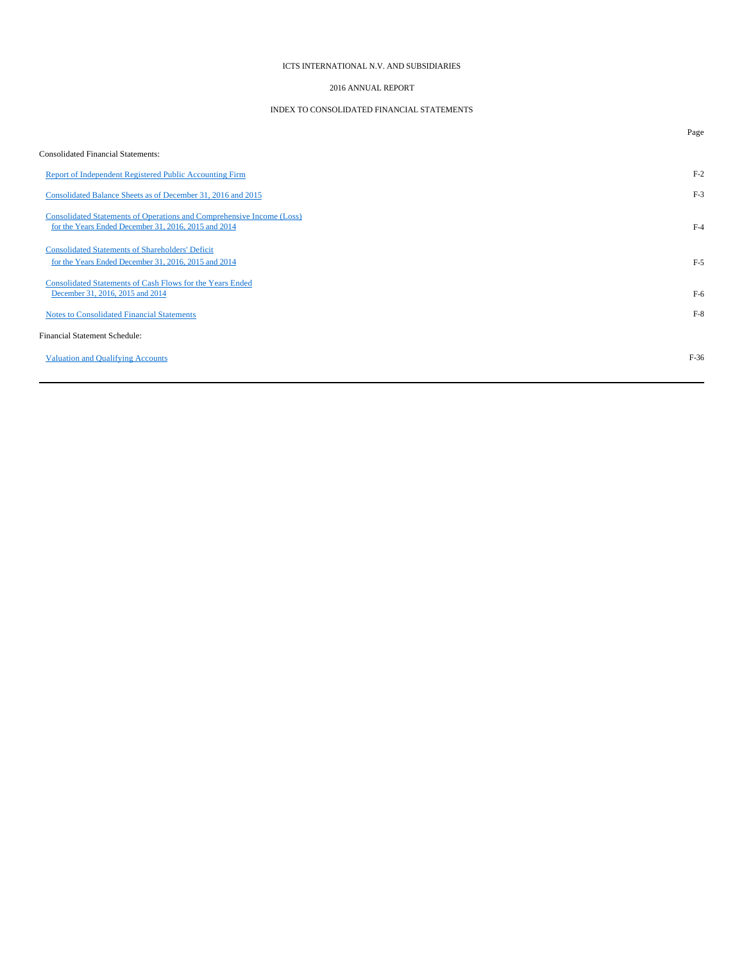## ICTS INTERNATIONAL N.V. AND SUBSIDIARIES

# 2016 ANNUAL REPORT

### INDEX TO CONSOLIDATED FINANCIAL STATEMENTS

Page

| <b>Consolidated Financial Statements:</b>                                                                                            |        |
|--------------------------------------------------------------------------------------------------------------------------------------|--------|
| Report of Independent Registered Public Accounting Firm                                                                              | $F-2$  |
| Consolidated Balance Sheets as of December 31, 2016 and 2015                                                                         | $F-3$  |
| <b>Consolidated Statements of Operations and Comprehensive Income (Loss)</b><br>for the Years Ended December 31, 2016, 2015 and 2014 | $F-4$  |
| <b>Consolidated Statements of Shareholders' Deficit</b><br>for the Years Ended December 31, 2016, 2015 and 2014                      | $F-5$  |
| <b>Consolidated Statements of Cash Flows for the Years Ended</b><br>December 31, 2016, 2015 and 2014                                 | $F-6$  |
| <b>Notes to Consolidated Financial Statements</b>                                                                                    | $F-8$  |
| <b>Financial Statement Schedule:</b>                                                                                                 |        |
| <b>Valuation and Qualifying Accounts</b>                                                                                             | $F-36$ |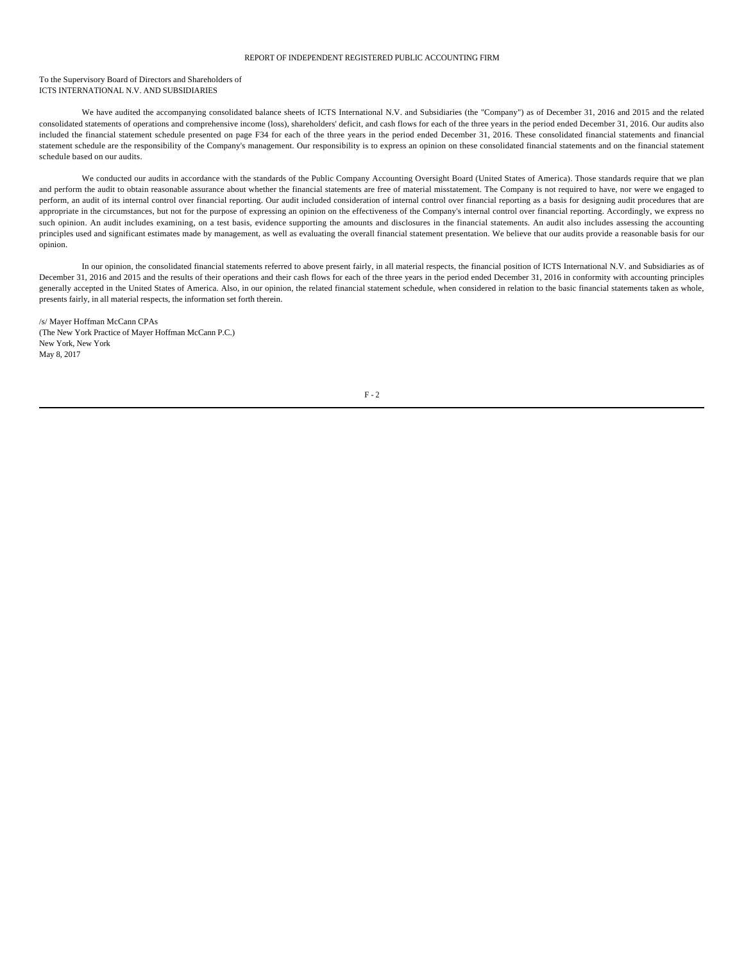#### REPORT OF INDEPENDENT REGISTERED PUBLIC ACCOUNTING FIRM

### To the Supervisory Board of Directors and Shareholders of ICTS INTERNATIONAL N.V. AND SUBSIDIARIES

We have audited the accompanying consolidated balance sheets of ICTS International N.V. and Subsidiaries (the "Company") as of December 31, 2016 and 2015 and the related consolidated statements of operations and comprehensive income (loss), shareholders' deficit, and cash flows for each of the three years in the period ended December 31, 2016. Our audits also included the financial statement schedule presented on page F34 for each of the three years in the period ended December 31, 2016. These consolidated financial statements and financial statement schedule are the responsibility of the Company's management. Our responsibility is to express an opinion on these consolidated financial statements and on the financial statement schedule based on our audits.

We conducted our audits in accordance with the standards of the Public Company Accounting Oversight Board (United States of America). Those standards require that we plan and perform the audit to obtain reasonable assurance about whether the financial statements are free of material misstatement. The Company is not required to have, nor were we engaged to perform, an audit of its internal control over financial reporting. Our audit included consideration of internal control over financial reporting as a basis for designing audit procedures that are appropriate in the circumstances, but not for the purpose of expressing an opinion on the effectiveness of the Company's internal control over financial reporting. Accordingly, we express no such opinion. An audit includes examining, on a test basis, evidence supporting the amounts and disclosures in the financial statements. An audit also includes assessing the accounting principles used and significant estimates made by management, as well as evaluating the overall financial statement presentation. We believe that our audits provide a reasonable basis for our opinion.

In our opinion, the consolidated financial statements referred to above present fairly, in all material respects, the financial position of ICTS International N.V. and Subsidiaries as of December 31, 2016 and 2015 and the results of their operations and their cash flows for each of the three years in the period ended December 31, 2016 in conformity with accounting principles generally accepted in the United States of America. Also, in our opinion, the related financial statement schedule, when considered in relation to the basic financial statements taken as whole, presents fairly, in all material respects, the information set forth therein.

/s/ Mayer Hoffman McCann CPAs (The New York Practice of Mayer Hoffman McCann P.C.) New York, New York May 8, 2017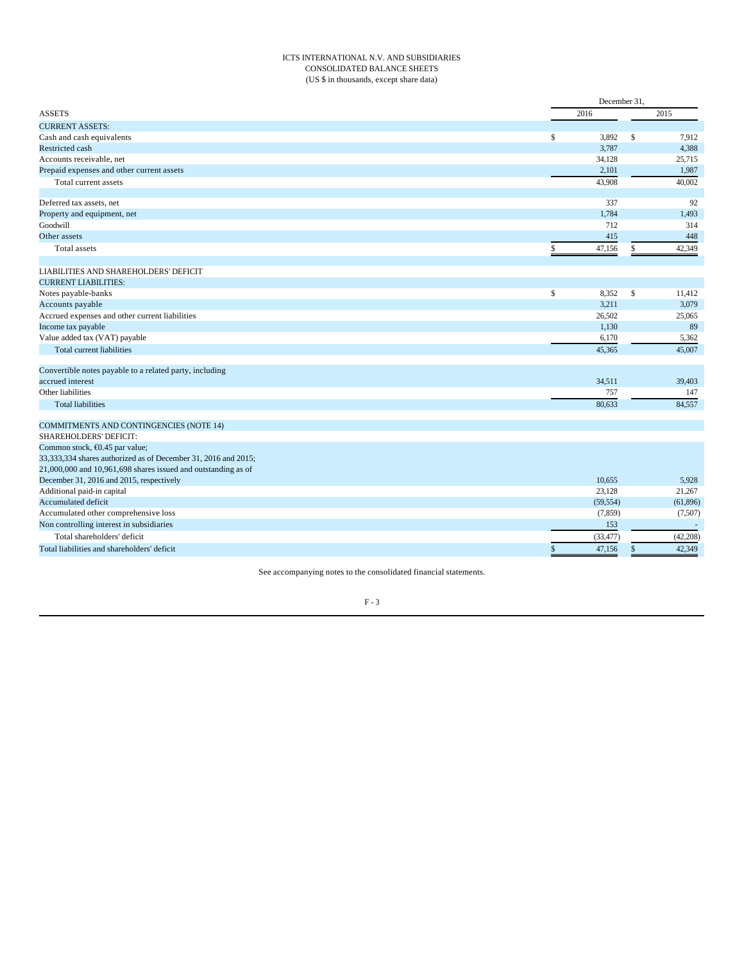### ICTS INTERNATIONAL N.V. AND SUBSIDIARIES CONSOLIDATED BALANCE SHEETS (US \$ in thousands, except share data)

|                                                                                                               | December 31,    |              |  |  |
|---------------------------------------------------------------------------------------------------------------|-----------------|--------------|--|--|
| <b>ASSETS</b>                                                                                                 | 2016            | 2015         |  |  |
| <b>CURRENT ASSETS:</b>                                                                                        |                 |              |  |  |
| Cash and cash equivalents                                                                                     | \$<br>3,892     | \$<br>7,912  |  |  |
| Restricted cash                                                                                               | 3,787           | 4,388        |  |  |
| Accounts receivable, net                                                                                      | 34,128          | 25,715       |  |  |
| Prepaid expenses and other current assets                                                                     | 2,101           | 1,987        |  |  |
| Total current assets                                                                                          | 43,908          | 40,002       |  |  |
|                                                                                                               |                 |              |  |  |
| Deferred tax assets, net                                                                                      | 337             | 92           |  |  |
| Property and equipment, net                                                                                   | 1,784           | 1,493        |  |  |
| Goodwill                                                                                                      | 712             | 314          |  |  |
| Other assets                                                                                                  | 415             | 448          |  |  |
| Total assets                                                                                                  | s.<br>47,156    | \$<br>42,349 |  |  |
| LIABILITIES AND SHAREHOLDERS' DEFICIT                                                                         |                 |              |  |  |
|                                                                                                               |                 |              |  |  |
| <b>CURRENT LIABILITIES:</b>                                                                                   |                 |              |  |  |
| Notes payable-banks                                                                                           | \$<br>8,352     | \$<br>11,412 |  |  |
| Accounts payable                                                                                              | 3,211           | 3,079        |  |  |
| Accrued expenses and other current liabilities                                                                | 26,502<br>1.130 | 25,065<br>89 |  |  |
| Income tax payable                                                                                            |                 |              |  |  |
| Value added tax (VAT) payable                                                                                 | 6,170           | 5,362        |  |  |
| Total current liabilities                                                                                     | 45,365          | 45,007       |  |  |
| Convertible notes payable to a related party, including                                                       |                 |              |  |  |
| accrued interest                                                                                              | 34.511          | 39,403       |  |  |
| Other liabilities                                                                                             | 757             | 147          |  |  |
| <b>Total liabilities</b>                                                                                      | 80,633          | 84,557       |  |  |
|                                                                                                               |                 |              |  |  |
| <b>COMMITMENTS AND CONTINGENCIES (NOTE 14)</b>                                                                |                 |              |  |  |
| <b>SHAREHOLDERS' DEFICIT:</b>                                                                                 |                 |              |  |  |
| Common stock, €0.45 par value;                                                                                |                 |              |  |  |
| 33,333,334 shares authorized as of December 31, 2016 and 2015;                                                |                 |              |  |  |
| $21,000,000$ and $10,961,698$ shares issued and outstanding as of<br>December 31, 2016 and 2015, respectively | 10.655          | 5,928        |  |  |
|                                                                                                               | 23,128          | 21,267       |  |  |
| Additional paid-in capital<br>Accumulated deficit                                                             | (59, 554)       | (61, 896)    |  |  |
| Accumulated other comprehensive loss                                                                          | (7, 859)        | (7,507)      |  |  |
| Non controlling interest in subsidiaries                                                                      | 153             |              |  |  |
|                                                                                                               |                 |              |  |  |
| Total shareholders' deficit                                                                                   | (33, 477)       | (42, 208)    |  |  |
| Total liabilities and shareholders' deficit                                                                   | \$<br>47,156    | 42,349<br>\$ |  |  |

See accompanying notes to the consolidated financial statements.

F - 3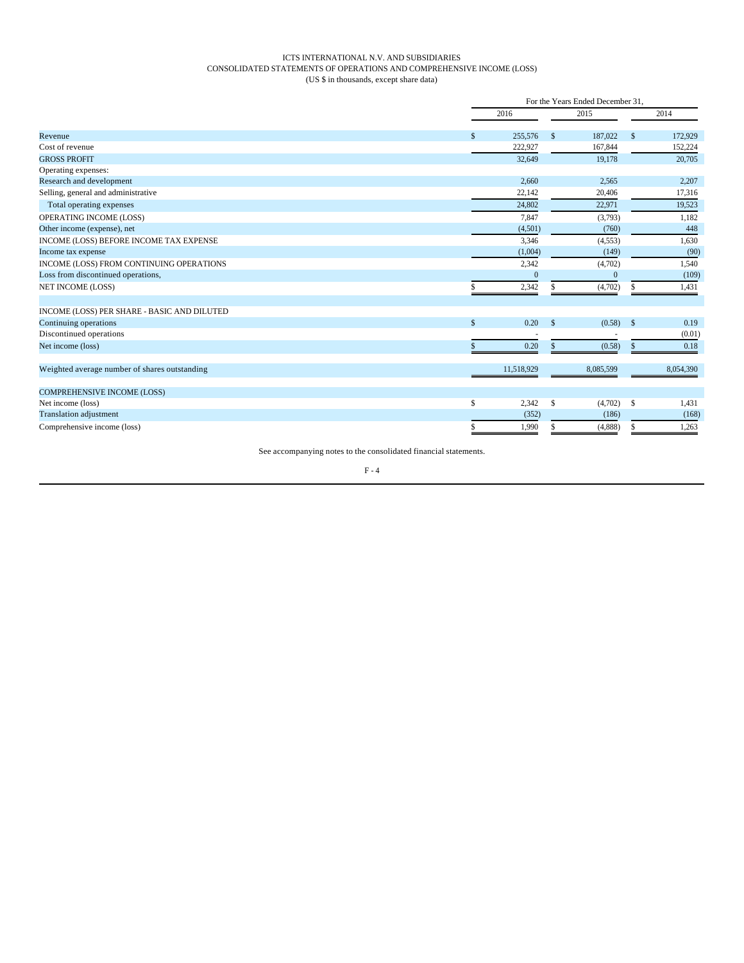# ICTS INTERNATIONAL N.V. AND SUBSIDIARIES CONSOLIDATED STATEMENTS OF OPERATIONS AND COMPREHENSIVE INCOME (LOSS) (US \$ in thousands, except share data)

|                                               |              | For the Years Ended December 31. |              |           |               |           |
|-----------------------------------------------|--------------|----------------------------------|--------------|-----------|---------------|-----------|
|                                               |              | 2016                             | 2015         |           |               | 2014      |
| Revenue                                       | $\mathbb{S}$ | 255,576                          | $\mathbf{s}$ | 187,022   | $\mathbb{S}$  | 172,929   |
| Cost of revenue                               |              | 222,927                          |              | 167,844   |               | 152,224   |
| <b>GROSS PROFIT</b>                           |              | 32,649                           |              | 19.178    |               | 20,705    |
| Operating expenses:                           |              |                                  |              |           |               |           |
| Research and development                      |              | 2,660                            |              | 2.565     |               | 2.207     |
| Selling, general and administrative           |              | 22,142                           |              | 20,406    |               | 17,316    |
| Total operating expenses                      |              | 24,802                           |              | 22,971    |               | 19,523    |
| <b>OPERATING INCOME (LOSS)</b>                |              | 7,847                            |              | (3,793)   |               | 1,182     |
| Other income (expense), net                   |              | (4,501)                          |              | (760)     |               | 448       |
| INCOME (LOSS) BEFORE INCOME TAX EXPENSE       |              | 3,346                            |              | (4, 553)  |               | 1,630     |
| Income tax expense                            |              | (1,004)                          |              | (149)     |               | (90)      |
| INCOME (LOSS) FROM CONTINUING OPERATIONS      |              | 2,342                            |              | (4,702)   |               | 1,540     |
| Loss from discontinued operations,            |              | $\Omega$                         |              | $\Omega$  |               | (109)     |
| NET INCOME (LOSS)                             |              | 2,342                            | S            | (4,702)   | \$            | 1,431     |
| INCOME (LOSS) PER SHARE - BASIC AND DILUTED   |              |                                  |              |           |               |           |
| Continuing operations                         | $\mathbb{S}$ | 0.20                             | $\mathbf{s}$ | (0.58)    | $\mathsf{\$}$ | 0.19      |
| Discontinued operations                       |              |                                  |              |           |               | (0.01)    |
| Net income (loss)                             |              | 0.20                             | $\mathbb{S}$ | (0.58)    | \$            | 0.18      |
| Weighted average number of shares outstanding |              | 11,518,929                       |              | 8,085,599 |               | 8,054,390 |
| <b>COMPREHENSIVE INCOME (LOSS)</b>            |              |                                  |              |           |               |           |
| Net income (loss)                             | \$           | 2,342                            | \$           | (4,702)   | \$            | 1,431     |
| <b>Translation adjustment</b>                 |              | (352)                            |              | (186)     |               | (168)     |
| Comprehensive income (loss)                   |              | 1,990                            | S            | (4,888)   | \$            | 1,263     |

See accompanying notes to the consolidated financial statements.

 $\rm{F}$  -  $4$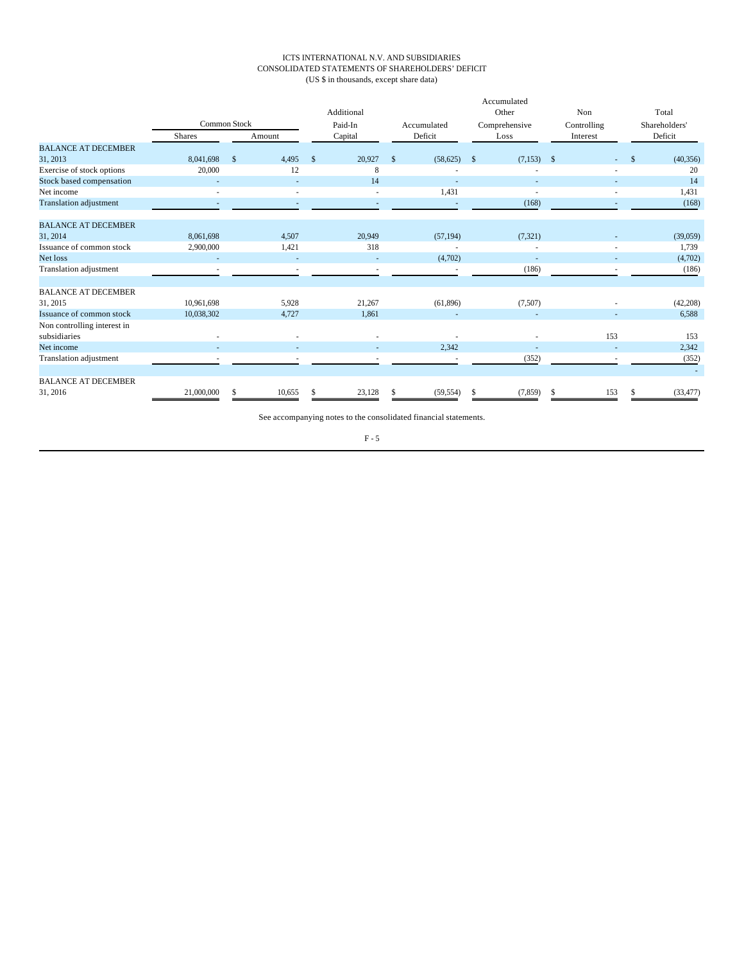# ICTS INTERNATIONAL N.V. AND SUBSIDIARIES CONSOLIDATED STATEMENTS OF SHAREHOLDERS' DEFICIT (US \$ in thousands, except share data)

|                               |               |              | Additional               |                           | Accumulated<br>Other      | Non                    | Total                     |
|-------------------------------|---------------|--------------|--------------------------|---------------------------|---------------------------|------------------------|---------------------------|
|                               |               | Common Stock | Paid-In                  | Accumulated               | Comprehensive             | Controlling            | Shareholders'             |
|                               | <b>Shares</b> | Amount       | Capital                  | Deficit                   | Loss                      | Interest               | Deficit                   |
| <b>BALANCE AT DECEMBER</b>    |               |              |                          |                           |                           |                        |                           |
| 31, 2013                      | 8,041,698     | \$<br>4,495  | 20,927<br>$\mathsf{\$}$  | $\mathbf{s}$<br>(58, 625) | (7, 153)<br>$\sqrt[6]{3}$ | $\mathbf{s}$<br>$\sim$ | $\mathsf{s}$<br>(40, 356) |
| Exercise of stock options     | 20,000        | 12           | 8                        |                           |                           |                        | 20                        |
| Stock based compensation      |               | ٠            | 14                       |                           |                           |                        | 14                        |
| Net income                    | ٠             | $\sim$       | $\sim$                   | 1,431                     | $\overline{a}$            |                        | 1,431                     |
| <b>Translation adjustment</b> |               | ٠            | $\overline{\phantom{a}}$ |                           | (168)                     |                        | (168)                     |
| <b>BALANCE AT DECEMBER</b>    |               |              |                          |                           |                           |                        |                           |
| 31, 2014                      | 8.061.698     | 4,507        | 20,949                   | (57, 194)                 | (7, 321)                  |                        | (39,059)                  |
| Issuance of common stock      | 2,900,000     | 1,421        | 318                      |                           |                           |                        | 1,739                     |
| Net loss                      |               |              |                          | (4,702)                   |                           |                        | (4,702)                   |
| Translation adjustment        |               |              |                          |                           | (186)                     |                        | (186)                     |
| <b>BALANCE AT DECEMBER</b>    |               |              |                          |                           |                           |                        |                           |
| 31, 2015                      | 10,961,698    | 5,928        | 21,267                   | (61, 896)                 | (7,507)                   |                        | (42, 208)                 |
| Issuance of common stock      | 10,038,302    | 4,727        | 1,861                    |                           |                           |                        | 6,588                     |
| Non controlling interest in   |               |              |                          |                           |                           |                        |                           |
| subsidiaries                  |               | ÷,           | ٠                        |                           |                           | 153                    | 153                       |
| Net income                    |               |              |                          | 2,342                     |                           |                        | 2,342                     |
| Translation adjustment        |               |              |                          |                           | (352)                     |                        | (352)                     |
| <b>BALANCE AT DECEMBER</b>    |               |              |                          |                           |                           |                        |                           |
| 31, 2016                      | 21,000,000    | \$<br>10,655 | 23,128<br>\$             | (59, 554)<br>\$           | (7, 859)<br>\$            | 153<br>\$.             | (33, 477)                 |

See accompanying notes to the consolidated financial statements.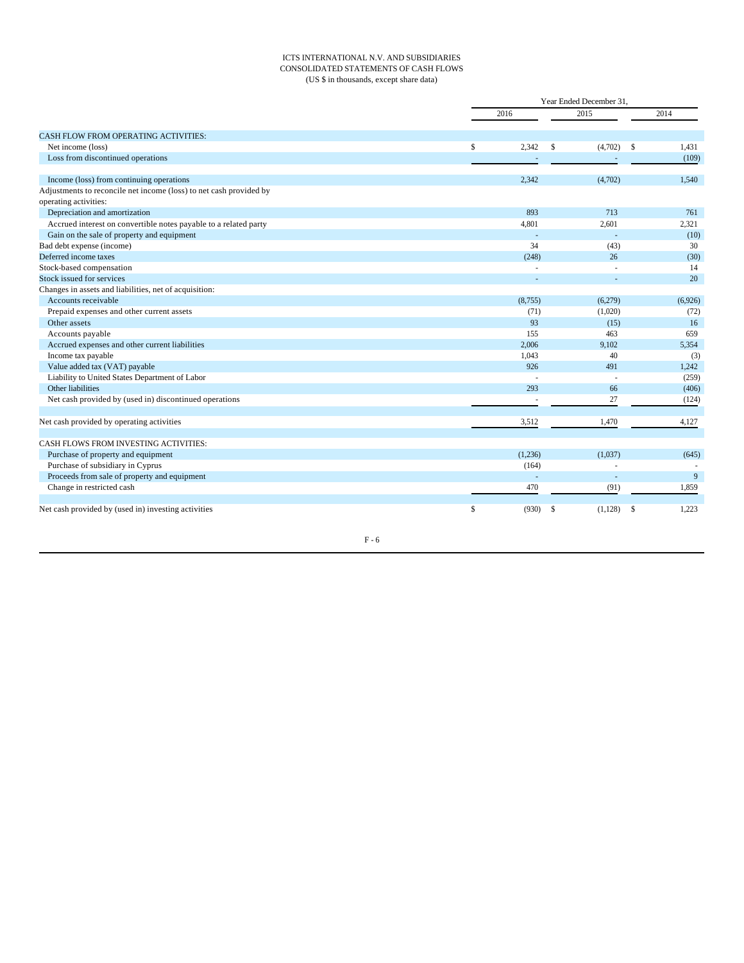# ICTS INTERNATIONAL N.V. AND SUBSIDIARIES CONSOLIDATED STATEMENTS OF CASH FLOWS (US \$ in thousands, except share data)

|                                                                    | Year Ended December 31, |    |         |    |         |
|--------------------------------------------------------------------|-------------------------|----|---------|----|---------|
|                                                                    | 2016                    |    |         |    | 2014    |
| CASH FLOW FROM OPERATING ACTIVITIES:                               |                         |    |         |    |         |
| Net income (loss)                                                  | \$<br>2,342             | \$ | (4,702) | \$ | 1,431   |
| Loss from discontinued operations                                  |                         |    |         |    | (109)   |
| Income (loss) from continuing operations                           | 2.342                   |    | (4,702) |    | 1.540   |
| Adjustments to reconcile net income (loss) to net cash provided by |                         |    |         |    |         |
| operating activities:                                              |                         |    |         |    |         |
| Depreciation and amortization                                      | 893                     |    | 713     |    | 761     |
| Accrued interest on convertible notes payable to a related party   | 4,801                   |    | 2,601   |    | 2,321   |
| Gain on the sale of property and equipment                         |                         |    |         |    | (10)    |
| Bad debt expense (income)                                          | 34                      |    | (43)    |    | 30      |
| Deferred income taxes                                              | (248)                   |    | 26      |    | (30)    |
| Stock-based compensation                                           |                         |    |         |    | 14      |
| Stock issued for services                                          |                         |    |         |    | 20      |
| Changes in assets and liabilities, net of acquisition:             |                         |    |         |    |         |
| Accounts receivable                                                | (8,755)                 |    | (6,279) |    | (6,926) |
| Prepaid expenses and other current assets                          | (71)                    |    | (1,020) |    | (72)    |
| Other assets                                                       | 93                      |    | (15)    |    | 16      |
| Accounts payable                                                   | 155                     |    | 463     |    | 659     |
| Accrued expenses and other current liabilities                     | 2.006                   |    | 9.102   |    | 5,354   |
| Income tax payable                                                 | 1,043                   |    | 40      |    | (3)     |
| Value added tax (VAT) payable                                      | 926                     |    | 491     |    | 1.242   |
| Liability to United States Department of Labor                     |                         |    |         |    | (259)   |
| Other liabilities                                                  | 293                     |    | 66      |    | (406)   |
| Net cash provided by (used in) discontinued operations             |                         |    | 27      |    | (124)   |
| Net cash provided by operating activities                          | 3,512                   |    | 1,470   |    | 4,127   |
| CASH FLOWS FROM INVESTING ACTIVITIES:                              |                         |    |         |    |         |
| Purchase of property and equipment                                 | (1,236)                 |    | (1,037) |    | (645)   |
| Purchase of subsidiary in Cyprus                                   | (164)                   |    | $\sim$  |    |         |
| Proceeds from sale of property and equipment                       |                         |    |         |    | 9       |
| Change in restricted cash                                          | 470                     |    | (91)    |    | 1,859   |
| Net cash provided by (used in) investing activities                | \$<br>(930)             | -S | (1,128) | \$ | 1,223   |

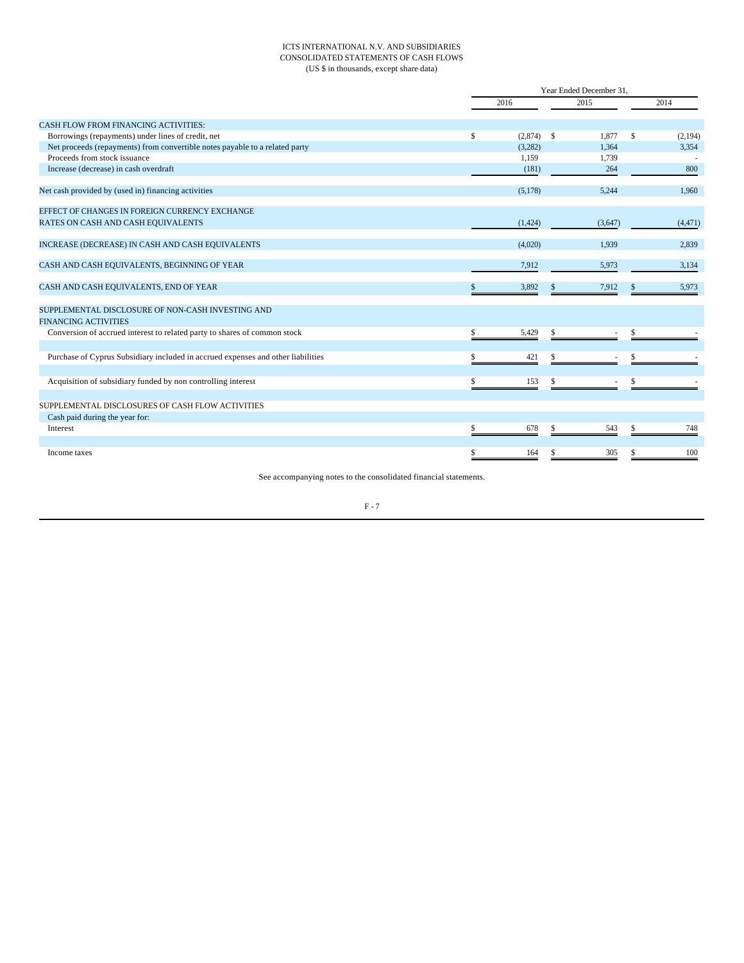# ICTS INTERNATIONAL N.V. AND SUBSIDIARIES CONSOLIDATED STATEMENTS OF CASH FLOWS (US \$ in thousands, except share data)

|                                                                                    |     | Year Ended December 31, |    |         |               |          |
|------------------------------------------------------------------------------------|-----|-------------------------|----|---------|---------------|----------|
|                                                                                    |     | 2016                    |    | 2015    |               | 2014     |
| <b>CASH FLOW FROM FINANCING ACTIVITIES:</b>                                        |     |                         |    |         |               |          |
| Borrowings (repayments) under lines of credit, net                                 | \$  | $(2,874)$ \$            |    | 1,877   | -S            | (2, 194) |
| Net proceeds (repayments) from convertible notes payable to a related party        |     | (3,282)                 |    | 1.364   |               | 3,354    |
| Proceeds from stock issuance                                                       |     | 1,159                   |    | 1,739   |               |          |
| Increase (decrease) in cash overdraft                                              |     | (181)                   |    | 264     |               | 800      |
| Net cash provided by (used in) financing activities                                |     | (5,178)                 |    | 5.244   |               | 1.960    |
| EFFECT OF CHANGES IN FOREIGN CURRENCY EXCHANGE                                     |     |                         |    |         |               |          |
| RATES ON CASH AND CASH EQUIVALENTS                                                 |     | (1,424)                 |    | (3,647) |               | (4, 471) |
| INCREASE (DECREASE) IN CASH AND CASH EQUIVALENTS                                   |     | (4,020)                 |    | 1,939   |               | 2,839    |
| CASH AND CASH EQUIVALENTS, BEGINNING OF YEAR                                       |     | 7,912                   |    | 5,973   |               | 3,134    |
| CASH AND CASH EQUIVALENTS, END OF YEAR                                             | \$. | 3,892                   |    | 7,912   |               | 5,973    |
| SUPPLEMENTAL DISCLOSURE OF NON-CASH INVESTING AND                                  |     |                         |    |         |               |          |
| <b>FINANCING ACTIVITIES</b>                                                        |     |                         |    |         |               |          |
| Conversion of accrued interest to related party to shares of common stock          |     | 5,429                   |    |         |               |          |
| Purchase of Cyprus Subsidiary included in accrued expenses and other liabilities   |     | 421                     |    |         |               |          |
| Acquisition of subsidiary funded by non controlling interest                       |     | 153                     |    |         |               |          |
| SUPPLEMENTAL DISCLOSURES OF CASH FLOW ACTIVITIES<br>Cash paid during the year for: |     |                         |    |         |               |          |
| Interest                                                                           | \$  | 678                     | \$ | 543     | \$            | 748      |
|                                                                                    |     |                         |    |         |               |          |
| Income taxes                                                                       | \$  | 164                     | -S | 305     | <sup>\$</sup> | 100      |

See accompanying notes to the consolidated financial statements.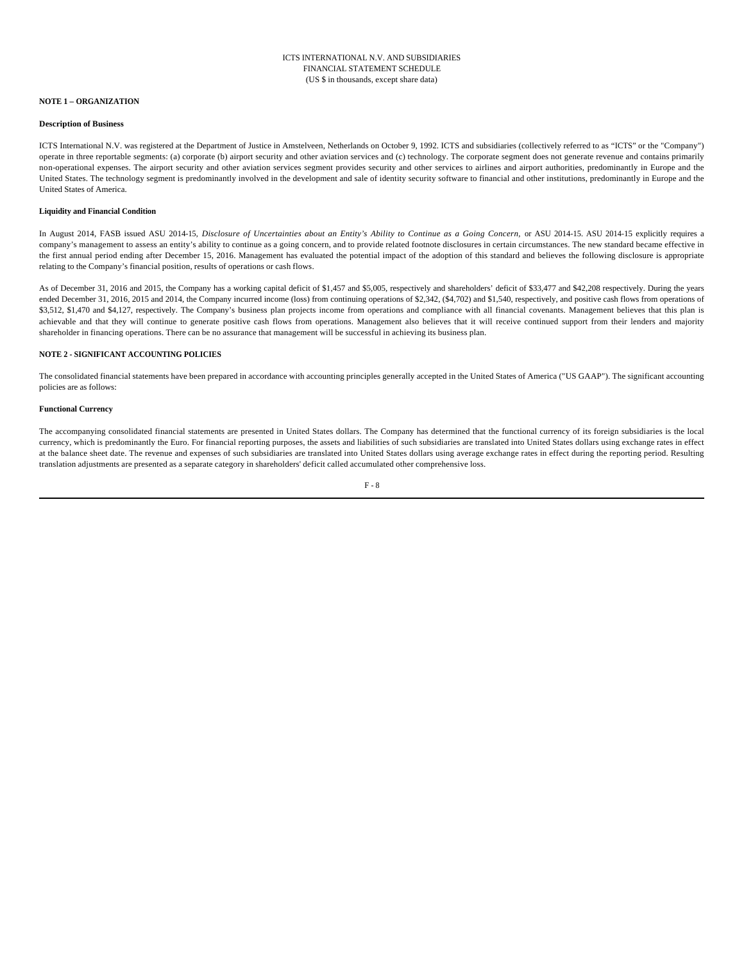### **NOTE 1 – ORGANIZATION**

#### **Description of Business**

ICTS International N.V. was registered at the Department of Justice in Amstelveen, Netherlands on October 9, 1992. ICTS and subsidiaries (collectively referred to as "ICTS" or the "Company") operate in three reportable segments: (a) corporate (b) airport security and other aviation services and (c) technology. The corporate segment does not generate revenue and contains primarily non-operational expenses. The airport security and other aviation services segment provides security and other services to airlines and airport authorities, predominantly in Europe and the United States. The technology segment is predominantly involved in the development and sale of identity security software to financial and other institutions, predominantly in Europe and the United States of America.

#### **Liquidity and Financial Condition**

In August 2014, FASB issued ASU 2014-15, *Disclosure of Uncertainties about an Entity's Ability to Continue as a Going Concern*, or ASU 2014-15. ASU 2014-15 explicitly requires a company's management to assess an entity's ability to continue as a going concern, and to provide related footnote disclosures in certain circumstances. The new standard became effective in the first annual period ending after December 15, 2016. Management has evaluated the potential impact of the adoption of this standard and believes the following disclosure is appropriate relating to the Company's financial position, results of operations or cash flows.

As of December 31, 2016 and 2015, the Company has a working capital deficit of \$1,457 and \$5,005, respectively and shareholders' deficit of \$33,477 and \$42,208 respectively. During the years ended December 31, 2016, 2015 and 2014, the Company incurred income (loss) from continuing operations of \$2,342, (\$4,702) and \$1,540, respectively, and positive cash flows from operations of \$3,512, \$1,470 and \$4,127, respectively. The Company's business plan projects income from operations and compliance with all financial covenants. Management believes that this plan is achievable and that they will continue to generate positive cash flows from operations. Management also believes that it will receive continued support from their lenders and majority shareholder in financing operations. There can be no assurance that management will be successful in achieving its business plan.

## **NOTE 2 - SIGNIFICANT ACCOUNTING POLICIES**

The consolidated financial statements have been prepared in accordance with accounting principles generally accepted in the United States of America ("US GAAP"). The significant accounting policies are as follows:

#### **Functional Currency**

The accompanying consolidated financial statements are presented in United States dollars. The Company has determined that the functional currency of its foreign subsidiaries is the local currency, which is predominantly the Euro. For financial reporting purposes, the assets and liabilities of such subsidiaries are translated into United States dollars using exchange rates in effect at the balance sheet date. The revenue and expenses of such subsidiaries are translated into United States dollars using average exchange rates in effect during the reporting period. Resulting translation adjustments are presented as a separate category in shareholders' deficit called accumulated other comprehensive loss.

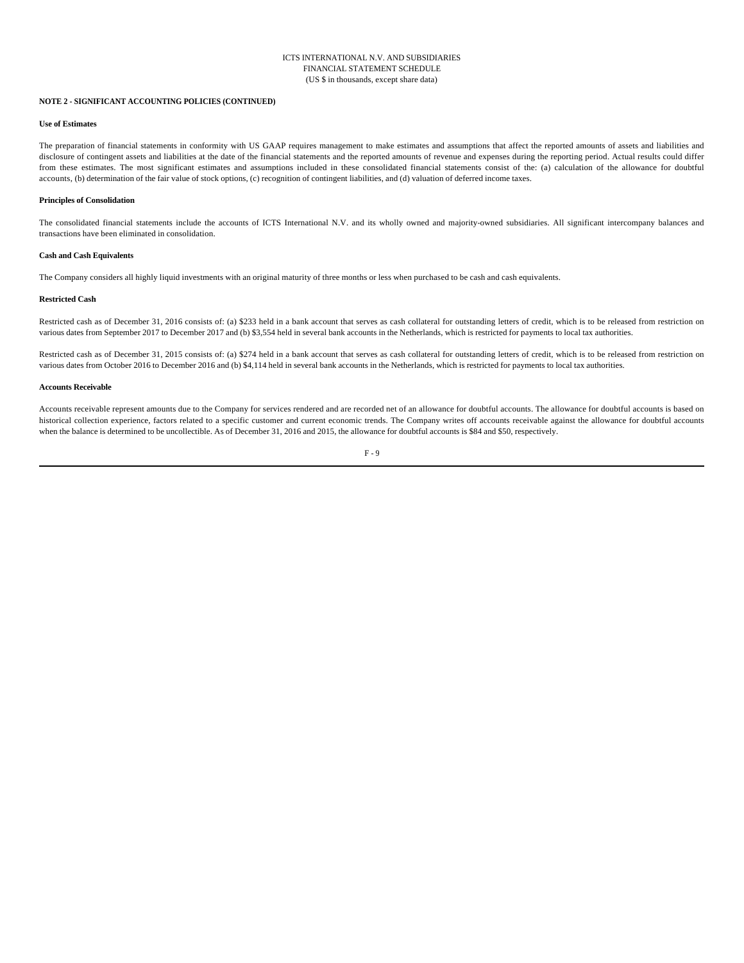### **NOTE 2 - SIGNIFICANT ACCOUNTING POLICIES (CONTINUED)**

#### **Use of Estimates**

The preparation of financial statements in conformity with US GAAP requires management to make estimates and assumptions that affect the reported amounts of assets and liabilities and disclosure of contingent assets and liabilities at the date of the financial statements and the reported amounts of revenue and expenses during the reporting period. Actual results could differ from these estimates. The most significant estimates and assumptions included in these consolidated financial statements consist of the: (a) calculation of the allowance for doubtful accounts, (b) determination of the fair value of stock options, (c) recognition of contingent liabilities, and (d) valuation of deferred income taxes.

#### **Principles of Consolidation**

The consolidated financial statements include the accounts of ICTS International N.V. and its wholly owned and majority-owned subsidiaries. All significant intercompany balances and transactions have been eliminated in consolidation.

#### **Cash and Cash Equivalents**

The Company considers all highly liquid investments with an original maturity of three months or less when purchased to be cash and cash equivalents.

#### **Restricted Cash**

Restricted cash as of December 31, 2016 consists of: (a) \$233 held in a bank account that serves as cash collateral for outstanding letters of credit, which is to be released from restriction on various dates from September 2017 to December 2017 and (b) \$3,554 held in several bank accounts in the Netherlands, which is restricted for payments to local tax authorities.

Restricted cash as of December 31, 2015 consists of: (a) \$274 held in a bank account that serves as cash collateral for outstanding letters of credit, which is to be released from restriction on various dates from October 2016 to December 2016 and (b) \$4,114 held in several bank accounts in the Netherlands, which is restricted for payments to local tax authorities.

#### **Accounts Receivable**

Accounts receivable represent amounts due to the Company for services rendered and are recorded net of an allowance for doubtful accounts. The allowance for doubtful accounts is based on historical collection experience, factors related to a specific customer and current economic trends. The Company writes off accounts receivable against the allowance for doubtful accounts when the balance is determined to be uncollectible. As of December 31, 2016 and 2015, the allowance for doubtful accounts is \$84 and \$50, respectively.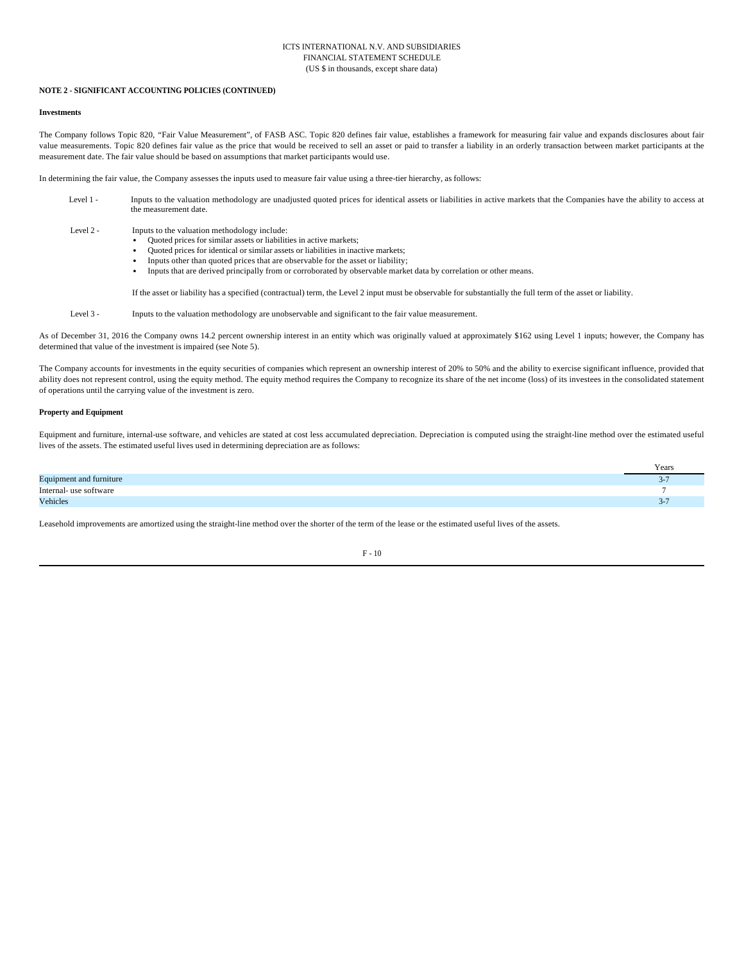#### **NOTE 2 - SIGNIFICANT ACCOUNTING POLICIES (CONTINUED)**

# **Investments**

The Company follows Topic 820, "Fair Value Measurement", of FASB ASC. Topic 820 defines fair value, establishes a framework for measuring fair value and expands disclosures about fair value measurements. Topic 820 defines fair value as the price that would be received to sell an asset or paid to transfer a liability in an orderly transaction between market participants at the measurement date. The fair value should be based on assumptions that market participants would use.

In determining the fair value, the Company assesses the inputs used to measure fair value using a three-tier hierarchy, as follows:

| Level $1 -$ | Inputs to the valuation methodology are unadjusted quoted prices for identical assets or liabilities in active markets that the Companies have the ability to access at<br>the measurement date.                                                                                                                                                                                                                                                                                                                                                                                 |
|-------------|----------------------------------------------------------------------------------------------------------------------------------------------------------------------------------------------------------------------------------------------------------------------------------------------------------------------------------------------------------------------------------------------------------------------------------------------------------------------------------------------------------------------------------------------------------------------------------|
| Level $2 -$ | Inputs to the valuation methodology include:<br>Quoted prices for similar assets or liabilities in active markets;<br>Ouoted prices for identical or similar assets or liabilities in inactive markets;<br>Inputs other than quoted prices that are observable for the asset or liability;<br>Inputs that are derived principally from or corroborated by observable market data by correlation or other means.<br>If the asset or liability has a specified (contractual) term, the Level 2 input must be observable for substantially the full term of the asset or liability. |

Level 3 - Inputs to the valuation methodology are unobservable and significant to the fair value measurement.

As of December 31, 2016 the Company owns 14.2 percent ownership interest in an entity which was originally valued at approximately \$162 using Level 1 inputs; however, the Company has determined that value of the investment is impaired (see Note 5).

The Company accounts for investments in the equity securities of companies which represent an ownership interest of 20% to 50% and the ability to exercise significant influence, provided that ability does not represent control, using the equity method. The equity method requires the Company to recognize its share of the net income (loss) of its investees in the consolidated statement of operations until the carrying value of the investment is zero.

#### **Property and Equipment**

Equipment and furniture, internal-use software, and vehicles are stated at cost less accumulated depreciation. Depreciation is computed using the straight-line method over the estimated useful lives of the assets. The estimated useful lives used in determining depreciation are as follows:

|                                | Years |
|--------------------------------|-------|
| <b>Equipment and furniture</b> |       |
| Internal- use software         |       |
| Vehicles                       |       |

Leasehold improvements are amortized using the straight-line method over the shorter of the term of the lease or the estimated useful lives of the assets.

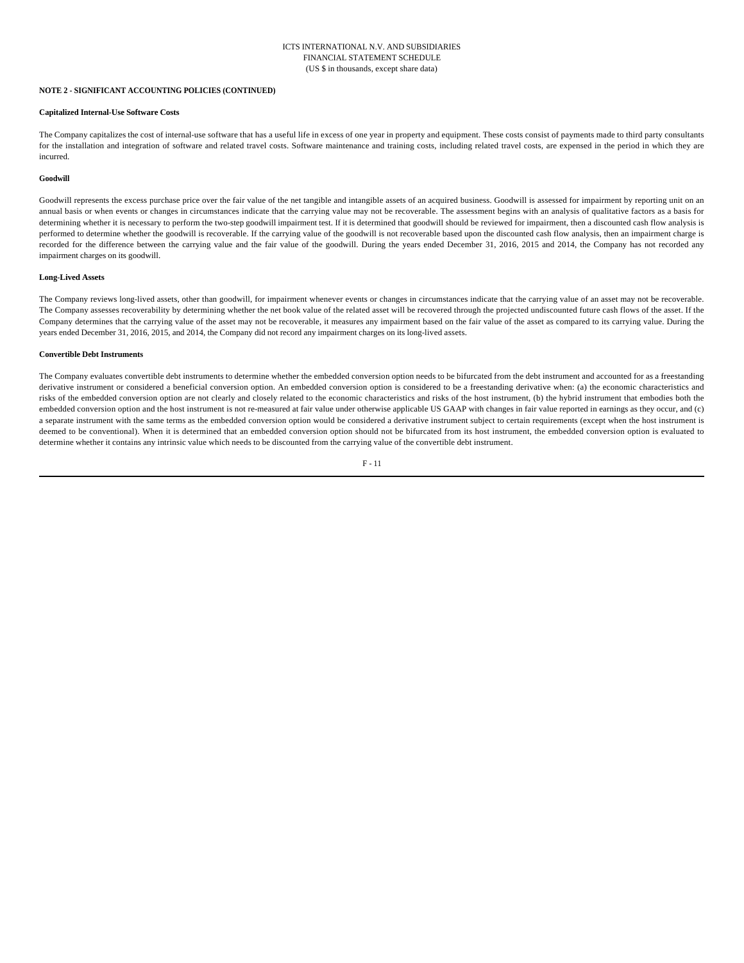#### **NOTE 2 - SIGNIFICANT ACCOUNTING POLICIES (CONTINUED)**

## **Capitalized Internal-Use Software Costs**

The Company capitalizes the cost of internal-use software that has a useful life in excess of one year in property and equipment. These costs consist of payments made to third party consultants for the installation and integration of software and related travel costs. Software maintenance and training costs, including related travel costs, are expensed in the period in which they are incurred.

#### **Goodwill**

Goodwill represents the excess purchase price over the fair value of the net tangible and intangible assets of an acquired business. Goodwill is assessed for impairment by reporting unit on an annual basis or when events or changes in circumstances indicate that the carrying value may not be recoverable. The assessment begins with an analysis of qualitative factors as a basis for determining whether it is necessary to perform the two-step goodwill impairment test. If it is determined that goodwill should be reviewed for impairment, then a discounted cash flow analysis is performed to determine whether the goodwill is recoverable. If the carrying value of the goodwill is not recoverable based upon the discounted cash flow analysis, then an impairment charge is recorded for the difference between the carrying value and the fair value of the goodwill. During the years ended December 31, 2016, 2015 and 2014, the Company has not recorded any impairment charges on its goodwill.

#### **Long-Lived Assets**

The Company reviews long-lived assets, other than goodwill, for impairment whenever events or changes in circumstances indicate that the carrying value of an asset may not be recoverable. The Company assesses recoverability by determining whether the net book value of the related asset will be recovered through the projected undiscounted future cash flows of the asset. If the Company determines that the carrying value of the asset may not be recoverable, it measures any impairment based on the fair value of the asset as compared to its carrying value. During the years ended December 31, 2016, 2015, and 2014, the Company did not record any impairment charges on its long-lived assets.

#### **Convertible Debt Instruments**

The Company evaluates convertible debt instruments to determine whether the embedded conversion option needs to be bifurcated from the debt instrument and accounted for as a freestanding derivative instrument or considered a beneficial conversion option. An embedded conversion option is considered to be a freestanding derivative when: (a) the economic characteristics and risks of the embedded conversion option are not clearly and closely related to the economic characteristics and risks of the host instrument, (b) the hybrid instrument that embodies both the embedded conversion option and the host instrument is not re-measured at fair value under otherwise applicable US GAAP with changes in fair value reported in earnings as they occur, and (c) a separate instrument with the same terms as the embedded conversion option would be considered a derivative instrument subject to certain requirements (except when the host instrument is deemed to be conventional). When it is determined that an embedded conversion option should not be bifurcated from its host instrument, the embedded conversion option is evaluated to determine whether it contains any intrinsic value which needs to be discounted from the carrying value of the convertible debt instrument.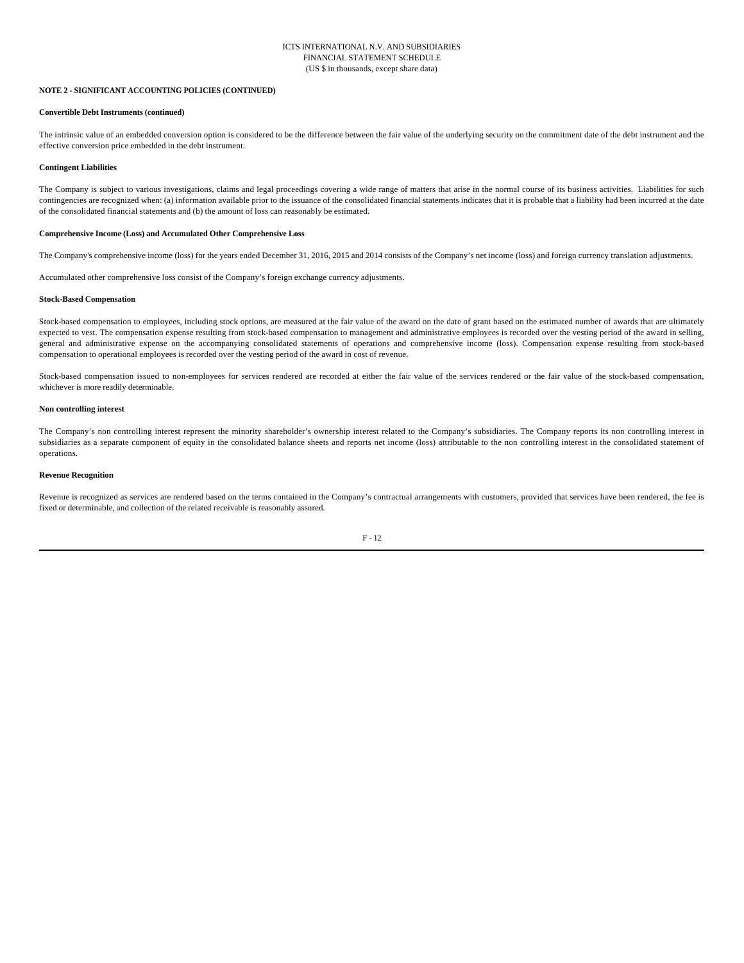#### **NOTE 2 - SIGNIFICANT ACCOUNTING POLICIES (CONTINUED)**

# **Convertible Debt Instruments (continued)**

The intrinsic value of an embedded conversion option is considered to be the difference between the fair value of the underlying security on the commitment date of the debt instrument and the effective conversion price embedded in the debt instrument.

### **Contingent Liabilities**

The Company is subject to various investigations, claims and legal proceedings covering a wide range of matters that arise in the normal course of its business activities. Liabilities for such contingencies are recognized when: (a) information available prior to the issuance of the consolidated financial statements indicates that it is probable that a liability had been incurred at the date of the consolidated financial statements and (b) the amount of loss can reasonably be estimated.

#### **Comprehensive Income (Loss) and Accumulated Other Comprehensive Loss**

The Company's comprehensive income (loss) for the years ended December 31, 2016, 2015 and 2014 consists of the Company's net income (loss) and foreign currency translation adjustments.

Accumulated other comprehensive loss consist of the Company's foreign exchange currency adjustments.

## **Stock-Based Compensation**

Stock-based compensation to employees, including stock options, are measured at the fair value of the award on the date of grant based on the estimated number of awards that are ultimately expected to vest. The compensation expense resulting from stock-based compensation to management and administrative employees is recorded over the vesting period of the award in selling, general and administrative expense on the accompanying consolidated statements of operations and comprehensive income (loss). Compensation expense resulting from stock-based compensation to operational employees is recorded over the vesting period of the award in cost of revenue.

Stock-based compensation issued to non-employees for services rendered are recorded at either the fair value of the services rendered or the fair value of the stock-based compensation, whichever is more readily determinable.

#### **Non controlling interest**

The Company's non controlling interest represent the minority shareholder's ownership interest related to the Company's subsidiaries. The Company reports its non controlling interest in subsidiaries as a separate component of equity in the consolidated balance sheets and reports net income (loss) attributable to the non controlling interest in the consolidated statement of operations.

### **Revenue Recognition**

Revenue is recognized as services are rendered based on the terms contained in the Company's contractual arrangements with customers, provided that services have been rendered, the fee is fixed or determinable, and collection of the related receivable is reasonably assured.

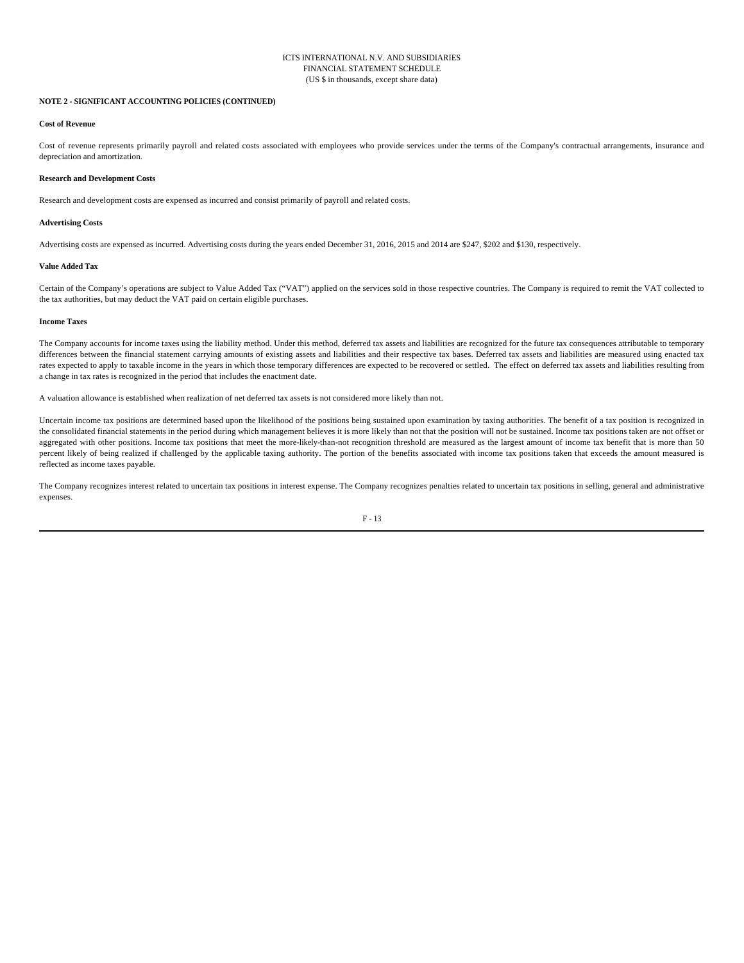### **NOTE 2 - SIGNIFICANT ACCOUNTING POLICIES (CONTINUED)**

#### **Cost of Revenue**

Cost of revenue represents primarily payroll and related costs associated with employees who provide services under the terms of the Company's contractual arrangements, insurance and depreciation and amortization.

#### **Research and Development Costs**

Research and development costs are expensed as incurred and consist primarily of payroll and related costs.

#### **Advertising Costs**

Advertising costs are expensed as incurred. Advertising costs during the years ended December 31, 2016, 2015 and 2014 are \$247, \$202 and \$130, respectively.

## **Value Added Tax**

Certain of the Company's operations are subject to Value Added Tax ("VAT") applied on the services sold in those respective countries. The Company is required to remit the VAT collected to the tax authorities, but may deduct the VAT paid on certain eligible purchases.

### **Income Taxes**

The Company accounts for income taxes using the liability method. Under this method, deferred tax assets and liabilities are recognized for the future tax consequences attributable to temporary differences between the financial statement carrying amounts of existing assets and liabilities and their respective tax bases. Deferred tax assets and liabilities are measured using enacted tax rates expected to apply to taxable income in the years in which those temporary differences are expected to be recovered or settled. The effect on deferred tax assets and liabilities resulting from a change in tax rates is recognized in the period that includes the enactment date.

A valuation allowance is established when realization of net deferred tax assets is not considered more likely than not.

Uncertain income tax positions are determined based upon the likelihood of the positions being sustained upon examination by taxing authorities. The benefit of a tax position is recognized in the consolidated financial statements in the period during which management believes it is more likely than not that the position will not be sustained. Income tax positions taken are not offset or aggregated with other positions. Income tax positions that meet the more-likely-than-not recognition threshold are measured as the largest amount of income tax benefit that is more than 50 percent likely of being realized if challenged by the applicable taxing authority. The portion of the benefits associated with income tax positions taken that exceeds the amount measured is reflected as income taxes payable.

The Company recognizes interest related to uncertain tax positions in interest expense. The Company recognizes penalties related to uncertain tax positions in selling, general and administrative expenses.

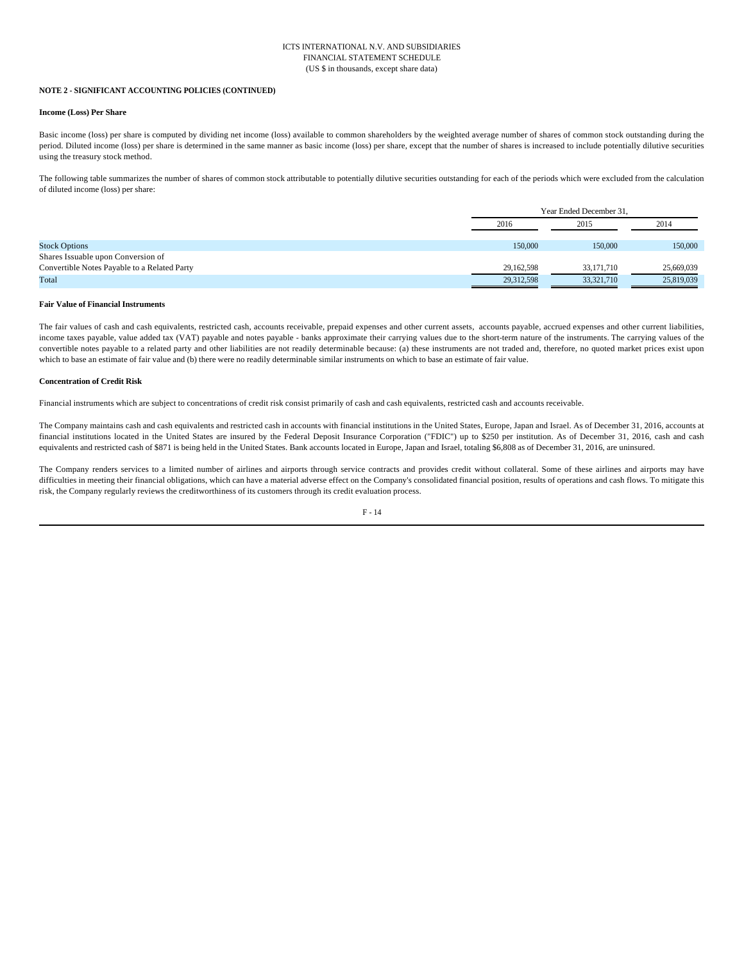#### **NOTE 2 - SIGNIFICANT ACCOUNTING POLICIES (CONTINUED)**

# **Income (Loss) Per Share**

Basic income (loss) per share is computed by dividing net income (loss) available to common shareholders by the weighted average number of shares of common stock outstanding during the period. Diluted income (loss) per share is determined in the same manner as basic income (loss) per share, except that the number of shares is increased to include potentially dilutive securities using the treasury stock method.

The following table summarizes the number of shares of common stock attributable to potentially dilutive securities outstanding for each of the periods which were excluded from the calculation of diluted income (loss) per share:

|                                              | Year Ended December 31, |              |            |  |  |
|----------------------------------------------|-------------------------|--------------|------------|--|--|
|                                              | 2016                    | 2014         |            |  |  |
|                                              |                         |              |            |  |  |
| <b>Stock Options</b>                         | 150,000                 | 150,000      | 150,000    |  |  |
| Shares Issuable upon Conversion of           |                         |              |            |  |  |
| Convertible Notes Payable to a Related Party | 29.162.598              | 33,171,710   | 25,669,039 |  |  |
| Total                                        | 29,312,598              | 33, 321, 710 | 25,819,039 |  |  |

#### **Fair Value of Financial Instruments**

The fair values of cash and cash equivalents, restricted cash, accounts receivable, prepaid expenses and other current assets, accounts payable, accrued expenses and other current liabilities, income taxes payable, value added tax (VAT) payable and notes payable - banks approximate their carrying values due to the short-term nature of the instruments. The carrying values of the convertible notes payable to a related party and other liabilities are not readily determinable because: (a) these instruments are not traded and, therefore, no quoted market prices exist upon which to base an estimate of fair value and (b) there were no readily determinable similar instruments on which to base an estimate of fair value.

#### **Concentration of Credit Risk**

Financial instruments which are subject to concentrations of credit risk consist primarily of cash and cash equivalents, restricted cash and accounts receivable.

The Company maintains cash and cash equivalents and restricted cash in accounts with financial institutions in the United States, Europe, Japan and Israel. As of December 31, 2016, accounts at financial institutions located in the United States are insured by the Federal Deposit Insurance Corporation ("FDIC") up to \$250 per institution. As of December 31, 2016, cash and cash equivalents and restricted cash of \$871 is being held in the United States. Bank accounts located in Europe, Japan and Israel, totaling \$6,808 as of December 31, 2016, are uninsured.

The Company renders services to a limited number of airlines and airports through service contracts and provides credit without collateral. Some of these airlines and airports may have difficulties in meeting their financial obligations, which can have a material adverse effect on the Company's consolidated financial position, results of operations and cash flows. To mitigate this risk, the Company regularly reviews the creditworthiness of its customers through its credit evaluation process.

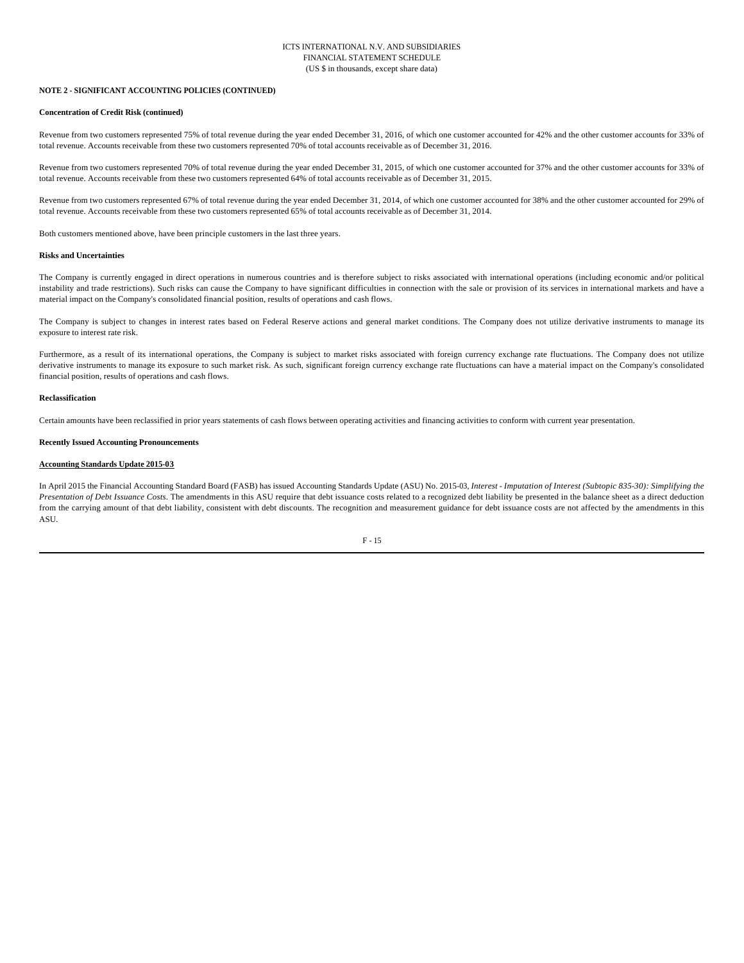### **NOTE 2 - SIGNIFICANT ACCOUNTING POLICIES (CONTINUED)**

# **Concentration of Credit Risk (continued)**

Revenue from two customers represented 75% of total revenue during the year ended December 31, 2016, of which one customer accounted for 42% and the other customer accounts for 33% of total revenue. Accounts receivable from these two customers represented 70% of total accounts receivable as of December 31, 2016.

Revenue from two customers represented 70% of total revenue during the year ended December 31, 2015, of which one customer accounted for 37% and the other customer accounts for 33% of total revenue. Accounts receivable from these two customers represented 64% of total accounts receivable as of December 31, 2015.

Revenue from two customers represented 67% of total revenue during the year ended December 31, 2014, of which one customer accounted for 38% and the other customer accounted for 29% of total revenue. Accounts receivable from these two customers represented 65% of total accounts receivable as of December 31, 2014.

Both customers mentioned above, have been principle customers in the last three years.

#### **Risks and Uncertainties**

The Company is currently engaged in direct operations in numerous countries and is therefore subject to risks associated with international operations (including economic and/or political instability and trade restrictions). Such risks can cause the Company to have significant difficulties in connection with the sale or provision of its services in international markets and have a material impact on the Company's consolidated financial position, results of operations and cash flows.

The Company is subject to changes in interest rates based on Federal Reserve actions and general market conditions. The Company does not utilize derivative instruments to manage its exposure to interest rate risk.

Furthermore, as a result of its international operations, the Company is subject to market risks associated with foreign currency exchange rate fluctuations. The Company does not utilize derivative instruments to manage its exposure to such market risk. As such, significant foreign currency exchange rate fluctuations can have a material impact on the Company's consolidated financial position, results of operations and cash flows.

#### **Reclassification**

Certain amounts have been reclassified in prior years statements of cash flows between operating activities and financing activities to conform with current year presentation.

#### **Recently Issued Accounting Pronouncements**

#### **Accounting Standards Update 2015-03**

In April 2015 the Financial Accounting Standard Board (FASB) has issued Accounting Standards Update (ASU) No. 2015-03, *Interest - Imputation of Interest (Subtopic 835-30): Simplifying the*  Presentation of Debt Issuance Costs. The amendments in this ASU require that debt issuance costs related to a recognized debt liability be presented in the balance sheet as a direct deduction from the carrying amount of that debt liability, consistent with debt discounts. The recognition and measurement guidance for debt issuance costs are not affected by the amendments in this ASU.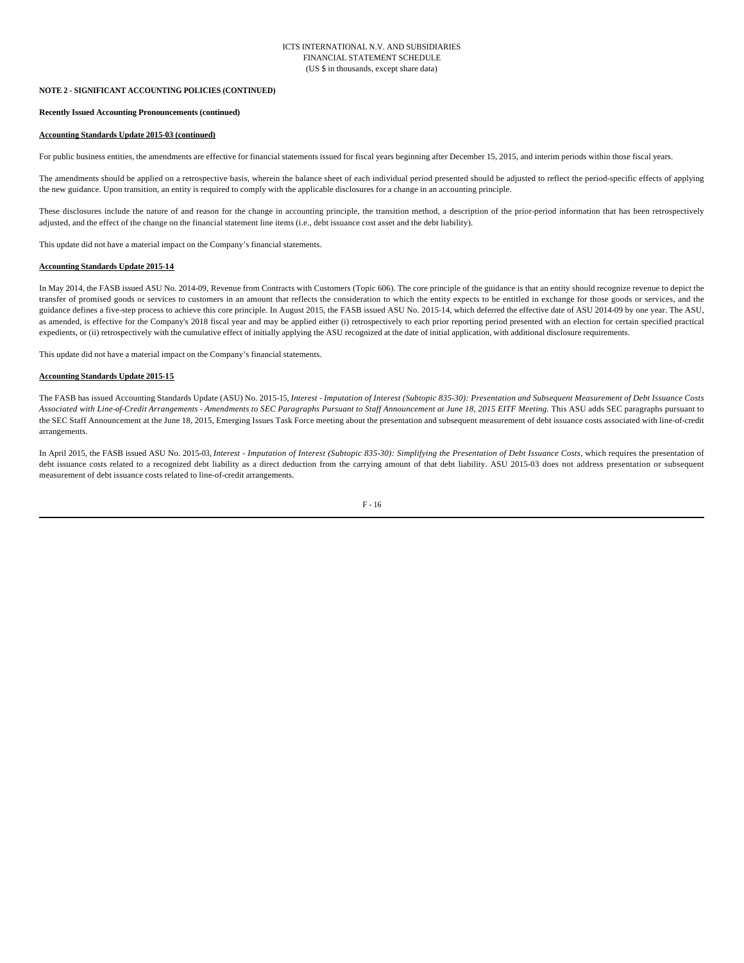### **NOTE 2 - SIGNIFICANT ACCOUNTING POLICIES (CONTINUED)**

# **Recently Issued Accounting Pronouncements (continued)**

## **Accounting Standards Update 2015-03 (continued)**

For public business entities, the amendments are effective for financial statements issued for fiscal years beginning after December 15, 2015, and interim periods within those fiscal years.

The amendments should be applied on a retrospective basis, wherein the balance sheet of each individual period presented should be adjusted to reflect the period-specific effects of applying the new guidance. Upon transition, an entity is required to comply with the applicable disclosures for a change in an accounting principle.

These disclosures include the nature of and reason for the change in accounting principle, the transition method, a description of the prior-period information that has been retrospectively adjusted, and the effect of the change on the financial statement line items (i.e., debt issuance cost asset and the debt liability).

This update did not have a material impact on the Company's financial statements.

## **Accounting Standards Update 2015-14**

In May 2014, the FASB issued ASU No. 2014-09, Revenue from Contracts with Customers (Topic 606). The core principle of the guidance is that an entity should recognize revenue to depict the transfer of promised goods or services to customers in an amount that reflects the consideration to which the entity expects to be entitled in exchange for those goods or services, and the guidance defines a five-step process to achieve this core principle. In August 2015, the FASB issued ASU No. 2015-14, which deferred the effective date of ASU 2014-09 by one year. The ASU, as amended, is effective for the Company's 2018 fiscal year and may be applied either (i) retrospectively to each prior reporting period presented with an election for certain specified practical expedients, or (ii) retrospectively with the cumulative effect of initially applying the ASU recognized at the date of initial application, with additional disclosure requirements.

This update did not have a material impact on the Company's financial statements.

#### **Accounting Standards Update 2015-15**

The FASB has issued Accounting Standards Update (ASU) No. 2015-15, *Interest - Imputation of Interest (Subtopic 835-30): Presentation and Subsequent Measurement of Debt Issuance Costs Associated with Line-of-Credit Arrangements - Amendments to SEC Paragraphs Pursuant to Staff Announcement at June 18, 2015 EITF Meeting.* This ASU adds SEC paragraphs pursuant to the SEC Staff Announcement at the June 18, 2015, Emerging Issues Task Force meeting about the presentation and subsequent measurement of debt issuance costs associated with line-of-credit arrangements.

In April 2015, the FASB issued ASU No. 2015-03, *Interest - Imputation of Interest (Subtopic 835-30): Simplifying the Presentation of Debt Issuance Costs,* which requires the presentation of debt issuance costs related to a recognized debt liability as a direct deduction from the carrying amount of that debt liability. ASU 2015-03 does not address presentation or subsequent measurement of debt issuance costs related to line-of-credit arrangements.

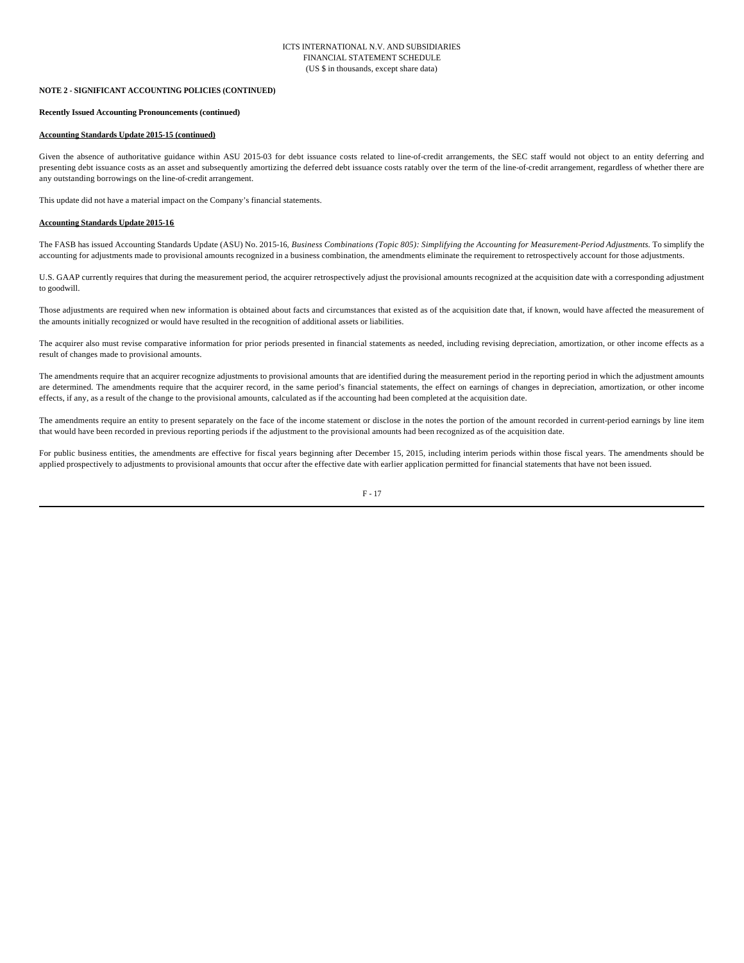## **NOTE 2 - SIGNIFICANT ACCOUNTING POLICIES (CONTINUED)**

## **Recently Issued Accounting Pronouncements (continued)**

### **Accounting Standards Update 2015-15 (continued)**

Given the absence of authoritative guidance within ASU 2015-03 for debt issuance costs related to line-of-credit arrangements, the SEC staff would not object to an entity deferring and presenting debt issuance costs as an asset and subsequently amortizing the deferred debt issuance costs ratably over the term of the line-of-credit arrangement, regardless of whether there are any outstanding borrowings on the line-of-credit arrangement.

This update did not have a material impact on the Company's financial statements.

#### **Accounting Standards Update 2015-16**

The FASB has issued Accounting Standards Update (ASU) No. 2015-16, *Business Combinations (Topic 805): Simplifying the Accounting for Measurement-Period Adjustments.* To simplify the accounting for adjustments made to provisional amounts recognized in a business combination, the amendments eliminate the requirement to retrospectively account for those adjustments.

U.S. GAAP currently requires that during the measurement period, the acquirer retrospectively adjust the provisional amounts recognized at the acquisition date with a corresponding adjustment to goodwill.

Those adjustments are required when new information is obtained about facts and circumstances that existed as of the acquisition date that, if known, would have affected the measurement of the amounts initially recognized or would have resulted in the recognition of additional assets or liabilities.

The acquirer also must revise comparative information for prior periods presented in financial statements as needed, including revising depreciation, amortization, or other income effects as a result of changes made to provisional amounts.

The amendments require that an acquirer recognize adjustments to provisional amounts that are identified during the measurement period in the reporting period in which the adjustment amounts are determined. The amendments require that the acquirer record, in the same period's financial statements, the effect on earnings of changes in depreciation, amortization, or other income effects, if any, as a result of the change to the provisional amounts, calculated as if the accounting had been completed at the acquisition date.

The amendments require an entity to present separately on the face of the income statement or disclose in the notes the portion of the amount recorded in current-period earnings by line item that would have been recorded in previous reporting periods if the adjustment to the provisional amounts had been recognized as of the acquisition date.

For public business entities, the amendments are effective for fiscal years beginning after December 15, 2015, including interim periods within those fiscal years. The amendments should be applied prospectively to adjustments to provisional amounts that occur after the effective date with earlier application permitted for financial statements that have not been issued.

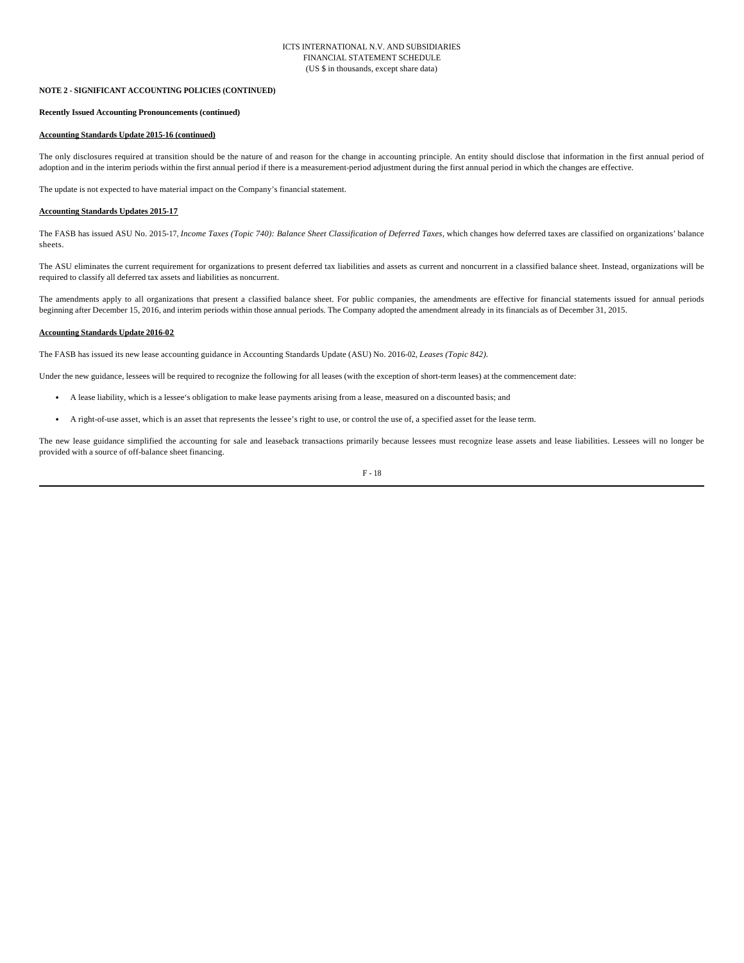### **NOTE 2 - SIGNIFICANT ACCOUNTING POLICIES (CONTINUED)**

# **Recently Issued Accounting Pronouncements (continued)**

## **Accounting Standards Update 2015-16 (continued)**

The only disclosures required at transition should be the nature of and reason for the change in accounting principle. An entity should disclose that information in the first annual period of adoption and in the interim periods within the first annual period if there is a measurement-period adjustment during the first annual period in which the changes are effective.

The update is not expected to have material impact on the Company's financial statement.

#### **Accounting Standards Updates 2015-17**

The FASB has issued ASU No. 2015-17, *Income Taxes (Topic 740): Balance Sheet Classification of Deferred Taxes*, which changes how deferred taxes are classified on organizations' balance sheets.

The ASU eliminates the current requirement for organizations to present deferred tax liabilities and assets as current and noncurrent in a classified balance sheet. Instead, organizations will be required to classify all deferred tax assets and liabilities as noncurrent.

The amendments apply to all organizations that present a classified balance sheet. For public companies, the amendments are effective for financial statements issued for annual periods beginning after December 15, 2016, and interim periods within those annual periods. The Company adopted the amendment already in its financials as of December 31, 2015.

#### **Accounting Standards Update 2016-02**

The FASB has issued its new lease accounting guidance in Accounting Standards Update (ASU) No. 2016-02, *Leases (Topic 842).*

Under the new guidance, lessees will be required to recognize the following for all leases (with the exception of short-term leases) at the commencement date:

A lease liability, which is a lessee's obligation to make lease payments arising from a lease, measured on a discounted basis; and

A right-of-use asset, which is an asset that represents the lessee's right to use, or control the use of, a specified asset for the lease term.

The new lease guidance simplified the accounting for sale and leaseback transactions primarily because lessees must recognize lease assets and lease liabilities. Lessees will no longer be provided with a source of off-balance sheet financing.

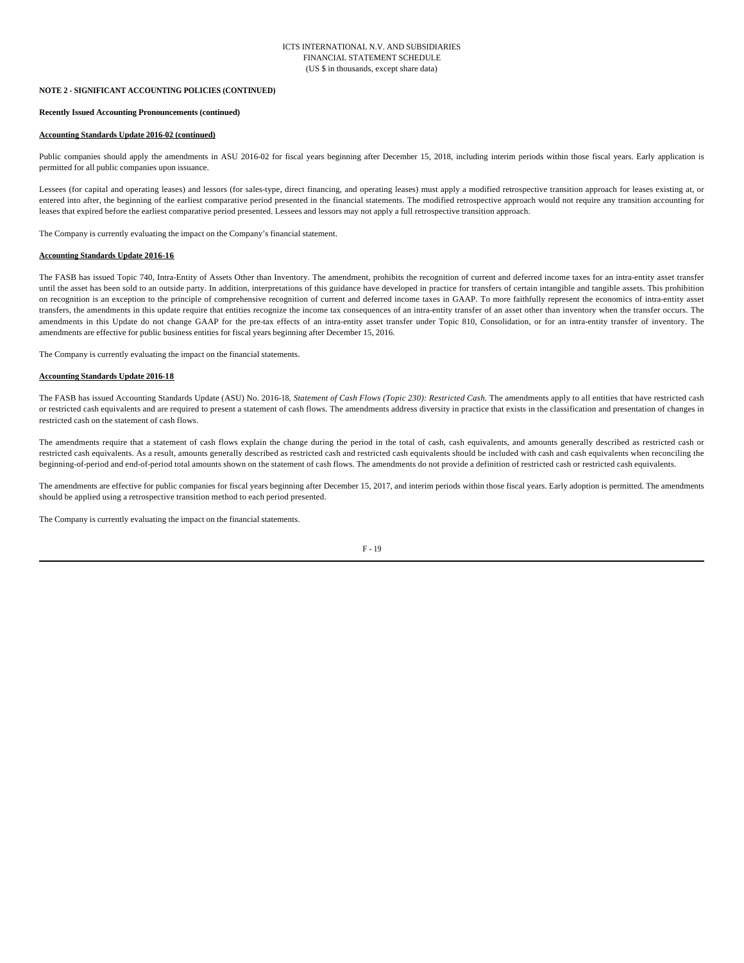## **NOTE 2 - SIGNIFICANT ACCOUNTING POLICIES (CONTINUED)**

# **Recently Issued Accounting Pronouncements (continued)**

## **Accounting Standards Update 2016-02 (continued)**

Public companies should apply the amendments in ASU 2016-02 for fiscal years beginning after December 15, 2018, including interim periods within those fiscal years. Early application is permitted for all public companies upon issuance.

Lessees (for capital and operating leases) and lessors (for sales-type, direct financing, and operating leases) must apply a modified retrospective transition approach for leases existing at, or entered into after, the beginning of the earliest comparative period presented in the financial statements. The modified retrospective approach would not require any transition accounting for leases that expired before the earliest comparative period presented. Lessees and lessors may not apply a full retrospective transition approach.

The Company is currently evaluating the impact on the Company's financial statement.

### **Accounting Standards Update 2016-16**

The FASB has issued Topic 740, Intra-Entity of Assets Other than Inventory. The amendment, prohibits the recognition of current and deferred income taxes for an intra-entity asset transfer until the asset has been sold to an outside party. In addition, interpretations of this guidance have developed in practice for transfers of certain intangible and tangible assets. This prohibition on recognition is an exception to the principle of comprehensive recognition of current and deferred income taxes in GAAP. To more faithfully represent the economics of intra-entity asset transfers, the amendments in this update require that entities recognize the income tax consequences of an intra-entity transfer of an asset other than inventory when the transfer occurs. The amendments in this Update do not change GAAP for the pre-tax effects of an intra-entity asset transfer under Topic 810, Consolidation, or for an intra-entity transfer of inventory. The amendments are effective for public business entities for fiscal years beginning after December 15, 2016.

The Company is currently evaluating the impact on the financial statements.

#### **Accounting Standards Update 2016-18**

The FASB has issued Accounting Standards Update (ASU) No. 2016-18, *Statement of Cash Flows (Topic 230): Restricted Cash*. The amendments apply to all entities that have restricted cash or restricted cash equivalents and are required to present a statement of cash flows. The amendments address diversity in practice that exists in the classification and presentation of changes in restricted cash on the statement of cash flows.

The amendments require that a statement of cash flows explain the change during the period in the total of cash, cash equivalents, and amounts generally described as restricted cash or restricted cash equivalents. As a result, amounts generally described as restricted cash and restricted cash equivalents should be included with cash and cash equivalents when reconciling the beginning-of-period and end-of-period total amounts shown on the statement of cash flows. The amendments do not provide a definition of restricted cash or restricted cash equivalents.

The amendments are effective for public companies for fiscal years beginning after December 15, 2017, and interim periods within those fiscal years. Early adoption is permitted. The amendments should be applied using a retrospective transition method to each period presented.

The Company is currently evaluating the impact on the financial statements.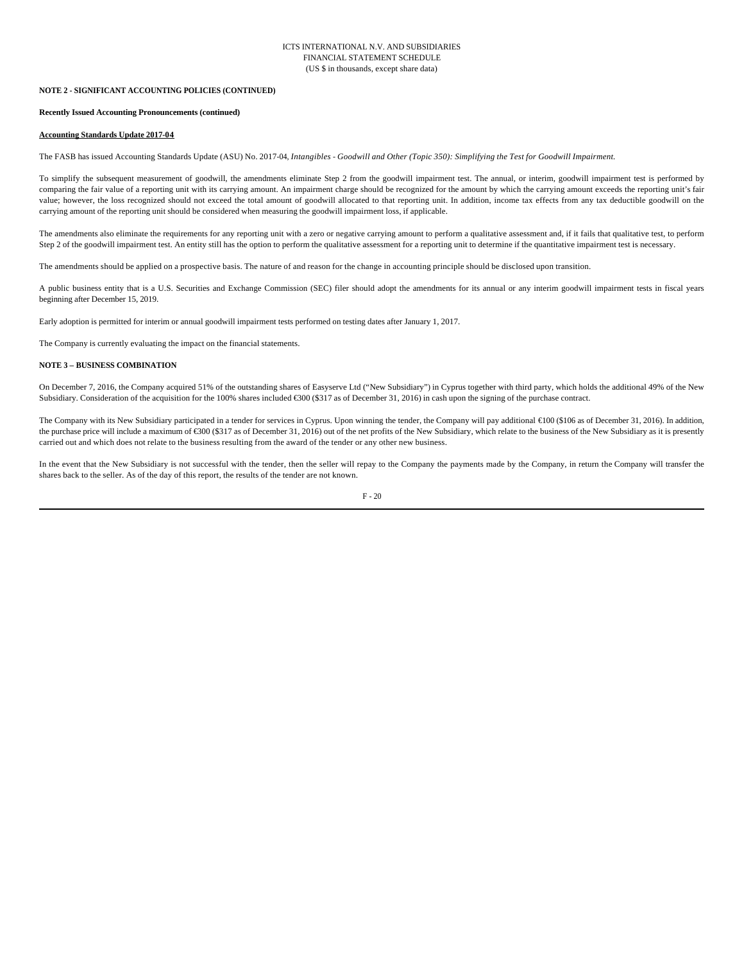### **NOTE 2 - SIGNIFICANT ACCOUNTING POLICIES (CONTINUED)**

# **Recently Issued Accounting Pronouncements (continued)**

#### **Accounting Standards Update 2017-04**

The FASB has issued Accounting Standards Update (ASU) No. 2017-04, *Intangibles - Goodwill and Other (Topic 350): Simplifying the Test for Goodwill Impairment.*

To simplify the subsequent measurement of goodwill, the amendments eliminate Step 2 from the goodwill impairment test. The annual, or interim, goodwill impairment test is performed by comparing the fair value of a reporting unit with its carrying amount. An impairment charge should be recognized for the amount by which the carrying amount exceeds the reporting unit's fair value; however, the loss recognized should not exceed the total amount of goodwill allocated to that reporting unit. In addition, income tax effects from any tax deductible goodwill on the carrying amount of the reporting unit should be considered when measuring the goodwill impairment loss, if applicable.

The amendments also eliminate the requirements for any reporting unit with a zero or negative carrying amount to perform a qualitative assessment and, if it fails that qualitative test, to perform Step 2 of the goodwill impairment test. An entity still has the option to perform the qualitative assessment for a reporting unit to determine if the quantitative impairment test is necessary.

The amendments should be applied on a prospective basis. The nature of and reason for the change in accounting principle should be disclosed upon transition.

A public business entity that is a U.S. Securities and Exchange Commission (SEC) filer should adopt the amendments for its annual or any interim goodwill impairment tests in fiscal years beginning after December 15, 2019.

Early adoption is permitted for interim or annual goodwill impairment tests performed on testing dates after January 1, 2017.

The Company is currently evaluating the impact on the financial statements.

#### **NOTE 3 – BUSINESS COMBINATION**

On December 7, 2016, the Company acquired 51% of the outstanding shares of Easyserve Ltd ("New Subsidiary") in Cyprus together with third party, which holds the additional 49% of the New Subsidiary. Consideration of the acquisition for the 100% shares included €300 (\$317 as of December 31, 2016) in cash upon the signing of the purchase contract.

The Company with its New Subsidiary participated in a tender for services in Cyprus. Upon winning the tender, the Company will pay additional €100 (\$106 as of December 31, 2016). In addition, the purchase price will include a maximum of €300 (\$317 as of December 31, 2016) out of the net profits of the New Subsidiary, which relate to the business of the New Subsidiary as it is presently carried out and which does not relate to the business resulting from the award of the tender or any other new business.

In the event that the New Subsidiary is not successful with the tender, then the seller will repay to the Company the payments made by the Company, in return the Company will transfer the shares back to the seller. As of the day of this report, the results of the tender are not known.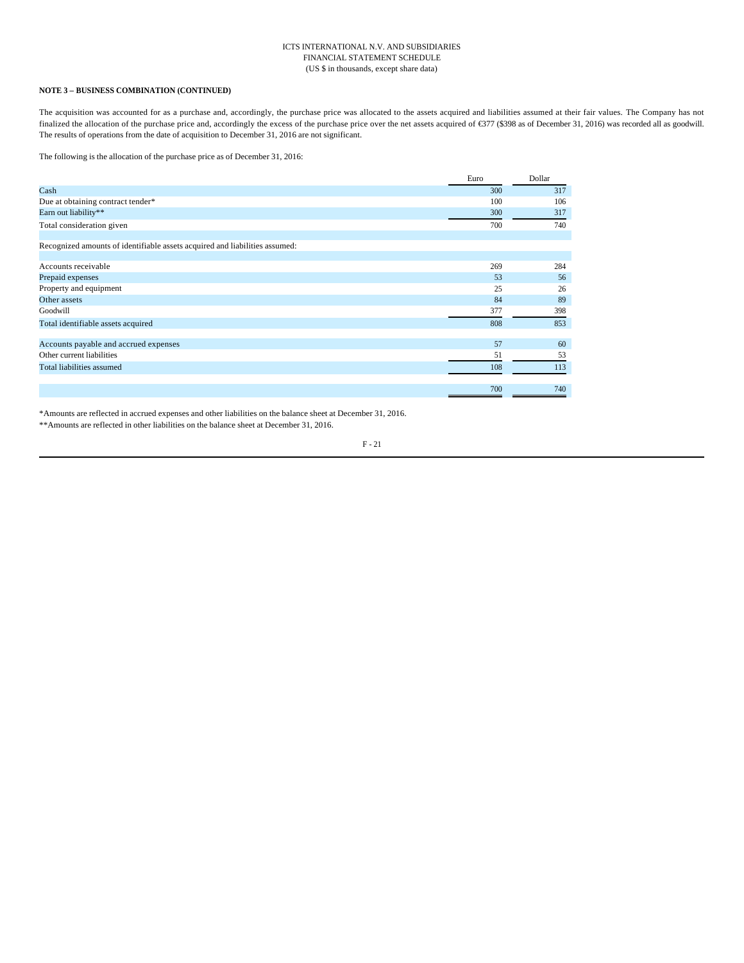# **NOTE 3 – BUSINESS COMBINATION (CONTINUED)**

The acquisition was accounted for as a purchase and, accordingly, the purchase price was allocated to the assets acquired and liabilities assumed at their fair values. The Company has not finalized the allocation of the purchase price and, accordingly the excess of the purchase price over the net assets acquired of €377 (\$398 as of December 31, 2016) was recorded all as goodwill. The results of operations from the date of acquisition to December 31, 2016 are not significant.

The following is the allocation of the purchase price as of December 31, 2016:

|                                                                             | Euro | Dollar |
|-----------------------------------------------------------------------------|------|--------|
| Cash                                                                        | 300  | 317    |
| Due at obtaining contract tender*                                           | 100  | 106    |
| Earn out liability**                                                        | 300  | 317    |
| Total consideration given                                                   | 700  | 740    |
|                                                                             |      |        |
| Recognized amounts of identifiable assets acquired and liabilities assumed: |      |        |
|                                                                             |      |        |
| Accounts receivable                                                         | 269  | 284    |
| Prepaid expenses                                                            | 53   | 56     |
| Property and equipment                                                      | 25   | 26     |
| Other assets                                                                | 84   | 89     |
| Goodwill                                                                    | 377  | 398    |
| Total identifiable assets acquired                                          | 808  | 853    |
|                                                                             |      |        |
| Accounts payable and accrued expenses                                       | 57   | 60     |
| Other current liabilities                                                   | 51   | 53     |
| Total liabilities assumed                                                   | 108  | 113    |
|                                                                             |      |        |
|                                                                             | 700  | 740    |

\*Amounts are reflected in accrued expenses and other liabilities on the balance sheet at December 31, 2016.

\*\*Amounts are reflected in other liabilities on the balance sheet at December 31, 2016.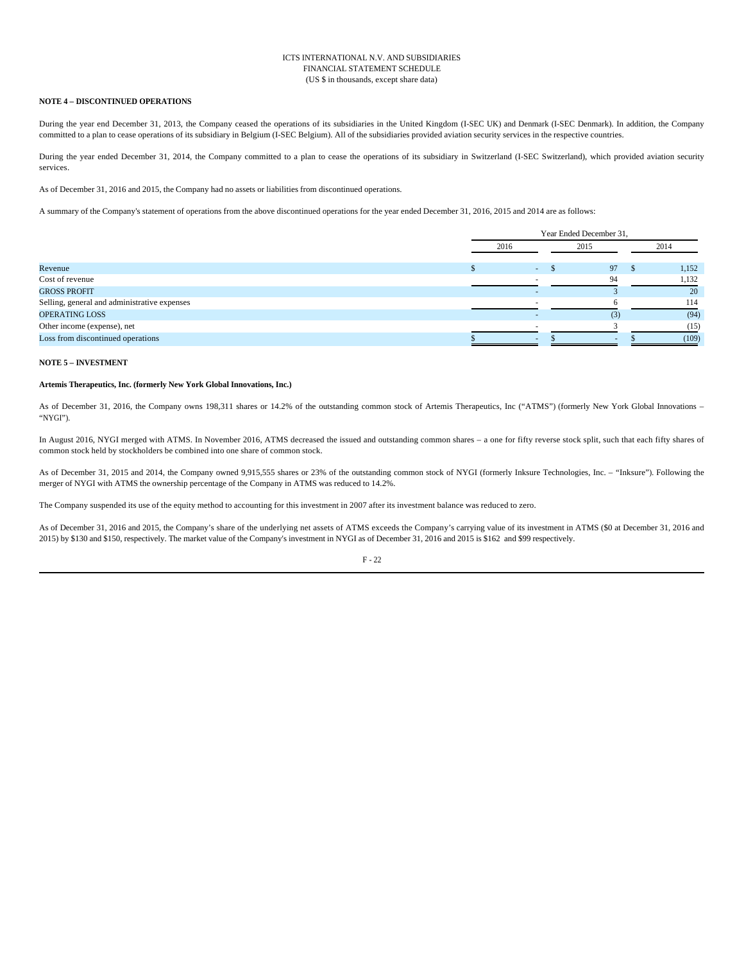#### **NOTE 4 – DISCONTINUED OPERATIONS**

During the year end December 31, 2013, the Company ceased the operations of its subsidiaries in the United Kingdom (I-SEC UK) and Denmark (I-SEC Denmark). In addition, the Company committed to a plan to cease operations of its subsidiary in Belgium (I-SEC Belgium). All of the subsidiaries provided aviation security services in the respective countries.

During the year ended December 31, 2014, the Company committed to a plan to cease the operations of its subsidiary in Switzerland (I-SEC Switzerland), which provided aviation security services.

As of December 31, 2016 and 2015, the Company had no assets or liabilities from discontinued operations.

A summary of the Company's statement of operations from the above discontinued operations for the year ended December 31, 2016, 2015 and 2014 are as follows:

|                                              | Year Ended December 31, |                          |      |    |  |       |  |
|----------------------------------------------|-------------------------|--------------------------|------|----|--|-------|--|
|                                              | 2016                    |                          | 2015 |    |  | 2014  |  |
| Revenue                                      |                         | $\overline{\phantom{a}}$ |      | 97 |  | 1,152 |  |
| Cost of revenue                              |                         |                          |      | 94 |  | 1,132 |  |
| <b>GROSS PROFIT</b>                          |                         |                          |      |    |  | 20    |  |
| Selling, general and administrative expenses |                         |                          |      |    |  | 114   |  |
| <b>OPERATING LOSS</b>                        |                         |                          |      |    |  | (94)  |  |
| Other income (expense), net                  |                         |                          |      |    |  | (15)  |  |
| Loss from discontinued operations            |                         |                          |      |    |  | (109) |  |

## **NOTE 5 – INVESTMENT**

#### **Artemis Therapeutics, Inc. (formerly New York Global Innovations, Inc.)**

As of December 31, 2016, the Company owns 198,311 shares or 14.2% of the outstanding common stock of Artemis Therapeutics, Inc ("ATMS") (formerly New York Global Innovations – "NYGI").

In August 2016, NYGI merged with ATMS. In November 2016, ATMS decreased the issued and outstanding common shares – a one for fifty reverse stock split, such that each fifty shares of common stock held by stockholders be combined into one share of common stock.

As of December 31, 2015 and 2014, the Company owned 9,915,555 shares or 23% of the outstanding common stock of NYGI (formerly Inksure Technologies, Inc. – "Inksure"). Following the merger of NYGI with ATMS the ownership percentage of the Company in ATMS was reduced to 14.2%.

The Company suspended its use of the equity method to accounting for this investment in 2007 after its investment balance was reduced to zero.

As of December 31, 2016 and 2015, the Company's share of the underlying net assets of ATMS exceeds the Company's carrying value of its investment in ATMS (\$0 at December 31, 2016 and 2015) by \$130 and \$150, respectively. The market value of the Company's investment in NYGI as of December 31, 2016 and 2015 is \$162 and \$99 respectively.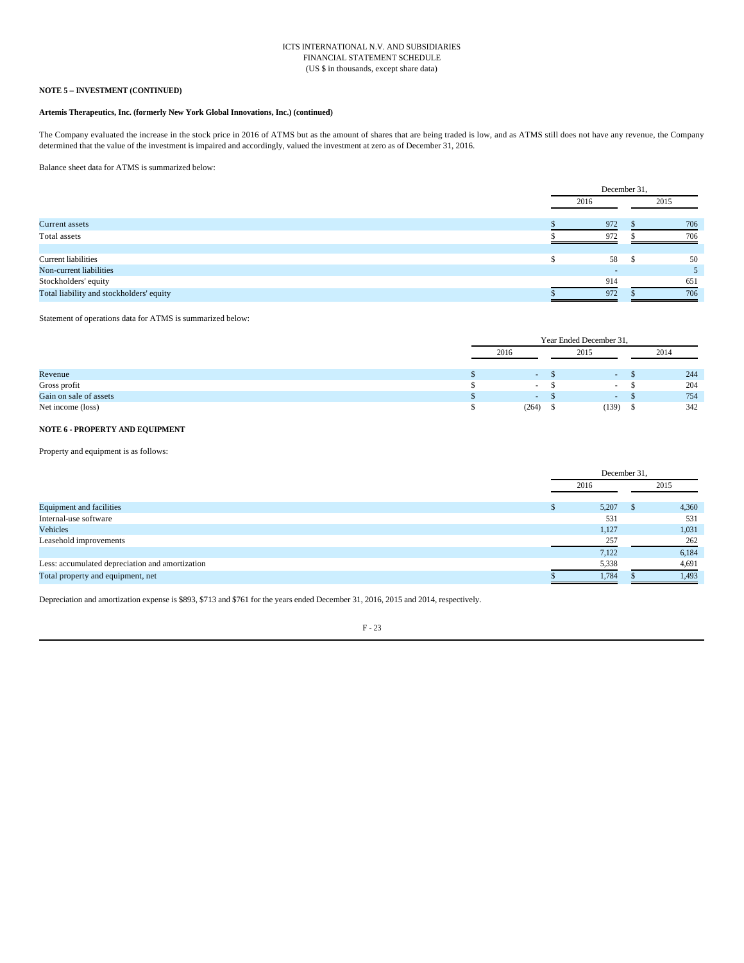# **NOTE 5 – INVESTMENT (CONTINUED)**

# **Artemis Therapeutics, Inc. (formerly New York Global Innovations, Inc.) (continued)**

The Company evaluated the increase in the stock price in 2016 of ATMS but as the amount of shares that are being traded is low, and as ATMS still does not have any revenue, the Company determined that the value of the investment is impaired and accordingly, valued the investment at zero as of December 31, 2016.

Balance sheet data for ATMS is summarized below:

|                                          | December 31, |  |      |  |
|------------------------------------------|--------------|--|------|--|
|                                          | 2016         |  | 2015 |  |
| Current assets                           | 972          |  | 706  |  |
| Total assets                             | 972          |  | 706  |  |
| <b>Current liabilities</b>               | 58           |  | 50   |  |
| Non-current liabilities                  |              |  |      |  |
| Stockholders' equity                     | 914          |  | 651  |  |
| Total liability and stockholders' equity | 972          |  | 706  |  |

## Statement of operations data for ATMS is summarized below:

|                        | Year Ended December 31, |  |        |  |      |  |  |
|------------------------|-------------------------|--|--------|--|------|--|--|
|                        | 2016                    |  | 2015   |  | 2014 |  |  |
|                        |                         |  |        |  |      |  |  |
| Revenue                | $\sim$                  |  | $-$    |  | 244  |  |  |
| Gross profit           | $\sim$                  |  | $\sim$ |  | 204  |  |  |
| Gain on sale of assets | $\sim$                  |  | $\sim$ |  | 754  |  |  |
| Net income (loss)      | (264)                   |  | (139)  |  | 342  |  |  |

# **NOTE 6 - PROPERTY AND EQUIPMENT**

Property and equipment is as follows:

|                                                 | December 31. |  |       |  |
|-------------------------------------------------|--------------|--|-------|--|
|                                                 | 2016         |  | 2015  |  |
| <b>Equipment and facilities</b>                 | 5,207        |  | 4,360 |  |
| Internal-use software                           | 531          |  | 531   |  |
| Vehicles                                        | 1,127        |  | 1,031 |  |
| Leasehold improvements                          | 257          |  | 262   |  |
|                                                 | 7,122        |  | 6,184 |  |
| Less: accumulated depreciation and amortization | 5,338        |  | 4,691 |  |
| Total property and equipment, net               | 1,784        |  | 1,493 |  |

Depreciation and amortization expense is \$893, \$713 and \$761 for the years ended December 31, 2016, 2015 and 2014, respectively.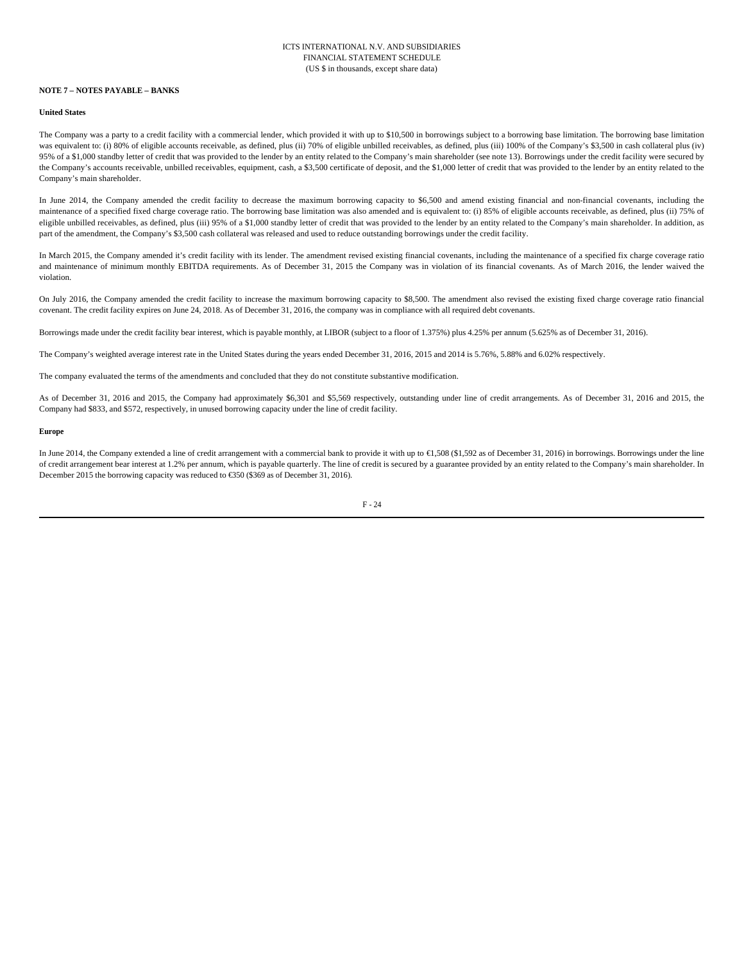## **NOTE 7 – NOTES PAYABLE – BANKS**

# **United States**

The Company was a party to a credit facility with a commercial lender, which provided it with up to \$10,500 in borrowings subject to a borrowing base limitation. The borrowing base limitation was equivalent to: (i) 80% of eligible accounts receivable, as defined, plus (ii) 70% of eligible unbilled receivables, as defined, plus (iii) 100% of the Company's \$3,500 in cash collateral plus (iv) 95% of a \$1,000 standby letter of credit that was provided to the lender by an entity related to the Company's main shareholder (see note 13). Borrowings under the credit facility were secured by the Company's accounts receivable, unbilled receivables, equipment, cash, a \$3,500 certificate of deposit, and the \$1,000 letter of credit that was provided to the lender by an entity related to the Company's main shareholder.

In June 2014, the Company amended the credit facility to decrease the maximum borrowing capacity to \$6,500 and amend existing financial and non-financial covenants, including the maintenance of a specified fixed charge coverage ratio. The borrowing base limitation was also amended and is equivalent to: (i) 85% of eligible accounts receivable, as defined, plus (ii) 75% of eligible unbilled receivables, as defined, plus (iii) 95% of a \$1,000 standby letter of credit that was provided to the lender by an entity related to the Company's main shareholder. In addition, as part of the amendment, the Company's \$3,500 cash collateral was released and used to reduce outstanding borrowings under the credit facility.

In March 2015, the Company amended it's credit facility with its lender. The amendment revised existing financial covenants, including the maintenance of a specified fix charge coverage ratio and maintenance of minimum monthly EBITDA requirements. As of December 31, 2015 the Company was in violation of its financial covenants. As of March 2016, the lender waived the violation.

On July 2016, the Company amended the credit facility to increase the maximum borrowing capacity to \$8,500. The amendment also revised the existing fixed charge coverage ratio financial covenant. The credit facility expires on June 24, 2018. As of December 31, 2016, the company was in compliance with all required debt covenants.

Borrowings made under the credit facility bear interest, which is payable monthly, at LIBOR (subject to a floor of 1.375%) plus 4.25% per annum (5.625% as of December 31, 2016).

The Company's weighted average interest rate in the United States during the years ended December 31, 2016, 2015 and 2014 is 5.76%, 5.88% and 6.02% respectively.

The company evaluated the terms of the amendments and concluded that they do not constitute substantive modification.

As of December 31, 2016 and 2015, the Company had approximately \$6,301 and \$5,569 respectively, outstanding under line of credit arrangements. As of December 31, 2016 and 2015, the Company had \$833, and \$572, respectively, in unused borrowing capacity under the line of credit facility.

#### **Europe**

In June 2014, the Company extended a line of credit arrangement with a commercial bank to provide it with up to  $\epsilon$ , 508 (\$1,592 as of December 31, 2016) in borrowings. Borrowings under the line of credit arrangement bear interest at 1.2% per annum, which is payable quarterly. The line of credit is secured by a guarantee provided by an entity related to the Company's main shareholder. In December 2015 the borrowing capacity was reduced to €350 (\$369 as of December 31, 2016).

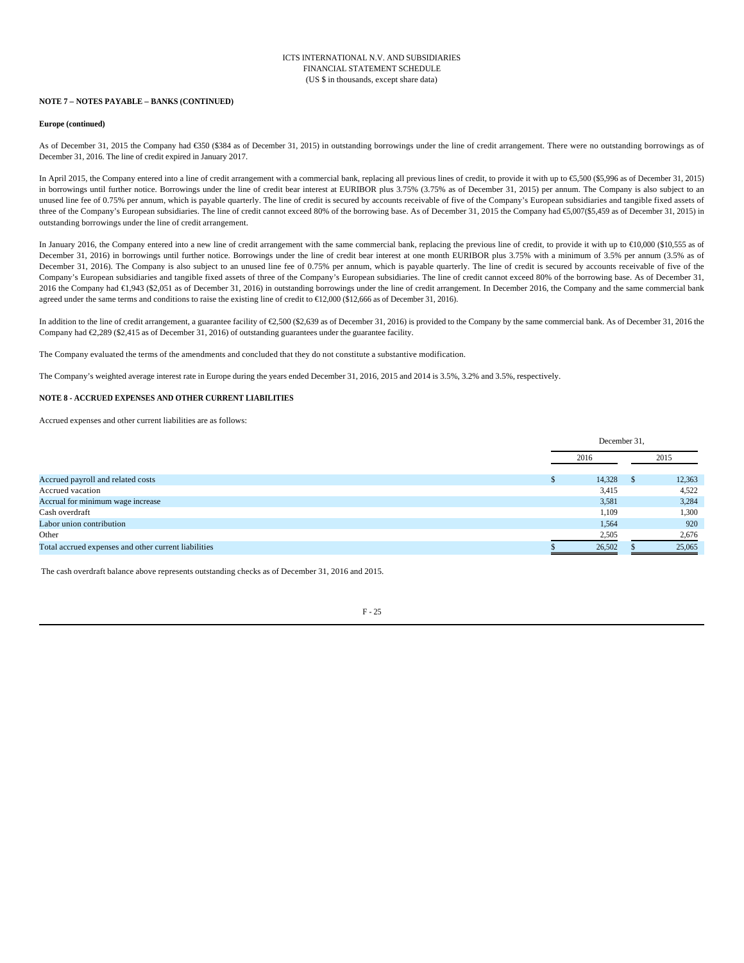### **NOTE 7 – NOTES PAYABLE – BANKS (CONTINUED)**

#### **Europe (continued)**

As of December 31, 2015 the Company had €350 (\$384 as of December 31, 2015) in outstanding borrowings under the line of credit arrangement. There were no outstanding borrowings as of December 31, 2016. The line of credit expired in January 2017.

In April 2015, the Company entered into a line of credit arrangement with a commercial bank, replacing all previous lines of credit, to provide it with up to €5,500 (\$5,996 as of December 31, 2015) in borrowings until further notice. Borrowings under the line of credit bear interest at EURIBOR plus 3.75% (3.75% as of December 31, 2015) per annum. The Company is also subject to an unused line fee of 0.75% per annum, which is payable quarterly. The line of credit is secured by accounts receivable of five of the Company's European subsidiaries and tangible fixed assets of three of the Company's European subsidiaries. The line of credit cannot exceed 80% of the borrowing base. As of December 31, 2015 the Company had €5,007(\$5,459 as of December 31, 2015) in outstanding borrowings under the line of credit arrangement.

In January 2016, the Company entered into a new line of credit arrangement with the same commercial bank, replacing the previous line of credit, to provide it with up to €10,000 (\$10,555 as of December 31, 2016) in borrowings until further notice. Borrowings under the line of credit bear interest at one month EURIBOR plus 3.75% with a minimum of 3.5% per annum (3.5% as of December 31, 2016). The Company is also subject to an unused line fee of 0.75% per annum, which is payable quarterly. The line of credit is secured by accounts receivable of five of the Company's European subsidiaries and tangible fixed assets of three of the Company's European subsidiaries. The line of credit cannot exceed 80% of the borrowing base. As of December 31, 2016 the Company had €1,943 (\$2,051 as of December 31, 2016) in outstanding borrowings under the line of credit arrangement. In December 2016, the Company and the same commercial bank agreed under the same terms and conditions to raise the existing line of credit to  $\text{E2,000}$  (\$12,666 as of December 31, 2016).

In addition to the line of credit arrangement, a guarantee facility of €2,500 (\$2,639 as of December 31, 2016) is provided to the Company by the same commercial bank. As of December 31, 2016 the Company had €2,289 (\$2,415 as of December 31, 2016) of outstanding guarantees under the guarantee facility.

The Company evaluated the terms of the amendments and concluded that they do not constitute a substantive modification.

The Company's weighted average interest rate in Europe during the years ended December 31, 2016, 2015 and 2014 is 3.5%, 3.2% and 3.5%, respectively.

#### **NOTE 8 - ACCRUED EXPENSES AND OTHER CURRENT LIABILITIES**

Accrued expenses and other current liabilities are as follows:

|                                                      | December 31, |  |        |  |  |
|------------------------------------------------------|--------------|--|--------|--|--|
|                                                      | 2016         |  | 2015   |  |  |
| Accrued payroll and related costs                    | 14,328       |  | 12,363 |  |  |
| Accrued vacation                                     | 3,415        |  | 4,522  |  |  |
| Accrual for minimum wage increase                    | 3,581        |  | 3,284  |  |  |
| Cash overdraft                                       | 1,109        |  | 1,300  |  |  |
| Labor union contribution                             | 1,564        |  | 920    |  |  |
| Other                                                | 2,505        |  | 2,676  |  |  |
| Total accrued expenses and other current liabilities | 26,502       |  | 25,065 |  |  |

The cash overdraft balance above represents outstanding checks as of December 31, 2016 and 2015.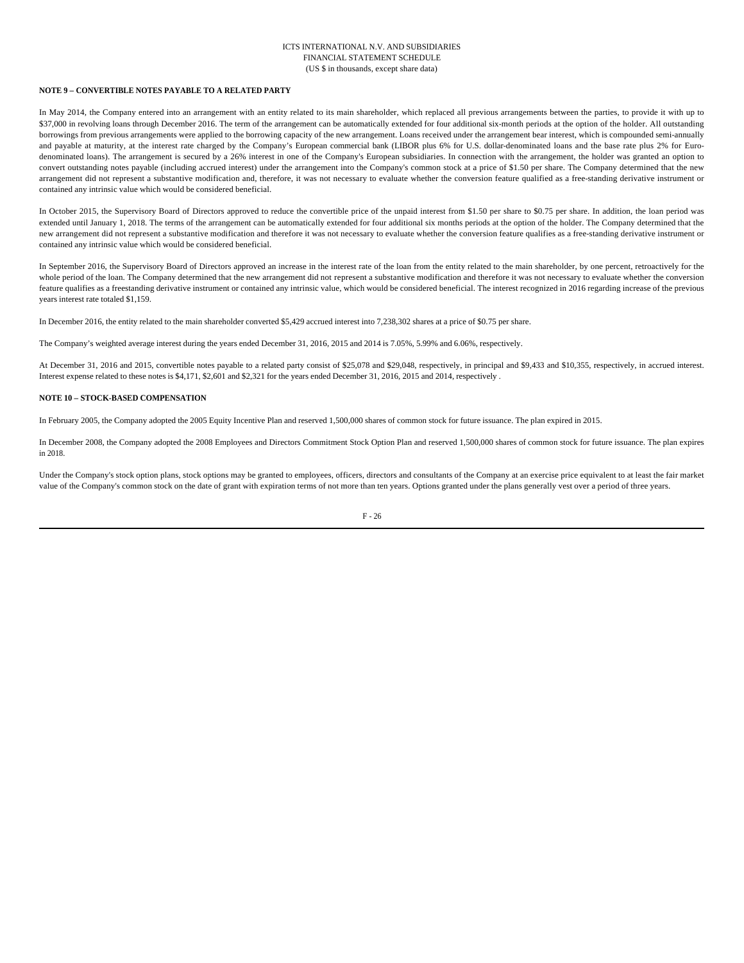### **NOTE 9 – CONVERTIBLE NOTES PAYABLE TO A RELATED PARTY**

In May 2014, the Company entered into an arrangement with an entity related to its main shareholder, which replaced all previous arrangements between the parties, to provide it with up to \$37,000 in revolving loans through December 2016. The term of the arrangement can be automatically extended for four additional six-month periods at the option of the holder. All outstanding borrowings from previous arrangements were applied to the borrowing capacity of the new arrangement. Loans received under the arrangement bear interest, which is compounded semi-annually and payable at maturity, at the interest rate charged by the Company's European commercial bank (LIBOR plus 6% for U.S. dollar-denominated loans and the base rate plus 2% for Eurodenominated loans). The arrangement is secured by a 26% interest in one of the Company's European subsidiaries. In connection with the arrangement, the holder was granted an option to convert outstanding notes payable (including accrued interest) under the arrangement into the Company's common stock at a price of \$1.50 per share. The Company determined that the new arrangement did not represent a substantive modification and, therefore, it was not necessary to evaluate whether the conversion feature qualified as a free-standing derivative instrument or contained any intrinsic value which would be considered beneficial.

In October 2015, the Supervisory Board of Directors approved to reduce the convertible price of the unpaid interest from \$1.50 per share to \$0.75 per share. In addition, the loan period was extended until January 1, 2018. The terms of the arrangement can be automatically extended for four additional six months periods at the option of the holder. The Company determined that the new arrangement did not represent a substantive modification and therefore it was not necessary to evaluate whether the conversion feature qualifies as a free-standing derivative instrument or contained any intrinsic value which would be considered beneficial.

In September 2016, the Supervisory Board of Directors approved an increase in the interest rate of the loan from the entity related to the main shareholder, by one percent, retroactively for the whole period of the loan. The Company determined that the new arrangement did not represent a substantive modification and therefore it was not necessary to evaluate whether the conversion feature qualifies as a freestanding derivative instrument or contained any intrinsic value, which would be considered beneficial. The interest recognized in 2016 regarding increase of the previous years interest rate totaled \$1,159.

In December 2016, the entity related to the main shareholder converted \$5,429 accrued interest into 7,238,302 shares at a price of \$0.75 per share.

The Company's weighted average interest during the years ended December 31, 2016, 2015 and 2014 is 7.05%, 5.99% and 6.06%, respectively.

At December 31, 2016 and 2015, convertible notes payable to a related party consist of \$25,078 and \$29,048, respectively, in principal and \$9,433 and \$10,355, respectively, in accrued interest. Interest expense related to these notes is \$4,171, \$2,601 and \$2,321 for the years ended December 31, 2016, 2015 and 2014, respectively .

### **NOTE 10 – STOCK-BASED COMPENSATION**

In February 2005, the Company adopted the 2005 Equity Incentive Plan and reserved 1,500,000 shares of common stock for future issuance. The plan expired in 2015.

In December 2008, the Company adopted the 2008 Employees and Directors Commitment Stock Option Plan and reserved 1,500,000 shares of common stock for future issuance. The plan expires in 2018.

Under the Company's stock option plans, stock options may be granted to employees, officers, directors and consultants of the Company at an exercise price equivalent to at least the fair market value of the Company's common stock on the date of grant with expiration terms of not more than ten years. Options granted under the plans generally vest over a period of three years.

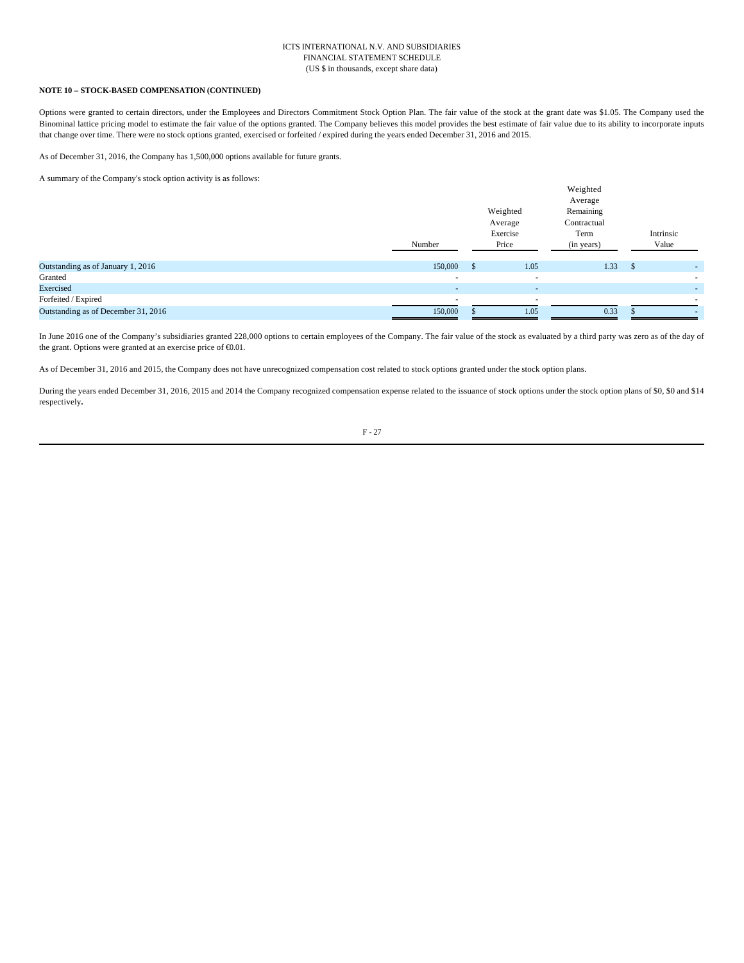# **NOTE 10 – STOCK-BASED COMPENSATION (CONTINUED)**

Options were granted to certain directors, under the Employees and Directors Commitment Stock Option Plan. The fair value of the stock at the grant date was \$1.05. The Company used the Binominal lattice pricing model to estimate the fair value of the options granted. The Company believes this model provides the best estimate of fair value due to its ability to incorporate inputs that change over time. There were no stock options granted, exercised or forfeited / expired during the years ended December 31, 2016 and 2015.

As of December 31, 2016, the Company has 1,500,000 options available for future grants.

A summary of the Company's stock option activity is as follows:

|                                     |                          |               |                | Weighted           |   |                          |  |
|-------------------------------------|--------------------------|---------------|----------------|--------------------|---|--------------------------|--|
|                                     |                          |               |                | Average            |   |                          |  |
|                                     |                          |               | Weighted       | Remaining          |   |                          |  |
|                                     |                          |               | Average        | Contractual        |   |                          |  |
|                                     |                          |               | Exercise       | Term<br>(in years) |   | Intrinsic                |  |
|                                     | Number                   |               | Price          |                    |   | Value                    |  |
|                                     |                          |               |                |                    |   |                          |  |
| Outstanding as of January 1, 2016   | 150,000                  | <sup>\$</sup> | 1.05           | 1.33               | S | $\overline{\phantom{a}}$ |  |
| Granted                             | $\overline{\phantom{a}}$ |               | $\sim$         |                    |   |                          |  |
| Exercised                           | -                        |               | $\overline{a}$ |                    |   | $\sim$                   |  |
| Forfeited / Expired                 | $\overline{\phantom{a}}$ |               | $\sim$         |                    |   |                          |  |
| Outstanding as of December 31, 2016 | 150,000                  |               | 1.05           | 0.33               |   | $\overline{a}$           |  |

In June 2016 one of the Company's subsidiaries granted 228,000 options to certain employees of the Company. The fair value of the stock as evaluated by a third party was zero as of the day of the grant. Options were granted at an exercise price of €0.01.

As of December 31, 2016 and 2015, the Company does not have unrecognized compensation cost related to stock options granted under the stock option plans.

During the years ended December 31, 2016, 2015 and 2014 the Company recognized compensation expense related to the issuance of stock options under the stock option plans of \$0, \$0 and \$14 respectively**.**

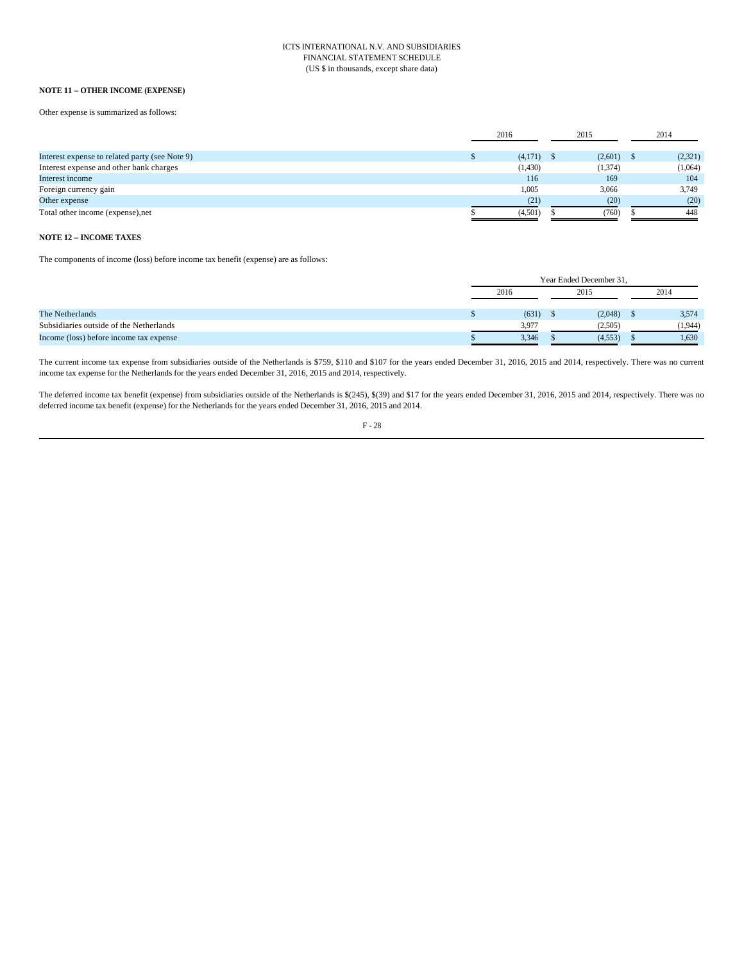# **NOTE 11 – OTHER INCOME (EXPENSE)**

Other expense is summarized as follows:

|                                                | 2016 |              | 2015 |          | 2014    |  |
|------------------------------------------------|------|--------------|------|----------|---------|--|
| Interest expense to related party (see Note 9) |      | $(4,171)$ \$ |      | (2,601)  | (2,321) |  |
| Interest expense and other bank charges        |      | (1,430)      |      | (1, 374) | (1,064) |  |
| Interest income                                |      | 116          |      | 169      | 104     |  |
| Foreign currency gain                          |      | 1,005        |      | 3,066    | 3,749   |  |
| Other expense                                  |      | (21)         |      | (20)     | (20)    |  |
| Total other income (expense), net              |      | (4.501)      |      | (760)    | 448     |  |

# **NOTE 12 – INCOME TAXES**

The components of income (loss) before income tax benefit (expense) are as follows:

|                                         | Year Ended December 31. |  |         |  |         |  |  |  |
|-----------------------------------------|-------------------------|--|---------|--|---------|--|--|--|
|                                         | 2016                    |  | 2015    |  | 2014    |  |  |  |
| The Netherlands                         | (631)                   |  | (2,048) |  | 3,574   |  |  |  |
| Subsidiaries outside of the Netherlands | 3.977                   |  | (2,505) |  | (1,944) |  |  |  |
| Income (loss) before income tax expense | 3,346                   |  | (4,553) |  | 1,630   |  |  |  |

The current income tax expense from subsidiaries outside of the Netherlands is \$759, \$110 and \$107 for the years ended December 31, 2016, 2015 and 2014, respectively. There was no current income tax expense for the Netherlands for the years ended December 31, 2016, 2015 and 2014, respectively.

The deferred income tax benefit (expense) from subsidiaries outside of the Netherlands is \$(245), \$(39) and \$17 for the years ended December 31, 2016, 2015 and 2014, respectively. There was no deferred income tax benefit (expense) for the Netherlands for the years ended December 31, 2016, 2015 and 2014.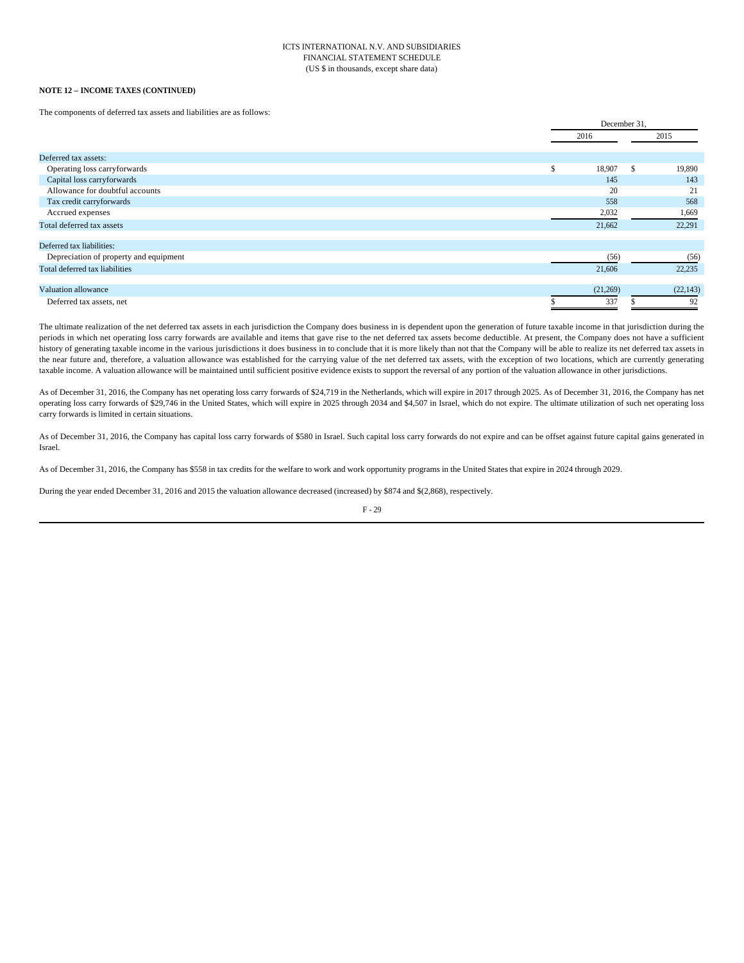# **NOTE 12 – INCOME TAXES (CONTINUED)**

The components of deferred tax assets and liabilities are as follows:

|                                        | December 31, |     |           |  |  |
|----------------------------------------|--------------|-----|-----------|--|--|
|                                        | 2016         |     | 2015      |  |  |
| Deferred tax assets:                   |              |     |           |  |  |
| Operating loss carryforwards           | \$<br>18,907 | \$. | 19,890    |  |  |
| Capital loss carryforwards             | 145          |     | 143       |  |  |
| Allowance for doubtful accounts        | 20           |     | 21        |  |  |
| Tax credit carryforwards               | 558          |     | 568       |  |  |
| Accrued expenses                       | 2,032        |     | 1,669     |  |  |
| Total deferred tax assets              | 21,662       |     | 22,291    |  |  |
| Deferred tax liabilities:              |              |     |           |  |  |
| Depreciation of property and equipment | (56)         |     | (56)      |  |  |
| Total deferred tax liabilities         | 21,606       |     | 22,235    |  |  |
| Valuation allowance                    | (21,269)     |     | (22, 143) |  |  |
| Deferred tax assets, net               | 337          |     | 92        |  |  |

The ultimate realization of the net deferred tax assets in each jurisdiction the Company does business in is dependent upon the generation of future taxable income in that jurisdiction during the periods in which net operating loss carry forwards are available and items that gave rise to the net deferred tax assets become deductible. At present, the Company does not have a sufficient history of generating taxable income in the various jurisdictions it does business in to conclude that it is more likely than not that the Company will be able to realize its net deferred tax assets in the near future and, therefore, a valuation allowance was established for the carrying value of the net deferred tax assets, with the exception of two locations, which are currently generating taxable income. A valuation allowance will be maintained until sufficient positive evidence exists to support the reversal of any portion of the valuation allowance in other jurisdictions.

As of December 31, 2016, the Company has net operating loss carry forwards of \$24,719 in the Netherlands, which will expire in 2017 through 2025. As of December 31, 2016, the Company has net operating loss carry forwards of \$29,746 in the United States, which will expire in 2025 through 2034 and \$4,507 in Israel, which do not expire. The ultimate utilization of such net operating loss carry forwards is limited in certain situations.

As of December 31, 2016, the Company has capital loss carry forwards of \$580 in Israel. Such capital loss carry forwards do not expire and can be offset against future capital gains generated in Israel.

As of December 31, 2016, the Company has \$558 in tax credits for the welfare to work and work opportunity programs in the United States that expire in 2024 through 2029.

During the year ended December 31, 2016 and 2015 the valuation allowance decreased (increased) by \$874 and \$(2,868), respectively.

$$
F - 29
$$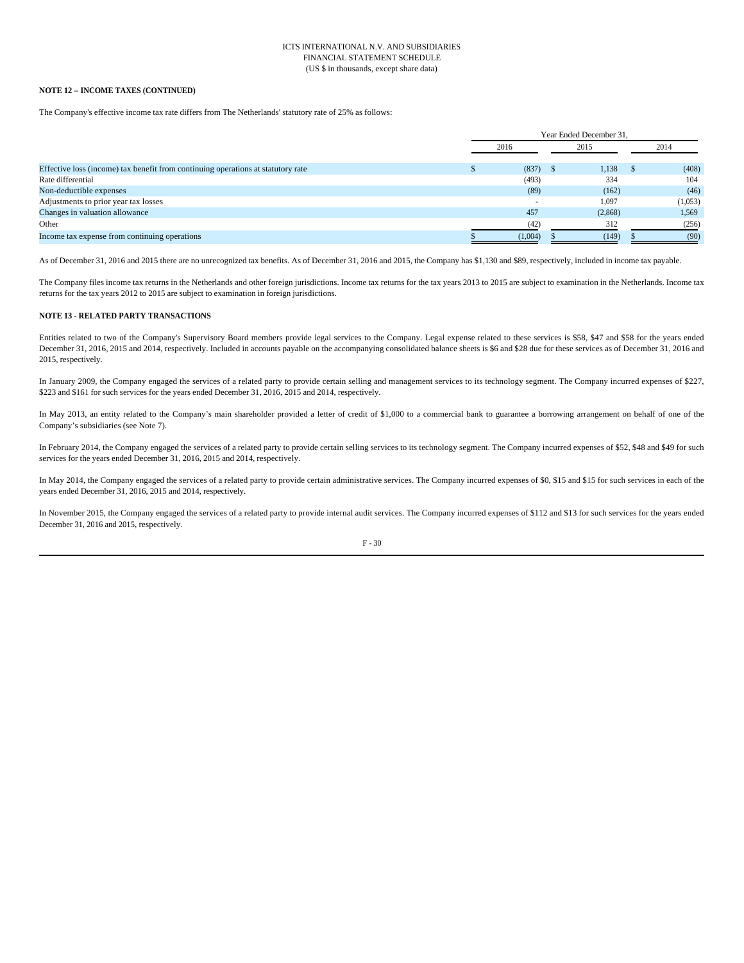## **NOTE 12 – INCOME TAXES (CONTINUED)**

The Company's effective income tax rate differs from The Netherlands' statutory rate of 25% as follows:

|                                                                                  | Year Ended December 31. |            |      |         |  |         |  |
|----------------------------------------------------------------------------------|-------------------------|------------|------|---------|--|---------|--|
|                                                                                  | 2016                    |            | 2015 |         |  | 2014    |  |
| Effective loss (income) tax benefit from continuing operations at statutory rate |                         | $(837)$ \$ |      | 1,138   |  | (408)   |  |
| Rate differential                                                                |                         | (493)      |      | 334     |  | 104     |  |
| Non-deductible expenses                                                          |                         | (89)       |      | (162)   |  | (46)    |  |
| Adjustments to prior year tax losses                                             |                         |            |      | 1,097   |  | (1,053) |  |
| Changes in valuation allowance                                                   |                         | 457        |      | (2,868) |  | 1,569   |  |
| Other                                                                            |                         | (42)       |      | 312     |  | (256)   |  |
| Income tax expense from continuing operations                                    |                         | (1,004)    |      | (149)   |  | (90)    |  |

As of December 31, 2016 and 2015 there are no unrecognized tax benefits. As of December 31, 2016 and 2015, the Company has \$1,130 and \$89, respectively, included in income tax payable.

The Company files income tax returns in the Netherlands and other foreign jurisdictions. Income tax returns for the tax years 2013 to 2015 are subject to examination in the Netherlands. Income tax returns for the tax years 2012 to 2015 are subject to examination in foreign jurisdictions.

# **NOTE 13 - RELATED PARTY TRANSACTIONS**

Entities related to two of the Company's Supervisory Board members provide legal services to the Company. Legal expense related to these services is \$58, \$47 and \$58 for the years ended December 31, 2016, 2015 and 2014, respectively. Included in accounts payable on the accompanying consolidated balance sheets is \$6 and \$28 due for these services as of December 31, 2016 and 2015, respectively.

In January 2009, the Company engaged the services of a related party to provide certain selling and management services to its technology segment. The Company incurred expenses of \$227, \$223 and \$161 for such services for the years ended December 31, 2016, 2015 and 2014, respectively.

In May 2013, an entity related to the Company's main shareholder provided a letter of credit of \$1,000 to a commercial bank to guarantee a borrowing arrangement on behalf of one of the Company's subsidiaries (see Note 7).

In February 2014, the Company engaged the services of a related party to provide certain selling services to its technology segment. The Company incurred expenses of \$52, \$48 and \$49 for such services for the years ended December 31, 2016, 2015 and 2014, respectively.

In May 2014, the Company engaged the services of a related party to provide certain administrative services. The Company incurred expenses of \$0, \$15 and \$15 for such services in each of the years ended December 31, 2016, 2015 and 2014, respectively.

In November 2015, the Company engaged the services of a related party to provide internal audit services. The Company incurred expenses of \$112 and \$13 for such services for the years ended December 31, 2016 and 2015, respectively.

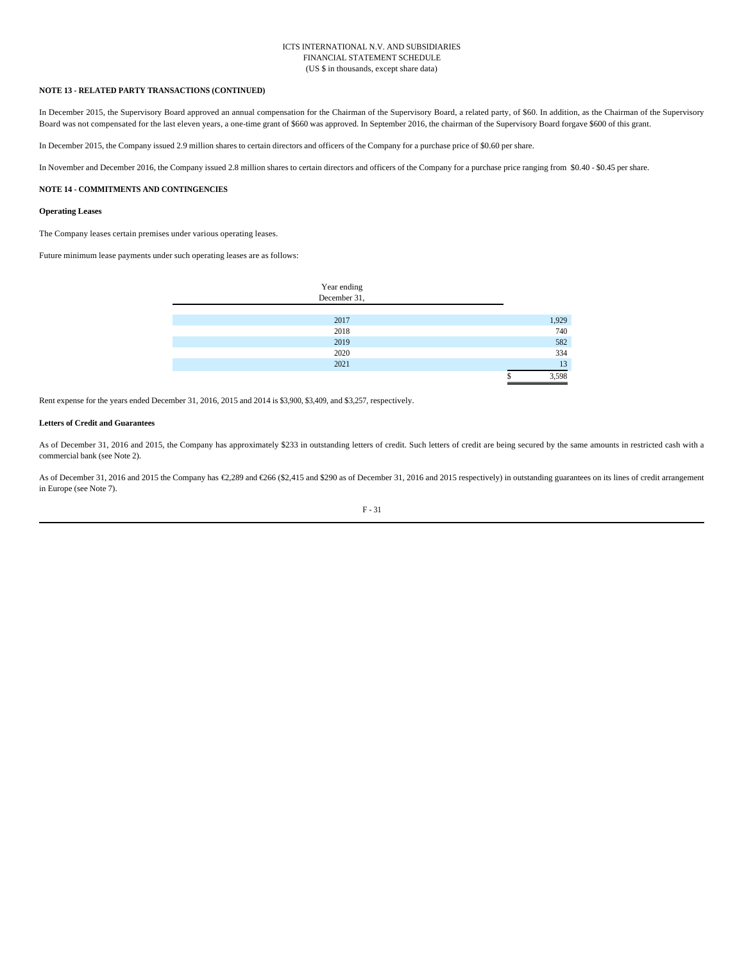# **NOTE 13 - RELATED PARTY TRANSACTIONS (CONTINUED)**

In December 2015, the Supervisory Board approved an annual compensation for the Chairman of the Supervisory Board, a related party, of \$60. In addition, as the Chairman of the Supervisory Board was not compensated for the last eleven years, a one-time grant of \$660 was approved. In September 2016, the chairman of the Supervisory Board forgave \$600 of this grant.

In December 2015, the Company issued 2.9 million shares to certain directors and officers of the Company for a purchase price of \$0.60 per share.

In November and December 2016, the Company issued 2.8 million shares to certain directors and officers of the Company for a purchase price ranging from \$0.40 - \$0.45 per share.

#### **NOTE 14 - COMMITMENTS AND CONTINGENCIES**

#### **Operating Leases**

The Company leases certain premises under various operating leases.

Future minimum lease payments under such operating leases are as follows:

| Year ending  |       |
|--------------|-------|
| December 31, |       |
|              |       |
| 2017         | 1,929 |
| 2018         | 740   |
| 2019         | 582   |
| 2020         | 334   |
| 2021         | 13    |
|              | 3,598 |

Rent expense for the years ended December 31, 2016, 2015 and 2014 is \$3,900, \$3,409, and \$3,257, respectively.

#### **Letters of Credit and Guarantees**

As of December 31, 2016 and 2015, the Company has approximately \$233 in outstanding letters of credit. Such letters of credit are being secured by the same amounts in restricted cash with a commercial bank (see Note 2).

As of December 31, 2016 and 2015 the Company has €2,289 and €266 (\$2,415 and \$290 as of December 31, 2016 and 2015 respectively) in outstanding guarantees on its lines of credit arrangement in Europe (see Note 7).

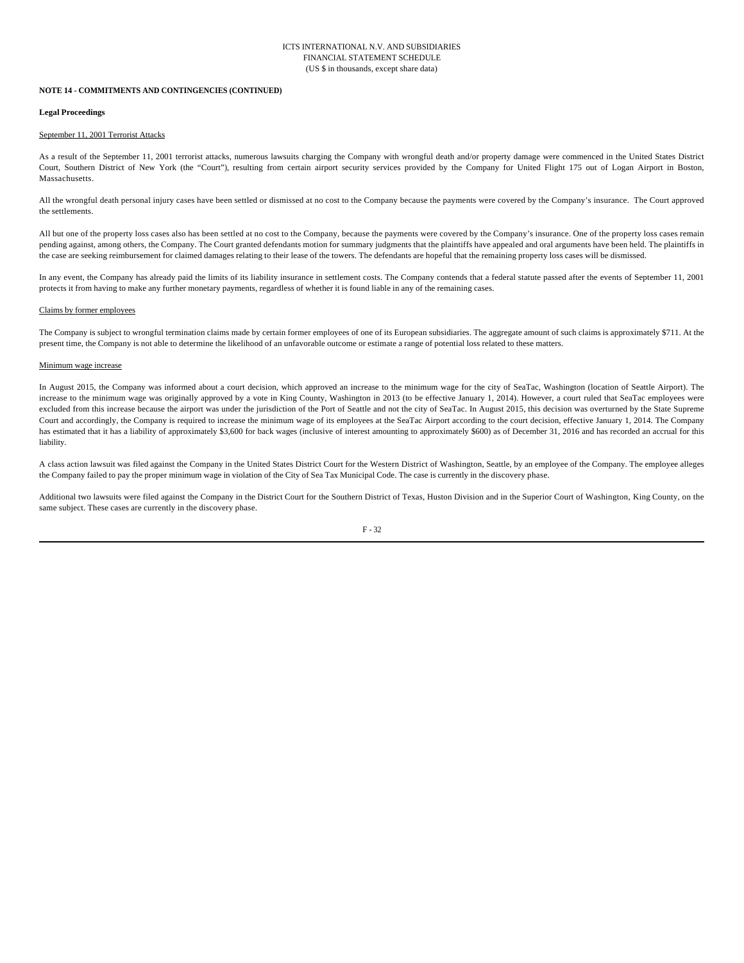#### **NOTE 14 - COMMITMENTS AND CONTINGENCIES (CONTINUED)**

# **Legal Proceedings**

## September 11, 2001 Terrorist Attacks

As a result of the September 11, 2001 terrorist attacks, numerous lawsuits charging the Company with wrongful death and/or property damage were commenced in the United States District Court, Southern District of New York (the "Court"), resulting from certain airport security services provided by the Company for United Flight 175 out of Logan Airport in Boston, Massachusetts.

All the wrongful death personal injury cases have been settled or dismissed at no cost to the Company because the payments were covered by the Company's insurance. The Court approved the settlements.

All but one of the property loss cases also has been settled at no cost to the Company, because the payments were covered by the Company's insurance. One of the property loss cases remain pending against, among others, the Company. The Court granted defendants motion for summary judgments that the plaintiffs have appealed and oral arguments have been held. The plaintiffs in the case are seeking reimbursement for claimed damages relating to their lease of the towers. The defendants are hopeful that the remaining property loss cases will be dismissed.

In any event, the Company has already paid the limits of its liability insurance in settlement costs. The Company contends that a federal statute passed after the events of September 11, 2001 protects it from having to make any further monetary payments, regardless of whether it is found liable in any of the remaining cases.

#### Claims by former employees

The Company is subject to wrongful termination claims made by certain former employees of one of its European subsidiaries. The aggregate amount of such claims is approximately \$711. At the present time, the Company is not able to determine the likelihood of an unfavorable outcome or estimate a range of potential loss related to these matters.

### Minimum wage increase

In August 2015, the Company was informed about a court decision, which approved an increase to the minimum wage for the city of SeaTac, Washington (location of Seattle Airport). The increase to the minimum wage was originally approved by a vote in King County, Washington in 2013 (to be effective January 1, 2014). However, a court ruled that SeaTac employees were excluded from this increase because the airport was under the jurisdiction of the Port of Seattle and not the city of SeaTac. In August 2015, this decision was overturned by the State Supreme Court and accordingly, the Company is required to increase the minimum wage of its employees at the SeaTac Airport according to the court decision, effective January 1, 2014. The Company has estimated that it has a liability of approximately \$3,600 for back wages (inclusive of interest amounting to approximately \$600) as of December 31, 2016 and has recorded an accrual for this liability.

A class action lawsuit was filed against the Company in the United States District Court for the Western District of Washington, Seattle, by an employee of the Company. The employee alleges the Company failed to pay the proper minimum wage in violation of the City of Sea Tax Municipal Code. The case is currently in the discovery phase.

Additional two lawsuits were filed against the Company in the District Court for the Southern District of Texas, Huston Division and in the Superior Court of Washington, King County, on the same subject. These cases are currently in the discovery phase.

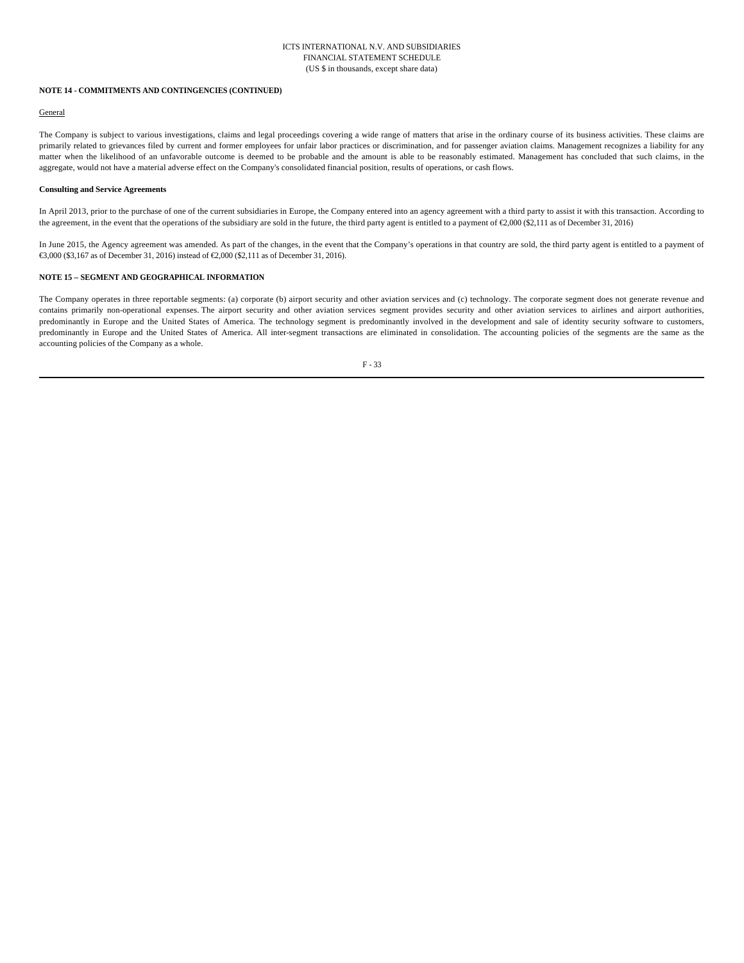#### **NOTE 14 - COMMITMENTS AND CONTINGENCIES (CONTINUED)**

### **General**

The Company is subject to various investigations, claims and legal proceedings covering a wide range of matters that arise in the ordinary course of its business activities. These claims are primarily related to grievances filed by current and former employees for unfair labor practices or discrimination, and for passenger aviation claims. Management recognizes a liability for any matter when the likelihood of an unfavorable outcome is deemed to be probable and the amount is able to be reasonably estimated. Management has concluded that such claims, in the aggregate, would not have a material adverse effect on the Company's consolidated financial position, results of operations, or cash flows.

#### **Consulting and Service Agreements**

In April 2013, prior to the purchase of one of the current subsidiaries in Europe, the Company entered into an agency agreement with a third party to assist it with this transaction. According to the agreement, in the event that the operations of the subsidiary are sold in the future, the third party agent is entitled to a payment of €2,000 (\$2,111 as of December 31, 2016)

In June 2015, the Agency agreement was amended. As part of the changes, in the event that the Company's operations in that country are sold, the third party agent is entitled to a payment of €3,000 (\$3,167 as of December 31, 2016) instead of €2,000 (\$2,111 as of December 31, 2016).

#### **NOTE 15 – SEGMENT AND GEOGRAPHICAL INFORMATION**

The Company operates in three reportable segments: (a) corporate (b) airport security and other aviation services and (c) technology. The corporate segment does not generate revenue and contains primarily non-operational expenses. The airport security and other aviation services segment provides security and other aviation services to airlines and airport authorities, predominantly in Europe and the United States of America. The technology segment is predominantly involved in the development and sale of identity security software to customers, predominantly in Europe and the United States of America. All inter-segment transactions are eliminated in consolidation. The accounting policies of the segments are the same as the accounting policies of the Company as a whole.

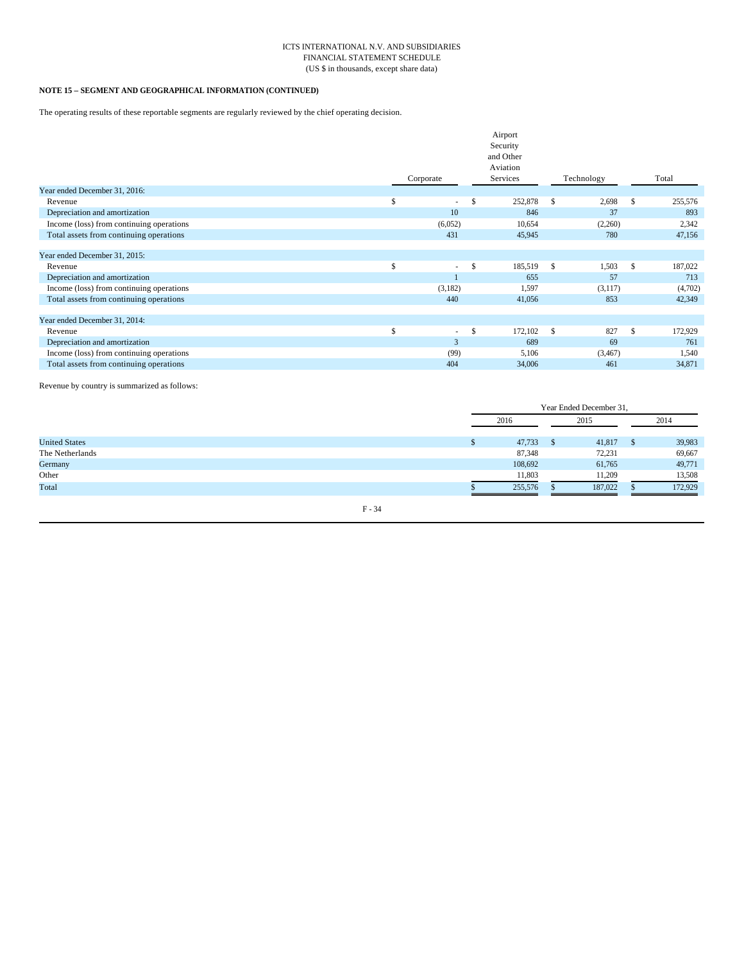# ICTS INTERNATIONAL N.V. AND SUBSIDIARIES FINANCIAL STATEMENT SCHEDULE

(US \$ in thousands, except share data)

# **NOTE 15 – SEGMENT AND GEOGRAPHICAL INFORMATION (CONTINUED)**

The operating results of these reportable segments are regularly reviewed by the chief operating decision.

|                                          |    |                |    | Airport<br>Security<br>and Other<br>Aviation |      |            |               |         |
|------------------------------------------|----|----------------|----|----------------------------------------------|------|------------|---------------|---------|
|                                          |    | Corporate      |    | Services                                     |      | Technology |               | Total   |
| Year ended December 31, 2016:            |    |                |    |                                              |      |            |               |         |
| Revenue                                  | S  | $\sim$         | S  | 252,878                                      | -S   | 2,698      | S             | 255,576 |
| Depreciation and amortization            |    | 10             |    | 846                                          |      | 37         |               | 893     |
| Income (loss) from continuing operations |    | (6,052)        |    | 10,654                                       |      | (2,260)    |               | 2,342   |
| Total assets from continuing operations  |    | 431            |    | 45,945                                       |      | 780        |               | 47,156  |
|                                          |    |                |    |                                              |      |            |               |         |
| Year ended December 31, 2015:            |    |                |    |                                              |      |            |               |         |
| Revenue                                  | \$ | $\sim$         | \$ | 185,519                                      | - \$ | 1,503      | -S            | 187,022 |
| Depreciation and amortization            |    |                |    | 655                                          |      | 57         |               | 713     |
| Income (loss) from continuing operations |    | (3,182)        |    | 1,597                                        |      | (3,117)    |               | (4,702) |
| Total assets from continuing operations  |    | 440            |    | 41,056                                       |      | 853        |               | 42,349  |
|                                          |    |                |    |                                              |      |            |               |         |
| Year ended December 31, 2014:            |    |                |    |                                              |      |            |               |         |
| Revenue                                  |    | $\sim$         | \$ | 172,102                                      | -S   | 827        | <sup>\$</sup> | 172,929 |
| Depreciation and amortization            |    | $\overline{3}$ |    | 689                                          |      | 69         |               | 761     |
| Income (loss) from continuing operations |    | (99)           |    | 5,106                                        |      | (3, 467)   |               | 1,540   |
| Total assets from continuing operations  |    | 404            |    | 34,006                                       |      | 461        |               | 34,871  |

Revenue by country is summarized as follows:

|                      | Year Ended December 31, |  |         |   |         |  |  |
|----------------------|-------------------------|--|---------|---|---------|--|--|
|                      | 2016                    |  | 2015    |   | 2014    |  |  |
| <b>United States</b> | 47,733                  |  | 41,817  | ъ | 39,983  |  |  |
| The Netherlands      | 87,348                  |  | 72,231  |   | 69,667  |  |  |
| Germany              | 108,692                 |  | 61,765  |   | 49,771  |  |  |
| Other                | 11,803                  |  | 11,209  |   | 13,508  |  |  |
| Total                | 255,576                 |  | 187,022 |   | 172,929 |  |  |
|                      |                         |  |         |   |         |  |  |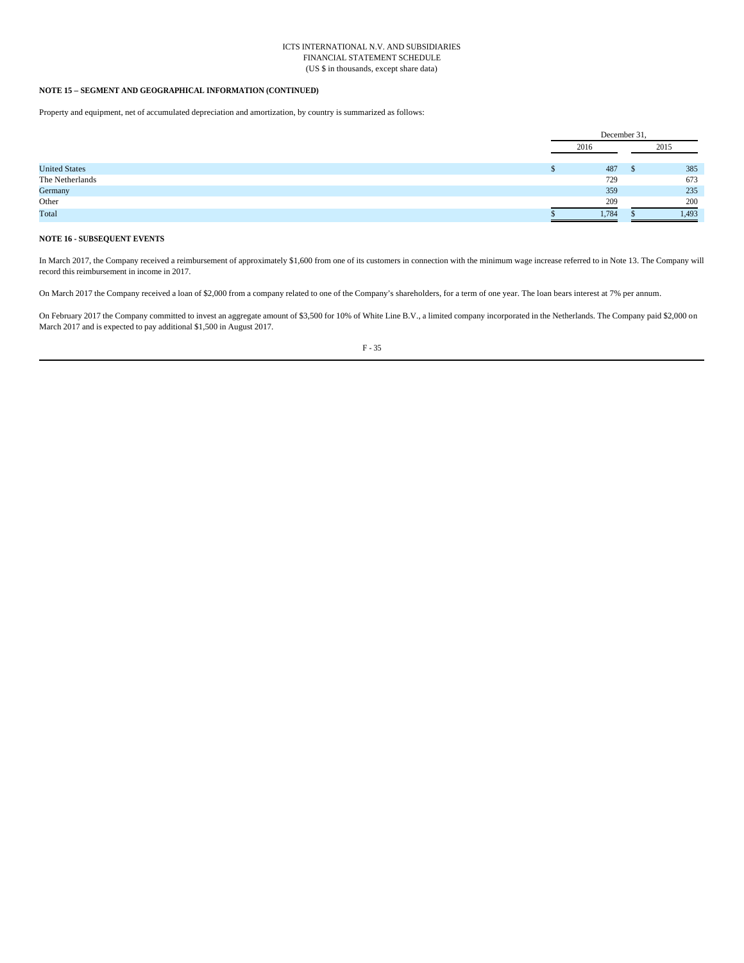# ICTS INTERNATIONAL N.V. AND SUBSIDIARIES FINANCIAL STATEMENT SCHEDULE

(US \$ in thousands, except share data)

# **NOTE 15 – SEGMENT AND GEOGRAPHICAL INFORMATION (CONTINUED)**

Property and equipment, net of accumulated depreciation and amortization, by country is summarized as follows:

|                      | December 31, |      |       |  |  |  |
|----------------------|--------------|------|-------|--|--|--|
|                      | 2016         |      | 2015  |  |  |  |
| <b>United States</b> | 487          | - 35 | 385   |  |  |  |
| The Netherlands      | 729          |      | 673   |  |  |  |
| Germany              | 359          |      | 235   |  |  |  |
| Other                | 209          |      | 200   |  |  |  |
| Total                | 1.784        |      | 1,493 |  |  |  |

# **NOTE 16 - SUBSEQUENT EVENTS**

In March 2017, the Company received a reimbursement of approximately \$1,600 from one of its customers in connection with the minimum wage increase referred to in Note 13. The Company will record this reimbursement in income in 2017.

On March 2017 the Company received a loan of \$2,000 from a company related to one of the Company's shareholders, for a term of one year. The loan bears interest at 7% per annum.

On February 2017 the Company committed to invest an aggregate amount of \$3,500 for 10% of White Line B.V., a limited company incorporated in the Netherlands. The Company paid \$2,000 on March 2017 and is expected to pay additional \$1,500 in August 2017.

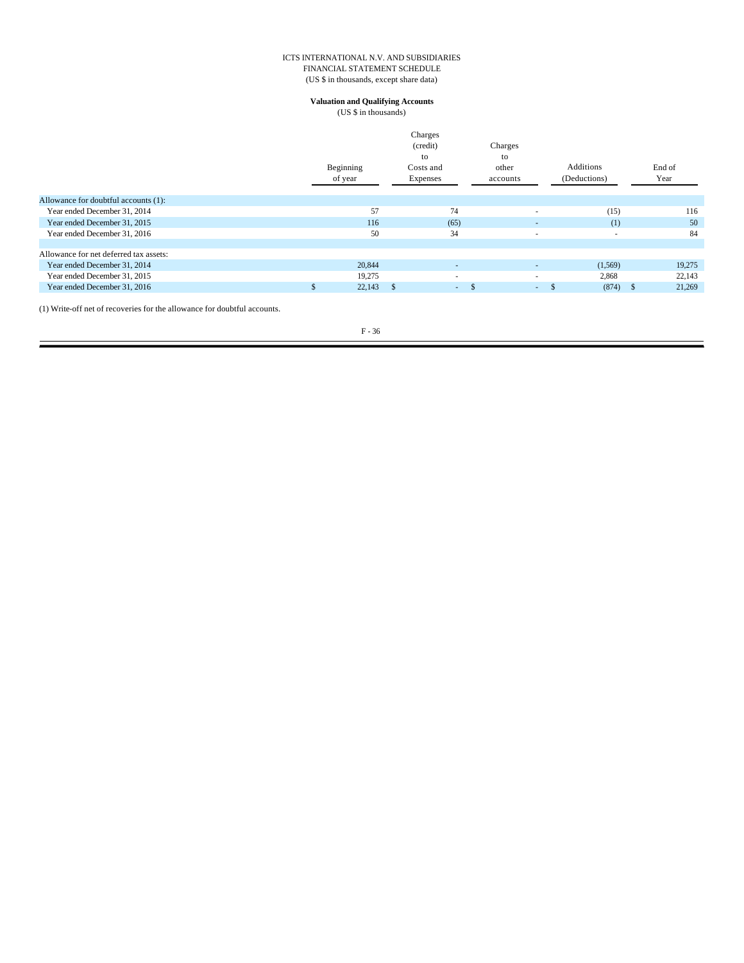# ICTS INTERNATIONAL N.V. AND SUBSIDIARIES FINANCIAL STATEMENT SCHEDULE

(US \$ in thousands, except share data)

# **Valuation and Qualifying Accounts**

(US \$ in thousands)

|                                        | Beginning<br>of year | Charges<br>(credit)<br>to<br>Costs and<br>Expenses | Charges<br>to<br>other<br>accounts |                | Additions<br>(Deductions) | End of<br>Year          |
|----------------------------------------|----------------------|----------------------------------------------------|------------------------------------|----------------|---------------------------|-------------------------|
| Allowance for doubtful accounts (1):   |                      |                                                    |                                    |                |                           |                         |
| Year ended December 31, 2014           | 57                   | 74                                                 |                                    | $\overline{a}$ | (15)                      | 116                     |
| Year ended December 31, 2015           | 116                  | (65)                                               |                                    | $\overline{a}$ | (1)                       | 50                      |
| Year ended December 31, 2016           | 50                   | 34                                                 |                                    | $\sim$         | $\sim$                    | 84                      |
|                                        |                      |                                                    |                                    |                |                           |                         |
| Allowance for net deferred tax assets: |                      |                                                    |                                    |                |                           |                         |
| Year ended December 31, 2014           | 20,844               | $\overline{a}$                                     |                                    | $\overline{a}$ | (1,569)                   | 19,275                  |
| Year ended December 31, 2015           | 19,275               | $\overline{\phantom{a}}$                           |                                    | $\overline{a}$ | 2,868                     | 22,143                  |
| Year ended December 31, 2016           | 22,143               | $\sim$                                             | - \$                               | $-$ \$         | (874)                     | 21.269<br>$\mathcal{L}$ |

(1) Write-off net of recoveries for the allowance for doubtful accounts.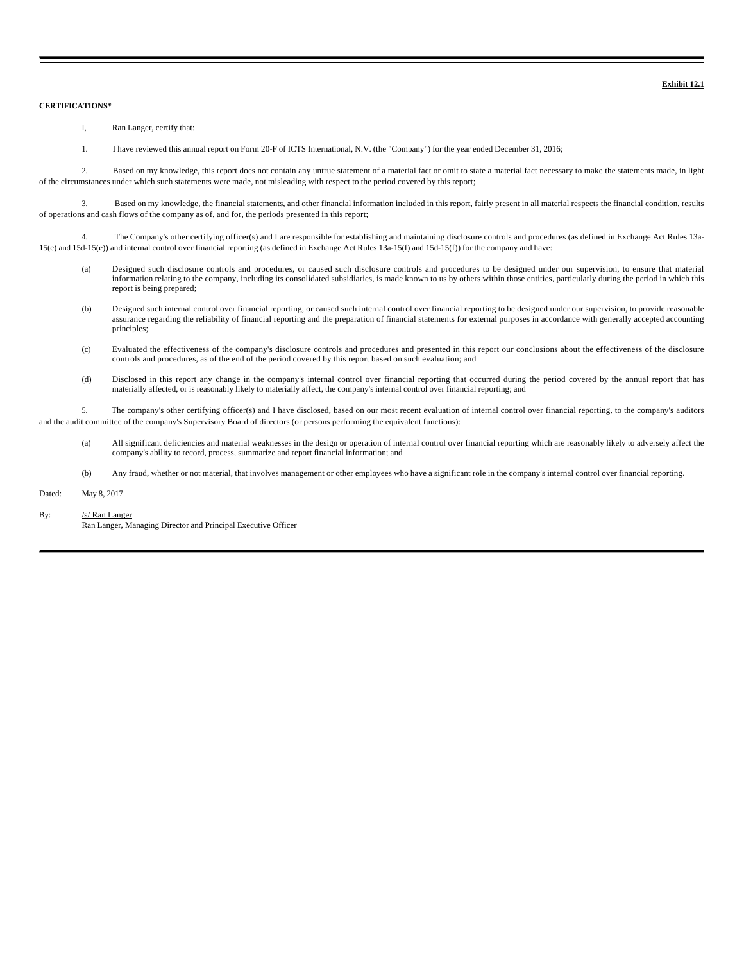# **CERTIFICATIONS\***

- I, Ran Langer, certify that:
- 1. I have reviewed this annual report on Form 20-F of ICTS International, N.V. (the "Company") for the year ended December 31, 2016;

2. Based on my knowledge, this report does not contain any untrue statement of a material fact or omit to state a material fact necessary to make the statements made, in light of the circumstances under which such statements were made, not misleading with respect to the period covered by this report;

3. Based on my knowledge, the financial statements, and other financial information included in this report, fairly present in all material respects the financial condition, results of operations and cash flows of the company as of, and for, the periods presented in this report;

4. The Company's other certifying officer(s) and I are responsible for establishing and maintaining disclosure controls and procedures (as defined in Exchange Act Rules 13a-15(e) and 15d-15(e)) and internal control over financial reporting (as defined in Exchange Act Rules 13a-15(f) and 15d-15(f)) for the company and have:

- (a) Designed such disclosure controls and procedures, or caused such disclosure controls and procedures to be designed under our supervision, to ensure that material information relating to the company, including its consolidated subsidiaries, is made known to us by others within those entities, particularly during the period in which this report is being prepared;
- (b) Designed such internal control over financial reporting, or caused such internal control over financial reporting to be designed under our supervision, to provide reasonable assurance regarding the reliability of financial reporting and the preparation of financial statements for external purposes in accordance with generally accepted accounting principles;
- (c) Evaluated the effectiveness of the company's disclosure controls and procedures and presented in this report our conclusions about the effectiveness of the disclosure controls and procedures, as of the end of the period covered by this report based on such evaluation; and
- (d) Disclosed in this report any change in the company's internal control over financial reporting that occurred during the period covered by the annual report that has materially affected, or is reasonably likely to materially affect, the company's internal control over financial reporting; and

5. The company's other certifying officer(s) and I have disclosed, based on our most recent evaluation of internal control over financial reporting, to the company's auditors and the audit committee of the company's Supervisory Board of directors (or persons performing the equivalent functions):

- (a) All significant deficiencies and material weaknesses in the design or operation of internal control over financial reporting which are reasonably likely to adversely affect the company's ability to record, process, summarize and report financial information; and
- (b) Any fraud, whether or not material, that involves management or other employees who have a significant role in the company's internal control over financial reporting.

### Dated: May 8, 2017

## By: /s/ Ran Langer

Ran Langer, Managing Director and Principal Executive Officer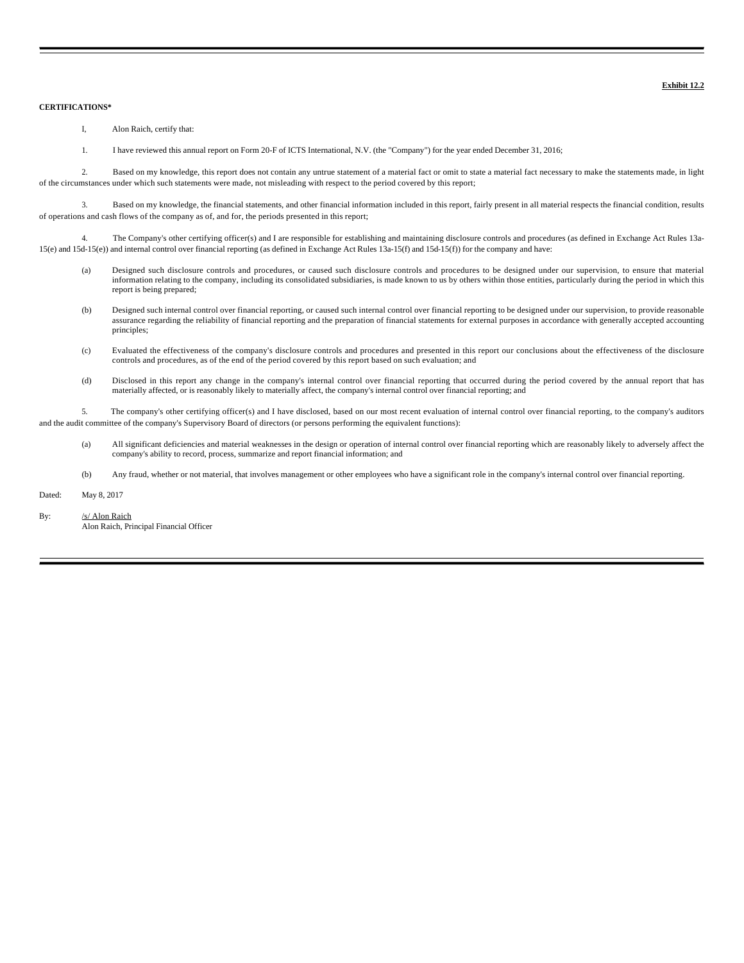# **CERTIFICATIONS\***

- I, Alon Raich, certify that:
- 1. I have reviewed this annual report on Form 20-F of ICTS International, N.V. (the "Company") for the year ended December 31, 2016;

2. Based on my knowledge, this report does not contain any untrue statement of a material fact or omit to state a material fact necessary to make the statements made, in light of the circumstances under which such statements were made, not misleading with respect to the period covered by this report;

3. Based on my knowledge, the financial statements, and other financial information included in this report, fairly present in all material respects the financial condition, results of operations and cash flows of the company as of, and for, the periods presented in this report;

4. The Company's other certifying officer(s) and I are responsible for establishing and maintaining disclosure controls and procedures (as defined in Exchange Act Rules 13a-15(e) and 15d-15(e)) and internal control over financial reporting (as defined in Exchange Act Rules 13a-15(f) and 15d-15(f)) for the company and have:

- (a) Designed such disclosure controls and procedures, or caused such disclosure controls and procedures to be designed under our supervision, to ensure that material information relating to the company, including its consolidated subsidiaries, is made known to us by others within those entities, particularly during the period in which this report is being prepared;
- (b) Designed such internal control over financial reporting, or caused such internal control over financial reporting to be designed under our supervision, to provide reasonable assurance regarding the reliability of financial reporting and the preparation of financial statements for external purposes in accordance with generally accepted accounting principles;
- (c) Evaluated the effectiveness of the company's disclosure controls and procedures and presented in this report our conclusions about the effectiveness of the disclosure controls and procedures, as of the end of the period covered by this report based on such evaluation; and
- (d) Disclosed in this report any change in the company's internal control over financial reporting that occurred during the period covered by the annual report that has materially affected, or is reasonably likely to materially affect, the company's internal control over financial reporting; and

5. The company's other certifying officer(s) and I have disclosed, based on our most recent evaluation of internal control over financial reporting, to the company's auditors and the audit committee of the company's Supervisory Board of directors (or persons performing the equivalent functions):

- (a) All significant deficiencies and material weaknesses in the design or operation of internal control over financial reporting which are reasonably likely to adversely affect the company's ability to record, process, summarize and report financial information; and
- (b) Any fraud, whether or not material, that involves management or other employees who have a significant role in the company's internal control over financial reporting.

Dated: May 8, 2017

Alon Raich, Principal Financial Officer By: /s/ Alon Raich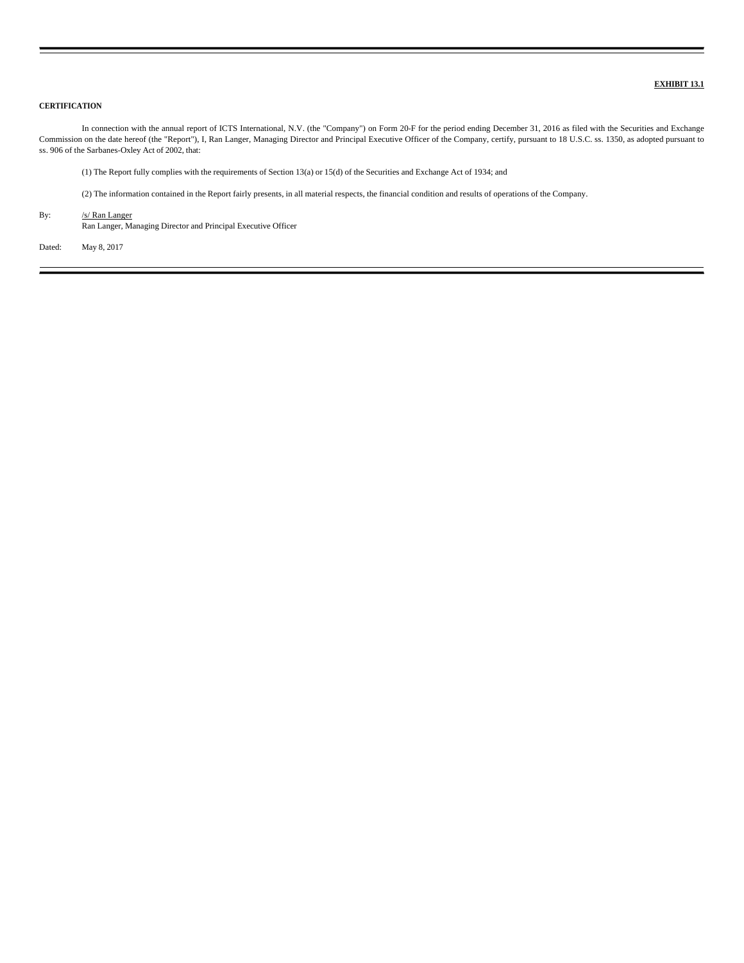# **EXHIBIT 13.1**

# **CERTIFICATION**

In connection with the annual report of ICTS International, N.V. (the "Company") on Form 20-F for the period ending December 31, 2016 as filed with the Securities and Exchange Commission on the date hereof (the "Report"), I, Ran Langer, Managing Director and Principal Executive Officer of the Company, certify, pursuant to 18 U.S.C. ss. 1350, as adopted pursuant to ss. 906 of the Sarbanes-Oxley Act of 2002, that:

(1) The Report fully complies with the requirements of Section 13(a) or 15(d) of the Securities and Exchange Act of 1934; and

(2) The information contained in the Report fairly presents, in all material respects, the financial condition and results of operations of the Company.

By: /s/ Ran Langer

Ran Langer, Managing Director and Principal Executive Officer

Dated: May 8, 2017